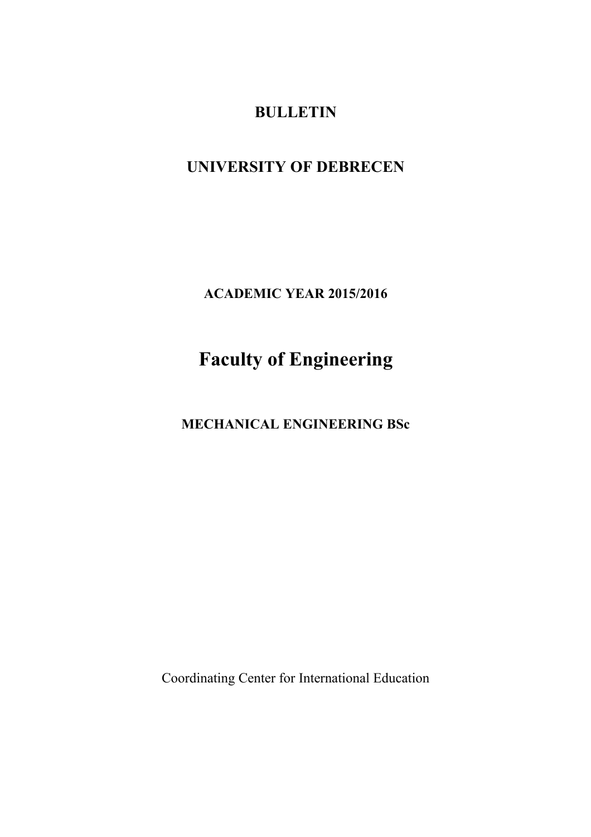# **BULLETIN**

# **UNIVERSITY OF DEBRECEN**

**ACADEMIC YEAR 2015/2016**

# **Faculty of Engineering**

**MECHANICAL ENGINEERING BSc**

Coordinating Center for International Education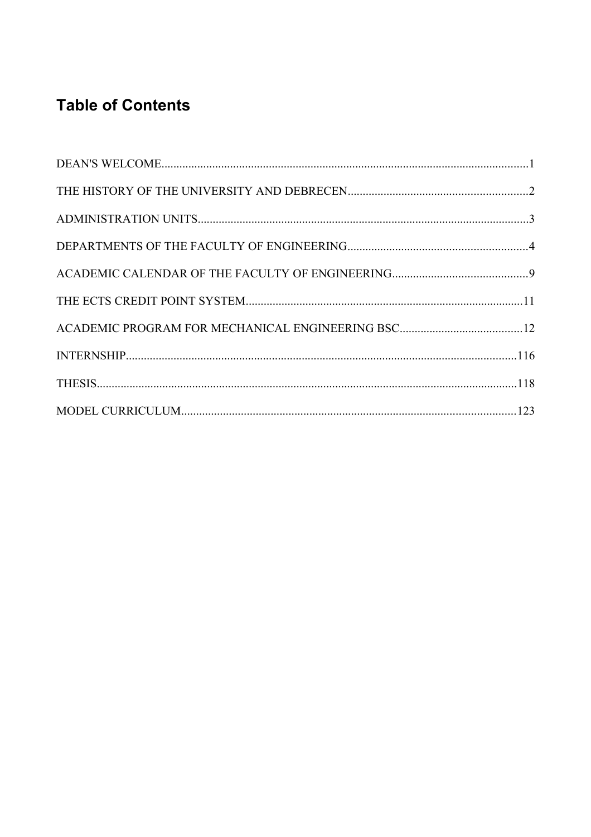# **Table of Contents**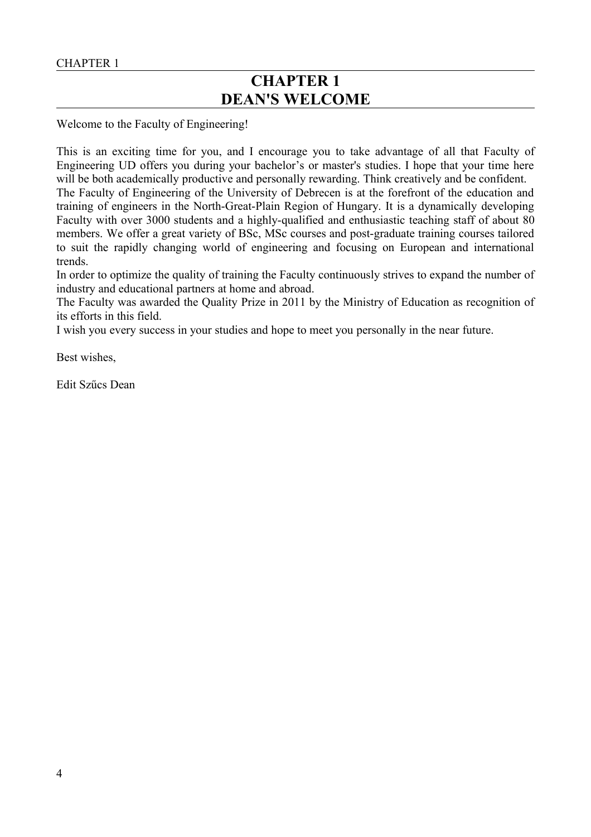## <span id="page-3-0"></span>**CHAPTER 1 DEAN'S WELCOME**

Welcome to the Faculty of Engineering!

This is an exciting time for you, and I encourage you to take advantage of all that Faculty of Engineering UD offers you during your bachelor's or master's studies. I hope that your time here will be both academically productive and personally rewarding. Think creatively and be confident.

The Faculty of Engineering of the University of Debrecen is at the forefront of the education and training of engineers in the North-Great-Plain Region of Hungary. It is a dynamically developing Faculty with over 3000 students and a highly-qualified and enthusiastic teaching staff of about 80 members. We offer a great variety of BSc, MSc courses and post-graduate training courses tailored to suit the rapidly changing world of engineering and focusing on European and international trends.

In order to optimize the quality of training the Faculty continuously strives to expand the number of industry and educational partners at home and abroad.

The Faculty was awarded the Quality Prize in 2011 by the Ministry of Education as recognition of its efforts in this field.

I wish you every success in your studies and hope to meet you personally in the near future.

Best wishes,

Edit Szűcs Dean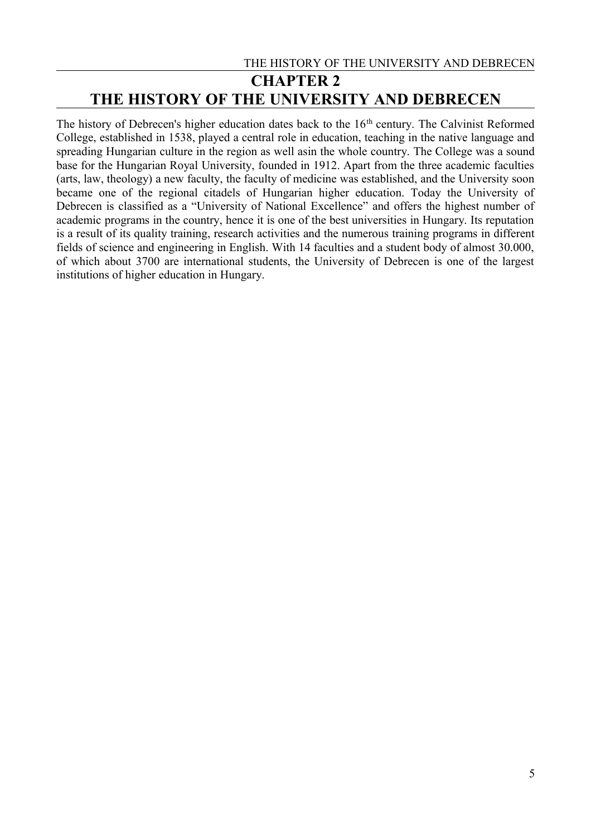## <span id="page-4-0"></span>THE HISTORY OF THE UNIVERSITY AND DEBRECEN **CHAPTER 2 THE HISTORY OF THE UNIVERSITY AND DEBRECEN**

The history of Debrecen's higher education dates back to the 16<sup>th</sup> century. The Calvinist Reformed College, established in 1538, played a central role in education, teaching in the native language and spreading Hungarian culture in the region as well asin the whole country. The College was a sound base for the Hungarian Royal University, founded in 1912. Apart from the three academic faculties (arts, law, theology) a new faculty, the faculty of medicine was established, and the University soon became one of the regional citadels of Hungarian higher education. Today the University of Debrecen is classified as a "University of National Excellence" and offers the highest number of academic programs in the country, hence it is one of the best universities in Hungary. Its reputation is a result of its quality training, research activities and the numerous training programs in different fields of science and engineering in English. With 14 faculties and a student body of almost 30.000, of which about 3700 are international students, the University of Debrecen is one of the largest institutions of higher education in Hungary.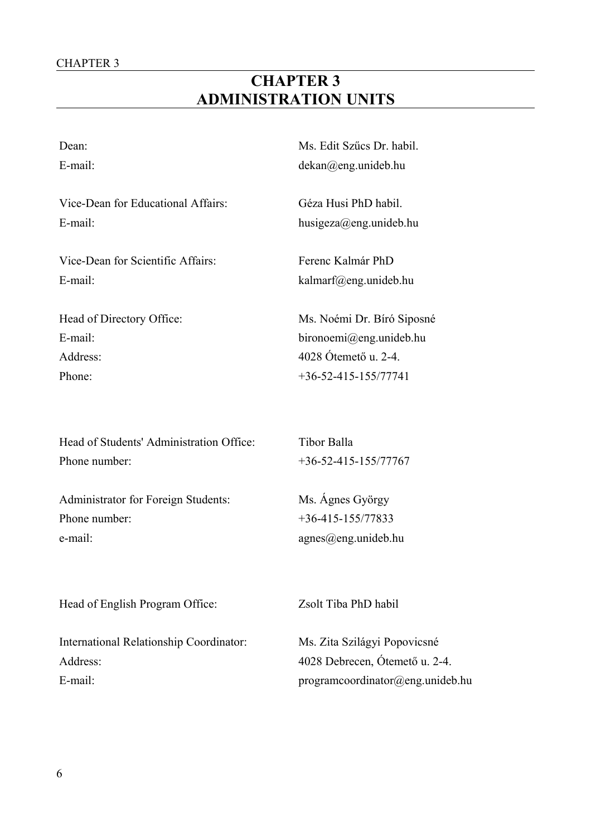## <span id="page-5-0"></span>**CHAPTER 3 ADMINISTRATION UNITS**

Vice-Dean for Educational Affairs: Géza Husi PhD habil. E-mail: husigeza@eng.unideb.hu

Vice-Dean for Scientific Affairs: Ferenc Kalmár PhD E-mail: kalmarf@eng.unideb.hu

Address: 4028 Ótemető u. 2-4. Phone: +36-52-415-155/77741

Head of Students' Administration Office: Tibor Balla Phone number:  $+36-52-415-155/77767$ 

Dean: Ms. Edit Szűcs Dr. habil. E-mail: dekan@eng.unideb.hu

Head of Directory Office: Ms. Noémi Dr. Bíró Siposné E-mail: bironoemi@eng.unideb.hu

Administrator for Foreign Students: Ms. Ágnes György Phone number: +36-415-155/77833 e-mail: agnes (a) eng.unideb.hu

Head of English Program Office: Zsolt Tiba PhD habil

International Relationship Coordinator: Ms. Zita Szilágyi Popovicsné Address: 4028 Debrecen, Ótemető u. 2-4.

E-mail: programcoordinator@eng.unideb.hu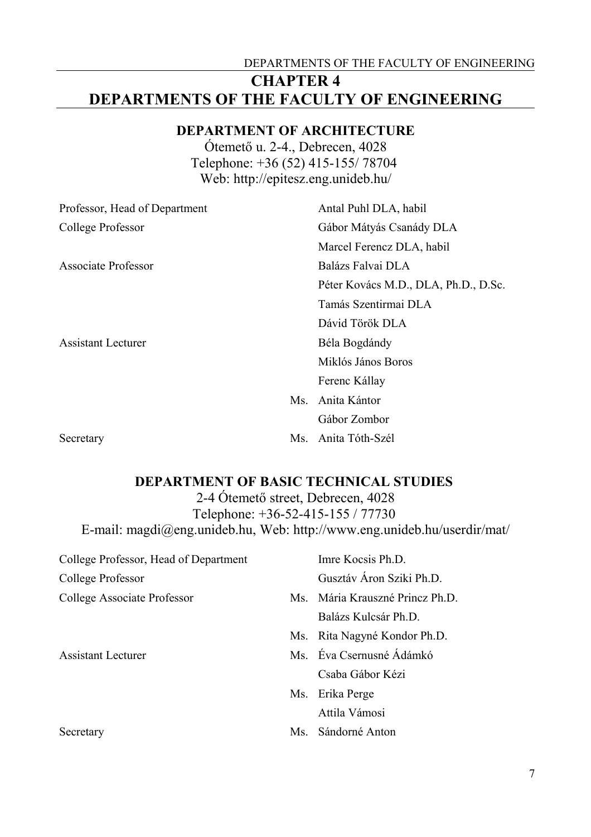## <span id="page-6-0"></span>DEPARTMENTS OF THE FACULTY OF ENGINEERING **CHAPTER 4 DEPARTMENTS OF THE FACULTY OF ENGINEERING**

## **DEPARTMENT OF ARCHITECTURE**

Ótemető u. 2-4., Debrecen, 4028 Telephone: +36 (52) 415-155/ 78704 Web: http://epitesz.eng.unideb.hu/

| Professor, Head of Department |     | Antal Puhl DLA, habil                |
|-------------------------------|-----|--------------------------------------|
| College Professor             |     | Gábor Mátyás Csanády DLA             |
|                               |     | Marcel Ferencz DLA, habil            |
| Associate Professor           |     | Balázs Falvai DLA                    |
|                               |     | Péter Kovács M.D., DLA, Ph.D., D.Sc. |
|                               |     | Tamás Szentirmai DLA                 |
|                               |     | Dávid Török DLA                      |
| <b>Assistant Lecturer</b>     |     | Béla Bogdándy                        |
|                               |     | Miklós János Boros                   |
|                               |     | Ferenc Kállay                        |
|                               | Ms. | Anita Kántor                         |
|                               |     | Gábor Zombor                         |
| Secretary                     | Ms. | Anita Tóth-Szél                      |
|                               |     |                                      |

## **DEPARTMENT OF BASIC TECHNICAL STUDIES**

2-4 Ótemető street, Debrecen, 4028 Telephone: +36-52-415-155 / 77730 E-mail: magdi@eng.unideb.hu, Web: http://www.eng.unideb.hu/userdir/mat/

| College Professor, Head of Department | Imre Kocsis Ph.D.               |
|---------------------------------------|---------------------------------|
| College Professor                     | Gusztáv Áron Sziki Ph.D.        |
| College Associate Professor           | Ms. Mária Krauszné Princz Ph.D. |
|                                       | Balázs Kulcsár Ph.D.            |
|                                       | Ms. Rita Nagyné Kondor Ph.D.    |
| <b>Assistant Lecturer</b>             | Ms. Éva Csernusné Ádámkó        |
|                                       | Csaba Gábor Kézi                |
|                                       | Ms. Erika Perge                 |
|                                       | Attila Vámosi                   |
| Secretary                             | Ms. Sándorné Anton              |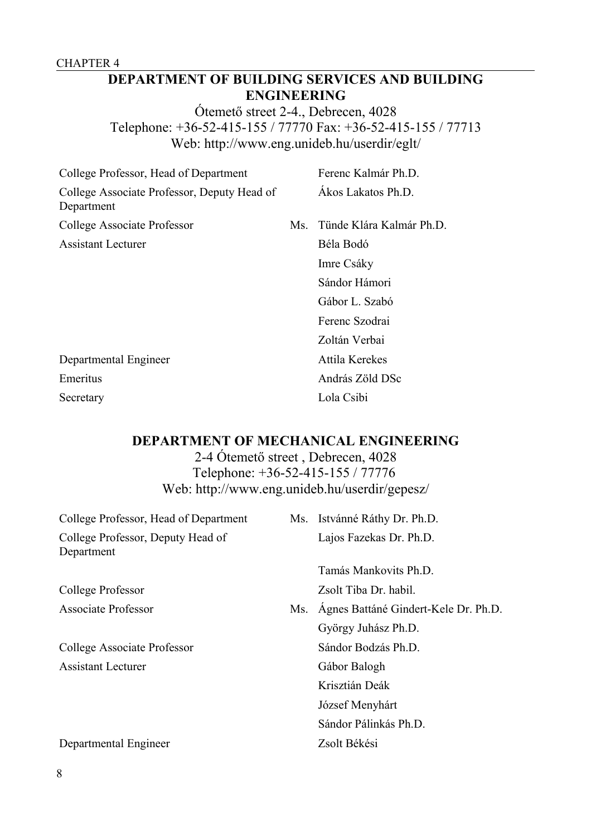## **DEPARTMENT OF BUILDING SERVICES AND BUILDING ENGINEERING**

Ótemető street 2-4., Debrecen, 4028 Telephone: +36-52-415-155 / 77770 Fax: +36-52-415-155 / 77713 Web: http://www.eng.unideb.hu/userdir/eglt/

| College Professor, Head of Department                     |    | Ferenc Kalmár Ph.D.      |
|-----------------------------------------------------------|----|--------------------------|
| College Associate Professor, Deputy Head of<br>Department |    | Ákos Lakatos Ph.D.       |
| College Associate Professor                               | Ms | Tünde Klára Kalmár Ph.D. |
| Assistant Lecturer                                        |    | Béla Bodó                |
|                                                           |    | Imre Csáky               |
|                                                           |    | Sándor Hámori            |
|                                                           |    | Gábor L. Szabó           |
|                                                           |    | Ferenc Szodrai           |
|                                                           |    | Zoltán Verbai            |
| Departmental Engineer                                     |    | Attila Kerekes           |
| Emeritus                                                  |    | András Zöld DSc          |

Secretary Lola Csibi

#### **DEPARTMENT OF MECHANICAL ENGINEERING**

2-4 Ótemető street , Debrecen, 4028 Telephone: +36-52-415-155 / 77776 Web: http://www.eng.unideb.hu/userdir/gepesz/

| College Professor, Head of Department           |     | Ms. Istvánné Ráthy Dr. Ph.D.         |
|-------------------------------------------------|-----|--------------------------------------|
| College Professor, Deputy Head of<br>Department |     | Lajos Fazekas Dr. Ph.D.              |
|                                                 |     | Tamás Mankovits Ph.D.                |
| College Professor                               |     | Zsolt Tiba Dr. habil.                |
| <b>Associate Professor</b>                      | Ms. | Ágnes Battáné Gindert-Kele Dr. Ph.D. |
|                                                 |     | György Juhász Ph.D.                  |
| College Associate Professor                     |     | Sándor Bodzás Ph.D.                  |
| <b>Assistant Lecturer</b>                       |     | Gábor Balogh                         |
|                                                 |     | Krisztián Deák                       |
|                                                 |     | József Menyhárt                      |
|                                                 |     | Sándor Pálinkás Ph.D.                |
| Departmental Engineer                           |     | Zsolt Békési                         |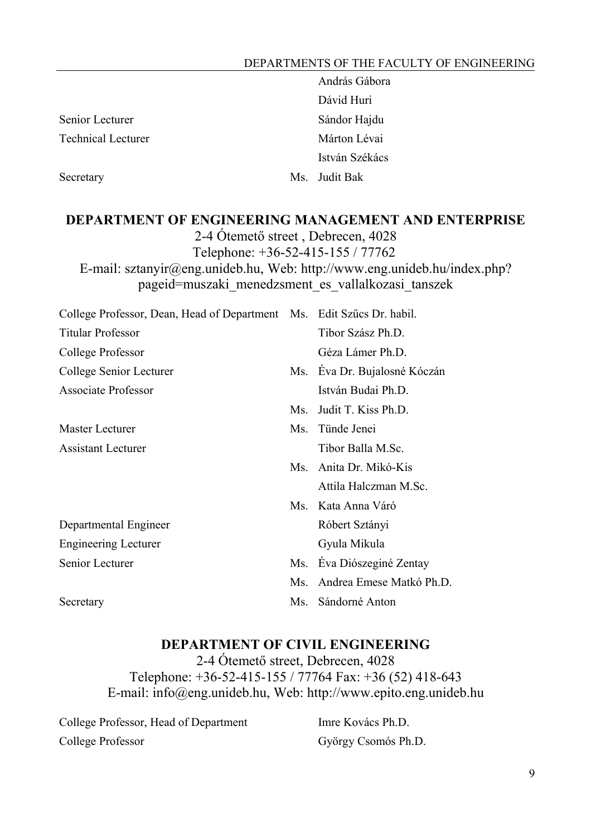#### DEPARTMENTS OF THE FACULTY OF ENGINEERING

| Senior Lecturer           |
|---------------------------|
| <b>Technical Lecturer</b> |

Secretary Ms. Judit Bak

András Gábora Dávid Huri Sándor Hajdu Márton Lévai István Székács

### **DEPARTMENT OF ENGINEERING MANAGEMENT AND ENTERPRISE**

2-4 Ótemető street , Debrecen, 4028 Telephone: +36-52-415-155 / 77762 E-mail: sztanyir@eng.unideb.hu, Web: http://www.eng.unideb.hu/index.php? pageid=muszaki\_menedzsment\_es\_vallalkozasi\_tanszek

| College Professor, Dean, Head of Department Ms. Edit Szűcs Dr. habil. |                        |                          |
|-----------------------------------------------------------------------|------------------------|--------------------------|
| <b>Titular Professor</b>                                              |                        | Tibor Szász Ph.D.        |
| College Professor                                                     |                        | Géza Lámer Ph.D.         |
| College Senior Lecturer                                               | Ms.                    | Éva Dr. Bujalosné Kóczán |
| <b>Associate Professor</b>                                            |                        | István Budai Ph.D.       |
|                                                                       | Ms                     | Judit T. Kiss Ph.D.      |
| Master Lecturer                                                       | Ms.                    | Tünde Jenei              |
| <b>Assistant Lecturer</b>                                             |                        | Tibor Balla M.Sc.        |
|                                                                       | Ms                     | Anita Dr. Mikó-Kis       |
|                                                                       |                        | Attila Halczman M.Sc.    |
|                                                                       | Ms                     | Kata Anna Váró           |
| Departmental Engineer                                                 |                        | Róbert Sztányi           |
| <b>Engineering Lecturer</b>                                           |                        | Gyula Mikula             |
| Senior Lecturer                                                       | Ms.                    | Éva Diószeginé Zentay    |
|                                                                       | $\overline{\text{Ms}}$ | Andrea Emese Matkó Ph.D. |
| Secretary                                                             | Ms.                    | Sándorné Anton           |

### **DEPARTMENT OF CIVIL ENGINEERING**

2-4 Ótemető street, Debrecen, 4028 Telephone: +36-52-415-155 / 77764 Fax: +36 (52) 418-643 E-mail: info@eng.unideb.hu, Web: http://www.epito.eng.unideb.hu

College Professor, Head of Department Imre Kovács Ph.D. College Professor György Csomós Ph.D.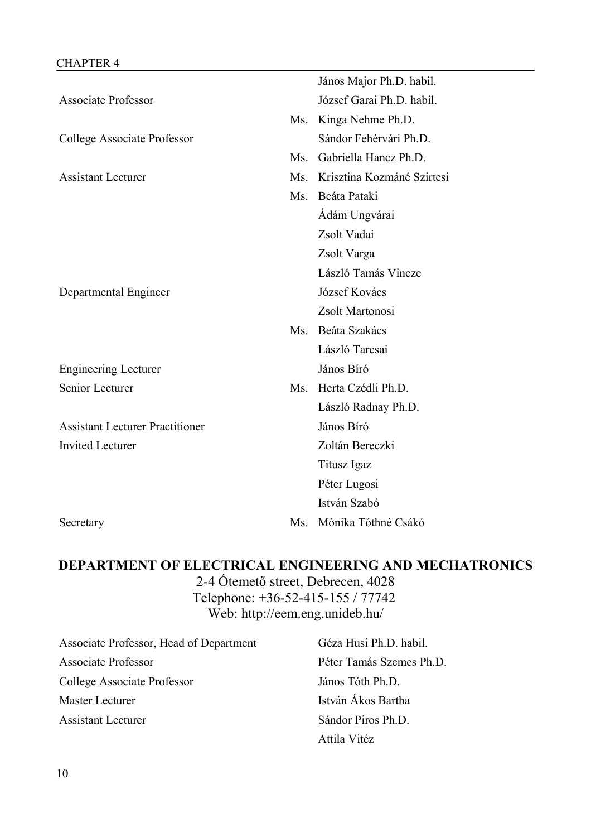|     | János Major Ph.D. habil.   |
|-----|----------------------------|
|     | József Garai Ph.D. habil.  |
| Ms. | Kinga Nehme Ph.D.          |
|     | Sándor Fehérvári Ph.D.     |
| Ms. | Gabriella Hancz Ph.D.      |
| Ms. | Krisztina Kozmáné Szirtesi |
|     | Ms. Beáta Pataki           |
|     | Ádám Ungvárai              |
|     | Zsolt Vadai                |
|     | Zsolt Varga                |
|     | László Tamás Vincze        |
|     | József Kovács              |
|     | Zsolt Martonosi            |
| Ms. | Beáta Szakács              |
|     | László Tarcsai             |
|     | János Bíró                 |
| Ms. | Herta Czédli Ph.D.         |
|     | László Radnay Ph.D.        |
|     | János Bíró                 |
|     | Zoltán Bereczki            |
|     | Titusz Igaz                |
|     | Péter Lugosi               |
|     | István Szabó               |
| Ms. | Mónika Tóthné Csákó        |
|     |                            |

## **DEPARTMENT OF ELECTRICAL ENGINEERING AND MECHATRONICS**

2-4 Ótemető street, Debrecen, 4028 Telephone: +36-52-415-155 / 77742 Web: http://eem.eng.unideb.hu/

Associate Professor, Head of Department Géza Husi Ph.D. habil. Associate Professor Péter Tamás Szemes Ph.D. College Associate Professor János Tóth Ph.D. Master Lecturer **István Ákos Bartha** Assistant Lecturer Sándor Piros Ph.D.

Attila Vitéz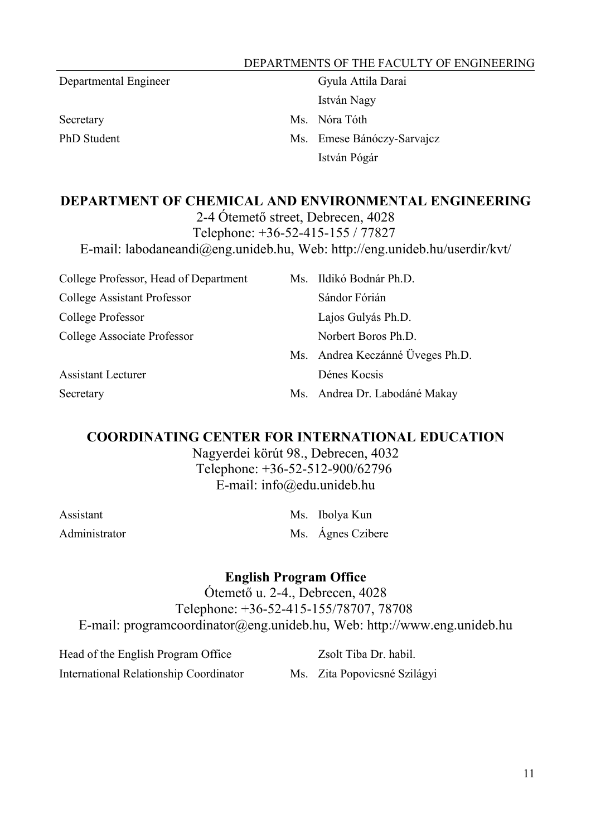#### DEPARTMENTS OF THE FACULTY OF ENGINEERING

Assistant

Administrator

## Departmental Engineer Gyula Attila Darai István Nagy Secretary Ms. Nóra Tóth PhD Student Ms. Emese Bánóczy-Sarvajcz István Pógár

## **DEPARTMENT OF CHEMICAL AND ENVIRONMENTAL ENGINEERING** 2-4 Ótemető street, Debrecen, 4028

Telephone: +36-52-415-155 / 77827

E-mail: labodaneandi@eng.unideb.hu, Web: http://eng.unideb.hu/userdir/kvt/

| College Professor, Head of Department | Ms. Ildikó Bodnár Ph.D.          |
|---------------------------------------|----------------------------------|
| <b>College Assistant Professor</b>    | Sándor Fórián                    |
| College Professor                     | Lajos Gulyás Ph.D.               |
| College Associate Professor           | Norbert Boros Ph.D.              |
|                                       | Ms. Andrea Keczánné Üveges Ph.D. |
| <b>Assistant Lecturer</b>             | Dénes Kocsis                     |
| Secretary                             | Ms. Andrea Dr. Labodáné Makay    |

## **COORDINATING CENTER FOR INTERNATIONAL EDUCATION**

Nagyerdei körút 98., Debrecen, 4032 Telephone: +36-52-512-900/62796 E-mail: info@edu.unideb.hu

|  | Ms. Ibolya Kun    |
|--|-------------------|
|  | Ms. Ágnes Czibere |

#### **English Program Office**

Ótemető u. 2-4., Debrecen, 4028 Telephone: +36-52-415-155/78707, 78708 E-mail: programcoordinator@eng.unideb.hu, Web: http://www.eng.unideb.hu

Head of the English Program Office Zsolt Tiba Dr. habil. International Relationship Coordinator Ms. Zita Popovicsné Szilágyi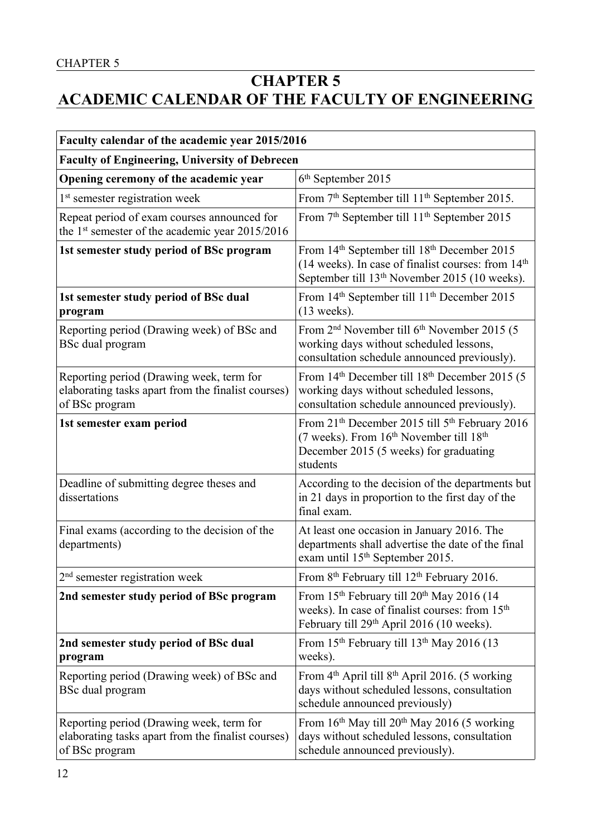# <span id="page-11-0"></span>**CHAPTER 5 ACADEMIC CALENDAR OF THE FACULTY OF ENGINEERING**

| Faculty calendar of the academic year 2015/2016                                                                  |                                                                                                                                                                                                    |  |  |
|------------------------------------------------------------------------------------------------------------------|----------------------------------------------------------------------------------------------------------------------------------------------------------------------------------------------------|--|--|
| <b>Faculty of Engineering, University of Debrecen</b>                                                            |                                                                                                                                                                                                    |  |  |
| Opening ceremony of the academic year                                                                            | 6 <sup>th</sup> September 2015                                                                                                                                                                     |  |  |
| 1 <sup>st</sup> semester registration week                                                                       | From 7 <sup>th</sup> September till 11 <sup>th</sup> September 2015.                                                                                                                               |  |  |
| Repeat period of exam courses announced for<br>the 1 <sup>st</sup> semester of the academic year 2015/2016       | From 7 <sup>th</sup> September till 11 <sup>th</sup> September 2015                                                                                                                                |  |  |
| 1st semester study period of BSc program                                                                         | From 14 <sup>th</sup> September till 18 <sup>th</sup> December 2015<br>(14 weeks). In case of finalist courses: from 14 <sup>th</sup><br>September till 13 <sup>th</sup> November 2015 (10 weeks). |  |  |
| 1st semester study period of BSc dual<br>program                                                                 | From 14 <sup>th</sup> September till 11 <sup>th</sup> December 2015<br>$(13$ weeks).                                                                                                               |  |  |
| Reporting period (Drawing week) of BSc and<br><b>BSc</b> dual program                                            | From 2 <sup>nd</sup> November till 6 <sup>th</sup> November 2015 (5<br>working days without scheduled lessons,<br>consultation schedule announced previously).                                     |  |  |
| Reporting period (Drawing week, term for<br>elaborating tasks apart from the finalist courses)<br>of BSc program | From 14 <sup>th</sup> December till 18 <sup>th</sup> December 2015 (5<br>working days without scheduled lessons,<br>consultation schedule announced previously).                                   |  |  |
| 1st semester exam period                                                                                         | From 21 <sup>th</sup> December 2015 till 5 <sup>th</sup> February 2016<br>(7 weeks). From 16 <sup>th</sup> November till 18 <sup>th</sup><br>December 2015 (5 weeks) for graduating<br>students    |  |  |
| Deadline of submitting degree theses and<br>dissertations                                                        | According to the decision of the departments but<br>in 21 days in proportion to the first day of the<br>final exam.                                                                                |  |  |
| Final exams (according to the decision of the<br>departments)                                                    | At least one occasion in January 2016. The<br>departments shall advertise the date of the final<br>exam until 15 <sup>th</sup> September 2015.                                                     |  |  |
| 2 <sup>nd</sup> semester registration week                                                                       | From 8 <sup>th</sup> February till 12 <sup>th</sup> February 2016.                                                                                                                                 |  |  |
| 2nd semester study period of BSc program                                                                         | From 15 <sup>th</sup> February till 20 <sup>th</sup> May 2016 (14<br>weeks). In case of finalist courses: from 15 <sup>th</sup><br>February till 29 <sup>th</sup> April 2016 (10 weeks).           |  |  |
| 2nd semester study period of BSc dual<br>program                                                                 | From 15th February till 13th May 2016 (13<br>weeks).                                                                                                                                               |  |  |
| Reporting period (Drawing week) of BSc and<br>BSc dual program                                                   | From 4 <sup>th</sup> April till 8 <sup>th</sup> April 2016. (5 working<br>days without scheduled lessons, consultation<br>schedule announced previously)                                           |  |  |
| Reporting period (Drawing week, term for<br>elaborating tasks apart from the finalist courses)<br>of BSc program | From $16th$ May till $20th$ May 2016 (5 working<br>days without scheduled lessons, consultation<br>schedule announced previously).                                                                 |  |  |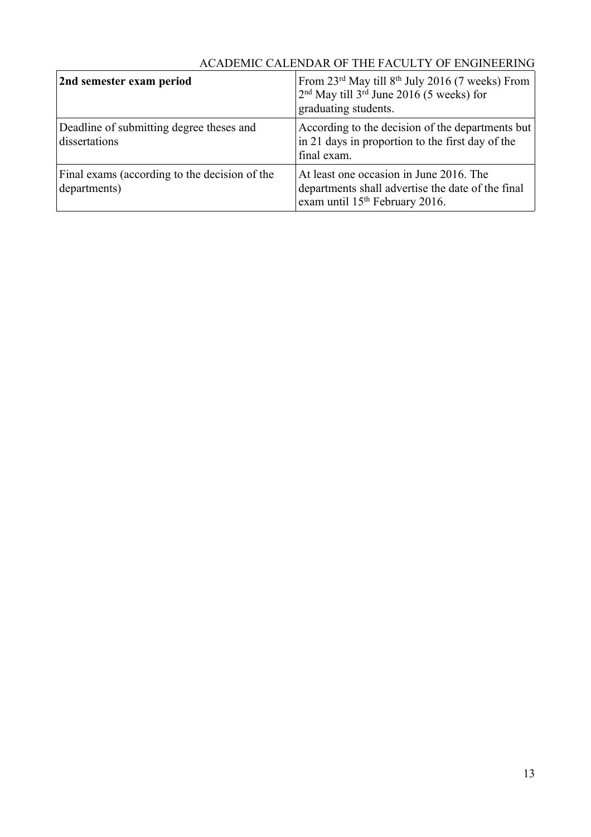#### **2nd semester exam period** From 23<sup>rd</sup> May till 8<sup>th</sup> July 2016 (7 weeks) From 2 nd May till 3rd June 2016 (5 weeks) for graduating students. Deadline of submitting degree theses and dissertations According to the decision of the departments but in 21 days in proportion to the first day of the final exam. Final exams (according to the decision of the departments) At least one occasion in June 2016. The departments shall advertise the date of the final exam until 15th February 2016.

#### ACADEMIC CALENDAR OF THE FACULTY OF ENGINEERING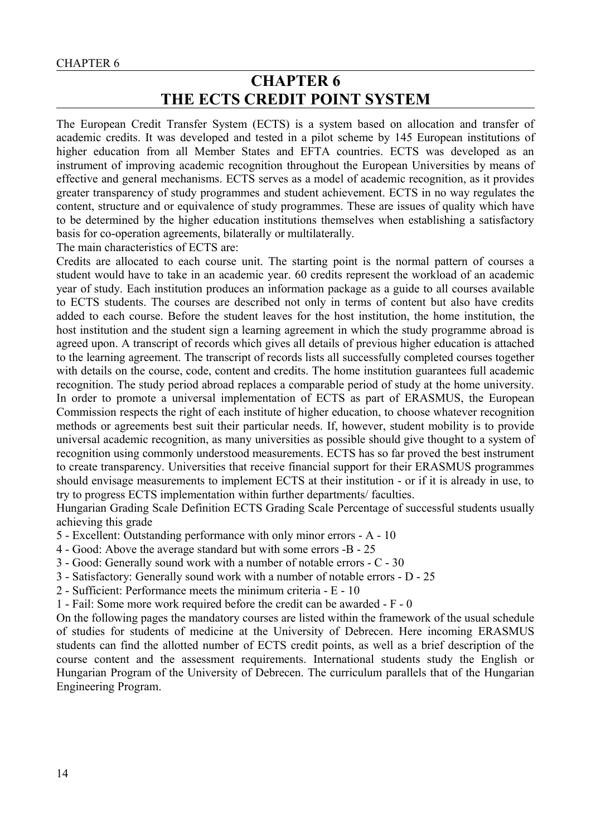## <span id="page-13-0"></span>**CHAPTER 6 THE ECTS CREDIT POINT SYSTEM**

The European Credit Transfer System (ECTS) is a system based on allocation and transfer of academic credits. It was developed and tested in a pilot scheme by 145 European institutions of higher education from all Member States and EFTA countries. ECTS was developed as an instrument of improving academic recognition throughout the European Universities by means of effective and general mechanisms. ECTS serves as a model of academic recognition, as it provides greater transparency of study programmes and student achievement. ECTS in no way regulates the content, structure and or equivalence of study programmes. These are issues of quality which have to be determined by the higher education institutions themselves when establishing a satisfactory basis for co-operation agreements, bilaterally or multilaterally.

The main characteristics of ECTS are:

Credits are allocated to each course unit. The starting point is the normal pattern of courses a student would have to take in an academic year. 60 credits represent the workload of an academic year of study. Each institution produces an information package as a guide to all courses available to ECTS students. The courses are described not only in terms of content but also have credits added to each course. Before the student leaves for the host institution, the home institution, the host institution and the student sign a learning agreement in which the study programme abroad is agreed upon. A transcript of records which gives all details of previous higher education is attached to the learning agreement. The transcript of records lists all successfully completed courses together with details on the course, code, content and credits. The home institution guarantees full academic recognition. The study period abroad replaces a comparable period of study at the home university. In order to promote a universal implementation of ECTS as part of ERASMUS, the European Commission respects the right of each institute of higher education, to choose whatever recognition methods or agreements best suit their particular needs. If, however, student mobility is to provide universal academic recognition, as many universities as possible should give thought to a system of recognition using commonly understood measurements. ECTS has so far proved the best instrument to create transparency. Universities that receive financial support for their ERASMUS programmes should envisage measurements to implement ECTS at their institution - or if it is already in use, to try to progress ECTS implementation within further departments/ faculties.

Hungarian Grading Scale Definition ECTS Grading Scale Percentage of successful students usually achieving this grade

- 5 Excellent: Outstanding performance with only minor errors A 10
- 4 Good: Above the average standard but with some errors -B 25
- 3 Good: Generally sound work with a number of notable errors C 30
- 3 Satisfactory: Generally sound work with a number of notable errors D 25
- 2 Sufficient: Performance meets the minimum criteria E 10
- 1 Fail: Some more work required before the credit can be awarded F 0

On the following pages the mandatory courses are listed within the framework of the usual schedule of studies for students of medicine at the University of Debrecen. Here incoming ERASMUS students can find the allotted number of ECTS credit points, as well as a brief description of the course content and the assessment requirements. International students study the English or Hungarian Program of the University of Debrecen. The curriculum parallels that of the Hungarian Engineering Program.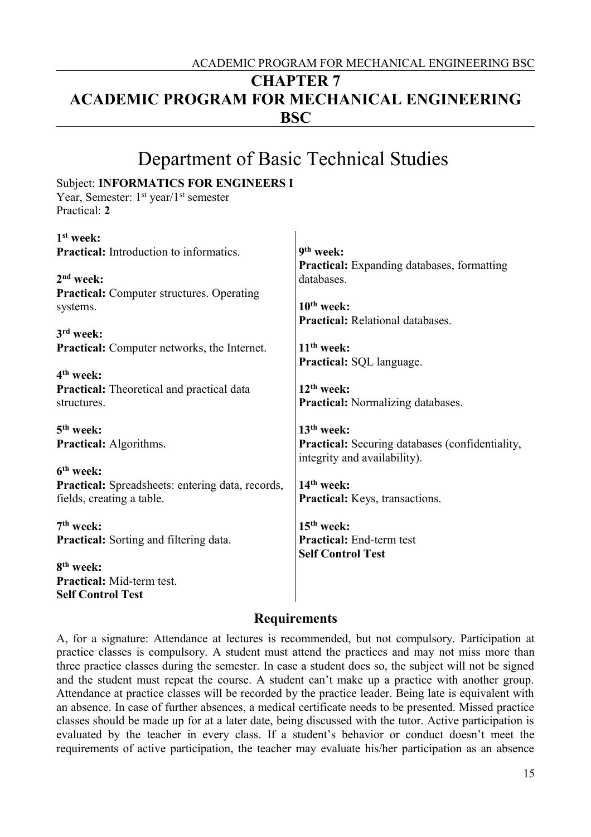# <span id="page-14-0"></span>**CHAPTER 7 ACADEMIC PROGRAM FOR MECHANICAL ENGINEERING BSC**

| Department of Basic Technical Studies                                                                                            |                                                                                                        |  |
|----------------------------------------------------------------------------------------------------------------------------------|--------------------------------------------------------------------------------------------------------|--|
| <b>Subject: INFORMATICS FOR ENGINEERS I</b><br>Year, Semester: 1 <sup>st</sup> year/1 <sup>st</sup> semester<br>Practical: 2     |                                                                                                        |  |
| $1st$ week:<br><b>Practical:</b> Introduction to informatics.<br>$2nd$ week:<br><b>Practical:</b> Computer structures. Operating | 9 <sup>th</sup> week:<br><b>Practical:</b> Expanding databases, formatting<br>databases.               |  |
| systems.<br>3 <sup>rd</sup> week:                                                                                                | $10th$ week:<br><b>Practical:</b> Relational databases.                                                |  |
| Practical: Computer networks, the Internet.                                                                                      | $11th$ week:<br><b>Practical:</b> SQL language.                                                        |  |
| $4th$ week:<br><b>Practical:</b> Theoretical and practical data<br>structures.                                                   | $12th$ week:<br><b>Practical:</b> Normalizing databases.                                               |  |
| $5th$ week:<br><b>Practical:</b> Algorithms.                                                                                     | $13th$ week:<br><b>Practical:</b> Securing databases (confidentiality,<br>integrity and availability). |  |
| 6 <sup>th</sup> week:<br><b>Practical:</b> Spreadsheets: entering data, records,<br>fields, creating a table.                    | $14th$ week:<br>Practical: Keys, transactions.                                                         |  |
| $7th$ week:<br><b>Practical:</b> Sorting and filtering data.                                                                     | $15th$ week:<br><b>Practical:</b> End-term test<br><b>Self Control Test</b>                            |  |
| 8 <sup>th</sup> week:<br><b>Practical:</b> Mid-term test.<br><b>Self Control Test</b>                                            |                                                                                                        |  |

## **Requirements**

A, for a signature: Attendance at lectures is recommended, but not compulsory. Participation at practice classes is compulsory. A student must attend the practices and may not miss more than three practice classes during the semester. In case a student does so, the subject will not be signed and the student must repeat the course. A student can't make up a practice with another group. Attendance at practice classes will be recorded by the practice leader. Being late is equivalent with an absence. In case of further absences, a medical certificate needs to be presented. Missed practice classes should be made up for at a later date, being discussed with the tutor. Active participation is evaluated by the teacher in every class. If a student's behavior or conduct doesn't meet the requirements of active participation, the teacher may evaluate his/her participation as an absence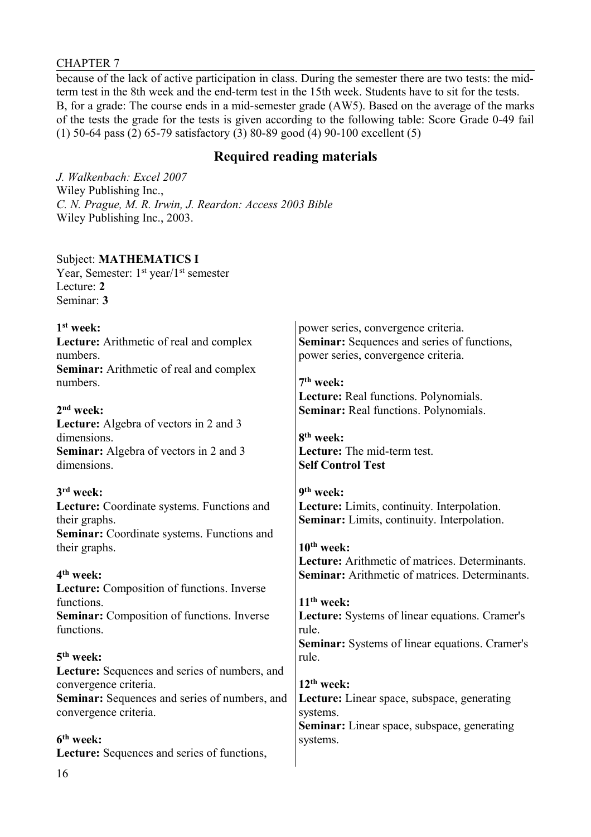#### CHAPTER 7

because of the lack of active participation in class. During the semester there are two tests: the midterm test in the 8th week and the end-term test in the 15th week. Students have to sit for the tests. B, for a grade: The course ends in a mid-semester grade (AW5). Based on the average of the marks of the tests the grade for the tests is given according to the following table: Score Grade 0-49 fail (1) 50-64 pass (2) 65-79 satisfactory (3) 80-89 good (4) 90-100 excellent (5)

### **Required reading materials**

*J. Walkenbach: Excel 2007* Wiley Publishing Inc., *C. N. Prague, M. R. Irwin, J. Reardon: Access 2003 Bible* Wiley Publishing Inc., 2003.

#### Subject: **MATHEMATICS I**

Year, Semester: 1<sup>st</sup> year/1<sup>st</sup> semester Lecture: **2** Seminar: **3**

| 1 <sup>st</sup> week:                             | power series, convergence criteria.                            |
|---------------------------------------------------|----------------------------------------------------------------|
| <b>Lecture:</b> Arithmetic of real and complex    | <b>Seminar:</b> Sequences and series of functions,             |
| numbers.                                          | power series, convergence criteria.                            |
| <b>Seminar:</b> Arithmetic of real and complex    |                                                                |
| numbers.                                          | $7th$ week:                                                    |
|                                                   | Lecture: Real functions. Polynomials.                          |
| $2nd$ week:                                       | <b>Seminar:</b> Real functions. Polynomials.                   |
| Lecture: Algebra of vectors in 2 and 3            |                                                                |
| dimensions.                                       | 8 <sup>th</sup> week:                                          |
| <b>Seminar:</b> Algebra of vectors in 2 and 3     | Lecture: The mid-term test.                                    |
| dimensions.                                       | <b>Self Control Test</b>                                       |
|                                                   |                                                                |
| 3 <sup>rd</sup> week:                             | 9 <sup>th</sup> week:                                          |
| Lecture: Coordinate systems. Functions and        | Lecture: Limits, continuity. Interpolation.                    |
| their graphs.                                     | Seminar: Limits, continuity. Interpolation.                    |
| Seminar: Coordinate systems. Functions and        | $10th$ week:                                                   |
| their graphs.                                     | Lecture: Arithmetic of matrices. Determinants.                 |
| 4 <sup>th</sup> week:                             | <b>Seminar:</b> Arithmetic of matrices. Determinants.          |
| Lecture: Composition of functions. Inverse        |                                                                |
| functions.                                        | $11th$ week:                                                   |
| <b>Seminar:</b> Composition of functions. Inverse |                                                                |
| functions.                                        | <b>Lecture:</b> Systems of linear equations. Cramer's<br>rule. |
|                                                   | <b>Seminar:</b> Systems of linear equations. Cramer's          |
| 5 <sup>th</sup> week:                             | rule.                                                          |
| Lecture: Sequences and series of numbers, and     |                                                                |
| convergence criteria.                             | 12 <sup>th</sup> week:                                         |
| Seminar: Sequences and series of numbers, and     | Lecture: Linear space, subspace, generating                    |
| convergence criteria.                             | systems.                                                       |
|                                                   | <b>Seminar:</b> Linear space, subspace, generating             |
| 6 <sup>th</sup> week:                             | systems.                                                       |
| Lecture: Sequences and series of functions,       |                                                                |
|                                                   |                                                                |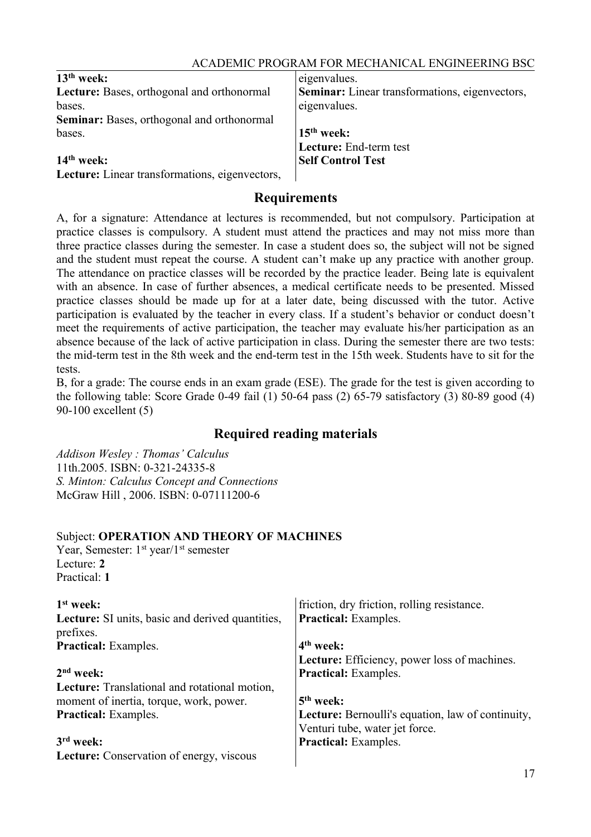| ACADEMIC PROGRAM FOR MECHANICAL ENGINEERING BSC   |                                                       |
|---------------------------------------------------|-------------------------------------------------------|
| $13th$ week:                                      | eigenvalues.                                          |
| Lecture: Bases, orthogonal and orthonormal        | <b>Seminar:</b> Linear transformations, eigenvectors, |
| bases.                                            | eigenvalues.                                          |
| <b>Seminar:</b> Bases, orthogonal and orthonormal |                                                       |
| bases.                                            | $15th$ week:                                          |
|                                                   | Lecture: End-term test                                |
| $14th$ week:                                      | <b>Self Control Test</b>                              |
| Lecture: Linear transformations, eigenvectors,    |                                                       |

## $\mathbf{R}$

#### **Requirements**

A, for a signature: Attendance at lectures is recommended, but not compulsory. Participation at practice classes is compulsory. A student must attend the practices and may not miss more than three practice classes during the semester. In case a student does so, the subject will not be signed and the student must repeat the course. A student can't make up any practice with another group. The attendance on practice classes will be recorded by the practice leader. Being late is equivalent with an absence. In case of further absences, a medical certificate needs to be presented. Missed practice classes should be made up for at a later date, being discussed with the tutor. Active participation is evaluated by the teacher in every class. If a student's behavior or conduct doesn't meet the requirements of active participation, the teacher may evaluate his/her participation as an absence because of the lack of active participation in class. During the semester there are two tests: the mid-term test in the 8th week and the end-term test in the 15th week. Students have to sit for the tests.

B, for a grade: The course ends in an exam grade (ESE). The grade for the test is given according to the following table: Score Grade 0-49 fail (1) 50-64 pass (2) 65-79 satisfactory (3) 80-89 good (4) 90-100 excellent (5)

## **Required reading materials**

*Addison Wesley : Thomas' Calculus* 11th.2005. ISBN: 0-321-24335-8 *S. Minton: Calculus Concept and Connections* McGraw Hill , 2006. ISBN: 0-07111200-6

#### Subject: **OPERATION AND THEORY OF MACHINES**

Year, Semester: 1<sup>st</sup> year/1<sup>st</sup> semester Lecture: **2** Practical: **1**

| $1st$ week:                                          | friction, dry friction, rolling resistance.       |
|------------------------------------------------------|---------------------------------------------------|
| Lecture: SI units, basic and derived quantities,     | <b>Practical:</b> Examples.                       |
| prefixes.                                            |                                                   |
| <b>Practical:</b> Examples.                          | $4th$ week:                                       |
|                                                      | Lecture: Efficiency, power loss of machines.      |
| $2nd$ week:                                          | <b>Practical:</b> Examples.                       |
| <b>Lecture:</b> Translational and rotational motion, |                                                   |
| moment of inertia, torque, work, power.              | $5th$ week:                                       |
| <b>Practical:</b> Examples.                          | Lecture: Bernoulli's equation, law of continuity, |
|                                                      | Venturi tube, water jet force.                    |
| $3rd$ week:                                          | <b>Practical:</b> Examples.                       |
| <b>Lecture:</b> Conservation of energy, viscous      |                                                   |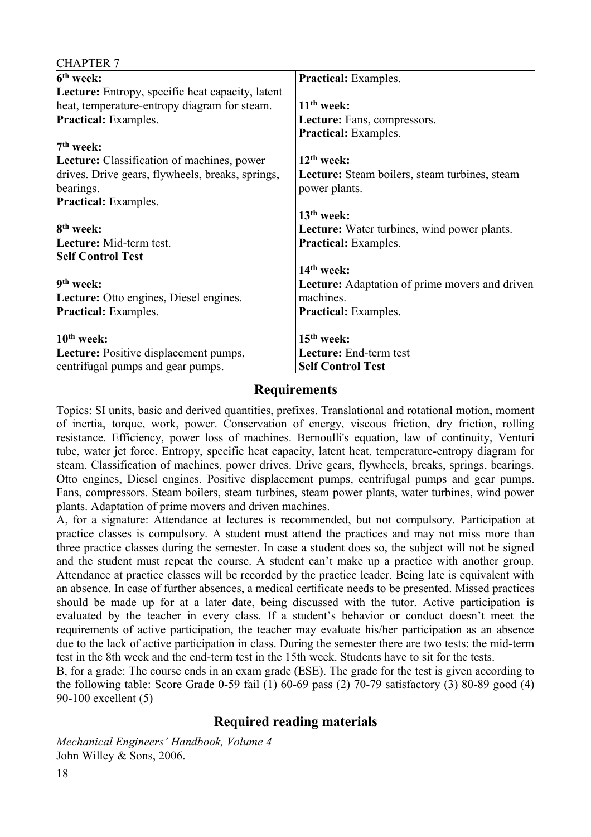| UHAI TEIV                                               |                                                      |
|---------------------------------------------------------|------------------------------------------------------|
| 6 <sup>th</sup> week:                                   | <b>Practical:</b> Examples.                          |
| <b>Lecture:</b> Entropy, specific heat capacity, latent |                                                      |
| heat, temperature-entropy diagram for steam.            | $11th$ week:                                         |
| Practical: Examples.                                    | Lecture: Fans, compressors.                          |
|                                                         | <b>Practical:</b> Examples.                          |
| $7th$ week:                                             |                                                      |
| <b>Lecture:</b> Classification of machines, power       | $12th$ week:                                         |
| drives. Drive gears, flywheels, breaks, springs,        | <b>Lecture:</b> Steam boilers, steam turbines, steam |
| bearings.                                               | power plants.                                        |
| <b>Practical:</b> Examples.                             |                                                      |
|                                                         | $13th$ week:                                         |
| 8 <sup>th</sup> week:                                   | <b>Lecture:</b> Water turbines, wind power plants.   |
| Lecture: Mid-term test.                                 | <b>Practical:</b> Examples.                          |
| <b>Self Control Test</b>                                |                                                      |
|                                                         | $14th$ week:                                         |
| 9 <sup>th</sup> week:                                   | Lecture: Adaptation of prime movers and driven       |
| Lecture: Otto engines, Diesel engines.                  | machines.                                            |
| <b>Practical:</b> Examples.                             | <b>Practical:</b> Examples.                          |
|                                                         |                                                      |
| $10th$ week:                                            | $15th$ week:                                         |
| Lecture: Positive displacement pumps,                   | Lecture: End-term test                               |
| centrifugal pumps and gear pumps.                       | <b>Self Control Test</b>                             |
|                                                         |                                                      |

Topics: SI units, basic and derived quantities, prefixes. Translational and rotational motion, moment of inertia, torque, work, power. Conservation of energy, viscous friction, dry friction, rolling resistance. Efficiency, power loss of machines. Bernoulli's equation, law of continuity, Venturi tube, water jet force. Entropy, specific heat capacity, latent heat, temperature-entropy diagram for steam. Classification of machines, power drives. Drive gears, flywheels, breaks, springs, bearings. Otto engines, Diesel engines. Positive displacement pumps, centrifugal pumps and gear pumps. Fans, compressors. Steam boilers, steam turbines, steam power plants, water turbines, wind power plants. Adaptation of prime movers and driven machines.

A, for a signature: Attendance at lectures is recommended, but not compulsory. Participation at practice classes is compulsory. A student must attend the practices and may not miss more than three practice classes during the semester. In case a student does so, the subject will not be signed and the student must repeat the course. A student can't make up a practice with another group. Attendance at practice classes will be recorded by the practice leader. Being late is equivalent with an absence. In case of further absences, a medical certificate needs to be presented. Missed practices should be made up for at a later date, being discussed with the tutor. Active participation is evaluated by the teacher in every class. If a student's behavior or conduct doesn't meet the requirements of active participation, the teacher may evaluate his/her participation as an absence due to the lack of active participation in class. During the semester there are two tests: the mid-term test in the 8th week and the end-term test in the 15th week. Students have to sit for the tests.

B, for a grade: The course ends in an exam grade (ESE). The grade for the test is given according to the following table: Score Grade 0-59 fail (1)  $60-69$  pass (2)  $70-79$  satisfactory (3)  $80-89$  good (4) 90-100 excellent (5)

## **Required reading materials**

*Mechanical Engineers' Handbook, Volume 4* John Willey & Sons, 2006.

 $CII$ ADTED 7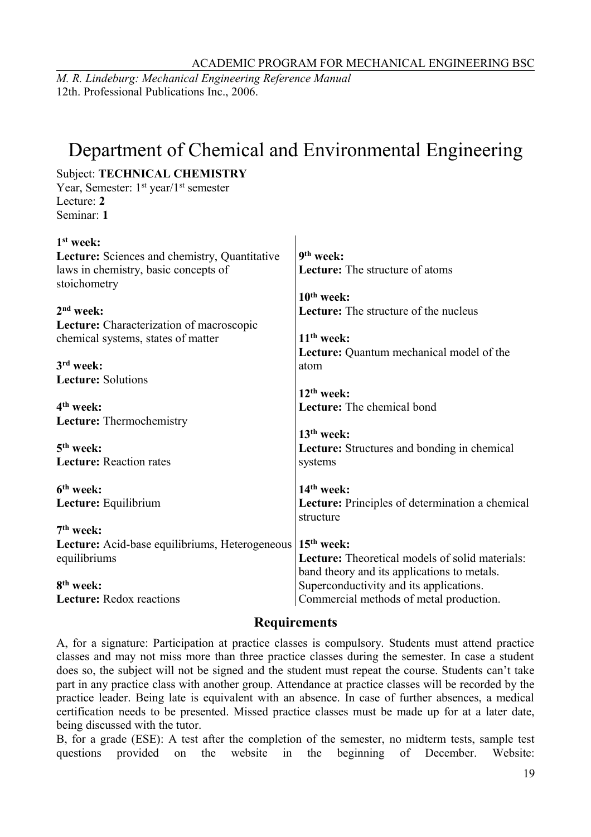ACADEMIC PROGRAM FOR MECHANICAL ENGINEERING BSC

*M. R. Lindeburg: Mechanical Engineering Reference Manual* 12th. Professional Publications Inc., 2006.

# Department of Chemical and Environmental Engineering

Subject: **TECHNICAL CHEMISTRY** Year, Semester: 1<sup>st</sup> year/1<sup>st</sup> semester Lecture: **2** Seminar: **1**

| $1st$ week:                                                             |                                                        |
|-------------------------------------------------------------------------|--------------------------------------------------------|
| Lecture: Sciences and chemistry, Quantitative                           | 9 <sup>th</sup> week:                                  |
| laws in chemistry, basic concepts of                                    | <b>Lecture:</b> The structure of atoms                 |
| stoichometry                                                            |                                                        |
|                                                                         | $10th$ week:                                           |
| $2nd$ week:                                                             | <b>Lecture:</b> The structure of the nucleus           |
| Lecture: Characterization of macroscopic                                |                                                        |
| chemical systems, states of matter                                      | $11th$ week:                                           |
|                                                                         | Lecture: Quantum mechanical model of the               |
| $3rd$ week:                                                             | atom                                                   |
| <b>Lecture:</b> Solutions                                               |                                                        |
|                                                                         | $12th$ week:                                           |
| $4th$ week:                                                             | <b>Lecture:</b> The chemical bond                      |
| Lecture: Thermochemistry                                                |                                                        |
|                                                                         | $13th$ week:                                           |
| $5th$ week:                                                             | <b>Lecture:</b> Structures and bonding in chemical     |
| <b>Lecture:</b> Reaction rates                                          | systems                                                |
|                                                                         |                                                        |
| $6th$ week:                                                             | $14th$ week:                                           |
| Lecture: Equilibrium                                                    | Lecture: Principles of determination a chemical        |
|                                                                         | structure                                              |
| $7th$ week:                                                             |                                                        |
| Lecture: Acid-base equilibriums, Heterogeneous   15 <sup>th</sup> week: |                                                        |
| equilibriums                                                            | <b>Lecture:</b> Theoretical models of solid materials: |
|                                                                         | band theory and its applications to metals.            |
| 8 <sup>th</sup> week:                                                   | Superconductivity and its applications.                |
| <b>Lecture:</b> Redox reactions                                         | Commercial methods of metal production.                |

#### **Requirements**

A, for a signature: Participation at practice classes is compulsory. Students must attend practice classes and may not miss more than three practice classes during the semester. In case a student does so, the subject will not be signed and the student must repeat the course. Students can't take part in any practice class with another group. Attendance at practice classes will be recorded by the practice leader. Being late is equivalent with an absence. In case of further absences, a medical certification needs to be presented. Missed practice classes must be made up for at a later date, being discussed with the tutor.

B, for a grade (ESE): A test after the completion of the semester, no midterm tests, sample test questions provided on the website in the beginning of December. Website: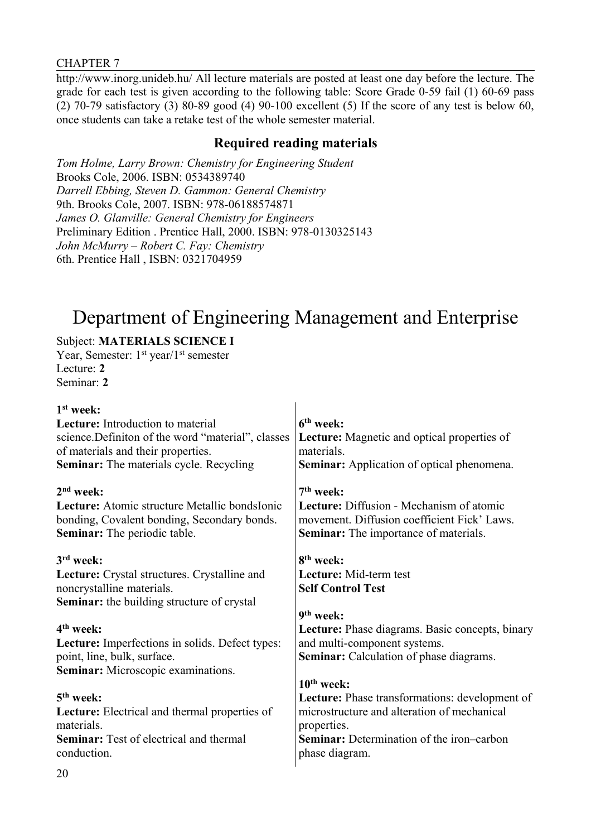#### CHAPTER 7

http://www.inorg.unideb.hu/ All lecture materials are posted at least one day before the lecture. The grade for each test is given according to the following table: Score Grade 0-59 fail (1) 60-69 pass (2) 70-79 satisfactory (3) 80-89 good (4) 90-100 excellent (5) If the score of any test is below 60, once students can take a retake test of the whole semester material.

#### **Required reading materials**

*Tom Holme, Larry Brown: Chemistry for Engineering Student* Brooks Cole, 2006. ISBN: 0534389740 *Darrell Ebbing, Steven D. Gammon: General Chemistry*  9th. Brooks Cole, 2007. ISBN: 978-06188574871 *James O. Glanville: General Chemistry for Engineers* Preliminary Edition . Prentice Hall, 2000. ISBN: 978-0130325143 *John McMurry – Robert C. Fay: Chemistry* 6th. Prentice Hall , ISBN: 0321704959

# Department of Engineering Management and Enterprise

## Subject: **MATERIALS SCIENCE I**

Year, Semester: 1<sup>st</sup> year/1<sup>st</sup> semester Lecture: **2** Seminar: **2**

| $1st$ week:                                            |                                                        |
|--------------------------------------------------------|--------------------------------------------------------|
| <b>Lecture:</b> Introduction to material               | $6th$ week:                                            |
| science. Definiton of the word "material", classes     | <b>Lecture:</b> Magnetic and optical properties of     |
| of materials and their properties.                     | materials.                                             |
| <b>Seminar:</b> The materials cycle. Recycling         | <b>Seminar:</b> Application of optical phenomena.      |
| $2nd$ week:                                            | $7th$ week:                                            |
| <b>Lecture:</b> Atomic structure Metallic bondsIonic   | Lecture: Diffusion - Mechanism of atomic               |
| bonding, Covalent bonding, Secondary bonds.            | movement. Diffusion coefficient Fick' Laws.            |
| <b>Seminar:</b> The periodic table.                    | <b>Seminar:</b> The importance of materials.           |
| $3rd$ week:                                            | 8 <sup>th</sup> week:                                  |
| <b>Lecture:</b> Crystal structures. Crystalline and    | Lecture: Mid-term test                                 |
| noncrystalline materials.                              | <b>Self Control Test</b>                               |
| <b>Seminar:</b> the building structure of crystal      |                                                        |
|                                                        | 9 <sup>th</sup> week:                                  |
| $4th$ week:                                            | <b>Lecture:</b> Phase diagrams. Basic concepts, binary |
| <b>Lecture:</b> Imperfections in solids. Defect types: | and multi-component systems.                           |
| point, line, bulk, surface.                            | <b>Seminar:</b> Calculation of phase diagrams.         |
| <b>Seminar:</b> Microscopic examinations.              |                                                        |
|                                                        | $10th$ week:                                           |
| $5th$ week:                                            | <b>Lecture:</b> Phase transformations: development of  |
| <b>Lecture:</b> Electrical and thermal properties of   | microstructure and alteration of mechanical            |
| materials.                                             | properties.                                            |
| <b>Seminar:</b> Test of electrical and thermal         | <b>Seminar:</b> Determination of the iron-carbon       |
| conduction.                                            | phase diagram.                                         |
|                                                        |                                                        |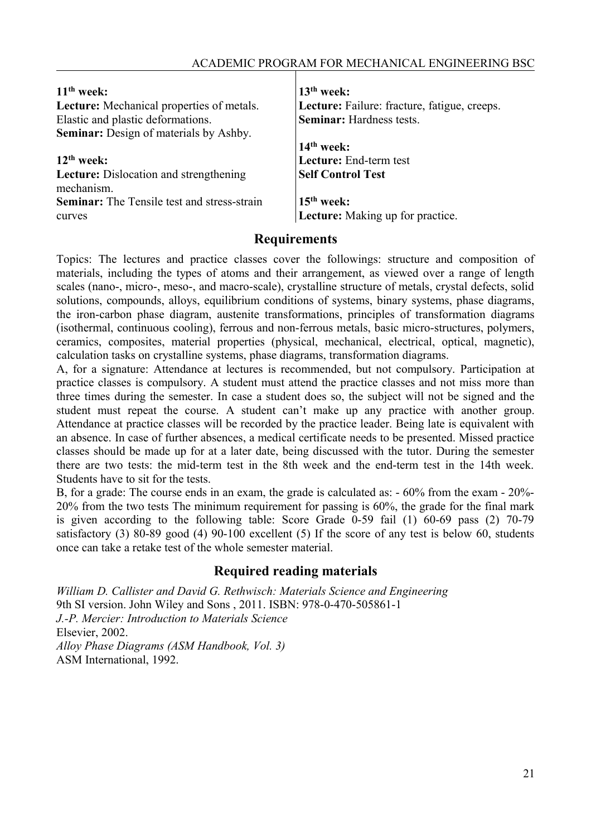| $11th$ week:                                                | $13th$ week:                                 |
|-------------------------------------------------------------|----------------------------------------------|
| <b>Lecture:</b> Mechanical properties of metals.            | Lecture: Failure: fracture, fatigue, creeps. |
| Elastic and plastic deformations.                           | <b>Seminar:</b> Hardness tests.              |
| <b>Seminar:</b> Design of materials by Ashby.               |                                              |
|                                                             | $14th$ week:                                 |
| $12th$ week:                                                | Lecture: End-term test                       |
| <b>Lecture:</b> Dislocation and strengthening<br>mechanism. | <b>Self Control Test</b>                     |
| <b>Seminar:</b> The Tensile test and stress-strain          | $15th$ week:                                 |
| curves                                                      | Lecture: Making up for practice.             |

Topics: The lectures and practice classes cover the followings: structure and composition of materials, including the types of atoms and their arrangement, as viewed over a range of length scales (nano-, micro-, meso-, and macro-scale), crystalline structure of metals, crystal defects, solid solutions, compounds, alloys, equilibrium conditions of systems, binary systems, phase diagrams, the iron-carbon phase diagram, austenite transformations, principles of transformation diagrams (isothermal, continuous cooling), ferrous and non-ferrous metals, basic micro-structures, polymers, ceramics, composites, material properties (physical, mechanical, electrical, optical, magnetic), calculation tasks on crystalline systems, phase diagrams, transformation diagrams.

A, for a signature: Attendance at lectures is recommended, but not compulsory. Participation at practice classes is compulsory. A student must attend the practice classes and not miss more than three times during the semester. In case a student does so, the subject will not be signed and the student must repeat the course. A student can't make up any practice with another group. Attendance at practice classes will be recorded by the practice leader. Being late is equivalent with an absence. In case of further absences, a medical certificate needs to be presented. Missed practice classes should be made up for at a later date, being discussed with the tutor. During the semester there are two tests: the mid-term test in the 8th week and the end-term test in the 14th week. Students have to sit for the tests.

B, for a grade: The course ends in an exam, the grade is calculated as: - 60% from the exam - 20%- 20% from the two tests The minimum requirement for passing is 60%, the grade for the final mark is given according to the following table: Score Grade 0-59 fail (1) 60-69 pass (2) 70-79 satisfactory (3) 80-89 good (4) 90-100 excellent (5) If the score of any test is below 60, students once can take a retake test of the whole semester material.

## **Required reading materials**

*William D. Callister and David G. Rethwisch: Materials Science and Engineering* 9th SI version. John Wiley and Sons , 2011. ISBN: 978-0-470-505861-1 *J.-P. Mercier: Introduction to Materials Science* Elsevier, 2002. *Alloy Phase Diagrams (ASM Handbook, Vol. 3)* ASM International, 1992.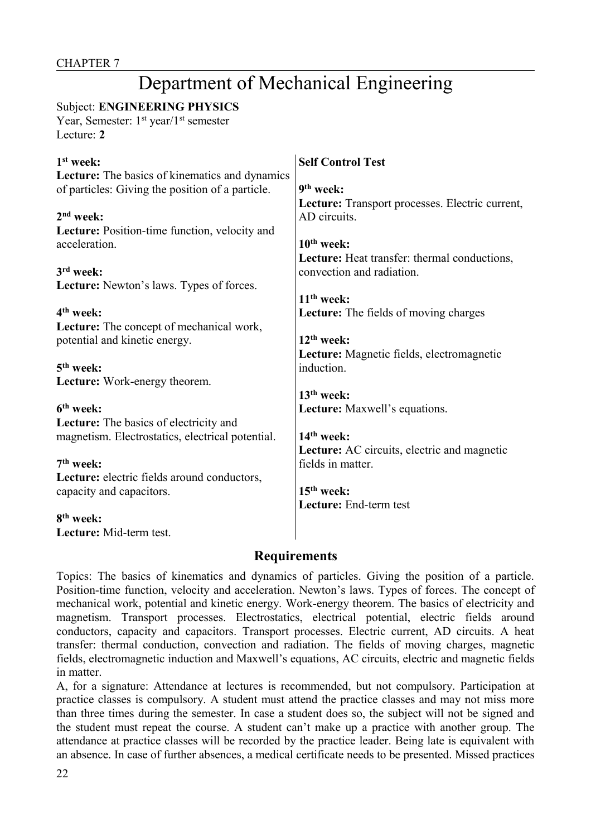# Department of Mechanical Engineering

#### Subject: **ENGINEERING PHYSICS**

Year, Semester: 1<sup>st</sup> year/1<sup>st</sup> semester Lecture: **2**

| $1st$ week:                                           | <b>Self Control Test</b>                            |
|-------------------------------------------------------|-----------------------------------------------------|
| <b>Lecture:</b> The basics of kinematics and dynamics |                                                     |
| of particles: Giving the position of a particle.      | 9 <sup>th</sup> week:                               |
|                                                       | Lecture: Transport processes. Electric current,     |
| $2nd$ week:                                           | AD circuits.                                        |
| Lecture: Position-time function, velocity and         |                                                     |
| acceleration.                                         | $10th$ week:                                        |
|                                                       | <b>Lecture:</b> Heat transfer: thermal conductions, |
| $3rd$ week:                                           | convection and radiation.                           |
| Lecture: Newton's laws. Types of forces.              |                                                     |
|                                                       | $11th$ week:                                        |
| 4 <sup>th</sup> week:                                 | Lecture: The fields of moving charges               |
| Lecture: The concept of mechanical work,              |                                                     |
| potential and kinetic energy.                         | $12th$ week:                                        |
|                                                       | Lecture: Magnetic fields, electromagnetic           |
| $5th$ week:                                           | induction.                                          |
| Lecture: Work-energy theorem.                         |                                                     |
|                                                       | 13 <sup>th</sup> week:                              |
| 6 <sup>th</sup> week:                                 | <b>Lecture:</b> Maxwell's equations.                |
| Lecture: The basics of electricity and                |                                                     |
| magnetism. Electrostatics, electrical potential.      | 14 <sup>th</sup> week:                              |
|                                                       | <b>Lecture:</b> AC circuits, electric and magnetic  |
| 7 <sup>th</sup> week:                                 | fields in matter.                                   |
| Lecture: electric fields around conductors,           |                                                     |
| capacity and capacitors.                              | $15th$ week:                                        |
|                                                       | Lecture: End-term test                              |
| 8 <sup>th</sup> week:                                 |                                                     |
| Lecture: Mid-term test.                               |                                                     |
|                                                       |                                                     |

#### **Requirements**

Topics: The basics of kinematics and dynamics of particles. Giving the position of a particle. Position-time function, velocity and acceleration. Newton's laws. Types of forces. The concept of mechanical work, potential and kinetic energy. Work-energy theorem. The basics of electricity and magnetism. Transport processes. Electrostatics, electrical potential, electric fields around conductors, capacity and capacitors. Transport processes. Electric current, AD circuits. A heat transfer: thermal conduction, convection and radiation. The fields of moving charges, magnetic fields, electromagnetic induction and Maxwell's equations, AC circuits, electric and magnetic fields in matter.

A, for a signature: Attendance at lectures is recommended, but not compulsory. Participation at practice classes is compulsory. A student must attend the practice classes and may not miss more than three times during the semester. In case a student does so, the subject will not be signed and the student must repeat the course. A student can't make up a practice with another group. The attendance at practice classes will be recorded by the practice leader. Being late is equivalent with an absence. In case of further absences, a medical certificate needs to be presented. Missed practices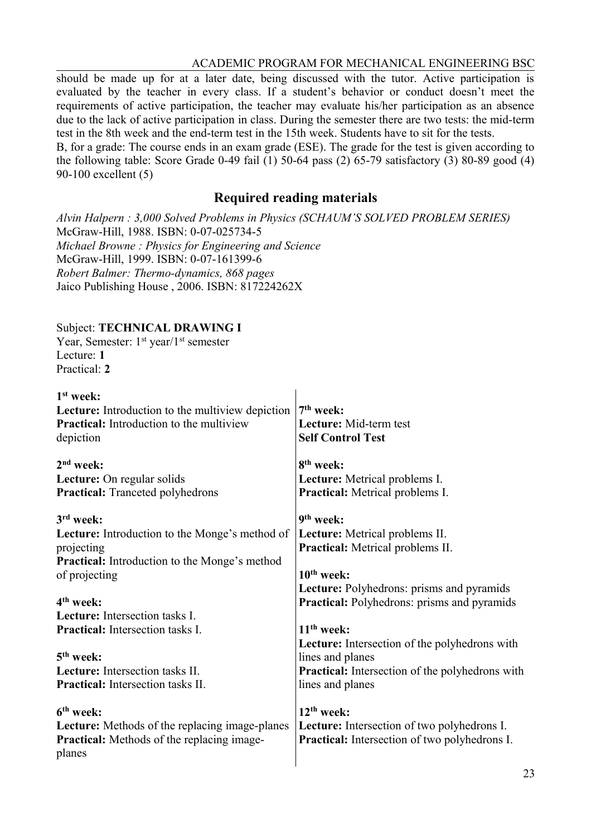#### ACADEMIC PROGRAM FOR MECHANICAL ENGINEERING BSC

should be made up for at a later date, being discussed with the tutor. Active participation is evaluated by the teacher in every class. If a student's behavior or conduct doesn't meet the requirements of active participation, the teacher may evaluate his/her participation as an absence due to the lack of active participation in class. During the semester there are two tests: the mid-term test in the 8th week and the end-term test in the 15th week. Students have to sit for the tests.

B, for a grade: The course ends in an exam grade (ESE). The grade for the test is given according to the following table: Score Grade 0-49 fail (1) 50-64 pass (2) 65-79 satisfactory (3) 80-89 good (4) 90-100 excellent (5)

## **Required reading materials**

*Alvin Halpern : 3,000 Solved Problems in Physics (SCHAUM'S SOLVED PROBLEM SERIES)* McGraw-Hill, 1988. ISBN: 0-07-025734-5 *Michael Browne : Physics for Engineering and Science* McGraw-Hill, 1999. ISBN: 0-07-161399-6 *Robert Balmer: Thermo-dynamics, 868 pages* Jaico Publishing House , 2006. ISBN: 817224262X

#### Subject: **TECHNICAL DRAWING I**

Year, Semester: 1<sup>st</sup> year/1<sup>st</sup> semester Lecture: **1** Practical: **2**

| $1st$ week:<br><b>Lecture:</b> Introduction to the multiview depiction<br><b>Practical:</b> Introduction to the multiview<br>depiction | $7th$ week:<br>Lecture: Mid-term test<br><b>Self Control Test</b>                                                          |
|----------------------------------------------------------------------------------------------------------------------------------------|----------------------------------------------------------------------------------------------------------------------------|
| $2nd$ week:                                                                                                                            | 8 <sup>th</sup> week:                                                                                                      |
| Lecture: On regular solids                                                                                                             | Lecture: Metrical problems I.                                                                                              |
| <b>Practical:</b> Tranceted polyhedrons                                                                                                | <b>Practical:</b> Metrical problems I.                                                                                     |
| $3rd$ week:                                                                                                                            | 9 <sup>th</sup> week:                                                                                                      |
| Lecture: Introduction to the Monge's method of                                                                                         | Lecture: Metrical problems II.                                                                                             |
| projecting                                                                                                                             | <b>Practical:</b> Metrical problems II.                                                                                    |
| <b>Practical:</b> Introduction to the Monge's method                                                                                   | $10th$ week:                                                                                                               |
| of projecting                                                                                                                          | Lecture: Polyhedrons: prisms and pyramids                                                                                  |
| $4th$ week:                                                                                                                            | <b>Practical:</b> Polyhedrons: prisms and pyramids                                                                         |
| <b>Lecture:</b> Intersection tasks I.                                                                                                  | $11th$ week:                                                                                                               |
| <b>Practical:</b> Intersection tasks I.                                                                                                | <b>Lecture:</b> Intersection of the polyhedrons with                                                                       |
| $5th$ week:                                                                                                                            | lines and planes                                                                                                           |
| <b>Lecture:</b> Intersection tasks II.                                                                                                 | <b>Practical:</b> Intersection of the polyhedrons with                                                                     |
| <b>Practical:</b> Intersection tasks II.                                                                                               | lines and planes                                                                                                           |
| $6th$ week:<br><b>Lecture:</b> Methods of the replacing image-planes<br><b>Practical:</b> Methods of the replacing image-<br>planes    | $12th$ week:<br><b>Lecture:</b> Intersection of two polyhedrons I.<br><b>Practical:</b> Intersection of two polyhedrons I. |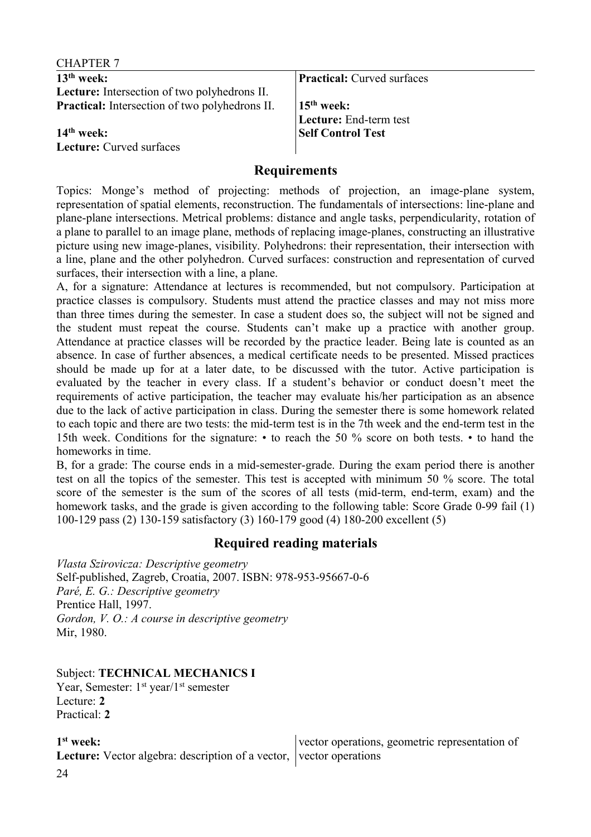#### CHAPTER 7

| $13th$ week:                                          | <b>Practical:</b> Curved surfaces |
|-------------------------------------------------------|-----------------------------------|
| <b>Lecture:</b> Intersection of two polyhedrons II.   |                                   |
| <b>Practical:</b> Intersection of two polyhedrons II. | $15th$ week:                      |
|                                                       | Lecture: End-term test            |
| $14th$ week:                                          | <b>Self Control Test</b>          |
| Lecture: Curved surfaces                              |                                   |

#### **Requirements**

Topics: Monge's method of projecting: methods of projection, an image-plane system, representation of spatial elements, reconstruction. The fundamentals of intersections: line-plane and plane-plane intersections. Metrical problems: distance and angle tasks, perpendicularity, rotation of a plane to parallel to an image plane, methods of replacing image-planes, constructing an illustrative picture using new image-planes, visibility. Polyhedrons: their representation, their intersection with a line, plane and the other polyhedron. Curved surfaces: construction and representation of curved surfaces, their intersection with a line, a plane.

A, for a signature: Attendance at lectures is recommended, but not compulsory. Participation at practice classes is compulsory. Students must attend the practice classes and may not miss more than three times during the semester. In case a student does so, the subject will not be signed and the student must repeat the course. Students can't make up a practice with another group. Attendance at practice classes will be recorded by the practice leader. Being late is counted as an absence. In case of further absences, a medical certificate needs to be presented. Missed practices should be made up for at a later date, to be discussed with the tutor. Active participation is evaluated by the teacher in every class. If a student's behavior or conduct doesn't meet the requirements of active participation, the teacher may evaluate his/her participation as an absence due to the lack of active participation in class. During the semester there is some homework related to each topic and there are two tests: the mid-term test is in the 7th week and the end-term test in the 15th week. Conditions for the signature: • to reach the 50 % score on both tests. • to hand the homeworks in time.

B, for a grade: The course ends in a mid-semester-grade. During the exam period there is another test on all the topics of the semester. This test is accepted with minimum 50 % score. The total score of the semester is the sum of the scores of all tests (mid-term, end-term, exam) and the homework tasks, and the grade is given according to the following table: Score Grade 0-99 fail (1) 100-129 pass (2) 130-159 satisfactory (3) 160-179 good (4) 180-200 excellent (5)

#### **Required reading materials**

*Vlasta Szirovicza: Descriptive geometry* Self-published, Zagreb, Croatia, 2007. ISBN: 978-953-95667-0-6 *Paré, E. G.: Descriptive geometry* Prentice Hall, 1997. *Gordon, V. O.: A course in descriptive geometry* Mir, 1980.

#### Subject: **TECHNICAL MECHANICS I**

Year, Semester: 1<sup>st</sup> year/1<sup>st</sup> semester Lecture: **2** Practical: **2**

| $1st$ week:<br><b>Lecture:</b> Vector algebra: description of a vector, vector operations | vector operations, geometric representation of |
|-------------------------------------------------------------------------------------------|------------------------------------------------|
| 24                                                                                        |                                                |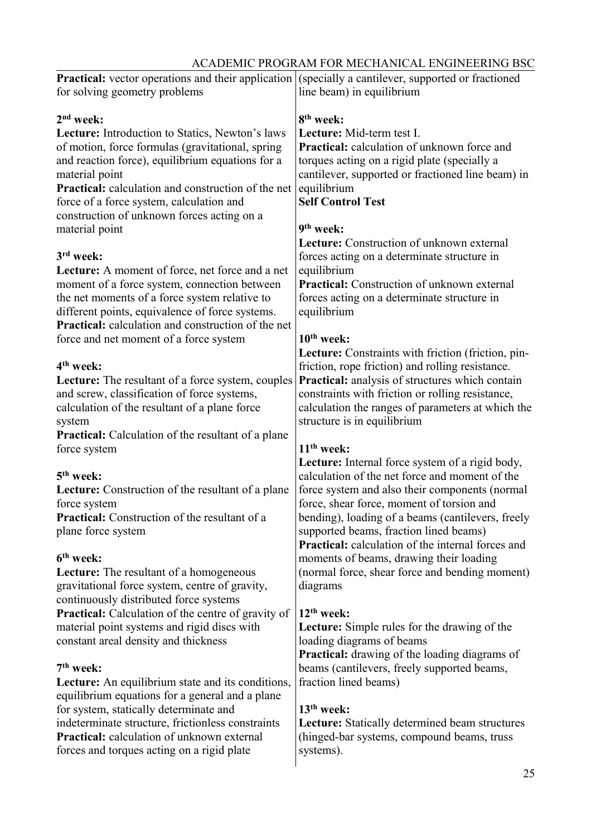| <b>Practical:</b> vector operations and their application (specially a cantilever, supported or fractioned<br>for solving geometry problems                                                                                                                                                                                                     | line beam) in equilibrium                                                                                                                                                                                                                                                                                                                                                                                              |
|-------------------------------------------------------------------------------------------------------------------------------------------------------------------------------------------------------------------------------------------------------------------------------------------------------------------------------------------------|------------------------------------------------------------------------------------------------------------------------------------------------------------------------------------------------------------------------------------------------------------------------------------------------------------------------------------------------------------------------------------------------------------------------|
| $2nd$ week:<br>Lecture: Introduction to Statics, Newton's laws<br>of motion, force formulas (gravitational, spring<br>and reaction force), equilibrium equations for a<br>material point<br><b>Practical:</b> calculation and construction of the net<br>force of a force system, calculation and<br>construction of unknown forces acting on a | 8 <sup>th</sup> week:<br>Lecture: Mid-term test I.<br>Practical: calculation of unknown force and<br>torques acting on a rigid plate (specially a<br>cantilever, supported or fractioned line beam) in<br>equilibrium<br><b>Self Control Test</b>                                                                                                                                                                      |
| material point<br>3 <sup>rd</sup> week:<br>Lecture: A moment of force, net force and a net<br>moment of a force system, connection between<br>the net moments of a force system relative to<br>different points, equivalence of force systems.<br><b>Practical:</b> calculation and construction of the net                                     | 9 <sup>th</sup> week:<br>Lecture: Construction of unknown external<br>forces acting on a determinate structure in<br>equilibrium<br><b>Practical:</b> Construction of unknown external<br>forces acting on a determinate structure in<br>equilibrium                                                                                                                                                                   |
| force and net moment of a force system<br>4 <sup>th</sup> week:<br><b>Lecture:</b> The resultant of a force system, couples<br>and screw, classification of force systems,<br>calculation of the resultant of a plane force<br>system<br><b>Practical:</b> Calculation of the resultant of a plane                                              | $10th$ week:<br>Lecture: Constraints with friction (friction, pin-<br>friction, rope friction) and rolling resistance.<br>Practical: analysis of structures which contain<br>constraints with friction or rolling resistance,<br>calculation the ranges of parameters at which the<br>structure is in equilibrium                                                                                                      |
| force system<br>5 <sup>th</sup> week:<br>Lecture: Construction of the resultant of a plane<br>force system<br><b>Practical:</b> Construction of the resultant of a<br>plane force system<br>6 <sup>th</sup> week:                                                                                                                               | $11th$ week:<br>Lecture: Internal force system of a rigid body,<br>calculation of the net force and moment of the<br>force system and also their components (normal<br>force, shear force, moment of torsion and<br>bending), loading of a beams (cantilevers, freely<br>supported beams, fraction lined beams)<br><b>Practical:</b> calculation of the internal forces and<br>moments of beams, drawing their loading |
| <b>Lecture:</b> The resultant of a homogeneous<br>gravitational force system, centre of gravity,<br>continuously distributed force systems<br><b>Practical:</b> Calculation of the centre of gravity of<br>material point systems and rigid discs with<br>constant areal density and thickness                                                  | (normal force, shear force and bending moment)<br>diagrams<br>$12th$ week:<br><b>Lecture:</b> Simple rules for the drawing of the<br>loading diagrams of beams<br><b>Practical:</b> drawing of the loading diagrams of                                                                                                                                                                                                 |
| 7 <sup>th</sup> week:<br>Lecture: An equilibrium state and its conditions,<br>equilibrium equations for a general and a plane<br>for system, statically determinate and<br>indeterminate structure, frictionless constraints<br>Practical: calculation of unknown external<br>forces and torques acting on a rigid plate                        | beams (cantilevers, freely supported beams,<br>fraction lined beams)<br>$13th$ week:<br><b>Lecture:</b> Statically determined beam structures<br>(hinged-bar systems, compound beams, truss<br>systems).                                                                                                                                                                                                               |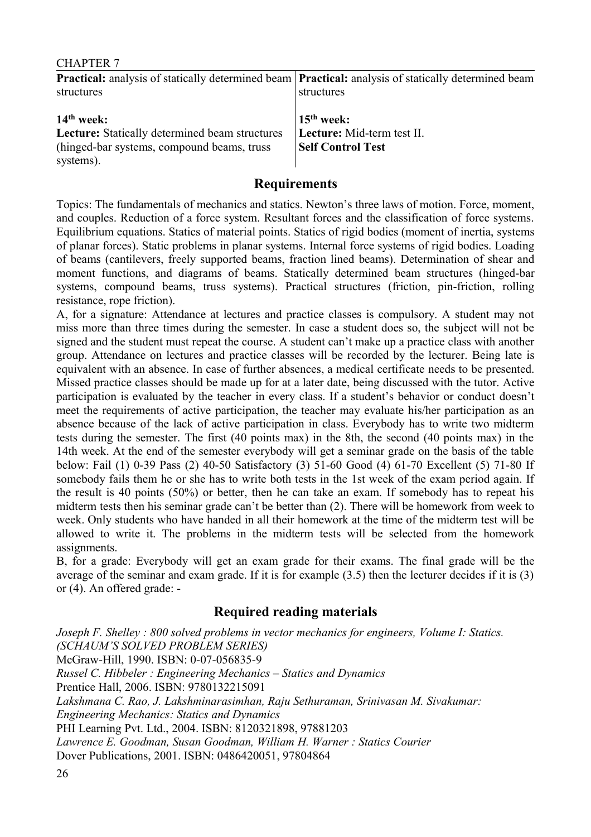| CHAPIER /                                             |                                                                                                                   |
|-------------------------------------------------------|-------------------------------------------------------------------------------------------------------------------|
|                                                       | <b>Practical:</b> analysis of statically determined beam <b>Practical:</b> analysis of statically determined beam |
| structures                                            | structures                                                                                                        |
|                                                       |                                                                                                                   |
| $14th$ week:                                          | $15th$ week:                                                                                                      |
| <b>Lecture:</b> Statically determined beam structures | Lecture: Mid-term test II.                                                                                        |
| (hinged-bar systems, compound beams, truss)           | <b>Self Control Test</b>                                                                                          |
| systems).                                             |                                                                                                                   |

Topics: The fundamentals of mechanics and statics. Newton's three laws of motion. Force, moment, and couples. Reduction of a force system. Resultant forces and the classification of force systems. Equilibrium equations. Statics of material points. Statics of rigid bodies (moment of inertia, systems of planar forces). Static problems in planar systems. Internal force systems of rigid bodies. Loading of beams (cantilevers, freely supported beams, fraction lined beams). Determination of shear and moment functions, and diagrams of beams. Statically determined beam structures (hinged-bar systems, compound beams, truss systems). Practical structures (friction, pin-friction, rolling resistance, rope friction).

A, for a signature: Attendance at lectures and practice classes is compulsory. A student may not miss more than three times during the semester. In case a student does so, the subject will not be signed and the student must repeat the course. A student can't make up a practice class with another group. Attendance on lectures and practice classes will be recorded by the lecturer. Being late is equivalent with an absence. In case of further absences, a medical certificate needs to be presented. Missed practice classes should be made up for at a later date, being discussed with the tutor. Active participation is evaluated by the teacher in every class. If a student's behavior or conduct doesn't meet the requirements of active participation, the teacher may evaluate his/her participation as an absence because of the lack of active participation in class. Everybody has to write two midterm tests during the semester. The first (40 points max) in the 8th, the second (40 points max) in the 14th week. At the end of the semester everybody will get a seminar grade on the basis of the table below: Fail (1) 0-39 Pass (2) 40-50 Satisfactory (3) 51-60 Good (4) 61-70 Excellent (5) 71-80 If somebody fails them he or she has to write both tests in the 1st week of the exam period again. If the result is 40 points (50%) or better, then he can take an exam. If somebody has to repeat his midterm tests then his seminar grade can't be better than (2). There will be homework from week to week. Only students who have handed in all their homework at the time of the midterm test will be allowed to write it. The problems in the midterm tests will be selected from the homework assignments.

B, for a grade: Everybody will get an exam grade for their exams. The final grade will be the average of the seminar and exam grade. If it is for example (3.5) then the lecturer decides if it is (3) or (4). An offered grade: -

## **Required reading materials**

*Joseph F. Shelley : 800 solved problems in vector mechanics for engineers, Volume I: Statics. (SCHAUM'S SOLVED PROBLEM SERIES)* McGraw-Hill, 1990. ISBN: 0-07-056835-9 *Russel C. Hibbeler : Engineering Mechanics – Statics and Dynamics* Prentice Hall, 2006. ISBN: 9780132215091 *Lakshmana C. Rao, J. Lakshminarasimhan, Raju Sethuraman, Srinivasan M. Sivakumar: Engineering Mechanics: Statics and Dynamics* PHI Learning Pvt. Ltd., 2004. ISBN: 8120321898, 97881203 *Lawrence E. Goodman, Susan Goodman, William H. Warner : Statics Courier* Dover Publications, 2001. ISBN: 0486420051, 97804864

 $C<sub>II</sub>$  DTED  $<sub>7</sub>$ </sub>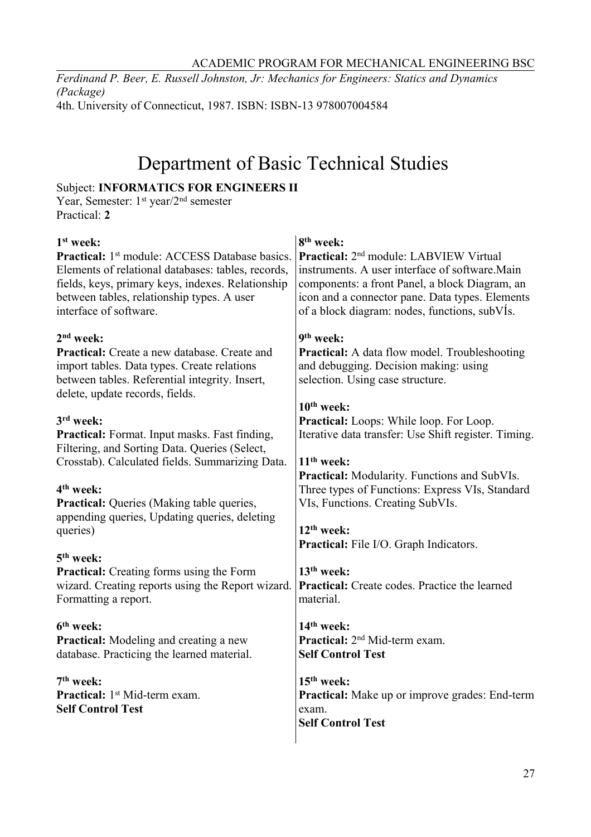#### ACADEMIC PROGRAM FOR MECHANICAL ENGINEERING BSC

*Ferdinand P. Beer, E. Russell Johnston, Jr: Mechanics for Engineers: Statics and Dynamics (Package)*

4th. University of Connecticut, 1987. ISBN: ISBN-13 978007004584

# Department of Basic Technical Studies

## Subject: **INFORMATICS FOR ENGINEERS II**

Year, Semester: 1<sup>st</sup> year/2<sup>nd</sup> semester Practical: **2**

| $1st$ week:                                                | 8 <sup>th</sup> week:                                |
|------------------------------------------------------------|------------------------------------------------------|
| Practical: 1 <sup>st</sup> module: ACCESS Database basics. | Practical: 2 <sup>nd</sup> module: LABVIEW Virtual   |
| Elements of relational databases: tables, records,         | instruments. A user interface of software. Main      |
| fields, keys, primary keys, indexes. Relationship          | components: a front Panel, a block Diagram, an       |
| between tables, relationship types. A user                 | icon and a connector pane. Data types. Elements      |
| interface of software.                                     | of a block diagram: nodes, functions, subVIs.        |
|                                                            |                                                      |
| $2nd$ week:                                                | 9 <sup>th</sup> week:                                |
| Practical: Create a new database. Create and               | Practical: A data flow model. Troubleshooting        |
| import tables. Data types. Create relations                | and debugging. Decision making: using                |
| between tables. Referential integrity. Insert,             | selection. Using case structure.                     |
| delete, update records, fields.                            |                                                      |
|                                                            | $10th$ week:                                         |
| 3 <sup>rd</sup> week:                                      | Practical: Loops: While loop. For Loop.              |
| Practical: Format. Input masks. Fast finding,              | Iterative data transfer: Use Shift register. Timing. |
| Filtering, and Sorting Data. Queries (Select,              |                                                      |
| Crosstab). Calculated fields. Summarizing Data.            | $11th$ week:                                         |
|                                                            | <b>Practical:</b> Modularity. Functions and SubVIs.  |
| $4th$ week:                                                | Three types of Functions: Express VIs, Standard      |
| <b>Practical:</b> Queries (Making table queries,           | VIs, Functions. Creating SubVIs.                     |
| appending queries, Updating queries, deleting              |                                                      |
| queries)                                                   | $12th$ week:                                         |
|                                                            | <b>Practical:</b> File I/O. Graph Indicators.        |
| 5 <sup>th</sup> week:                                      |                                                      |
| <b>Practical:</b> Creating forms using the Form            | 13 <sup>th</sup> week:                               |
| wizard. Creating reports using the Report wizard.          | <b>Practical:</b> Create codes. Practice the learned |
| Formatting a report.                                       | material.                                            |
| 6 <sup>th</sup> week:                                      | 14 <sup>th</sup> week:                               |
| <b>Practical:</b> Modeling and creating a new              | Practical: 2 <sup>nd</sup> Mid-term exam.            |
| database. Practicing the learned material.                 | <b>Self Control Test</b>                             |
|                                                            |                                                      |
| 7 <sup>th</sup> week:                                      | $15th$ week:                                         |
| <b>Practical:</b> 1 <sup>st</sup> Mid-term exam.           | Practical: Make up or improve grades: End-term       |
| <b>Self Control Test</b>                                   | exam.                                                |
|                                                            | <b>Self Control Test</b>                             |
|                                                            |                                                      |
|                                                            |                                                      |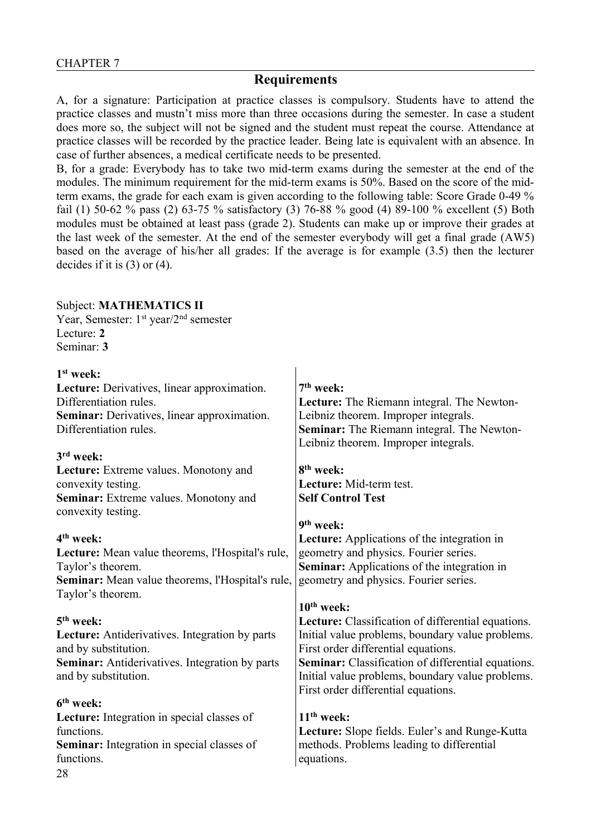A, for a signature: Participation at practice classes is compulsory. Students have to attend the practice classes and mustn't miss more than three occasions during the semester. In case a student does more so, the subject will not be signed and the student must repeat the course. Attendance at practice classes will be recorded by the practice leader. Being late is equivalent with an absence. In case of further absences, a medical certificate needs to be presented.

B, for a grade: Everybody has to take two mid-term exams during the semester at the end of the modules. The minimum requirement for the mid-term exams is 50%. Based on the score of the midterm exams, the grade for each exam is given according to the following table: Score Grade 0-49 % fail (1) 50-62 % pass (2) 63-75 % satisfactory (3) 76-88 % good (4) 89-100 % excellent (5) Both modules must be obtained at least pass (grade 2). Students can make up or improve their grades at the last week of the semester. At the end of the semester everybody will get a final grade (AW5) based on the average of his/her all grades: If the average is for example (3.5) then the lecturer decides if it is (3) or (4).

#### Subject: **MATHEMATICS II**

Year, Semester: 1<sup>st</sup> year/2<sup>nd</sup> semester Lecture: **2** Seminar: **3**

| $1st$ week:<br>Lecture: Derivatives, linear approximation.<br>Differentiation rules.<br>Seminar: Derivatives, linear approximation.<br>Differentiation rules. | $7th$ week:<br>Lecture: The Riemann integral. The Newton-<br>Leibniz theorem. Improper integrals.<br><b>Seminar:</b> The Riemann integral. The Newton-<br>Leibniz theorem. Improper integrals. |
|---------------------------------------------------------------------------------------------------------------------------------------------------------------|------------------------------------------------------------------------------------------------------------------------------------------------------------------------------------------------|
| 3rd week:<br>Lecture: Extreme values. Monotony and                                                                                                            | 8 <sup>th</sup> week:                                                                                                                                                                          |
| convexity testing.                                                                                                                                            | Lecture: Mid-term test.                                                                                                                                                                        |
| Seminar: Extreme values. Monotony and                                                                                                                         | <b>Self Control Test</b>                                                                                                                                                                       |
| convexity testing.                                                                                                                                            | 9 <sup>th</sup> week:                                                                                                                                                                          |
| 4 <sup>th</sup> week:                                                                                                                                         | Lecture: Applications of the integration in                                                                                                                                                    |
| Lecture: Mean value theorems, l'Hospital's rule,                                                                                                              | geometry and physics. Fourier series.                                                                                                                                                          |
| Taylor's theorem.                                                                                                                                             | <b>Seminar:</b> Applications of the integration in                                                                                                                                             |
| Seminar: Mean value theorems, l'Hospital's rule,                                                                                                              | geometry and physics. Fourier series.                                                                                                                                                          |
| Taylor's theorem.                                                                                                                                             |                                                                                                                                                                                                |
|                                                                                                                                                               | $10th$ week:                                                                                                                                                                                   |
| $5th$ week:                                                                                                                                                   | <b>Lecture:</b> Classification of differential equations.                                                                                                                                      |
| <b>Lecture:</b> Antiderivatives. Integration by parts<br>and by substitution.                                                                                 | Initial value problems, boundary value problems.<br>First order differential equations.                                                                                                        |
| <b>Seminar:</b> Antiderivatives. Integration by parts                                                                                                         | Seminar: Classification of differential equations.                                                                                                                                             |
| and by substitution.                                                                                                                                          | Initial value problems, boundary value problems.                                                                                                                                               |
| 6 <sup>th</sup> week:                                                                                                                                         | First order differential equations.                                                                                                                                                            |
| Lecture: Integration in special classes of                                                                                                                    | $11th$ week:                                                                                                                                                                                   |
| functions.                                                                                                                                                    | Lecture: Slope fields. Euler's and Runge-Kutta                                                                                                                                                 |
| Seminar: Integration in special classes of                                                                                                                    | methods. Problems leading to differential                                                                                                                                                      |
| functions.                                                                                                                                                    | equations.                                                                                                                                                                                     |
| 28                                                                                                                                                            |                                                                                                                                                                                                |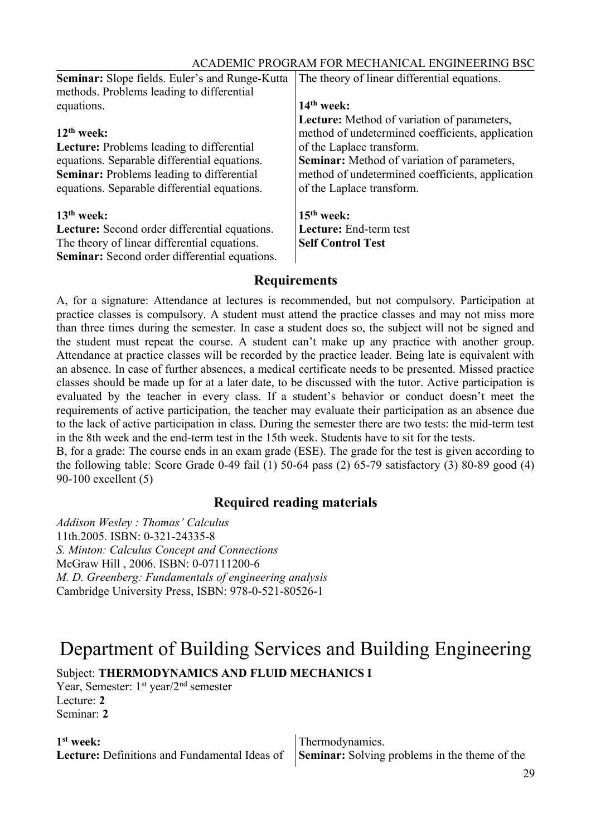| <b>Seminar:</b> Slope fields. Euler's and Runge-Kutta | The theory of linear differential equations.       |
|-------------------------------------------------------|----------------------------------------------------|
| methods. Problems leading to differential             |                                                    |
| equations.                                            | $14th$ week:                                       |
|                                                       | <b>Lecture:</b> Method of variation of parameters, |
| $12th$ week:                                          | method of undetermined coefficients, application   |
| <b>Lecture:</b> Problems leading to differential      | of the Laplace transform.                          |
| equations. Separable differential equations.          | <b>Seminar:</b> Method of variation of parameters, |
| <b>Seminar:</b> Problems leading to differential      | method of undetermined coefficients, application   |
| equations. Separable differential equations.          | of the Laplace transform.                          |
| $13th$ week:                                          | $15th$ week:                                       |
| <b>Lecture:</b> Second order differential equations.  | Lecture: End-term test                             |
| The theory of linear differential equations.          | <b>Self Control Test</b>                           |
| <b>Seminar:</b> Second order differential equations.  |                                                    |

A, for a signature: Attendance at lectures is recommended, but not compulsory. Participation at practice classes is compulsory. A student must attend the practice classes and may not miss more than three times during the semester. In case a student does so, the subject will not be signed and the student must repeat the course. A student can't make up any practice with another group. Attendance at practice classes will be recorded by the practice leader. Being late is equivalent with an absence. In case of further absences, a medical certificate needs to be presented. Missed practice classes should be made up for at a later date, to be discussed with the tutor. Active participation is evaluated by the teacher in every class. If a student's behavior or conduct doesn't meet the requirements of active participation, the teacher may evaluate their participation as an absence due to the lack of active participation in class. During the semester there are two tests: the mid-term test in the 8th week and the end-term test in the 15th week. Students have to sit for the tests.

B, for a grade: The course ends in an exam grade (ESE). The grade for the test is given according to the following table: Score Grade 0-49 fail (1) 50-64 pass (2) 65-79 satisfactory (3) 80-89 good (4) 90-100 excellent (5)

#### **Required reading materials**

*Addison Wesley : Thomas' Calculus* 11th.2005. ISBN: 0-321-24335-8 *S. Minton: Calculus Concept and Connections* McGraw Hill , 2006. ISBN: 0-07111200-6 *M. D. Greenberg: Fundamentals of engineering analysis* Cambridge University Press, ISBN: 978-0-521-80526-1

# Department of Building Services and Building Engineering

Subject: **THERMODYNAMICS AND FLUID MECHANICS I**

Year, Semester: 1<sup>st</sup> year/2<sup>nd</sup> semester Lecture: **2** Seminar: **2**

**1 st week: Lecture:** Definitions and Fundamental Ideas of Thermodynamics. **Seminar:** Solving problems in the theme of the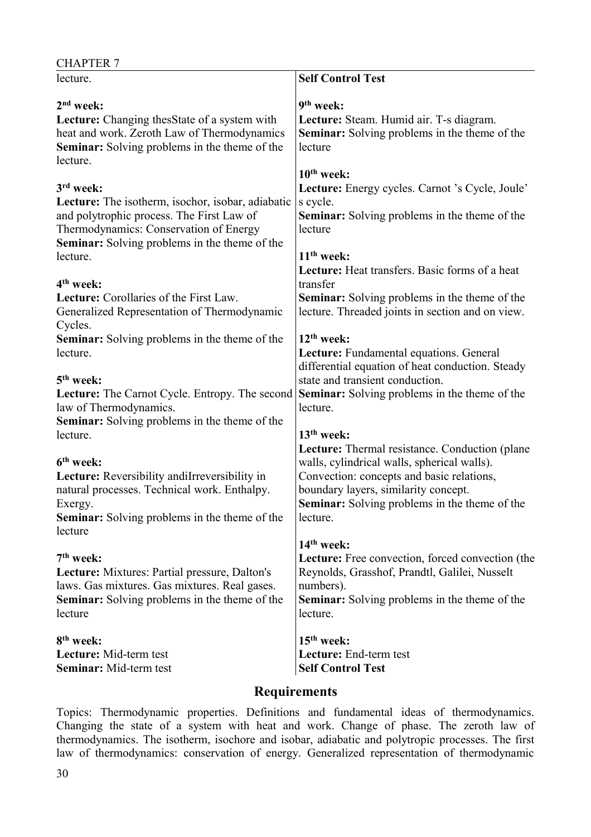#### CHAPTER 7

| $\sqrt{111}$ 11.11.                                                                                                                                                                                                              |                                                                                                                                                                                                                                                                |
|----------------------------------------------------------------------------------------------------------------------------------------------------------------------------------------------------------------------------------|----------------------------------------------------------------------------------------------------------------------------------------------------------------------------------------------------------------------------------------------------------------|
| lecture.                                                                                                                                                                                                                         | <b>Self Control Test</b>                                                                                                                                                                                                                                       |
| $2nd$ week:<br><b>Lecture:</b> Changing the same of a system with<br>heat and work. Zeroth Law of Thermodynamics<br><b>Seminar:</b> Solving problems in the theme of the<br>lecture.                                             | 9 <sup>th</sup> week:<br>Lecture: Steam. Humid air. T-s diagram.<br><b>Seminar:</b> Solving problems in the theme of the<br>lecture                                                                                                                            |
| 3 <sup>rd</sup> week:<br><b>Lecture:</b> The isotherm, isochor, isobar, adiabatic<br>and polytrophic process. The First Law of<br>Thermodynamics: Conservation of Energy<br><b>Seminar:</b> Solving problems in the theme of the | $10th$ week:<br>Lecture: Energy cycles. Carnot 's Cycle, Joule'<br>s cycle.<br><b>Seminar:</b> Solving problems in the theme of the<br>lecture                                                                                                                 |
| lecture.<br>4 <sup>th</sup> week:<br>Lecture: Corollaries of the First Law.<br>Generalized Representation of Thermodynamic<br>Cycles.                                                                                            | $11th$ week:<br>Lecture: Heat transfers. Basic forms of a heat<br>transfer<br><b>Seminar:</b> Solving problems in the theme of the<br>lecture. Threaded joints in section and on view.                                                                         |
| <b>Seminar:</b> Solving problems in the theme of the<br>lecture.                                                                                                                                                                 | $12th$ week:<br>Lecture: Fundamental equations. General<br>differential equation of heat conduction. Steady                                                                                                                                                    |
| 5 <sup>th</sup> week:<br><b>Lecture:</b> The Carnot Cycle. Entropy. The second<br>law of Thermodynamics.<br><b>Seminar:</b> Solving problems in the theme of the<br>lecture.                                                     | state and transient conduction.<br><b>Seminar:</b> Solving problems in the theme of the<br>lecture.<br>$13th$ week:                                                                                                                                            |
| 6 <sup>th</sup> week:<br>Lecture: Reversibility and il reversibility in<br>natural processes. Technical work. Enthalpy.<br>Exergy.<br><b>Seminar:</b> Solving problems in the theme of the<br>lecture                            | <b>Lecture:</b> Thermal resistance. Conduction (plane)<br>walls, cylindrical walls, spherical walls).<br>Convection: concepts and basic relations,<br>boundary layers, similarity concept.<br><b>Seminar:</b> Solving problems in the theme of the<br>lecture. |
| 7 <sup>th</sup> week:<br><b>Lecture:</b> Mixtures: Partial pressure, Dalton's<br>laws. Gas mixtures. Gas mixtures. Real gases.<br><b>Seminar:</b> Solving problems in the theme of the<br>lecture                                | 14 <sup>th</sup> week:<br><b>Lecture:</b> Free convection, forced convection (the<br>Reynolds, Grasshof, Prandtl, Galilei, Nusselt<br>numbers).<br><b>Seminar:</b> Solving problems in the theme of the<br>lecture.                                            |
| 8 <sup>th</sup> week:<br>Lecture: Mid-term test<br>Seminar: Mid-term test                                                                                                                                                        | $15th$ week:<br>Lecture: End-term test<br><b>Self Control Test</b>                                                                                                                                                                                             |

## **Requirements**

Topics: Thermodynamic properties. Definitions and fundamental ideas of thermodynamics. Changing the state of a system with heat and work. Change of phase. The zeroth law of thermodynamics. The isotherm, isochore and isobar, adiabatic and polytropic processes. The first law of thermodynamics: conservation of energy. Generalized representation of thermodynamic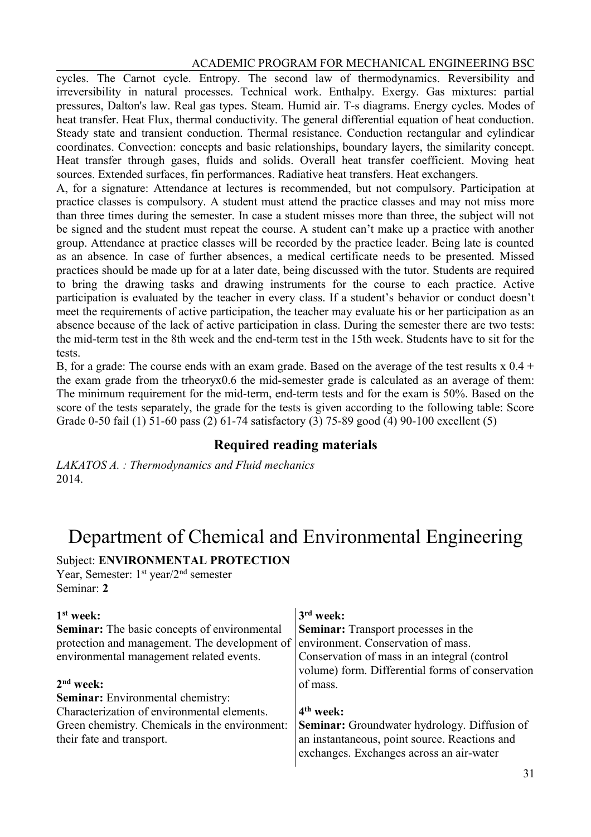#### ACADEMIC PROGRAM FOR MECHANICAL ENGINEERING BSC

cycles. The Carnot cycle. Entropy. The second law of thermodynamics. Reversibility and irreversibility in natural processes. Technical work. Enthalpy. Exergy. Gas mixtures: partial pressures, Dalton's law. Real gas types. Steam. Humid air. T-s diagrams. Energy cycles. Modes of heat transfer. Heat Flux, thermal conductivity. The general differential equation of heat conduction. Steady state and transient conduction. Thermal resistance. Conduction rectangular and cylindicar coordinates. Convection: concepts and basic relationships, boundary layers, the similarity concept. Heat transfer through gases, fluids and solids. Overall heat transfer coefficient. Moving heat sources. Extended surfaces, fin performances. Radiative heat transfers. Heat exchangers.

A, for a signature: Attendance at lectures is recommended, but not compulsory. Participation at practice classes is compulsory. A student must attend the practice classes and may not miss more than three times during the semester. In case a student misses more than three, the subject will not be signed and the student must repeat the course. A student can't make up a practice with another group. Attendance at practice classes will be recorded by the practice leader. Being late is counted as an absence. In case of further absences, a medical certificate needs to be presented. Missed practices should be made up for at a later date, being discussed with the tutor. Students are required to bring the drawing tasks and drawing instruments for the course to each practice. Active participation is evaluated by the teacher in every class. If a student's behavior or conduct doesn't meet the requirements of active participation, the teacher may evaluate his or her participation as an absence because of the lack of active participation in class. During the semester there are two tests: the mid-term test in the 8th week and the end-term test in the 15th week. Students have to sit for the tests.

B, for a grade: The course ends with an exam grade. Based on the average of the test results  $x \cdot 0.4 +$ the exam grade from the trheoryx0.6 the mid-semester grade is calculated as an average of them: The minimum requirement for the mid-term, end-term tests and for the exam is 50%. Based on the score of the tests separately, the grade for the tests is given according to the following table: Score Grade 0-50 fail (1) 51-60 pass (2) 61-74 satisfactory (3) 75-89 good (4) 90-100 excellent (5)

## **Required reading materials**

*LAKATOS A. : Thermodynamics and Fluid mechanics* 2014.

# Department of Chemical and Environmental Engineering

Subject: **ENVIRONMENTAL PROTECTION**

Year, Semester: 1<sup>st</sup> year/2<sup>nd</sup> semester Seminar: **2**

| $1st$ week:                                         | 3 <sup>rd</sup> week:                               |
|-----------------------------------------------------|-----------------------------------------------------|
| <b>Seminar:</b> The basic concepts of environmental | <b>Seminar:</b> Transport processes in the          |
| protection and management. The development of       | environment. Conservation of mass.                  |
| environmental management related events.            | Conservation of mass in an integral (control        |
|                                                     | volume) form. Differential forms of conservation    |
| $2nd$ week:                                         | of mass.                                            |
| <b>Seminar:</b> Environmental chemistry:            |                                                     |
| Characterization of environmental elements.         | $4th$ week:                                         |
| Green chemistry. Chemicals in the environment:      | <b>Seminar:</b> Groundwater hydrology. Diffusion of |
| their fate and transport.                           | an instantaneous, point source. Reactions and       |
|                                                     | exchanges. Exchanges across an air-water            |
|                                                     |                                                     |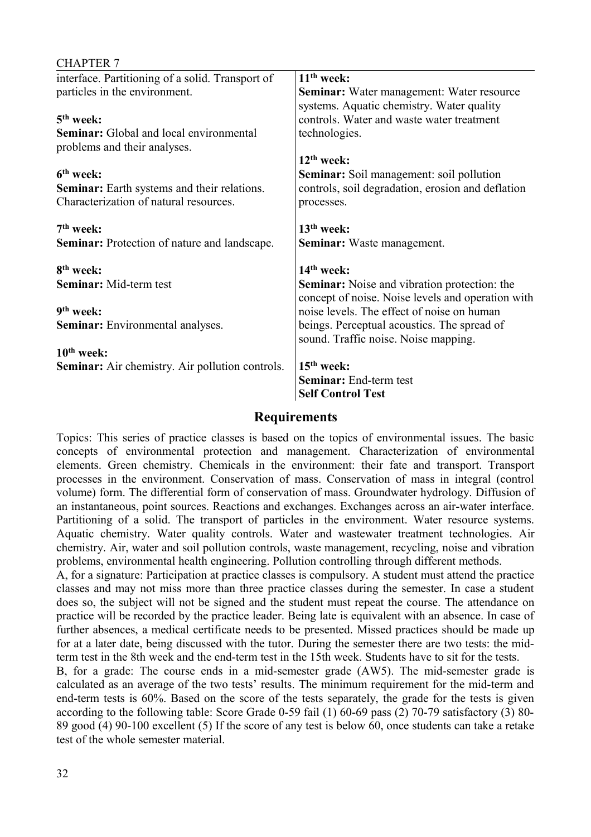| UHALIEK /                                              |                                                     |
|--------------------------------------------------------|-----------------------------------------------------|
| interface. Partitioning of a solid. Transport of       | $11th$ week:                                        |
| particles in the environment.                          | Seminar: Water management: Water resource           |
|                                                        | systems. Aquatic chemistry. Water quality           |
| $5th$ week:                                            | controls. Water and waste water treatment           |
| <b>Seminar:</b> Global and local environmental         | technologies.                                       |
| problems and their analyses.                           |                                                     |
|                                                        | $12th$ week:                                        |
| 6 <sup>th</sup> week:                                  | <b>Seminar:</b> Soil management: soil pollution     |
|                                                        |                                                     |
| <b>Seminar:</b> Earth systems and their relations.     | controls, soil degradation, erosion and deflation   |
| Characterization of natural resources.                 | processes.                                          |
|                                                        |                                                     |
| $7th$ week:                                            | $13th$ week:                                        |
| <b>Seminar:</b> Protection of nature and landscape.    | Seminar: Waste management.                          |
|                                                        |                                                     |
| 8 <sup>th</sup> week:                                  | $14th$ week:                                        |
| <b>Seminar:</b> Mid-term test                          | <b>Seminar:</b> Noise and vibration protection: the |
|                                                        | concept of noise. Noise levels and operation with   |
| 9 <sup>th</sup> week:                                  | noise levels. The effect of noise on human          |
| <b>Seminar:</b> Environmental analyses.                | beings. Perceptual acoustics. The spread of         |
|                                                        | sound. Traffic noise. Noise mapping.                |
| $10th$ week:                                           |                                                     |
| <b>Seminar:</b> Air chemistry. Air pollution controls. | $15th$ week:                                        |
|                                                        | <b>Seminar:</b> End-term test                       |
|                                                        | <b>Self Control Test</b>                            |
|                                                        |                                                     |

Topics: This series of practice classes is based on the topics of environmental issues. The basic concepts of environmental protection and management. Characterization of environmental elements. Green chemistry. Chemicals in the environment: their fate and transport. Transport processes in the environment. Conservation of mass. Conservation of mass in integral (control volume) form. The differential form of conservation of mass. Groundwater hydrology. Diffusion of an instantaneous, point sources. Reactions and exchanges. Exchanges across an air-water interface. Partitioning of a solid. The transport of particles in the environment. Water resource systems. Aquatic chemistry. Water quality controls. Water and wastewater treatment technologies. Air chemistry. Air, water and soil pollution controls, waste management, recycling, noise and vibration problems, environmental health engineering. Pollution controlling through different methods.

A, for a signature: Participation at practice classes is compulsory. A student must attend the practice classes and may not miss more than three practice classes during the semester. In case a student does so, the subject will not be signed and the student must repeat the course. The attendance on practice will be recorded by the practice leader. Being late is equivalent with an absence. In case of further absences, a medical certificate needs to be presented. Missed practices should be made up for at a later date, being discussed with the tutor. During the semester there are two tests: the midterm test in the 8th week and the end-term test in the 15th week. Students have to sit for the tests.

B, for a grade: The course ends in a mid-semester grade (AW5). The mid-semester grade is calculated as an average of the two tests' results. The minimum requirement for the mid-term and end-term tests is 60%. Based on the score of the tests separately, the grade for the tests is given according to the following table: Score Grade 0-59 fail (1) 60-69 pass (2) 70-79 satisfactory (3) 80- 89 good (4) 90-100 excellent (5) If the score of any test is below 60, once students can take a retake test of the whole semester material.

 $CII$ ADTED 7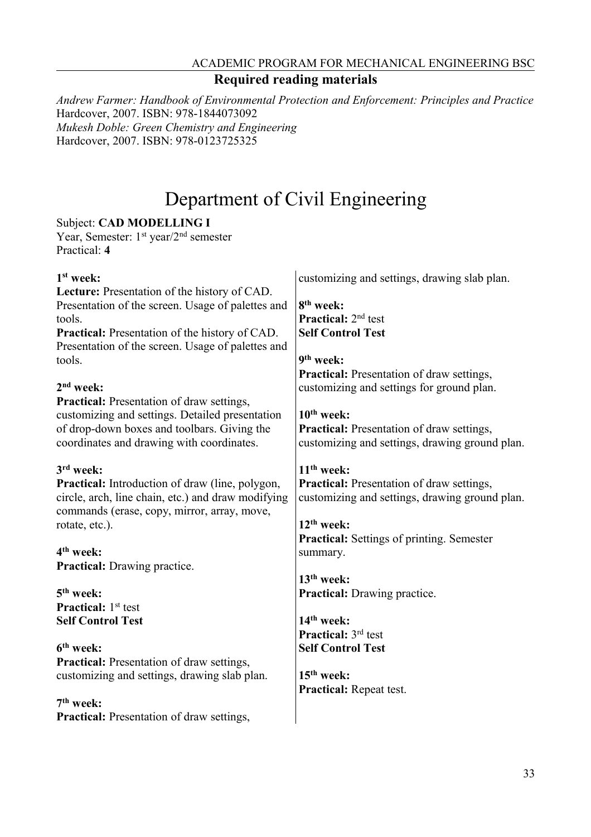#### ACADEMIC PROGRAM FOR MECHANICAL ENGINEERING BSC

**Required reading materials**

*Andrew Farmer: Handbook of Environmental Protection and Enforcement: Principles and Practice* Hardcover, 2007. ISBN: 978-1844073092 *Mukesh Doble: Green Chemistry and Engineering*  Hardcover, 2007. ISBN: 978-0123725325

# Department of Civil Engineering

# Subject: **CAD MODELLING I**

Year, Semester: 1<sup>st</sup> year/2<sup>nd</sup> semester Practical: **4**

| customizing and settings, drawing slab plan.                                                       |
|----------------------------------------------------------------------------------------------------|
| 8 <sup>th</sup> week:<br>Practical: 2 <sup>nd</sup> test                                           |
| <b>Self Control Test</b>                                                                           |
| 9 <sup>th</sup> week:                                                                              |
| <b>Practical:</b> Presentation of draw settings,<br>customizing and settings for ground plan.      |
| $10th$ week:                                                                                       |
| <b>Practical:</b> Presentation of draw settings,<br>customizing and settings, drawing ground plan. |
| $11th$ week:                                                                                       |
| <b>Practical:</b> Presentation of draw settings,<br>customizing and settings, drawing ground plan. |
| $12th$ week:<br><b>Practical:</b> Settings of printing. Semester                                   |
| summary.                                                                                           |
| $13th$ week:                                                                                       |
| <b>Practical:</b> Drawing practice.                                                                |
| 14 <sup>th</sup> week:                                                                             |
| <b>Practical:</b> 3 <sup>rd</sup> test<br><b>Self Control Test</b>                                 |
| $15th$ week:<br><b>Practical:</b> Repeat test.                                                     |
|                                                                                                    |
|                                                                                                    |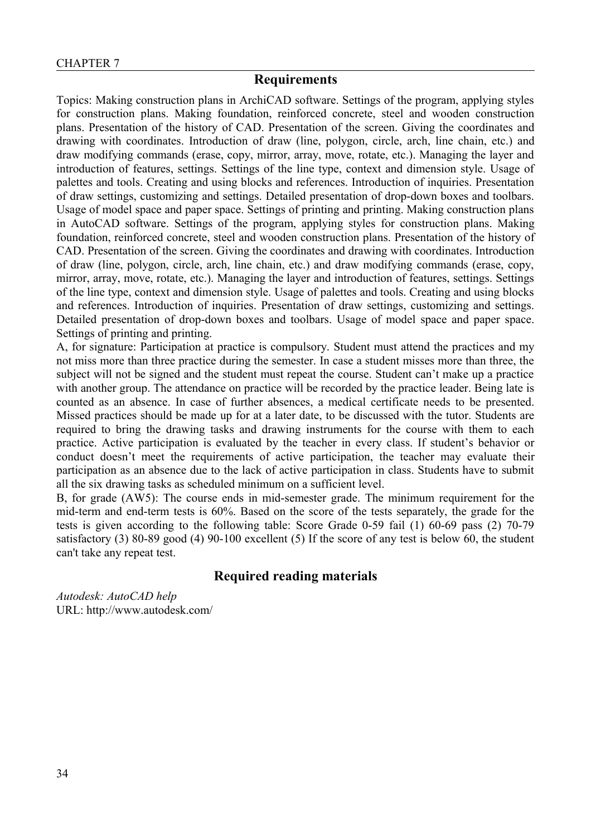Topics: Making construction plans in ArchiCAD software. Settings of the program, applying styles for construction plans. Making foundation, reinforced concrete, steel and wooden construction plans. Presentation of the history of CAD. Presentation of the screen. Giving the coordinates and drawing with coordinates. Introduction of draw (line, polygon, circle, arch, line chain, etc.) and draw modifying commands (erase, copy, mirror, array, move, rotate, etc.). Managing the layer and introduction of features, settings. Settings of the line type, context and dimension style. Usage of palettes and tools. Creating and using blocks and references. Introduction of inquiries. Presentation of draw settings, customizing and settings. Detailed presentation of drop-down boxes and toolbars. Usage of model space and paper space. Settings of printing and printing. Making construction plans in AutoCAD software. Settings of the program, applying styles for construction plans. Making foundation, reinforced concrete, steel and wooden construction plans. Presentation of the history of CAD. Presentation of the screen. Giving the coordinates and drawing with coordinates. Introduction of draw (line, polygon, circle, arch, line chain, etc.) and draw modifying commands (erase, copy, mirror, array, move, rotate, etc.). Managing the layer and introduction of features, settings. Settings of the line type, context and dimension style. Usage of palettes and tools. Creating and using blocks and references. Introduction of inquiries. Presentation of draw settings, customizing and settings. Detailed presentation of drop-down boxes and toolbars. Usage of model space and paper space. Settings of printing and printing.

A, for signature: Participation at practice is compulsory. Student must attend the practices and my not miss more than three practice during the semester. In case a student misses more than three, the subject will not be signed and the student must repeat the course. Student can't make up a practice with another group. The attendance on practice will be recorded by the practice leader. Being late is counted as an absence. In case of further absences, a medical certificate needs to be presented. Missed practices should be made up for at a later date, to be discussed with the tutor. Students are required to bring the drawing tasks and drawing instruments for the course with them to each practice. Active participation is evaluated by the teacher in every class. If student's behavior or conduct doesn't meet the requirements of active participation, the teacher may evaluate their participation as an absence due to the lack of active participation in class. Students have to submit all the six drawing tasks as scheduled minimum on a sufficient level.

B, for grade (AW5): The course ends in mid-semester grade. The minimum requirement for the mid-term and end-term tests is 60%. Based on the score of the tests separately, the grade for the tests is given according to the following table: Score Grade 0-59 fail (1) 60-69 pass (2) 70-79 satisfactory (3) 80-89 good (4) 90-100 excellent (5) If the score of any test is below 60, the student can't take any repeat test.

## **Required reading materials**

*Autodesk: AutoCAD help* URL: http://www.autodesk.com/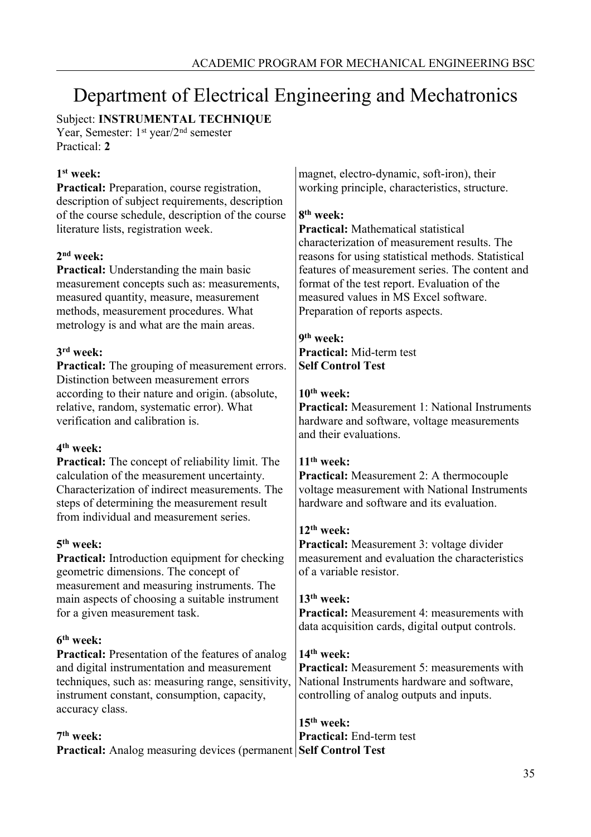# Department of Electrical Engineering and Mechatronics

Subject: **INSTRUMENTAL TECHNIQUE**  Year, Semester: 1<sup>st</sup> year/2<sup>nd</sup> semester

Practical: **2**

## **1 st week:**

**Practical:** Preparation, course registration, description of subject requirements, description of the course schedule, description of the course literature lists, registration week. **2 nd week: Practical:** Understanding the main basic measurement concepts such as: measurements, measured quantity, measure, measurement methods, measurement procedures. What metrology is and what are the main areas. **3 rd week: Practical:** The grouping of measurement errors. **8 th week:**  Preparation of reports aspects. **9 th week: Practical:** Mid-term test **Self Control Test**

Distinction between measurement errors according to their nature and origin. (absolute, relative, random, systematic error). What verification and calibration is.

#### **4 th week:**

**Practical:** The concept of reliability limit. The calculation of the measurement uncertainty. Characterization of indirect measurements. The steps of determining the measurement result from individual and measurement series.

## **5 th week:**

**Practical:** Introduction equipment for checking geometric dimensions. The concept of measurement and measuring instruments. The main aspects of choosing a suitable instrument for a given measurement task.

## **6 th week:**

**Practical:** Presentation of the features of analog and digital instrumentation and measurement techniques, such as: measuring range, sensitivity, instrument constant, consumption, capacity, accuracy class.

## **7 th week: Practical:** Analog measuring devices (permanent Self Control Test

magnet, electro-dynamic, soft-iron), their working principle, characteristics, structure.

**Practical:** Mathematical statistical characterization of measurement results. The reasons for using statistical methods. Statistical features of measurement series. The content and format of the test report. Evaluation of the measured values in MS Excel software.

## **10th week:**

**Practical:** Measurement 1: National Instruments hardware and software, voltage measurements and their evaluations.

## **11th week:**

**Practical:** Measurement 2: A thermocouple voltage measurement with National Instruments hardware and software and its evaluation.

## **12th week:**

**Practical:** Measurement 3: voltage divider measurement and evaluation the characteristics of a variable resistor.

## **13th week:**

**Practical:** Measurement 4: measurements with data acquisition cards, digital output controls.

## **14th week:**

**Practical:** Measurement 5: measurements with National Instruments hardware and software, controlling of analog outputs and inputs.

**15th week: Practical:** End-term test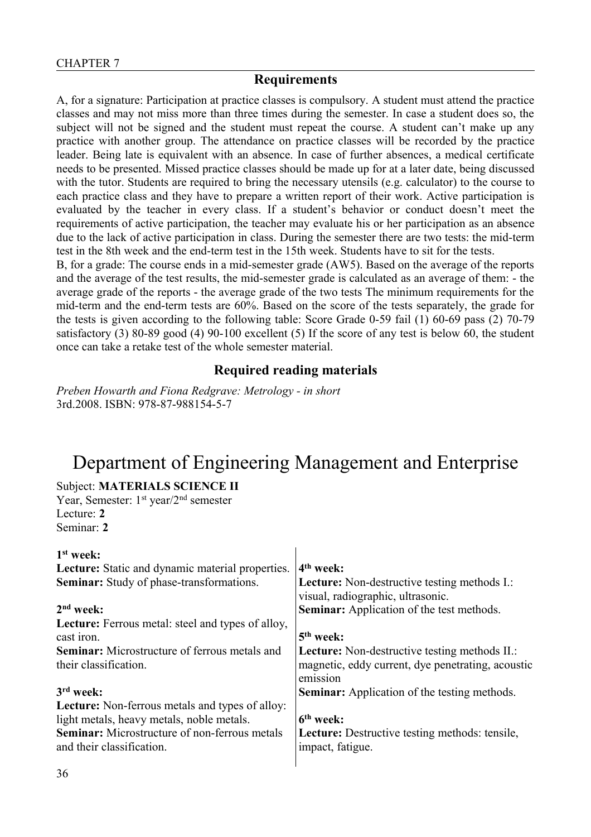A, for a signature: Participation at practice classes is compulsory. A student must attend the practice classes and may not miss more than three times during the semester. In case a student does so, the subject will not be signed and the student must repeat the course. A student can't make up any practice with another group. The attendance on practice classes will be recorded by the practice leader. Being late is equivalent with an absence. In case of further absences, a medical certificate needs to be presented. Missed practice classes should be made up for at a later date, being discussed with the tutor. Students are required to bring the necessary utensils (e.g. calculator) to the course to each practice class and they have to prepare a written report of their work. Active participation is evaluated by the teacher in every class. If a student's behavior or conduct doesn't meet the requirements of active participation, the teacher may evaluate his or her participation as an absence due to the lack of active participation in class. During the semester there are two tests: the mid-term test in the 8th week and the end-term test in the 15th week. Students have to sit for the tests.

B, for a grade: The course ends in a mid-semester grade (AW5). Based on the average of the reports and the average of the test results, the mid-semester grade is calculated as an average of them: - the average grade of the reports - the average grade of the two tests The minimum requirements for the mid-term and the end-term tests are 60%. Based on the score of the tests separately, the grade for the tests is given according to the following table: Score Grade 0-59 fail (1) 60-69 pass (2) 70-79 satisfactory (3) 80-89 good (4) 90-100 excellent (5) If the score of any test is below 60, the student once can take a retake test of the whole semester material.

#### **Required reading materials**

*Preben Howarth and Fiona Redgrave: Metrology - in short* 3rd.2008. ISBN: 978-87-988154-5-7

# Department of Engineering Management and Enterprise

Subject: **MATERIALS SCIENCE II**

Year, Semester: 1<sup>st</sup> year/2<sup>nd</sup> semester Lecture: **2** Seminar: **2**

| $1st$ week:                                                                                                                                          |                                                                                                                       |
|------------------------------------------------------------------------------------------------------------------------------------------------------|-----------------------------------------------------------------------------------------------------------------------|
| Lecture: Static and dynamic material properties.                                                                                                     | 4 <sup>th</sup> week:                                                                                                 |
| <b>Seminar:</b> Study of phase-transformations.                                                                                                      | <b>Lecture:</b> Non-destructive testing methods I.:<br>visual, radiographic, ultrasonic.                              |
| $2nd$ week:                                                                                                                                          | <b>Seminar:</b> Application of the test methods.                                                                      |
| <b>Lecture:</b> Ferrous metal: steel and types of alloy,                                                                                             |                                                                                                                       |
| cast iron.                                                                                                                                           | $5th$ week:                                                                                                           |
| <b>Seminar:</b> Microstructure of ferrous metals and<br>their classification.                                                                        | <b>Lecture:</b> Non-destructive testing methods II.:<br>magnetic, eddy current, dye penetrating, acoustic<br>emission |
| 3 <sup>rd</sup> week:                                                                                                                                | <b>Seminar:</b> Application of the testing methods.                                                                   |
| <b>Lecture:</b> Non-ferrous metals and types of alloy:<br>light metals, heavy metals, noble metals.<br>Seminar: Microstructure of non-ferrous metals | $6th$ week:<br>Lecture: Destructive testing methods: tensile,                                                         |
| and their classification.                                                                                                                            | impact, fatigue.                                                                                                      |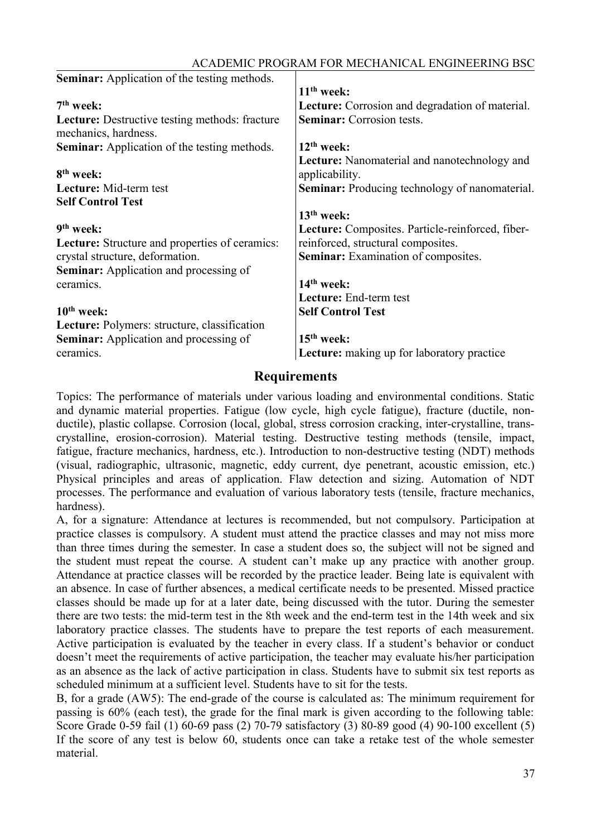| <b>Seminar:</b> Application of the testing methods.                           |                                                        |
|-------------------------------------------------------------------------------|--------------------------------------------------------|
|                                                                               | $11th$ week:                                           |
| $7th$ week:                                                                   | <b>Lecture:</b> Corrosion and degradation of material. |
| <b>Lecture:</b> Destructive testing methods: fracture<br>mechanics, hardness. | <b>Seminar:</b> Corrosion tests.                       |
| <b>Seminar:</b> Application of the testing methods.                           | $12th$ week:                                           |
|                                                                               | <b>Lecture:</b> Nanomaterial and nanotechnology and    |
| 8 <sup>th</sup> week:                                                         | applicability.                                         |
| <b>Lecture:</b> Mid-term test                                                 | <b>Seminar:</b> Producing technology of nanomaterial.  |
| <b>Self Control Test</b>                                                      |                                                        |
|                                                                               | $13th$ week:                                           |
| 9 <sup>th</sup> week:                                                         | Lecture: Composites. Particle-reinforced, fiber-       |
| Lecture: Structure and properties of ceramics:                                | reinforced, structural composites.                     |
| crystal structure, deformation.                                               | <b>Seminar:</b> Examination of composites.             |
| <b>Seminar:</b> Application and processing of                                 |                                                        |
| ceramics.                                                                     | $14th$ week:                                           |
|                                                                               | Lecture: End-term test                                 |
| $10th$ week:                                                                  | <b>Self Control Test</b>                               |
| Lecture: Polymers: structure, classification                                  |                                                        |
| <b>Seminar:</b> Application and processing of                                 | $15th$ week:                                           |
| ceramics.                                                                     | <b>Lecture:</b> making up for laboratory practice      |

Topics: The performance of materials under various loading and environmental conditions. Static and dynamic material properties. Fatigue (low cycle, high cycle fatigue), fracture (ductile, nonductile), plastic collapse. Corrosion (local, global, stress corrosion cracking, inter-crystalline, transcrystalline, erosion-corrosion). Material testing. Destructive testing methods (tensile, impact, fatigue, fracture mechanics, hardness, etc.). Introduction to non-destructive testing (NDT) methods (visual, radiographic, ultrasonic, magnetic, eddy current, dye penetrant, acoustic emission, etc.) Physical principles and areas of application. Flaw detection and sizing. Automation of NDT processes. The performance and evaluation of various laboratory tests (tensile, fracture mechanics, hardness).

A, for a signature: Attendance at lectures is recommended, but not compulsory. Participation at practice classes is compulsory. A student must attend the practice classes and may not miss more than three times during the semester. In case a student does so, the subject will not be signed and the student must repeat the course. A student can't make up any practice with another group. Attendance at practice classes will be recorded by the practice leader. Being late is equivalent with an absence. In case of further absences, a medical certificate needs to be presented. Missed practice classes should be made up for at a later date, being discussed with the tutor. During the semester there are two tests: the mid-term test in the 8th week and the end-term test in the 14th week and six laboratory practice classes. The students have to prepare the test reports of each measurement. Active participation is evaluated by the teacher in every class. If a student's behavior or conduct doesn't meet the requirements of active participation, the teacher may evaluate his/her participation as an absence as the lack of active participation in class. Students have to submit six test reports as scheduled minimum at a sufficient level. Students have to sit for the tests.

B, for a grade (AW5): The end-grade of the course is calculated as: The minimum requirement for passing is 60% (each test), the grade for the final mark is given according to the following table: Score Grade 0-59 fail (1) 60-69 pass (2) 70-79 satisfactory (3) 80-89 good (4) 90-100 excellent (5) If the score of any test is below 60, students once can take a retake test of the whole semester material.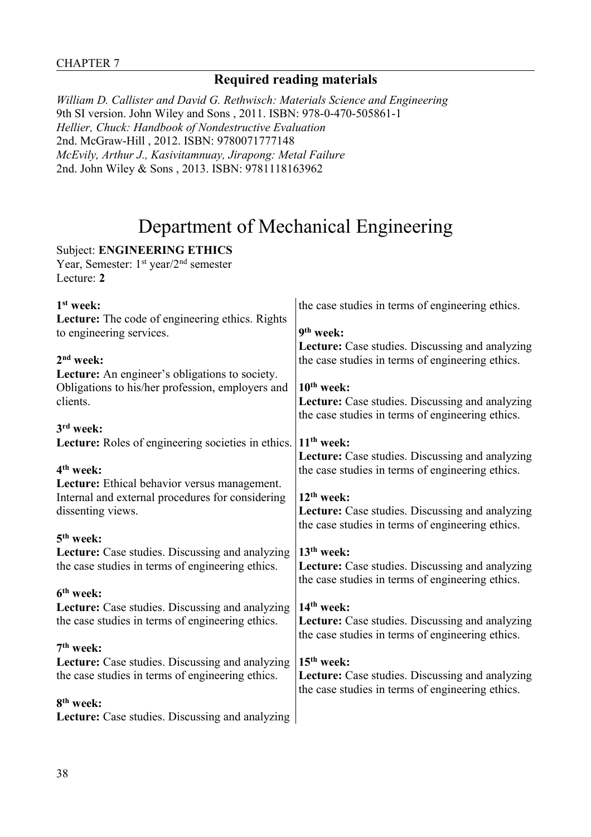## **Required reading materials**

*William D. Callister and David G. Rethwisch: Materials Science and Engineering* 9th SI version. John Wiley and Sons , 2011. ISBN: 978-0-470-505861-1 *Hellier, Chuck: Handbook of Nondestructive Evaluation* 2nd. McGraw-Hill , 2012. ISBN: 9780071777148 *McEvily, Arthur J., Kasivitamnuay, Jirapong: Metal Failure* 2nd. John Wiley & Sons , 2013. ISBN: 9781118163962

## Department of Mechanical Engineering

## Subject: **ENGINEERING ETHICS**

Year, Semester: 1<sup>st</sup> year/2<sup>nd</sup> semester Lecture: **2**

| $1st$ week:                                           | the case studies in terms of engineering ethics.       |
|-------------------------------------------------------|--------------------------------------------------------|
| Lecture: The code of engineering ethics. Rights       |                                                        |
| to engineering services.                              | 9 <sup>th</sup> week:                                  |
|                                                       | Lecture: Case studies. Discussing and analyzing        |
| $2nd$ week:                                           | the case studies in terms of engineering ethics.       |
| <b>Lecture:</b> An engineer's obligations to society. |                                                        |
| Obligations to his/her profession, employers and      | $10th$ week:                                           |
| clients.                                              | Lecture: Case studies. Discussing and analyzing        |
|                                                       | the case studies in terms of engineering ethics.       |
| $3rd$ week:                                           |                                                        |
| Lecture: Roles of engineering societies in ethics.    | $11th$ week:                                           |
|                                                       | Lecture: Case studies. Discussing and analyzing        |
| 4 <sup>th</sup> week:                                 | the case studies in terms of engineering ethics.       |
| Lecture: Ethical behavior versus management.          |                                                        |
| Internal and external procedures for considering      | $12th$ week:                                           |
| dissenting views.                                     | <b>Lecture:</b> Case studies. Discussing and analyzing |
|                                                       | the case studies in terms of engineering ethics.       |
| 5 <sup>th</sup> week:                                 |                                                        |
| Lecture: Case studies. Discussing and analyzing       | $13th$ week:                                           |
| the case studies in terms of engineering ethics.      | <b>Lecture:</b> Case studies. Discussing and analyzing |
|                                                       | the case studies in terms of engineering ethics.       |
| 6 <sup>th</sup> week:                                 |                                                        |
| Lecture: Case studies. Discussing and analyzing       | $14th$ week:                                           |
| the case studies in terms of engineering ethics.      | Lecture: Case studies. Discussing and analyzing        |
|                                                       | the case studies in terms of engineering ethics.       |
| $7th$ week:                                           |                                                        |
| Lecture: Case studies. Discussing and analyzing       | $15th$ week:                                           |
| the case studies in terms of engineering ethics.      | Lecture: Case studies. Discussing and analyzing        |
|                                                       | the case studies in terms of engineering ethics.       |
| 8 <sup>th</sup> week:                                 |                                                        |
| Lecture: Case studies. Discussing and analyzing       |                                                        |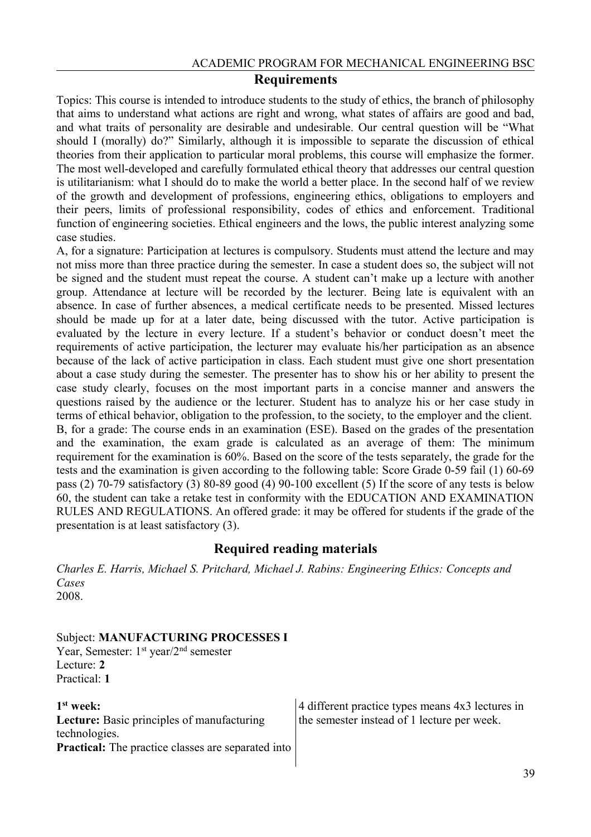Topics: This course is intended to introduce students to the study of ethics, the branch of philosophy that aims to understand what actions are right and wrong, what states of affairs are good and bad, and what traits of personality are desirable and undesirable. Our central question will be "What should I (morally) do?" Similarly, although it is impossible to separate the discussion of ethical theories from their application to particular moral problems, this course will emphasize the former. The most well-developed and carefully formulated ethical theory that addresses our central question is utilitarianism: what I should do to make the world a better place. In the second half of we review of the growth and development of professions, engineering ethics, obligations to employers and their peers, limits of professional responsibility, codes of ethics and enforcement. Traditional function of engineering societies. Ethical engineers and the lows, the public interest analyzing some case studies.

A, for a signature: Participation at lectures is compulsory. Students must attend the lecture and may not miss more than three practice during the semester. In case a student does so, the subject will not be signed and the student must repeat the course. A student can't make up a lecture with another group. Attendance at lecture will be recorded by the lecturer. Being late is equivalent with an absence. In case of further absences, a medical certificate needs to be presented. Missed lectures should be made up for at a later date, being discussed with the tutor. Active participation is evaluated by the lecture in every lecture. If a student's behavior or conduct doesn't meet the requirements of active participation, the lecturer may evaluate his/her participation as an absence because of the lack of active participation in class. Each student must give one short presentation about a case study during the semester. The presenter has to show his or her ability to present the case study clearly, focuses on the most important parts in a concise manner and answers the questions raised by the audience or the lecturer. Student has to analyze his or her case study in terms of ethical behavior, obligation to the profession, to the society, to the employer and the client. B, for a grade: The course ends in an examination (ESE). Based on the grades of the presentation and the examination, the exam grade is calculated as an average of them: The minimum requirement for the examination is 60%. Based on the score of the tests separately, the grade for the tests and the examination is given according to the following table: Score Grade 0-59 fail (1) 60-69 pass (2) 70-79 satisfactory (3) 80-89 good (4) 90-100 excellent (5) If the score of any tests is below 60, the student can take a retake test in conformity with the EDUCATION AND EXAMINATION RULES AND REGULATIONS. An offered grade: it may be offered for students if the grade of the presentation is at least satisfactory (3).

#### **Required reading materials**

*Charles E. Harris, Michael S. Pritchard, Michael J. Rabins: Engineering Ethics: Concepts and Cases* 2008.

Subject: **MANUFACTURING PROCESSES I** Year, Semester: 1<sup>st</sup> year/2<sup>nd</sup> semester Lecture: **2** Practical: **1**

| $1st$ week:                                               | 4 different practice types means 4x3 lectures in |
|-----------------------------------------------------------|--------------------------------------------------|
| <b>Lecture:</b> Basic principles of manufacturing         | the semester instead of 1 lecture per week.      |
| technologies.                                             |                                                  |
| <b>Practical:</b> The practice classes are separated into |                                                  |
|                                                           |                                                  |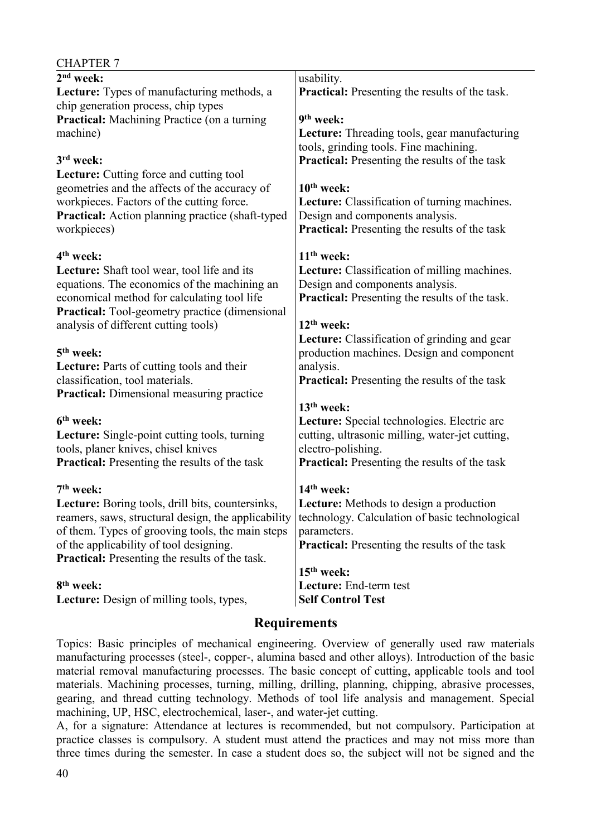| CHAPIER /                                                                                               |                                                                                                |
|---------------------------------------------------------------------------------------------------------|------------------------------------------------------------------------------------------------|
| $2nd$ week:                                                                                             | usability.                                                                                     |
| Lecture: Types of manufacturing methods, a                                                              | <b>Practical:</b> Presenting the results of the task.                                          |
| chip generation process, chip types                                                                     |                                                                                                |
| <b>Practical:</b> Machining Practice (on a turning                                                      | 9 <sup>th</sup> week:                                                                          |
| machine)                                                                                                | Lecture: Threading tools, gear manufacturing                                                   |
| 3 <sup>rd</sup> week:                                                                                   | tools, grinding tools. Fine machining.<br><b>Practical:</b> Presenting the results of the task |
| Lecture: Cutting force and cutting tool                                                                 |                                                                                                |
| geometries and the affects of the accuracy of                                                           | 10 <sup>th</sup> week:                                                                         |
| workpieces. Factors of the cutting force.                                                               | <b>Lecture:</b> Classification of turning machines.                                            |
| <b>Practical:</b> Action planning practice (shaft-typed                                                 | Design and components analysis.                                                                |
| workpieces)                                                                                             | <b>Practical:</b> Presenting the results of the task                                           |
|                                                                                                         |                                                                                                |
| 4 <sup>th</sup> week:                                                                                   | $11th$ week:                                                                                   |
| Lecture: Shaft tool wear, tool life and its                                                             | Lecture: Classification of milling machines.                                                   |
| equations. The economics of the machining an                                                            | Design and components analysis.                                                                |
| economical method for calculating tool life                                                             | Practical: Presenting the results of the task.                                                 |
| <b>Practical:</b> Tool-geometry practice (dimensional                                                   |                                                                                                |
| analysis of different cutting tools)                                                                    | 12 <sup>th</sup> week:                                                                         |
| $5th$ week:                                                                                             | Lecture: Classification of grinding and gear<br>production machines. Design and component      |
| Lecture: Parts of cutting tools and their                                                               | analysis.                                                                                      |
| classification, tool materials.                                                                         | Practical: Presenting the results of the task                                                  |
| <b>Practical:</b> Dimensional measuring practice                                                        |                                                                                                |
|                                                                                                         | 13 <sup>th</sup> week:                                                                         |
| 6 <sup>th</sup> week:                                                                                   | Lecture: Special technologies. Electric arc                                                    |
| Lecture: Single-point cutting tools, turning                                                            | cutting, ultrasonic milling, water-jet cutting,                                                |
| tools, planer knives, chisel knives                                                                     | electro-polishing.                                                                             |
| <b>Practical:</b> Presenting the results of the task                                                    | <b>Practical:</b> Presenting the results of the task                                           |
|                                                                                                         |                                                                                                |
| 7 <sup>th</sup> week:                                                                                   | 14 <sup>th</sup> week:                                                                         |
| Lecture: Boring tools, drill bits, countersinks,                                                        | Lecture: Methods to design a production                                                        |
| reamers, saws, structural design, the applicability<br>of them. Types of grooving tools, the main steps | technology. Calculation of basic technological<br>parameters.                                  |
| of the applicability of tool designing.                                                                 | <b>Practical:</b> Presenting the results of the task                                           |
| <b>Practical:</b> Presenting the results of the task.                                                   |                                                                                                |
|                                                                                                         | $15th$ week:                                                                                   |
| 8 <sup>th</sup> week:                                                                                   | Lecture: End-term test                                                                         |
| Lecture: Design of milling tools, types,                                                                | <b>Self Control Test</b>                                                                       |
|                                                                                                         |                                                                                                |

Topics: Basic principles of mechanical engineering. Overview of generally used raw materials manufacturing processes (steel-, copper-, alumina based and other alloys). Introduction of the basic material removal manufacturing processes. The basic concept of cutting, applicable tools and tool materials. Machining processes, turning, milling, drilling, planning, chipping, abrasive processes, gearing, and thread cutting technology. Methods of tool life analysis and management. Special machining, UP, HSC, electrochemical, laser-, and water-jet cutting.

A, for a signature: Attendance at lectures is recommended, but not compulsory. Participation at practice classes is compulsory. A student must attend the practices and may not miss more than three times during the semester. In case a student does so, the subject will not be signed and the

 $CII$ ADTED 7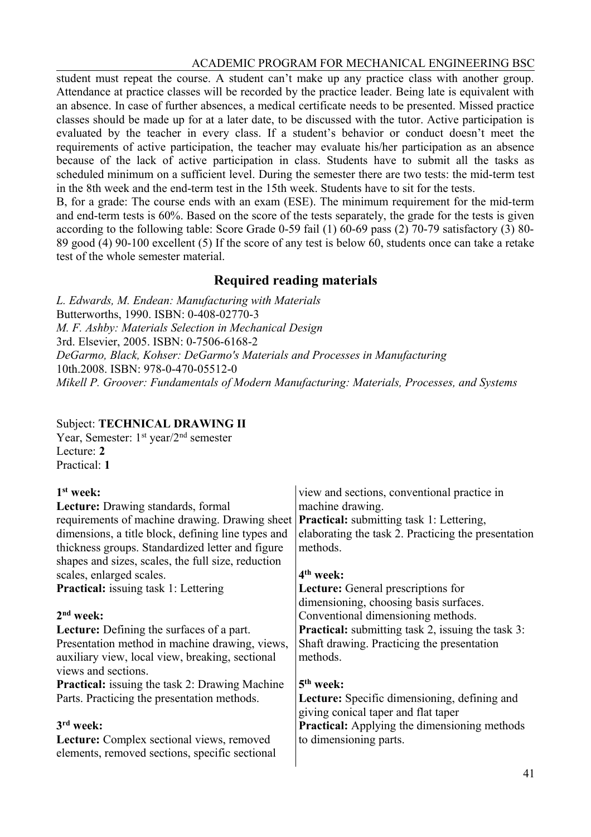student must repeat the course. A student can't make up any practice class with another group. Attendance at practice classes will be recorded by the practice leader. Being late is equivalent with an absence. In case of further absences, a medical certificate needs to be presented. Missed practice classes should be made up for at a later date, to be discussed with the tutor. Active participation is evaluated by the teacher in every class. If a student's behavior or conduct doesn't meet the requirements of active participation, the teacher may evaluate his/her participation as an absence because of the lack of active participation in class. Students have to submit all the tasks as scheduled minimum on a sufficient level. During the semester there are two tests: the mid-term test in the 8th week and the end-term test in the 15th week. Students have to sit for the tests.

B, for a grade: The course ends with an exam (ESE). The minimum requirement for the mid-term and end-term tests is 60%. Based on the score of the tests separately, the grade for the tests is given according to the following table: Score Grade 0-59 fail (1) 60-69 pass (2) 70-79 satisfactory (3) 80- 89 good (4) 90-100 excellent (5) If the score of any test is below 60, students once can take a retake test of the whole semester material.

#### **Required reading materials**

*L. Edwards, M. Endean: Manufacturing with Materials* Butterworths, 1990. ISBN: 0-408-02770-3 *M. F. Ashby: Materials Selection in Mechanical Design* 3rd. Elsevier, 2005. ISBN: 0-7506-6168-2 *DeGarmo, Black, Kohser: DeGarmo's Materials and Processes in Manufacturing* 10th.2008. ISBN: 978-0-470-05512-0 *Mikell P. Groover: Fundamentals of Modern Manufacturing: Materials, Processes, and Systems*

#### Subject: **TECHNICAL DRAWING II**

Year, Semester: 1<sup>st</sup> year/2<sup>nd</sup> semester Lecture: **2** Practical: **1**

#### **1 st week:**

| $1st$ week:                                           | view and sections, conventional practice in              |
|-------------------------------------------------------|----------------------------------------------------------|
| Lecture: Drawing standards, formal                    | machine drawing.                                         |
| requirements of machine drawing. Drawing sheet        | <b>Practical:</b> submitting task 1: Lettering,          |
| dimensions, a title block, defining line types and    | elaborating the task 2. Practicing the presentation      |
| thickness groups. Standardized letter and figure      | methods.                                                 |
| shapes and sizes, scales, the full size, reduction    |                                                          |
| scales, enlarged scales.                              | 4 <sup>th</sup> week:                                    |
| <b>Practical:</b> issuing task 1: Lettering           | <b>Lecture:</b> General prescriptions for                |
|                                                       | dimensioning, choosing basis surfaces.                   |
| $2nd$ week:                                           | Conventional dimensioning methods.                       |
| <b>Lecture:</b> Defining the surfaces of a part.      | <b>Practical:</b> submitting task 2, issuing the task 3: |
| Presentation method in machine drawing, views,        | Shaft drawing. Practicing the presentation               |
| auxiliary view, local view, breaking, sectional       | methods.                                                 |
| views and sections.                                   |                                                          |
| <b>Practical:</b> issuing the task 2: Drawing Machine | $5th$ week:                                              |
| Parts. Practicing the presentation methods.           | <b>Lecture:</b> Specific dimensioning, defining and      |
|                                                       | giving conical taper and flat taper                      |
| $3rd$ week:                                           | <b>Practical:</b> Applying the dimensioning methods      |
| <b>Lecture:</b> Complex sectional views, removed      | to dimensioning parts.                                   |
| elements, removed sections, specific sectional        |                                                          |
|                                                       |                                                          |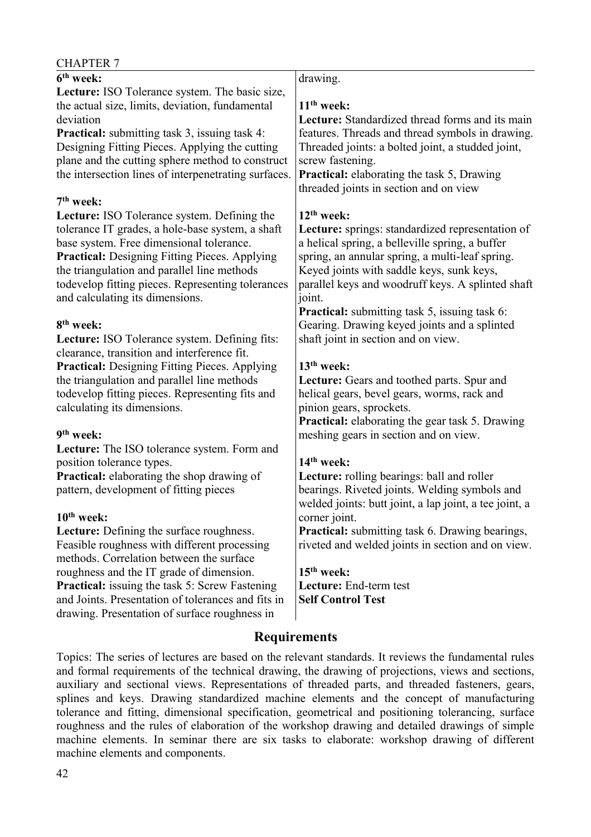| 6 <sup>th</sup> week:                                                                                       | drawing.                                               |
|-------------------------------------------------------------------------------------------------------------|--------------------------------------------------------|
| Lecture: ISO Tolerance system. The basic size,                                                              |                                                        |
| the actual size, limits, deviation, fundamental                                                             | $11th$ week:                                           |
| deviation                                                                                                   | <b>Lecture:</b> Standardized thread forms and its main |
| <b>Practical:</b> submitting task 3, issuing task 4:                                                        | features. Threads and thread symbols in drawing.       |
| Designing Fitting Pieces. Applying the cutting                                                              | Threaded joints: a bolted joint, a studded joint,      |
| plane and the cutting sphere method to construct                                                            | screw fastening.                                       |
| the intersection lines of interpenetrating surfaces.                                                        | Practical: elaborating the task 5, Drawing             |
|                                                                                                             | threaded joints in section and on view                 |
| $7th$ week:                                                                                                 |                                                        |
| Lecture: ISO Tolerance system. Defining the                                                                 | $12th$ week:                                           |
| tolerance IT grades, a hole-base system, a shaft                                                            | Lecture: springs: standardized representation of       |
| base system. Free dimensional tolerance.                                                                    | a helical spring, a belleville spring, a buffer        |
| <b>Practical:</b> Designing Fitting Pieces. Applying                                                        | spring, an annular spring, a multi-leaf spring.        |
| the triangulation and parallel line methods                                                                 | Keyed joints with saddle keys, sunk keys,              |
| todevelop fitting pieces. Representing tolerances                                                           | parallel keys and woodruff keys. A splinted shaft      |
| and calculating its dimensions.                                                                             | joint.                                                 |
|                                                                                                             | <b>Practical:</b> submitting task 5, issuing task 6:   |
| 8 <sup>th</sup> week:                                                                                       | Gearing. Drawing keyed joints and a splinted           |
| <b>Lecture:</b> ISO Tolerance system. Defining fits:                                                        | shaft joint in section and on view.                    |
| clearance, transition and interference fit.                                                                 |                                                        |
| <b>Practical:</b> Designing Fitting Pieces. Applying                                                        | $13th$ week:                                           |
| the triangulation and parallel line methods                                                                 | Lecture: Gears and toothed parts. Spur and             |
| todevelop fitting pieces. Representing fits and                                                             | helical gears, bevel gears, worms, rack and            |
| calculating its dimensions.                                                                                 | pinion gears, sprockets.                               |
|                                                                                                             | Practical: elaborating the gear task 5. Drawing        |
| 9 <sup>th</sup> week:                                                                                       | meshing gears in section and on view.                  |
| Lecture: The ISO tolerance system. Form and                                                                 |                                                        |
| position tolerance types.                                                                                   | $14th$ week:                                           |
| <b>Practical:</b> elaborating the shop drawing of                                                           | Lecture: rolling bearings: ball and roller             |
| pattern, development of fitting pieces                                                                      | bearings. Riveted joints. Welding symbols and          |
|                                                                                                             | welded joints: butt joint, a lap joint, a tee joint, a |
| $10th$ week:                                                                                                | corner joint.                                          |
| Lecture: Defining the surface roughness.                                                                    | <b>Practical:</b> submitting task 6. Drawing bearings, |
| Feasible roughness with different processing<br>methods. Correlation between the surface                    | riveted and welded joints in section and on view.      |
|                                                                                                             | $15th$ week:                                           |
| roughness and the IT grade of dimension.                                                                    | Lecture: End-term test                                 |
| <b>Practical:</b> issuing the task 5: Screw Fastening<br>and Joints. Presentation of tolerances and fits in | <b>Self Control Test</b>                               |
|                                                                                                             |                                                        |
| drawing. Presentation of surface roughness in                                                               |                                                        |

#### **Requirements**

Topics: The series of lectures are based on the relevant standards. It reviews the fundamental rules and formal requirements of the technical drawing, the drawing of projections, views and sections, auxiliary and sectional views. Representations of threaded parts, and threaded fasteners, gears, splines and keys. Drawing standardized machine elements and the concept of manufacturing tolerance and fitting, dimensional specification, geometrical and positioning tolerancing, surface roughness and the rules of elaboration of the workshop drawing and detailed drawings of simple machine elements. In seminar there are six tasks to elaborate: workshop drawing of different machine elements and components.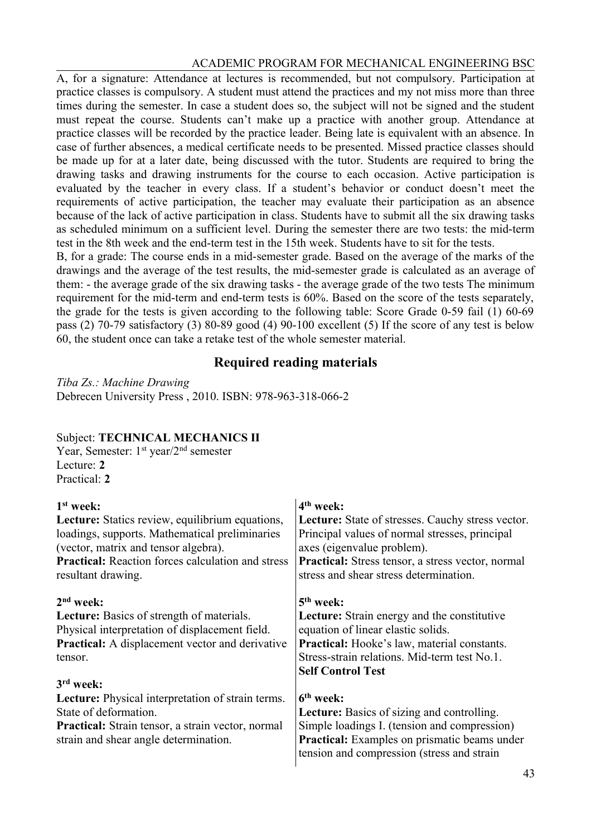A, for a signature: Attendance at lectures is recommended, but not compulsory. Participation at practice classes is compulsory. A student must attend the practices and my not miss more than three times during the semester. In case a student does so, the subject will not be signed and the student must repeat the course. Students can't make up a practice with another group. Attendance at practice classes will be recorded by the practice leader. Being late is equivalent with an absence. In case of further absences, a medical certificate needs to be presented. Missed practice classes should be made up for at a later date, being discussed with the tutor. Students are required to bring the drawing tasks and drawing instruments for the course to each occasion. Active participation is evaluated by the teacher in every class. If a student's behavior or conduct doesn't meet the requirements of active participation, the teacher may evaluate their participation as an absence because of the lack of active participation in class. Students have to submit all the six drawing tasks as scheduled minimum on a sufficient level. During the semester there are two tests: the mid-term test in the 8th week and the end-term test in the 15th week. Students have to sit for the tests. B, for a grade: The course ends in a mid-semester grade. Based on the average of the marks of the

drawings and the average of the test results, the mid-semester grade is calculated as an average of them: - the average grade of the six drawing tasks - the average grade of the two tests The minimum requirement for the mid-term and end-term tests is 60%. Based on the score of the tests separately, the grade for the tests is given according to the following table: Score Grade 0-59 fail (1) 60-69 pass (2) 70-79 satisfactory (3) 80-89 good (4) 90-100 excellent (5) If the score of any test is below 60, the student once can take a retake test of the whole semester material.

## **Required reading materials**

*Tiba Zs.: Machine Drawing* Debrecen University Press , 2010. ISBN: 978-963-318-066-2

#### Subject: **TECHNICAL MECHANICS II**

Year, Semester: 1<sup>st</sup> year/2<sup>nd</sup> semester Lecture: **2** Practical: **2**

#### **1 st week:**

## **4 th week:**

| ⊥ <sup>∞</sup> weeк:                                     | 4 <sup>"</sup> week:                                     |
|----------------------------------------------------------|----------------------------------------------------------|
| Lecture: Statics review, equilibrium equations,          | Lecture: State of stresses. Cauchy stress vector.        |
| loadings, supports. Mathematical preliminaries           | Principal values of normal stresses, principal           |
| (vector, matrix and tensor algebra).                     | axes (eigenvalue problem).                               |
| <b>Practical:</b> Reaction forces calculation and stress | <b>Practical:</b> Stress tensor, a stress vector, normal |
| resultant drawing.                                       | stress and shear stress determination.                   |
| $2nd$ week:                                              | $5th$ week:                                              |
| <b>Lecture:</b> Basics of strength of materials.         | Lecture: Strain energy and the constitutive              |
| Physical interpretation of displacement field.           | equation of linear elastic solids.                       |
| <b>Practical:</b> A displacement vector and derivative   | Practical: Hooke's law, material constants.              |
| tensor.                                                  | Stress-strain relations. Mid-term test No.1.             |
|                                                          | <b>Self Control Test</b>                                 |
| 3 <sup>rd</sup> week:                                    |                                                          |
| Lecture: Physical interpretation of strain terms.        | 6 <sup>th</sup> week:                                    |
| State of deformation.                                    | <b>Lecture:</b> Basics of sizing and controlling.        |
| Practical: Strain tensor, a strain vector, normal        | Simple loadings I. (tension and compression)             |
| strain and shear angle determination.                    | <b>Practical:</b> Examples on prismatic beams under      |
|                                                          | tension and compression (stress and strain               |
|                                                          |                                                          |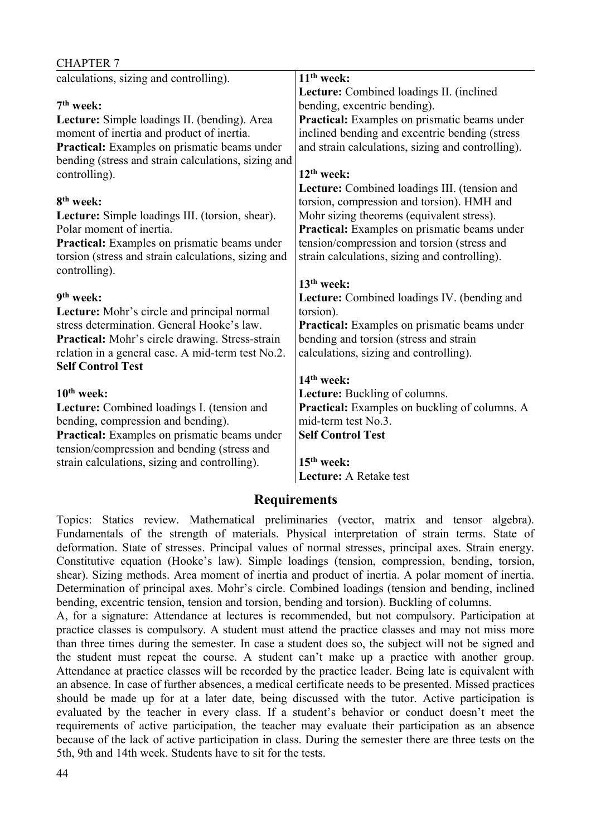| $11th$ week:                                         |
|------------------------------------------------------|
| <b>Lecture:</b> Combined loadings II. (inclined      |
| bending, excentric bending).                         |
| <b>Practical:</b> Examples on prismatic beams under  |
| inclined bending and excentric bending (stress       |
| and strain calculations, sizing and controlling).    |
|                                                      |
| $12th$ week:                                         |
| Lecture: Combined loadings III. (tension and         |
| torsion, compression and torsion). HMH and           |
| Mohr sizing theorems (equivalent stress).            |
| Practical: Examples on prismatic beams under         |
| tension/compression and torsion (stress and          |
| strain calculations, sizing and controlling).        |
| $13th$ week:                                         |
| Lecture: Combined loadings IV. (bending and          |
| torsion).                                            |
| Practical: Examples on prismatic beams under         |
| bending and torsion (stress and strain               |
| calculations, sizing and controlling).               |
|                                                      |
| $14th$ week:                                         |
| Lecture: Buckling of columns.                        |
| <b>Practical:</b> Examples on buckling of columns. A |
| mid-term test No.3.                                  |
| <b>Self Control Test</b>                             |
|                                                      |
| 15 <sup>th</sup> week:                               |
| Lecture: A Retake test                               |
|                                                      |

Topics: Statics review. Mathematical preliminaries (vector, matrix and tensor algebra). Fundamentals of the strength of materials. Physical interpretation of strain terms. State of deformation. State of stresses. Principal values of normal stresses, principal axes. Strain energy. Constitutive equation (Hooke's law). Simple loadings (tension, compression, bending, torsion, shear). Sizing methods. Area moment of inertia and product of inertia. A polar moment of inertia. Determination of principal axes. Mohr's circle. Combined loadings (tension and bending, inclined bending, excentric tension, tension and torsion, bending and torsion). Buckling of columns.

A, for a signature: Attendance at lectures is recommended, but not compulsory. Participation at practice classes is compulsory. A student must attend the practice classes and may not miss more than three times during the semester. In case a student does so, the subject will not be signed and the student must repeat the course. A student can't make up a practice with another group. Attendance at practice classes will be recorded by the practice leader. Being late is equivalent with an absence. In case of further absences, a medical certificate needs to be presented. Missed practices should be made up for at a later date, being discussed with the tutor. Active participation is evaluated by the teacher in every class. If a student's behavior or conduct doesn't meet the requirements of active participation, the teacher may evaluate their participation as an absence because of the lack of active participation in class. During the semester there are three tests on the 5th, 9th and 14th week. Students have to sit for the tests.

 $CII$ ADTED 7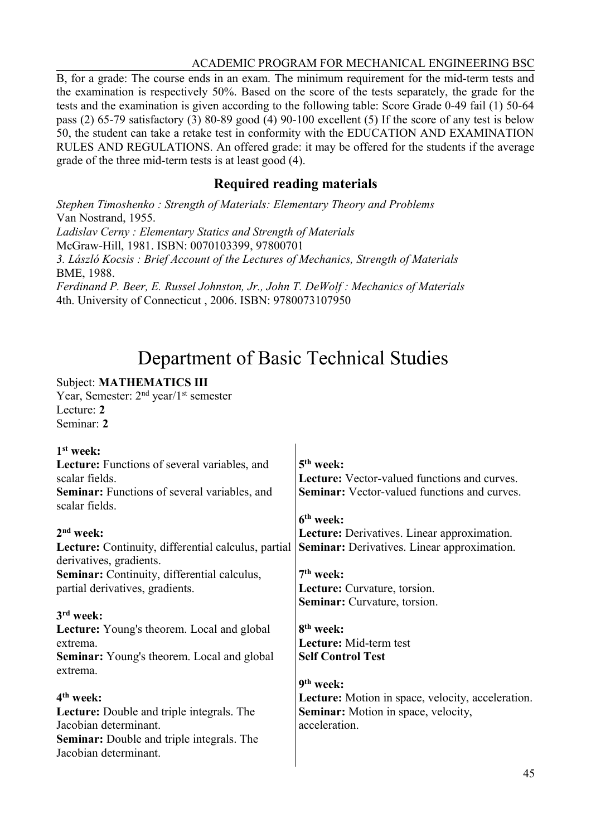B, for a grade: The course ends in an exam. The minimum requirement for the mid-term tests and the examination is respectively 50%. Based on the score of the tests separately, the grade for the tests and the examination is given according to the following table: Score Grade 0-49 fail (1) 50-64 pass (2) 65-79 satisfactory (3) 80-89 good (4) 90-100 excellent (5) If the score of any test is below 50, the student can take a retake test in conformity with the EDUCATION AND EXAMINATION RULES AND REGULATIONS. An offered grade: it may be offered for the students if the average grade of the three mid-term tests is at least good (4).

## **Required reading materials**

*Stephen Timoshenko : Strength of Materials: Elementary Theory and Problems* Van Nostrand, 1955. *Ladislav Cerny : Elementary Statics and Strength of Materials* McGraw-Hill, 1981. ISBN: 0070103399, 97800701 *3. László Kocsis : Brief Account of the Lectures of Mechanics, Strength of Materials* BME, 1988. *Ferdinand P. Beer, E. Russel Johnston, Jr., John T. DeWolf : Mechanics of Materials* 4th. University of Connecticut , 2006. ISBN: 9780073107950

## Department of Basic Technical Studies

#### Subject: **MATHEMATICS III**

Year, Semester: 2<sup>nd</sup> year/1<sup>st</sup> semester Lecture: **2** Seminar: **2**

| $1st$ week:<br><b>Lecture:</b> Functions of several variables, and<br>scalar fields.<br><b>Seminar:</b> Functions of several variables, and<br>scalar fields.<br>$2nd$ week:<br><b>Lecture:</b> Continuity, differential calculus, partial<br>derivatives, gradients.<br><b>Seminar:</b> Continuity, differential calculus,<br>partial derivatives, gradients.<br>3 <sup>rd</sup> week:<br><b>Lecture:</b> Young's theorem. Local and global<br>extrema.<br><b>Seminar:</b> Young's theorem. Local and global<br>extrema. | $5th$ week:<br><b>Lecture:</b> Vector-valued functions and curves.<br><b>Seminar:</b> Vector-valued functions and curves.<br>6 <sup>th</sup> week:<br>Lecture: Derivatives. Linear approximation.<br><b>Seminar:</b> Derivatives. Linear approximation.<br>$7th$ week:<br>Lecture: Curvature, torsion.<br><b>Seminar:</b> Curvature, torsion.<br>8 <sup>th</sup> week:<br>Lecture: Mid-term test<br><b>Self Control Test</b><br>9 <sup>th</sup> week: |
|---------------------------------------------------------------------------------------------------------------------------------------------------------------------------------------------------------------------------------------------------------------------------------------------------------------------------------------------------------------------------------------------------------------------------------------------------------------------------------------------------------------------------|-------------------------------------------------------------------------------------------------------------------------------------------------------------------------------------------------------------------------------------------------------------------------------------------------------------------------------------------------------------------------------------------------------------------------------------------------------|
| 4 <sup>th</sup> week:<br><b>Lecture:</b> Double and triple integrals. The<br>Jacobian determinant.<br><b>Seminar:</b> Double and triple integrals. The<br>Jacobian determinant.                                                                                                                                                                                                                                                                                                                                           | Lecture: Motion in space, velocity, acceleration.<br><b>Seminar:</b> Motion in space, velocity,<br>acceleration.                                                                                                                                                                                                                                                                                                                                      |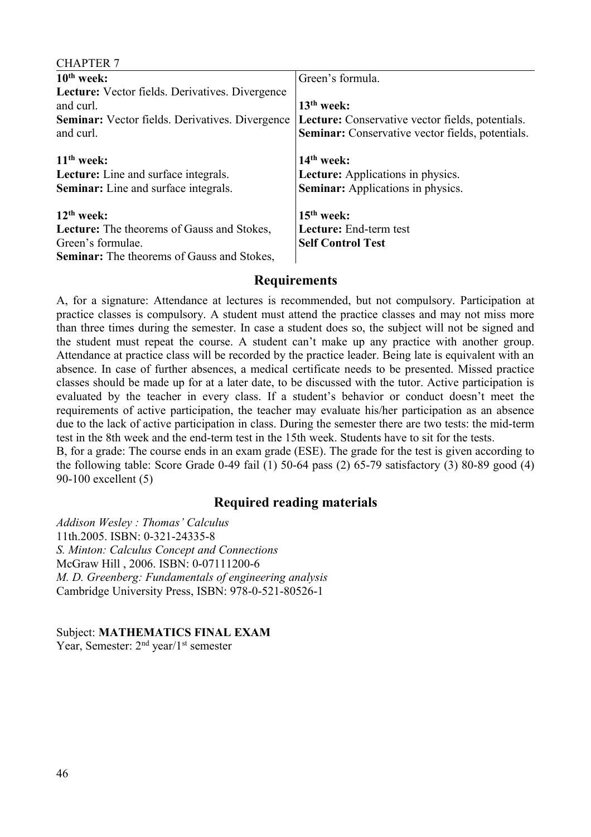| CHAF LEIV                                                                                                                                   |                                                                                                                                    |
|---------------------------------------------------------------------------------------------------------------------------------------------|------------------------------------------------------------------------------------------------------------------------------------|
| $10th$ week:                                                                                                                                | Green's formula.                                                                                                                   |
| <b>Lecture:</b> Vector fields. Derivatives. Divergence<br>and curl.<br><b>Seminar:</b> Vector fields. Derivatives. Divergence<br>and curl.  | $13th$ week:<br><b>Lecture:</b> Conservative vector fields, potentials.<br><b>Seminar:</b> Conservative vector fields, potentials. |
| $11th$ week:<br><b>Lecture:</b> Line and surface integrals.<br><b>Seminar:</b> Line and surface integrals.                                  | $14th$ week:<br>Lecture: Applications in physics.<br><b>Seminar:</b> Applications in physics.                                      |
| $12th$ week:<br><b>Lecture:</b> The theorems of Gauss and Stokes,<br>Green's formulae.<br><b>Seminar:</b> The theorems of Gauss and Stokes, | $15th$ week:<br>Lecture: End-term test<br><b>Self Control Test</b>                                                                 |

A, for a signature: Attendance at lectures is recommended, but not compulsory. Participation at practice classes is compulsory. A student must attend the practice classes and may not miss more than three times during the semester. In case a student does so, the subject will not be signed and the student must repeat the course. A student can't make up any practice with another group. Attendance at practice class will be recorded by the practice leader. Being late is equivalent with an absence. In case of further absences, a medical certificate needs to be presented. Missed practice classes should be made up for at a later date, to be discussed with the tutor. Active participation is evaluated by the teacher in every class. If a student's behavior or conduct doesn't meet the requirements of active participation, the teacher may evaluate his/her participation as an absence due to the lack of active participation in class. During the semester there are two tests: the mid-term test in the 8th week and the end-term test in the 15th week. Students have to sit for the tests. B, for a grade: The course ends in an exam grade (ESE). The grade for the test is given according to the following table: Score Grade 0-49 fail (1) 50-64 pass (2) 65-79 satisfactory (3) 80-89 good (4) 90-100 excellent (5)

#### **Required reading materials**

*Addison Wesley : Thomas' Calculus* 11th.2005. ISBN: 0-321-24335-8 *S. Minton: Calculus Concept and Connections* McGraw Hill , 2006. ISBN: 0-07111200-6 *M. D. Greenberg: Fundamentals of engineering analysis* Cambridge University Press, ISBN: 978-0-521-80526-1

Subject: **MATHEMATICS FINAL EXAM**

Year, Semester: 2<sup>nd</sup> year/1<sup>st</sup> semester

 $CII$ ADTED 7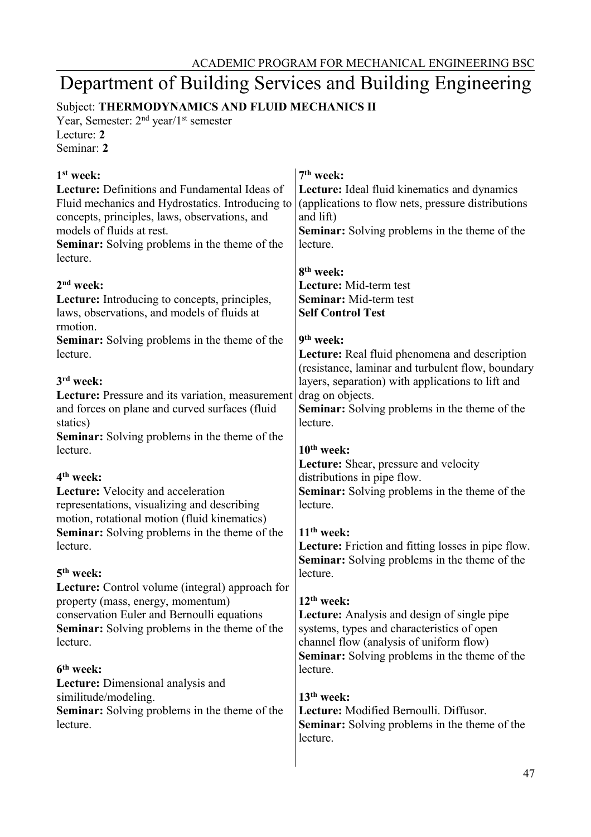## Department of Building Services and Building Engineering

Subject: **THERMODYNAMICS AND FLUID MECHANICS II**

Year, Semester: 2<sup>nd</sup> year/1<sup>st</sup> semester Lecture: **2** Seminar: **2**

| 1 <sup>st</sup> week:<br>Lecture: Definitions and Fundamental Ideas of<br>Fluid mechanics and Hydrostatics. Introducing to<br>concepts, principles, laws, observations, and<br>models of fluids at rest.<br><b>Seminar:</b> Solving problems in the theme of the<br>lecture. | 7 <sup>th</sup> week:<br>Lecture: Ideal fluid kinematics and dynamics<br>(applications to flow nets, pressure distributions)<br>and lift)<br><b>Seminar:</b> Solving problems in the theme of the<br>lecture. |
|------------------------------------------------------------------------------------------------------------------------------------------------------------------------------------------------------------------------------------------------------------------------------|---------------------------------------------------------------------------------------------------------------------------------------------------------------------------------------------------------------|
|                                                                                                                                                                                                                                                                              | 8 <sup>th</sup> week:                                                                                                                                                                                         |
| $2nd$ week:                                                                                                                                                                                                                                                                  | Lecture: Mid-term test                                                                                                                                                                                        |
| Lecture: Introducing to concepts, principles,<br>laws, observations, and models of fluids at<br>rmotion.                                                                                                                                                                     | <b>Seminar:</b> Mid-term test<br><b>Self Control Test</b>                                                                                                                                                     |
| <b>Seminar:</b> Solving problems in the theme of the                                                                                                                                                                                                                         | 9 <sup>th</sup> week:                                                                                                                                                                                         |
| lecture.                                                                                                                                                                                                                                                                     | Lecture: Real fluid phenomena and description                                                                                                                                                                 |
|                                                                                                                                                                                                                                                                              | (resistance, laminar and turbulent flow, boundary                                                                                                                                                             |
| 3rd week:                                                                                                                                                                                                                                                                    | layers, separation) with applications to lift and                                                                                                                                                             |
| Lecture: Pressure and its variation, measurement<br>and forces on plane and curved surfaces (fluid                                                                                                                                                                           | drag on objects.<br>Seminar: Solving problems in the theme of the                                                                                                                                             |
| statics)                                                                                                                                                                                                                                                                     | lecture.                                                                                                                                                                                                      |
| Seminar: Solving problems in the theme of the                                                                                                                                                                                                                                |                                                                                                                                                                                                               |
| lecture.                                                                                                                                                                                                                                                                     | $10th$ week:                                                                                                                                                                                                  |
|                                                                                                                                                                                                                                                                              | <b>Lecture:</b> Shear, pressure and velocity                                                                                                                                                                  |
| 4 <sup>th</sup> week:                                                                                                                                                                                                                                                        | distributions in pipe flow.                                                                                                                                                                                   |
| Lecture: Velocity and acceleration<br>representations, visualizing and describing                                                                                                                                                                                            | <b>Seminar:</b> Solving problems in the theme of the<br>lecture.                                                                                                                                              |
| motion, rotational motion (fluid kinematics)                                                                                                                                                                                                                                 |                                                                                                                                                                                                               |
| <b>Seminar:</b> Solving problems in the theme of the                                                                                                                                                                                                                         | $11th$ week:                                                                                                                                                                                                  |
| lecture.                                                                                                                                                                                                                                                                     | <b>Lecture:</b> Friction and fitting losses in pipe flow.                                                                                                                                                     |
|                                                                                                                                                                                                                                                                              | <b>Seminar:</b> Solving problems in the theme of the                                                                                                                                                          |
| $5th$ week:<br><b>Lecture:</b> Control volume (integral) approach for                                                                                                                                                                                                        | lecture.                                                                                                                                                                                                      |
| property (mass, energy, momentum)                                                                                                                                                                                                                                            | $12th$ week:                                                                                                                                                                                                  |
| conservation Euler and Bernoulli equations                                                                                                                                                                                                                                   | Lecture: Analysis and design of single pipe                                                                                                                                                                   |
| <b>Seminar:</b> Solving problems in the theme of the                                                                                                                                                                                                                         | systems, types and characteristics of open                                                                                                                                                                    |
| lecture.                                                                                                                                                                                                                                                                     | channel flow (analysis of uniform flow)                                                                                                                                                                       |
| 6 <sup>th</sup> week:                                                                                                                                                                                                                                                        | <b>Seminar:</b> Solving problems in the theme of the<br>lecture.                                                                                                                                              |
| Lecture: Dimensional analysis and                                                                                                                                                                                                                                            |                                                                                                                                                                                                               |
| similitude/modeling.                                                                                                                                                                                                                                                         | $13th$ week:                                                                                                                                                                                                  |
| <b>Seminar:</b> Solving problems in the theme of the                                                                                                                                                                                                                         | Lecture: Modified Bernoulli. Diffusor.                                                                                                                                                                        |
| lecture.                                                                                                                                                                                                                                                                     | <b>Seminar:</b> Solving problems in the theme of the                                                                                                                                                          |
|                                                                                                                                                                                                                                                                              | lecture.                                                                                                                                                                                                      |
|                                                                                                                                                                                                                                                                              |                                                                                                                                                                                                               |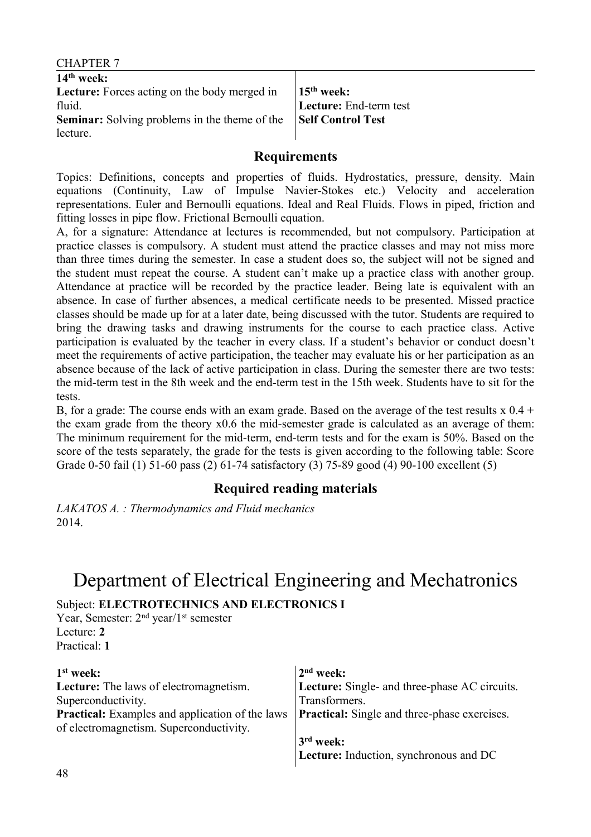| $14th$ week:                                         |                          |
|------------------------------------------------------|--------------------------|
| <b>Lecture:</b> Forces acting on the body merged in  | $15th$ week:             |
| fluid.                                               | Lecture: End-term test   |
| <b>Seminar:</b> Solving problems in the theme of the | <b>Self Control Test</b> |
| lecture.                                             |                          |

Topics: Definitions, concepts and properties of fluids. Hydrostatics, pressure, density. Main equations (Continuity, Law of Impulse Navier-Stokes etc.) Velocity and acceleration representations. Euler and Bernoulli equations. Ideal and Real Fluids. Flows in piped, friction and fitting losses in pipe flow. Frictional Bernoulli equation.

A, for a signature: Attendance at lectures is recommended, but not compulsory. Participation at practice classes is compulsory. A student must attend the practice classes and may not miss more than three times during the semester. In case a student does so, the subject will not be signed and the student must repeat the course. A student can't make up a practice class with another group. Attendance at practice will be recorded by the practice leader. Being late is equivalent with an absence. In case of further absences, a medical certificate needs to be presented. Missed practice classes should be made up for at a later date, being discussed with the tutor. Students are required to bring the drawing tasks and drawing instruments for the course to each practice class. Active participation is evaluated by the teacher in every class. If a student's behavior or conduct doesn't meet the requirements of active participation, the teacher may evaluate his or her participation as an absence because of the lack of active participation in class. During the semester there are two tests: the mid-term test in the 8th week and the end-term test in the 15th week. Students have to sit for the tests.

B, for a grade: The course ends with an exam grade. Based on the average of the test results  $x \cdot 0.4 +$ the exam grade from the theory x0.6 the mid-semester grade is calculated as an average of them: The minimum requirement for the mid-term, end-term tests and for the exam is 50%. Based on the score of the tests separately, the grade for the tests is given according to the following table: Score Grade 0-50 fail (1) 51-60 pass (2) 61-74 satisfactory (3) 75-89 good (4) 90-100 excellent (5)

## **Required reading materials**

*LAKATOS A. : Thermodynamics and Fluid mechanics* 2014.

# Department of Electrical Engineering and Mechatronics

## Subject: **ELECTROTECHNICS AND ELECTRONICS I**

Year, Semester: 2<sup>nd</sup> year/1<sup>st</sup> semester Lecture: **2** Practical: **1**

| $1st$ week:                                            | $2nd$ week:                                         |
|--------------------------------------------------------|-----------------------------------------------------|
| <b>Lecture:</b> The laws of electromagnetism.          | Lecture: Single- and three-phase AC circuits.       |
| Superconductivity.                                     | Transformers.                                       |
| <b>Practical:</b> Examples and application of the laws | <b>Practical:</b> Single and three-phase exercises. |
| of electromagnetism. Superconductivity.                |                                                     |
|                                                        | $3rd$ week:                                         |
|                                                        | Lecture: Induction, synchronous and DC              |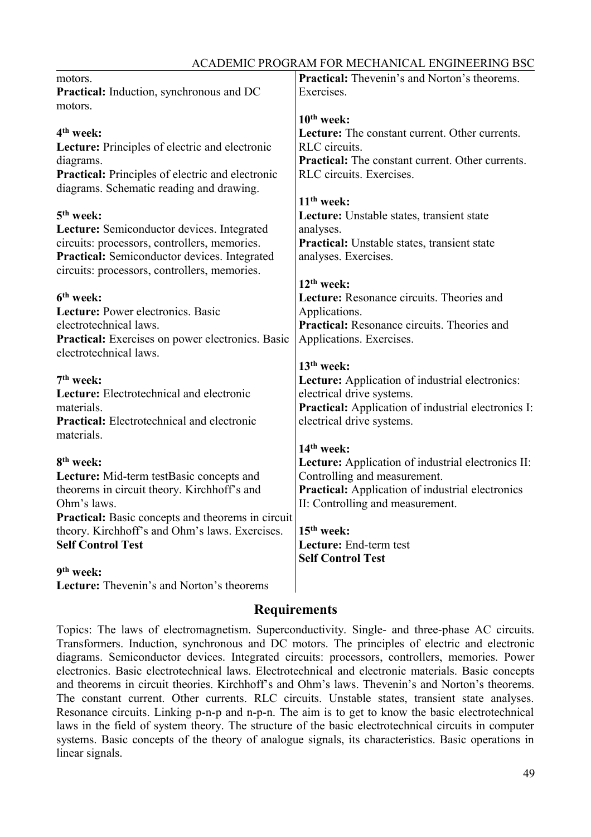| motors.                                                                           | <b>Practical:</b> Thevenin's and Norton's theorems.        |
|-----------------------------------------------------------------------------------|------------------------------------------------------------|
| <b>Practical:</b> Induction, synchronous and DC<br>motors.                        | Exercises.                                                 |
|                                                                                   | $10th$ week:                                               |
| 4 <sup>th</sup> week:                                                             | Lecture: The constant current. Other currents.             |
| <b>Lecture:</b> Principles of electric and electronic                             | RLC circuits.                                              |
| diagrams.                                                                         | <b>Practical:</b> The constant current. Other currents.    |
| <b>Practical:</b> Principles of electric and electronic                           | RLC circuits. Exercises.                                   |
| diagrams. Schematic reading and drawing.                                          |                                                            |
|                                                                                   | $11th$ week:                                               |
| 5 <sup>th</sup> week:                                                             | Lecture: Unstable states, transient state                  |
| Lecture: Semiconductor devices. Integrated                                        | analyses.                                                  |
| circuits: processors, controllers, memories.                                      | <b>Practical:</b> Unstable states, transient state         |
| Practical: Semiconductor devices. Integrated                                      | analyses. Exercises.                                       |
| circuits: processors, controllers, memories.                                      |                                                            |
|                                                                                   | $12th$ week:                                               |
| 6 <sup>th</sup> week:                                                             | Lecture: Resonance circuits. Theories and                  |
| Lecture: Power electronics. Basic                                                 | Applications.                                              |
| electrotechnical laws.                                                            | <b>Practical:</b> Resonance circuits. Theories and         |
| <b>Practical:</b> Exercises on power electronics. Basic<br>electrotechnical laws. | Applications. Exercises.                                   |
|                                                                                   | 13 <sup>th</sup> week:                                     |
| 7 <sup>th</sup> week:                                                             | <b>Lecture:</b> Application of industrial electronics:     |
| Lecture: Electrotechnical and electronic                                          | electrical drive systems.                                  |
| materials.                                                                        | <b>Practical:</b> Application of industrial electronics I: |
| <b>Practical:</b> Electrotechnical and electronic                                 | electrical drive systems.                                  |
| materials.                                                                        |                                                            |
|                                                                                   | $14th$ week:                                               |
| 8 <sup>th</sup> week:                                                             | Lecture: Application of industrial electronics II:         |
| Lecture: Mid-term testBasic concepts and                                          | Controlling and measurement.                               |
| theorems in circuit theory. Kirchhoff's and                                       | <b>Practical:</b> Application of industrial electronics    |
| Ohm's laws.                                                                       | II: Controlling and measurement.                           |
| Practical: Basic concepts and theorems in circuit                                 |                                                            |
| theory. Kirchhoff's and Ohm's laws. Exercises.                                    | 15 <sup>th</sup> week:                                     |
| <b>Self Control Test</b>                                                          | Lecture: End-term test                                     |
| 9 <sup>th</sup> week:                                                             | <b>Self Control Test</b>                                   |
|                                                                                   |                                                            |
| Lecture: Thevenin's and Norton's theorems                                         |                                                            |

Topics: The laws of electromagnetism. Superconductivity. Single- and three-phase AC circuits. Transformers. Induction, synchronous and DC motors. The principles of electric and electronic diagrams. Semiconductor devices. Integrated circuits: processors, controllers, memories. Power electronics. Basic electrotechnical laws. Electrotechnical and electronic materials. Basic concepts and theorems in circuit theories. Kirchhoff's and Ohm's laws. Thevenin's and Norton's theorems. The constant current. Other currents. RLC circuits. Unstable states, transient state analyses. Resonance circuits. Linking p-n-p and n-p-n. The aim is to get to know the basic electrotechnical laws in the field of system theory. The structure of the basic electrotechnical circuits in computer systems. Basic concepts of the theory of analogue signals, its characteristics. Basic operations in linear signals.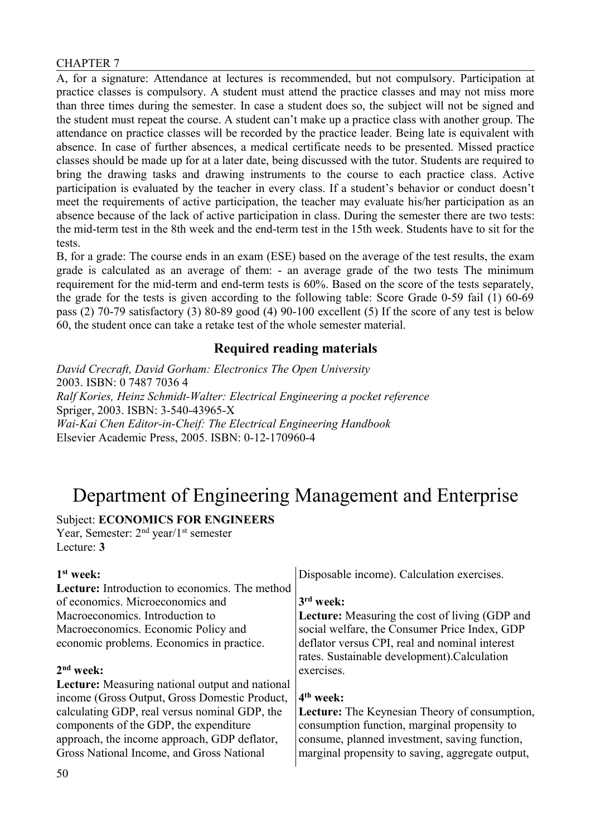A, for a signature: Attendance at lectures is recommended, but not compulsory. Participation at practice classes is compulsory. A student must attend the practice classes and may not miss more than three times during the semester. In case a student does so, the subject will not be signed and the student must repeat the course. A student can't make up a practice class with another group. The attendance on practice classes will be recorded by the practice leader. Being late is equivalent with absence. In case of further absences, a medical certificate needs to be presented. Missed practice classes should be made up for at a later date, being discussed with the tutor. Students are required to bring the drawing tasks and drawing instruments to the course to each practice class. Active participation is evaluated by the teacher in every class. If a student's behavior or conduct doesn't meet the requirements of active participation, the teacher may evaluate his/her participation as an absence because of the lack of active participation in class. During the semester there are two tests: the mid-term test in the 8th week and the end-term test in the 15th week. Students have to sit for the tests.

B, for a grade: The course ends in an exam (ESE) based on the average of the test results, the exam grade is calculated as an average of them: - an average grade of the two tests The minimum requirement for the mid-term and end-term tests is 60%. Based on the score of the tests separately, the grade for the tests is given according to the following table: Score Grade 0-59 fail (1) 60-69 pass (2) 70-79 satisfactory (3) 80-89 good (4) 90-100 excellent (5) If the score of any test is below 60, the student once can take a retake test of the whole semester material.

## **Required reading materials**

*David Crecraft, David Gorham: Electronics The Open University*  2003. ISBN: 0 7487 7036 4 *Ralf Kories, Heinz Schmidt-Walter: Electrical Engineering a pocket reference* Spriger, 2003. ISBN: 3-540-43965-X *Wai-Kai Chen Editor-in-Cheif: The Electrical Engineering Handbook*  Elsevier Academic Press, 2005. ISBN: 0-12-170960-4

## Department of Engineering Management and Enterprise

#### Subject: **ECONOMICS FOR ENGINEERS**

Year, Semester: 2<sup>nd</sup> year/1<sup>st</sup> semester Lecture: **3**

| $1st$ week:                                            | Disposable income). Calculation exercises.            |
|--------------------------------------------------------|-------------------------------------------------------|
| <b>Lecture:</b> Introduction to economics. The method  |                                                       |
| of economics. Microeconomics and                       | $3rd$ week:                                           |
| Macroeconomics. Introduction to                        | <b>Lecture:</b> Measuring the cost of living (GDP and |
| Macroeconomics. Economic Policy and                    | social welfare, the Consumer Price Index, GDP         |
| economic problems. Economics in practice.              | deflator versus CPI, real and nominal interest        |
|                                                        | rates. Sustainable development). Calculation          |
| $2nd$ week:                                            | exercises.                                            |
| <b>Lecture:</b> Measuring national output and national |                                                       |
| income (Gross Output, Gross Domestic Product,          | 4 <sup>th</sup> week:                                 |
| calculating GDP, real versus nominal GDP, the          | <b>Lecture:</b> The Keynesian Theory of consumption,  |
| components of the GDP, the expenditure                 | consumption function, marginal propensity to          |
| approach, the income approach, GDP deflator,           | consume, planned investment, saving function,         |
| Gross National Income, and Gross National              | marginal propensity to saving, aggregate output,      |
|                                                        |                                                       |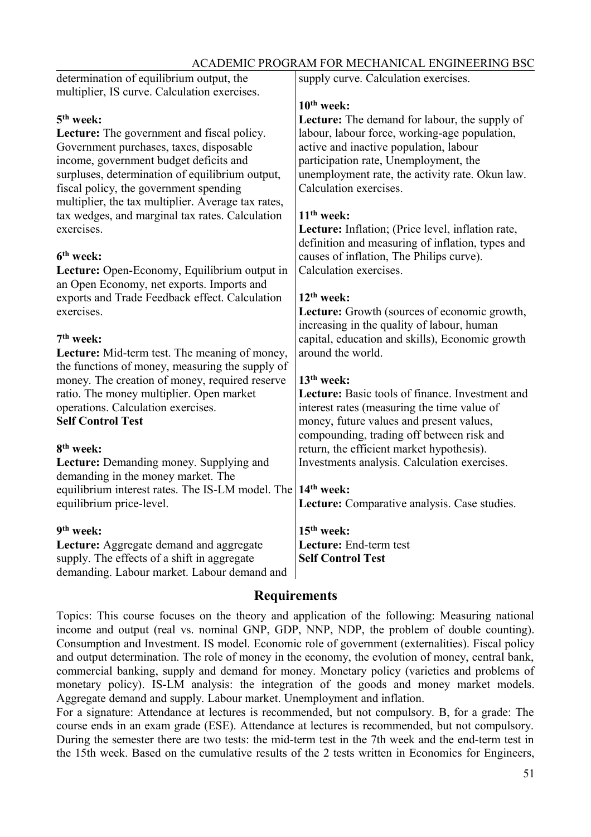| determination of equilibrium output, the<br>multiplier, IS curve. Calculation exercises. | supply curve. Calculation exercises.                 |
|------------------------------------------------------------------------------------------|------------------------------------------------------|
|                                                                                          | 10 <sup>th</sup> week:                               |
| 5 <sup>th</sup> week:                                                                    | <b>Lecture:</b> The demand for labour, the supply of |
| <b>Lecture:</b> The government and fiscal policy.                                        | labour, labour force, working-age population,        |
| Government purchases, taxes, disposable                                                  | active and inactive population, labour               |
| income, government budget deficits and                                                   | participation rate, Unemployment, the                |
| surpluses, determination of equilibrium output,                                          | unemployment rate, the activity rate. Okun law.      |
| fiscal policy, the government spending                                                   | Calculation exercises.                               |
| multiplier, the tax multiplier. Average tax rates,                                       |                                                      |
| tax wedges, and marginal tax rates. Calculation                                          | $11th$ week:                                         |
| exercises.                                                                               | Lecture: Inflation; (Price level, inflation rate,    |
|                                                                                          | definition and measuring of inflation, types and     |
| 6 <sup>th</sup> week:                                                                    | causes of inflation, The Philips curve).             |
| Lecture: Open-Economy, Equilibrium output in                                             | Calculation exercises.                               |
| an Open Economy, net exports. Imports and                                                |                                                      |
| exports and Trade Feedback effect. Calculation                                           | $12th$ week:                                         |
| exercises.                                                                               | Lecture: Growth (sources of economic growth,         |
|                                                                                          | increasing in the quality of labour, human           |
| 7 <sup>th</sup> week:                                                                    | capital, education and skills), Economic growth      |
| Lecture: Mid-term test. The meaning of money,                                            | around the world.                                    |
| the functions of money, measuring the supply of                                          |                                                      |
| money. The creation of money, required reserve                                           | 13 <sup>th</sup> week:                               |
| ratio. The money multiplier. Open market                                                 | Lecture: Basic tools of finance. Investment and      |
| operations. Calculation exercises.                                                       | interest rates (measuring the time value of          |
| <b>Self Control Test</b>                                                                 | money, future values and present values,             |
|                                                                                          | compounding, trading off between risk and            |
| 8 <sup>th</sup> week:                                                                    | return, the efficient market hypothesis).            |
| Lecture: Demanding money. Supplying and<br>demanding in the money market. The            | Investments analysis. Calculation exercises.         |
| equilibrium interest rates. The IS-LM model. The 14 <sup>th</sup> week:                  |                                                      |
| equilibrium price-level.                                                                 | Lecture: Comparative analysis. Case studies.         |
|                                                                                          |                                                      |
| 9 <sup>th</sup> week:                                                                    | $15th$ week:                                         |
| Lecture: Aggregate demand and aggregate                                                  | Lecture: End-term test                               |
| supply. The effects of a shift in aggregate                                              | <b>Self Control Test</b>                             |
| demanding. Labour market. Labour demand and                                              |                                                      |

#### **Requirements**

Topics: This course focuses on the theory and application of the following: Measuring national income and output (real vs. nominal GNP, GDP, NNP, NDP, the problem of double counting). Consumption and Investment. IS model. Economic role of government (externalities). Fiscal policy and output determination. The role of money in the economy, the evolution of money, central bank, commercial banking, supply and demand for money. Monetary policy (varieties and problems of monetary policy). IS-LM analysis: the integration of the goods and money market models. Aggregate demand and supply. Labour market. Unemployment and inflation.

For a signature: Attendance at lectures is recommended, but not compulsory. B, for a grade: The course ends in an exam grade (ESE). Attendance at lectures is recommended, but not compulsory. During the semester there are two tests: the mid-term test in the 7th week and the end-term test in the 15th week. Based on the cumulative results of the 2 tests written in Economics for Engineers,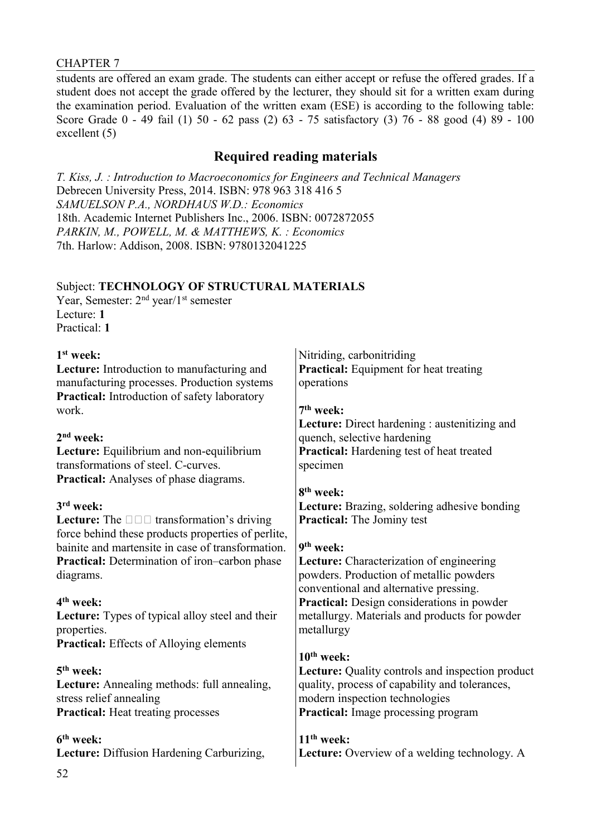students are offered an exam grade. The students can either accept or refuse the offered grades. If a student does not accept the grade offered by the lecturer, they should sit for a written exam during the examination period. Evaluation of the written exam (ESE) is according to the following table: Score Grade 0 - 49 fail (1) 50 - 62 pass (2) 63 - 75 satisfactory (3) 76 - 88 good (4) 89 - 100 excellent (5)

## **Required reading materials**

*T. Kiss, J. : Introduction to Macroeconomics for Engineers and Technical Managers* Debrecen University Press, 2014. ISBN: 978 963 318 416 5 *SAMUELSON P.A., NORDHAUS W.D.: Economics* 18th. Academic Internet Publishers Inc., 2006. ISBN: 0072872055 *PARKIN, M., POWELL, M. & MATTHEWS, K. : Economics* 7th. Harlow: Addison, 2008. ISBN: 9780132041225

#### Subject: **TECHNOLOGY OF STRUCTURAL MATERIALS**

Year, Semester: 2<sup>nd</sup> year/1<sup>st</sup> semester Lecture: **1** Practical: **1**

| $1st$ week:                                            | Nitriding, carbonitriding                               |
|--------------------------------------------------------|---------------------------------------------------------|
| <b>Lecture:</b> Introduction to manufacturing and      | <b>Practical:</b> Equipment for heat treating           |
| manufacturing processes. Production systems            | operations                                              |
| Practical: Introduction of safety laboratory           |                                                         |
| work.                                                  | $7th$ week:                                             |
|                                                        | <b>Lecture:</b> Direct hardening : austenitizing and    |
| $2nd$ week:                                            | quench, selective hardening                             |
| Lecture: Equilibrium and non-equilibrium               | Practical: Hardening test of heat treated               |
| transformations of steel. C-curves.                    | specimen                                                |
| <b>Practical:</b> Analyses of phase diagrams.          |                                                         |
|                                                        | 8 <sup>th</sup> week:                                   |
| $3rd$ week:                                            | Lecture: Brazing, soldering adhesive bonding            |
| Lecture: The <b>DD</b> transformation's driving        | <b>Practical:</b> The Jominy test                       |
| force behind these products properties of perlite,     |                                                         |
| bainite and martensite in case of transformation.      | 9 <sup>th</sup> week:                                   |
| <b>Practical:</b> Determination of iron-carbon phase   | Lecture: Characterization of engineering                |
| diagrams.                                              | powders. Production of metallic powders                 |
|                                                        | conventional and alternative pressing.                  |
| 4 <sup>th</sup> week:                                  | Practical: Design considerations in powder              |
| <b>Lecture:</b> Types of typical alloy steel and their | metallurgy. Materials and products for powder           |
| properties.                                            | metallurgy                                              |
| <b>Practical:</b> Effects of Alloying elements         |                                                         |
|                                                        | $10th$ week:                                            |
| 5 <sup>th</sup> week:                                  | <b>Lecture:</b> Quality controls and inspection product |
| Lecture: Annealing methods: full annealing,            | quality, process of capability and tolerances,          |
| stress relief annealing                                | modern inspection technologies                          |
| <b>Practical:</b> Heat treating processes              | Practical: Image processing program                     |
| 6 <sup>th</sup> week:                                  | $11th$ week:                                            |
| Lecture: Diffusion Hardening Carburizing,              | <b>Lecture:</b> Overview of a welding technology. A     |
| $\sqrt{2}$                                             |                                                         |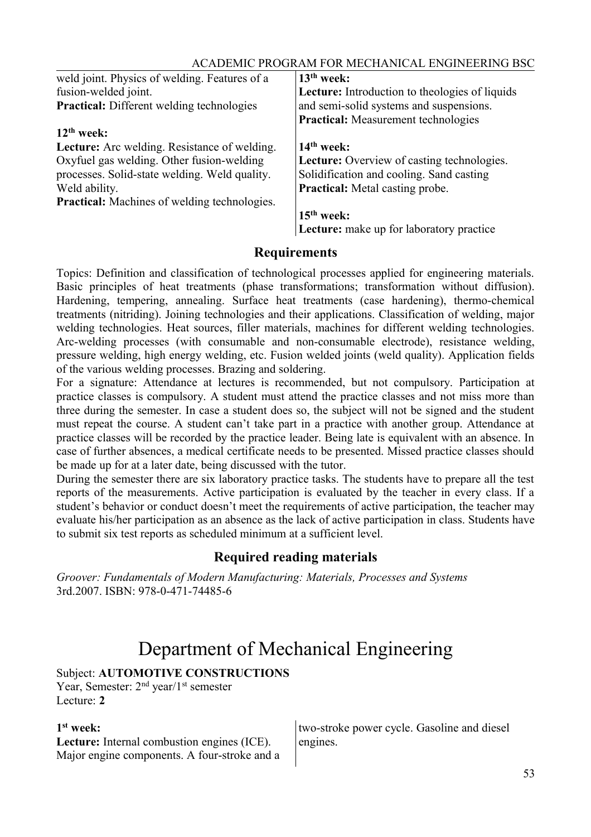| weld joint. Physics of welding. Features of a       | $13th$ week:                                          |
|-----------------------------------------------------|-------------------------------------------------------|
| fusion-welded joint.                                | <b>Lecture:</b> Introduction to theologies of liquids |
| <b>Practical:</b> Different welding technologies    | and semi-solid systems and suspensions.               |
|                                                     | <b>Practical:</b> Measurement technologies            |
| $12th$ week:                                        |                                                       |
| <b>Lecture:</b> Arc welding. Resistance of welding. | $14th$ week:                                          |
| Oxyfuel gas welding. Other fusion-welding           | <b>Lecture:</b> Overview of casting technologies.     |
| processes. Solid-state welding. Weld quality.       | Solidification and cooling. Sand casting              |
| Weld ability.                                       | <b>Practical:</b> Metal casting probe.                |
| <b>Practical:</b> Machines of welding technologies. |                                                       |
|                                                     | $15th$ week:                                          |
|                                                     | Lecture: make up for laboratory practice              |

Topics: Definition and classification of technological processes applied for engineering materials. Basic principles of heat treatments (phase transformations; transformation without diffusion). Hardening, tempering, annealing. Surface heat treatments (case hardening), thermo-chemical treatments (nitriding). Joining technologies and their applications. Classification of welding, major welding technologies. Heat sources, filler materials, machines for different welding technologies. Arc-welding processes (with consumable and non-consumable electrode), resistance welding, pressure welding, high energy welding, etc. Fusion welded joints (weld quality). Application fields of the various welding processes. Brazing and soldering.

For a signature: Attendance at lectures is recommended, but not compulsory. Participation at practice classes is compulsory. A student must attend the practice classes and not miss more than three during the semester. In case a student does so, the subject will not be signed and the student must repeat the course. A student can't take part in a practice with another group. Attendance at practice classes will be recorded by the practice leader. Being late is equivalent with an absence. In case of further absences, a medical certificate needs to be presented. Missed practice classes should be made up for at a later date, being discussed with the tutor.

During the semester there are six laboratory practice tasks. The students have to prepare all the test reports of the measurements. Active participation is evaluated by the teacher in every class. If a student's behavior or conduct doesn't meet the requirements of active participation, the teacher may evaluate his/her participation as an absence as the lack of active participation in class. Students have to submit six test reports as scheduled minimum at a sufficient level.

## **Required reading materials**

*Groover: Fundamentals of Modern Manufacturing: Materials, Processes and Systems* 3rd.2007. ISBN: 978-0-471-74485-6

## Department of Mechanical Engineering

Subject: **AUTOMOTIVE CONSTRUCTIONS** 

Year, Semester: 2<sup>nd</sup> year/1<sup>st</sup> semester Lecture: **2**

#### **1 st week:**

**Lecture:** Internal combustion engines (ICE). Major engine components. A four-stroke and a two-stroke power cycle. Gasoline and diesel engines.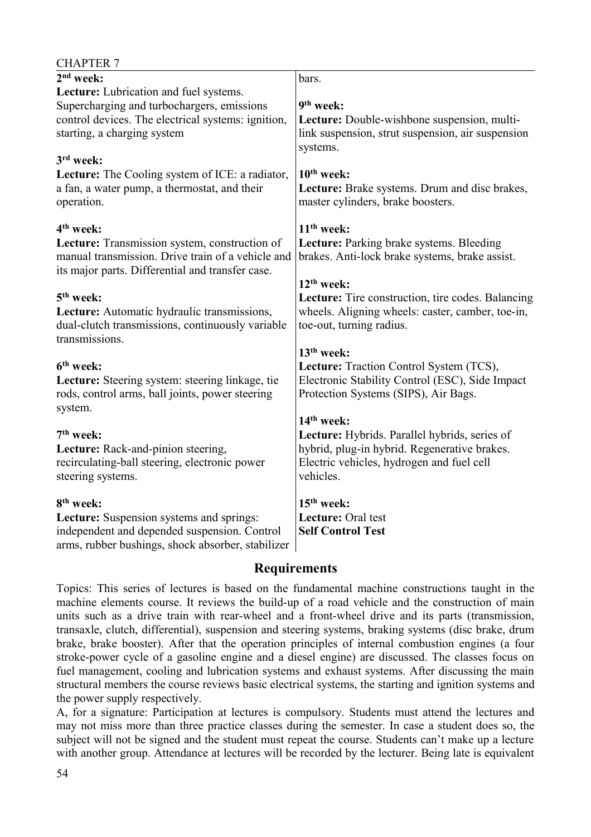| CHAPIER /                                                                                                                                                                       |                                                                                                                                                                         |
|---------------------------------------------------------------------------------------------------------------------------------------------------------------------------------|-------------------------------------------------------------------------------------------------------------------------------------------------------------------------|
| $2nd$ week:                                                                                                                                                                     | bars.                                                                                                                                                                   |
| Lecture: Lubrication and fuel systems.<br>Supercharging and turbochargers, emissions<br>control devices. The electrical systems: ignition,<br>starting, a charging system       | 9 <sup>th</sup> week:<br>Lecture: Double-wishbone suspension, multi-<br>link suspension, strut suspension, air suspension<br>systems.                                   |
| 3 <sup>rd</sup> week:                                                                                                                                                           |                                                                                                                                                                         |
| <b>Lecture:</b> The Cooling system of ICE: a radiator,<br>a fan, a water pump, a thermostat, and their<br>operation.                                                            | $10th$ week:<br>Lecture: Brake systems. Drum and disc brakes,<br>master cylinders, brake boosters.                                                                      |
| 4 <sup>th</sup> week:<br>Lecture: Transmission system, construction of<br>manual transmission. Drive train of a vehicle and<br>its major parts. Differential and transfer case. | $11th$ week:<br><b>Lecture:</b> Parking brake systems. Bleeding<br>brakes. Anti-lock brake systems, brake assist.                                                       |
| $5th$ week:<br>Lecture: Automatic hydraulic transmissions,<br>dual-clutch transmissions, continuously variable<br>transmissions.                                                | $12th$ week:<br>Lecture: Tire construction, tire codes. Balancing<br>wheels. Aligning wheels: caster, camber, toe-in,<br>toe-out, turning radius.                       |
| 6 <sup>th</sup> week:<br>Lecture: Steering system: steering linkage, tie<br>rods, control arms, ball joints, power steering<br>system.                                          | $13th$ week:<br>Lecture: Traction Control System (TCS),<br>Electronic Stability Control (ESC), Side Impact<br>Protection Systems (SIPS), Air Bags.                      |
| $7th$ week:<br>Lecture: Rack-and-pinion steering,<br>recirculating-ball steering, electronic power<br>steering systems.                                                         | $14th$ week:<br>Lecture: Hybrids. Parallel hybrids, series of<br>hybrid, plug-in hybrid. Regenerative brakes.<br>Electric vehicles, hydrogen and fuel cell<br>vehicles. |
| 8 <sup>th</sup> week:<br>Lecture: Suspension systems and springs:<br>independent and depended suspension. Control<br>arms, rubber bushings, shock absorber, stabilizer          | $15th$ week:<br>Lecture: Oral test<br><b>Self Control Test</b>                                                                                                          |

Topics: This series of lectures is based on the fundamental machine constructions taught in the machine elements course. It reviews the build-up of a road vehicle and the construction of main units such as a drive train with rear-wheel and a front-wheel drive and its parts (transmission, transaxle, clutch, differential), suspension and steering systems, braking systems (disc brake, drum brake, brake booster). After that the operation principles of internal combustion engines (a four stroke-power cycle of a gasoline engine and a diesel engine) are discussed. The classes focus on fuel management, cooling and lubrication systems and exhaust systems. After discussing the main structural members the course reviews basic electrical systems, the starting and ignition systems and the power supply respectively.

A, for a signature: Participation at lectures is compulsory. Students must attend the lectures and may not miss more than three practice classes during the semester. In case a student does so, the subject will not be signed and the student must repeat the course. Students can't make up a lecture with another group. Attendance at lectures will be recorded by the lecturer. Being late is equivalent

 $C<sub>II</sub>$  DTED  $<sub>7</sub>$ </sub>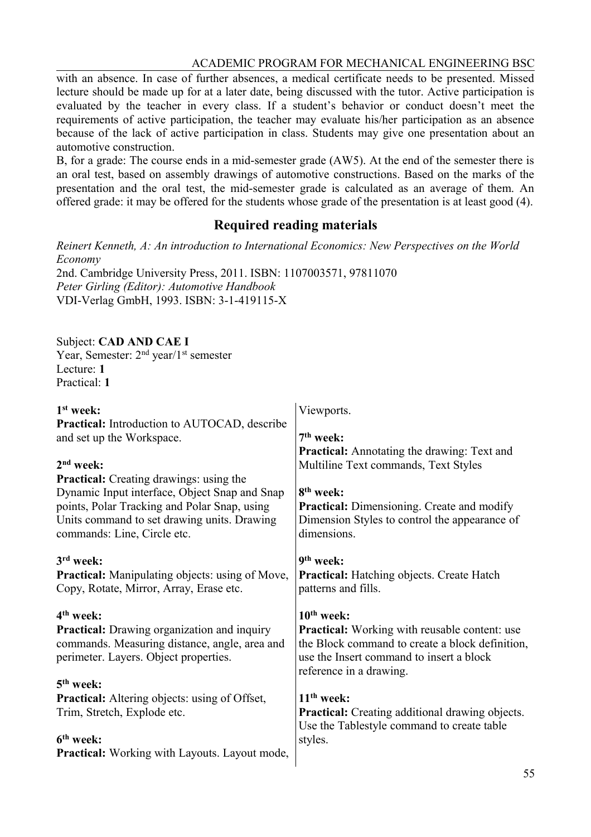with an absence. In case of further absences, a medical certificate needs to be presented. Missed lecture should be made up for at a later date, being discussed with the tutor. Active participation is evaluated by the teacher in every class. If a student's behavior or conduct doesn't meet the requirements of active participation, the teacher may evaluate his/her participation as an absence because of the lack of active participation in class. Students may give one presentation about an automotive construction.

B, for a grade: The course ends in a mid-semester grade (AW5). At the end of the semester there is an oral test, based on assembly drawings of automotive constructions. Based on the marks of the presentation and the oral test, the mid-semester grade is calculated as an average of them. An offered grade: it may be offered for the students whose grade of the presentation is at least good (4).

## **Required reading materials**

*Reinert Kenneth, A: An introduction to International Economics: New Perspectives on the World Economy*

2nd. Cambridge University Press, 2011. ISBN: 1107003571, 97811070 *Peter Girling (Editor): Automotive Handbook* VDI-Verlag GmbH, 1993. ISBN: 3-1-419115-X

#### Subject: **CAD AND CAE I** Year, Semester: 2<sup>nd</sup> year/1<sup>st</sup> semester Lecture: **1** Practical: **1**

| $1st$ week:<br><b>Practical:</b> Introduction to AUTOCAD, describe<br>and set up the Workspace.                                                                                                                                              | Viewports.<br>$7th$ week:<br><b>Practical:</b> Annotating the drawing: Text and                                                                                                                |
|----------------------------------------------------------------------------------------------------------------------------------------------------------------------------------------------------------------------------------------------|------------------------------------------------------------------------------------------------------------------------------------------------------------------------------------------------|
| $2nd$ week:<br><b>Practical:</b> Creating drawings: using the<br>Dynamic Input interface, Object Snap and Snap<br>points, Polar Tracking and Polar Snap, using<br>Units command to set drawing units. Drawing<br>commands: Line, Circle etc. | Multiline Text commands, Text Styles<br>8 <sup>th</sup> week:<br><b>Practical:</b> Dimensioning. Create and modify<br>Dimension Styles to control the appearance of<br>dimensions.             |
| 3 <sup>rd</sup> week:<br>Practical: Manipulating objects: using of Move,<br>Copy, Rotate, Mirror, Array, Erase etc.                                                                                                                          | 9 <sup>th</sup> week:<br><b>Practical:</b> Hatching objects. Create Hatch<br>patterns and fills.                                                                                               |
| 4 <sup>th</sup> week:<br><b>Practical:</b> Drawing organization and inquiry<br>commands. Measuring distance, angle, area and<br>perimeter. Layers. Object properties.                                                                        | $10th$ week:<br><b>Practical:</b> Working with reusable content: use<br>the Block command to create a block definition,<br>use the Insert command to insert a block<br>reference in a drawing. |
| 5 <sup>th</sup> week:<br><b>Practical:</b> Altering objects: using of Offset,<br>Trim, Stretch, Explode etc.<br>$6th$ week:<br><b>Practical:</b> Working with Layouts. Layout mode,                                                          | $11th$ week:<br><b>Practical:</b> Creating additional drawing objects.<br>Use the Tablestyle command to create table<br>styles.                                                                |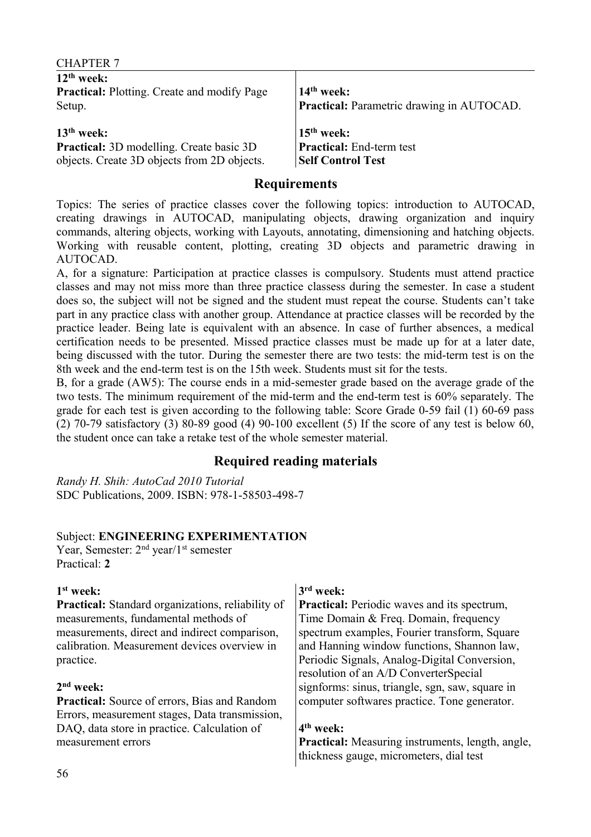| <b>CHAPTER 7</b>                                                                                               |                                                                             |
|----------------------------------------------------------------------------------------------------------------|-----------------------------------------------------------------------------|
| $12th$ week:<br><b>Practical:</b> Plotting. Create and modify Page<br>Setup.                                   | $14th$ week:<br>Practical: Parametric drawing in AUTOCAD.                   |
| $13th$ week:<br><b>Practical:</b> 3D modelling. Create basic 3D<br>objects. Create 3D objects from 2D objects. | $15th$ week:<br><b>Practical:</b> End-term test<br><b>Self Control Test</b> |

Topics: The series of practice classes cover the following topics: introduction to AUTOCAD, creating drawings in AUTOCAD, manipulating objects, drawing organization and inquiry commands, altering objects, working with Layouts, annotating, dimensioning and hatching objects. Working with reusable content, plotting, creating 3D objects and parametric drawing in AUTOCAD.

A, for a signature: Participation at practice classes is compulsory. Students must attend practice classes and may not miss more than three practice classess during the semester. In case a student does so, the subject will not be signed and the student must repeat the course. Students can't take part in any practice class with another group. Attendance at practice classes will be recorded by the practice leader. Being late is equivalent with an absence. In case of further absences, a medical certification needs to be presented. Missed practice classes must be made up for at a later date, being discussed with the tutor. During the semester there are two tests: the mid-term test is on the 8th week and the end-term test is on the 15th week. Students must sit for the tests.

B, for a grade (AW5): The course ends in a mid-semester grade based on the average grade of the two tests. The minimum requirement of the mid-term and the end-term test is 60% separately. The grade for each test is given according to the following table: Score Grade 0-59 fail (1) 60-69 pass (2) 70-79 satisfactory (3) 80-89 good (4) 90-100 excellent (5) If the score of any test is below 60, the student once can take a retake test of the whole semester material.

## **Required reading materials**

*Randy H. Shih: AutoCad 2010 Tutorial* SDC Publications, 2009. ISBN: 978-1-58503-498-7

#### Subject: **ENGINEERING EXPERIMENTATION**

Year, Semester: 2<sup>nd</sup> year/1<sup>st</sup> semester Practical: **2**

#### **1 st week:**

**Practical:** Standard organizations, reliability of measurements, fundamental methods of measurements, direct and indirect comparison, calibration. Measurement devices overview in practice.

#### **2 nd week:**

**Practical:** Source of errors, Bias and Random Errors, measurement stages, Data transmission, DAQ, data store in practice. Calculation of measurement errors

#### **3 rd week:**

**Practical:** Periodic waves and its spectrum, Time Domain & Freq. Domain, frequency spectrum examples, Fourier transform, Square and Hanning window functions, Shannon law, Periodic Signals, Analog-Digital Conversion, resolution of an A/D ConverterSpecial signforms: sinus, triangle, sgn, saw, square in computer softwares practice. Tone generator.

#### **4 th week:**

**Practical:** Measuring instruments, length, angle, thickness gauge, micrometers, dial test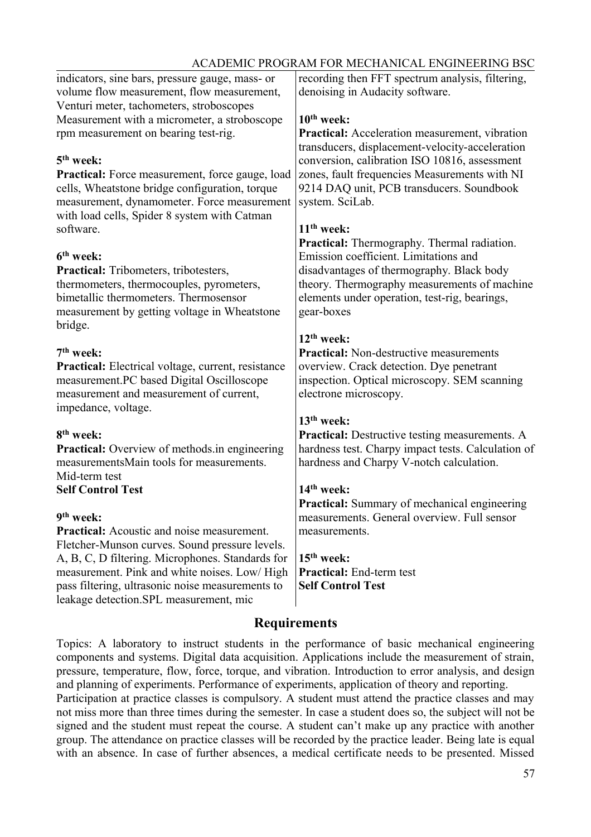| indicators, sine bars, pressure gauge, mass- or<br>volume flow measurement, flow measurement,                                                                                                                                    | recording then FFT spectrum analysis, filtering,<br>denoising in Audacity software.                                                                                                               |
|----------------------------------------------------------------------------------------------------------------------------------------------------------------------------------------------------------------------------------|---------------------------------------------------------------------------------------------------------------------------------------------------------------------------------------------------|
| Venturi meter, tachometers, stroboscopes<br>Measurement with a micrometer, a stroboscope<br>rpm measurement on bearing test-rig.                                                                                                 | $10th$ week:<br>Practical: Acceleration measurement, vibration<br>transducers, displacement-velocity-acceleration                                                                                 |
| 5 <sup>th</sup> week:<br><b>Practical:</b> Force measurement, force gauge, load<br>cells, Wheatstone bridge configuration, torque<br>measurement, dynamometer. Force measurement<br>with load cells, Spider 8 system with Catman | conversion, calibration ISO 10816, assessment<br>zones, fault frequencies Measurements with NI<br>9214 DAQ unit, PCB transducers. Soundbook<br>system. SciLab.                                    |
| software.                                                                                                                                                                                                                        | $11th$ week:<br><b>Practical:</b> Thermography. Thermal radiation.                                                                                                                                |
| 6 <sup>th</sup> week:<br><b>Practical:</b> Tribometers, tribotesters,<br>thermometers, thermocouples, pyrometers,<br>bimetallic thermometers. Thermosensor<br>measurement by getting voltage in Wheatstone<br>bridge.            | Emission coefficient. Limitations and<br>disadvantages of thermography. Black body<br>theory. Thermography measurements of machine<br>elements under operation, test-rig, bearings,<br>gear-boxes |
| $7th$ week:<br><b>Practical:</b> Electrical voltage, current, resistance<br>measurement.PC based Digital Oscilloscope<br>measurement and measurement of current,<br>impedance, voltage.                                          | $12th$ week:<br><b>Practical:</b> Non-destructive measurements<br>overview. Crack detection. Dye penetrant<br>inspection. Optical microscopy. SEM scanning<br>electrone microscopy.               |
| 8 <sup>th</sup> week:<br>Practical: Overview of methods.in engineering<br>measurements Main tools for measurements.<br>Mid-term test                                                                                             | $13th$ week:<br><b>Practical:</b> Destructive testing measurements. A<br>hardness test. Charpy impact tests. Calculation of<br>hardness and Charpy V-notch calculation.                           |
| <b>Self Control Test</b>                                                                                                                                                                                                         | 14 <sup>th</sup> week:<br><b>Practical:</b> Summary of mechanical engineering                                                                                                                     |
| 9 <sup>th</sup> week:<br><b>Practical:</b> Acoustic and noise measurement.<br>Fletcher-Munson curves. Sound pressure levels.                                                                                                     | measurements. General overview. Full sensor<br>measurements.                                                                                                                                      |
| A, B, C, D filtering. Microphones. Standards for<br>measurement. Pink and white noises. Low/High<br>pass filtering, ultrasonic noise measurements to<br>leakage detection.SPL measurement, mic                                   | 15 <sup>th</sup> week:<br><b>Practical:</b> End-term test<br><b>Self Control Test</b>                                                                                                             |

#### **Requirements**

Topics: A laboratory to instruct students in the performance of basic mechanical engineering components and systems. Digital data acquisition. Applications include the measurement of strain, pressure, temperature, flow, force, torque, and vibration. Introduction to error analysis, and design and planning of experiments. Performance of experiments, application of theory and reporting. Participation at practice classes is compulsory. A student must attend the practice classes and may not miss more than three times during the semester. In case a student does so, the subject will not be signed and the student must repeat the course. A student can't make up any practice with another group. The attendance on practice classes will be recorded by the practice leader. Being late is equal with an absence. In case of further absences, a medical certificate needs to be presented. Missed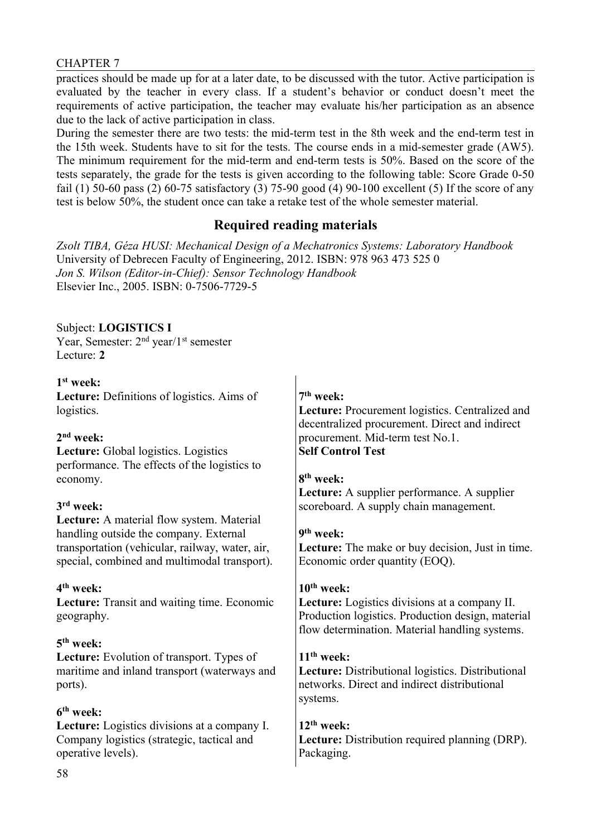practices should be made up for at a later date, to be discussed with the tutor. Active participation is evaluated by the teacher in every class. If a student's behavior or conduct doesn't meet the requirements of active participation, the teacher may evaluate his/her participation as an absence due to the lack of active participation in class.

During the semester there are two tests: the mid-term test in the 8th week and the end-term test in the 15th week. Students have to sit for the tests. The course ends in a mid-semester grade (AW5). The minimum requirement for the mid-term and end-term tests is 50%. Based on the score of the tests separately, the grade for the tests is given according to the following table: Score Grade 0-50 fail (1) 50-60 pass (2) 60-75 satisfactory (3) 75-90 good (4) 90-100 excellent (5) If the score of any test is below 50%, the student once can take a retake test of the whole semester material.

## **Required reading materials**

*Zsolt TIBA, Géza HUSI: Mechanical Design of a Mechatronics Systems: Laboratory Handbook* University of Debrecen Faculty of Engineering, 2012. ISBN: 978 963 473 525 0 *Jon S. Wilson (Editor-in-Chief): Sensor Technology Handbook* Elsevier Inc., 2005. ISBN: 0-7506-7729-5

#### Subject: **LOGISTICS I**

Year, Semester: 2<sup>nd</sup> year/1<sup>st</sup> semester Lecture: **2**

| $1st$ week:<br>Lecture: Definitions of logistics. Aims of<br>logistics.                                          | $7th$ week:<br>Lecture: Procurement logistics. Centralized and<br>decentralized procurement. Direct and indirect                                     |
|------------------------------------------------------------------------------------------------------------------|------------------------------------------------------------------------------------------------------------------------------------------------------|
| $2nd$ week:                                                                                                      | procurement. Mid-term test No.1.                                                                                                                     |
| Lecture: Global logistics. Logistics                                                                             | <b>Self Control Test</b>                                                                                                                             |
| performance. The effects of the logistics to<br>economy.                                                         | 8 <sup>th</sup> week:                                                                                                                                |
|                                                                                                                  | <b>Lecture:</b> A supplier performance. A supplier                                                                                                   |
| 3 <sup>rd</sup> week:                                                                                            | scoreboard. A supply chain management.                                                                                                               |
| Lecture: A material flow system. Material                                                                        |                                                                                                                                                      |
| handling outside the company. External                                                                           | 9 <sup>th</sup> week:                                                                                                                                |
| transportation (vehicular, railway, water, air,<br>special, combined and multimodal transport).                  | Lecture: The make or buy decision, Just in time.<br>Economic order quantity (EOQ).                                                                   |
| $4th$ week:                                                                                                      | $10th$ week:                                                                                                                                         |
| Lecture: Transit and waiting time. Economic<br>geography.                                                        | Lecture: Logistics divisions at a company II.<br>Production logistics. Production design, material<br>flow determination. Material handling systems. |
| 5 <sup>th</sup> week:                                                                                            |                                                                                                                                                      |
| Lecture: Evolution of transport. Types of                                                                        | $11th$ week:                                                                                                                                         |
| maritime and inland transport (waterways and<br>ports).                                                          | Lecture: Distributional logistics. Distributional<br>networks. Direct and indirect distributional<br>systems.                                        |
| 6 <sup>th</sup> week:                                                                                            |                                                                                                                                                      |
| Lecture: Logistics divisions at a company I.<br>Company logistics (strategic, tactical and<br>operative levels). | $12th$ week:<br><b>Lecture:</b> Distribution required planning (DRP).<br>Packaging.                                                                  |
| 5Q                                                                                                               |                                                                                                                                                      |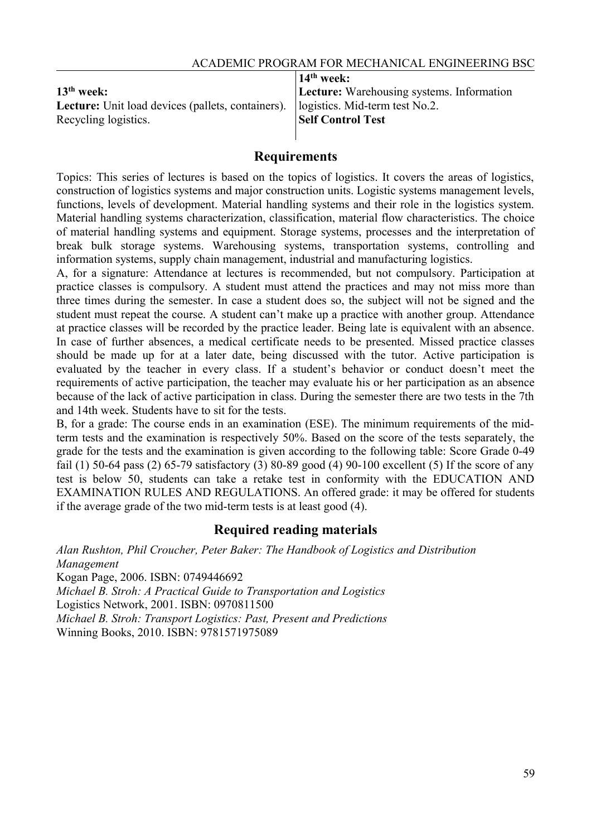|                                                                                           | $14th$ week:                              |
|-------------------------------------------------------------------------------------------|-------------------------------------------|
| $13th$ week:                                                                              | Lecture: Warehousing systems. Information |
| <b>Lecture:</b> Unit load devices (pallets, containers).   logistics. Mid-term test No.2. |                                           |
| Recycling logistics.                                                                      | <b>Self Control Test</b>                  |
|                                                                                           |                                           |

Topics: This series of lectures is based on the topics of logistics. It covers the areas of logistics, construction of logistics systems and major construction units. Logistic systems management levels, functions, levels of development. Material handling systems and their role in the logistics system. Material handling systems characterization, classification, material flow characteristics. The choice of material handling systems and equipment. Storage systems, processes and the interpretation of break bulk storage systems. Warehousing systems, transportation systems, controlling and information systems, supply chain management, industrial and manufacturing logistics.

A, for a signature: Attendance at lectures is recommended, but not compulsory. Participation at practice classes is compulsory. A student must attend the practices and may not miss more than three times during the semester. In case a student does so, the subject will not be signed and the student must repeat the course. A student can't make up a practice with another group. Attendance at practice classes will be recorded by the practice leader. Being late is equivalent with an absence. In case of further absences, a medical certificate needs to be presented. Missed practice classes should be made up for at a later date, being discussed with the tutor. Active participation is evaluated by the teacher in every class. If a student's behavior or conduct doesn't meet the requirements of active participation, the teacher may evaluate his or her participation as an absence because of the lack of active participation in class. During the semester there are two tests in the 7th and 14th week. Students have to sit for the tests.

B, for a grade: The course ends in an examination (ESE). The minimum requirements of the midterm tests and the examination is respectively 50%. Based on the score of the tests separately, the grade for the tests and the examination is given according to the following table: Score Grade 0-49 fail (1) 50-64 pass (2) 65-79 satisfactory (3) 80-89 good (4) 90-100 excellent (5) If the score of any test is below 50, students can take a retake test in conformity with the EDUCATION AND EXAMINATION RULES AND REGULATIONS. An offered grade: it may be offered for students if the average grade of the two mid-term tests is at least good (4).

## **Required reading materials**

*Alan Rushton, Phil Croucher, Peter Baker: The Handbook of Logistics and Distribution Management* Kogan Page, 2006. ISBN: 0749446692 *Michael B. Stroh: A Practical Guide to Transportation and Logistics* Logistics Network, 2001. ISBN: 0970811500 *Michael B. Stroh: Transport Logistics: Past, Present and Predictions* Winning Books, 2010. ISBN: 9781571975089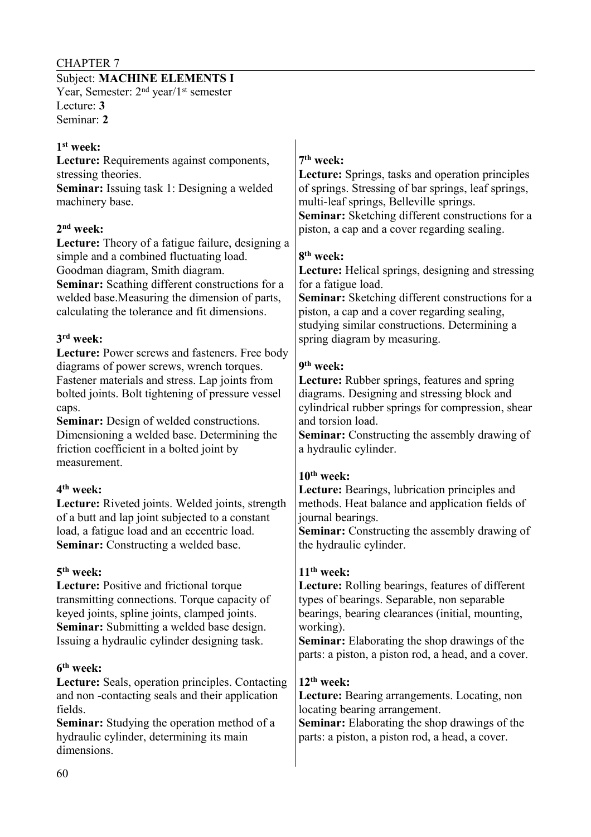Subject: **MACHINE ELEMENTS I** Year, Semester: 2<sup>nd</sup> year/1<sup>st</sup> semester Lecture: **3** Seminar: **2**

#### **1 st week:**

| 1 <sup>st</sup> week:<br>Lecture: Requirements against components,<br>stressing theories.<br><b>Seminar:</b> Issuing task 1: Designing a welded<br>machinery base.<br>$2nd$ week:<br>Lecture: Theory of a fatigue failure, designing a<br>simple and a combined fluctuating load.<br>Goodman diagram, Smith diagram.<br>Seminar: Scathing different constructions for a<br>welded base. Measuring the dimension of parts,<br>calculating the tolerance and fit dimensions.<br>3 <sup>rd</sup> week:<br>Lecture: Power screws and fasteners. Free body<br>diagrams of power screws, wrench torques.<br>Fastener materials and stress. Lap joints from<br>bolted joints. Bolt tightening of pressure vessel<br>caps.<br><b>Seminar:</b> Design of welded constructions.<br>Dimensioning a welded base. Determining the<br>friction coefficient in a bolted joint by | 7 <sup>th</sup> week:<br>Lecture: Springs, tasks and operation principles<br>of springs. Stressing of bar springs, leaf springs,<br>multi-leaf springs, Belleville springs.<br>Seminar: Sketching different constructions for a<br>piston, a cap and a cover regarding sealing.<br>8 <sup>th</sup> week:<br>Lecture: Helical springs, designing and stressing<br>for a fatigue load.<br>Seminar: Sketching different constructions for a<br>piston, a cap and a cover regarding sealing,<br>studying similar constructions. Determining a<br>spring diagram by measuring.<br>9 <sup>th</sup> week:<br><b>Lecture:</b> Rubber springs, features and spring<br>diagrams. Designing and stressing block and<br>cylindrical rubber springs for compression, shear<br>and torsion load.<br>Seminar: Constructing the assembly drawing of<br>a hydraulic cylinder. |
|-------------------------------------------------------------------------------------------------------------------------------------------------------------------------------------------------------------------------------------------------------------------------------------------------------------------------------------------------------------------------------------------------------------------------------------------------------------------------------------------------------------------------------------------------------------------------------------------------------------------------------------------------------------------------------------------------------------------------------------------------------------------------------------------------------------------------------------------------------------------|--------------------------------------------------------------------------------------------------------------------------------------------------------------------------------------------------------------------------------------------------------------------------------------------------------------------------------------------------------------------------------------------------------------------------------------------------------------------------------------------------------------------------------------------------------------------------------------------------------------------------------------------------------------------------------------------------------------------------------------------------------------------------------------------------------------------------------------------------------------|
| measurement.<br>4 <sup>th</sup> week:<br><b>Lecture:</b> Riveted joints. Welded joints, strength<br>of a butt and lap joint subjected to a constant<br>load, a fatigue load and an eccentric load.<br>Seminar: Constructing a welded base.                                                                                                                                                                                                                                                                                                                                                                                                                                                                                                                                                                                                                        | $10th$ week:<br>Lecture: Bearings, lubrication principles and<br>methods. Heat balance and application fields of<br>journal bearings.<br><b>Seminar:</b> Constructing the assembly drawing of<br>the hydraulic cylinder.                                                                                                                                                                                                                                                                                                                                                                                                                                                                                                                                                                                                                                     |
| 5 <sup>th</sup> week:<br>Lecture: Positive and frictional torque<br>transmitting connections. Torque capacity of<br>keyed joints, spline joints, clamped joints.<br><b>Seminar:</b> Submitting a welded base design.<br>Issuing a hydraulic cylinder designing task.<br>6 <sup>th</sup> week:                                                                                                                                                                                                                                                                                                                                                                                                                                                                                                                                                                     | $11th$ week:<br>Lecture: Rolling bearings, features of different<br>types of bearings. Separable, non separable<br>bearings, bearing clearances (initial, mounting,<br>working).<br><b>Seminar:</b> Elaborating the shop drawings of the<br>parts: a piston, a piston rod, a head, and a cover.                                                                                                                                                                                                                                                                                                                                                                                                                                                                                                                                                              |
| Lecture: Seals, operation principles. Contacting<br>and non-contacting seals and their application<br>fields.<br><b>Seminar:</b> Studying the operation method of a<br>hydraulic cylinder, determining its main<br>dimensions.                                                                                                                                                                                                                                                                                                                                                                                                                                                                                                                                                                                                                                    | $12th$ week:<br><b>Lecture:</b> Bearing arrangements. Locating, non<br>locating bearing arrangement.<br>Seminar: Elaborating the shop drawings of the<br>parts: a piston, a piston rod, a head, a cover.                                                                                                                                                                                                                                                                                                                                                                                                                                                                                                                                                                                                                                                     |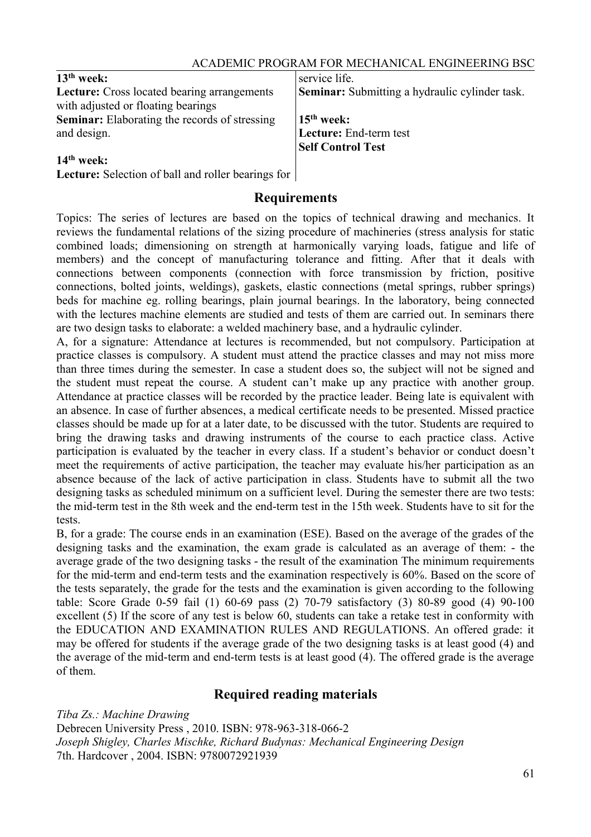| $13th$ week:                                         | service life.                                         |
|------------------------------------------------------|-------------------------------------------------------|
| <b>Lecture:</b> Cross located bearing arrangements   | <b>Seminar:</b> Submitting a hydraulic cylinder task. |
| with adjusted or floating bearings                   |                                                       |
| <b>Seminar:</b> Elaborating the records of stressing | $15th$ week:                                          |
| and design.                                          | Lecture: End-term test                                |
|                                                      | <b>Self Control Test</b>                              |
| $14th$ week:                                         |                                                       |

**Lecture:** Selection of ball and roller bearings for

#### **Requirements**

Topics: The series of lectures are based on the topics of technical drawing and mechanics. It reviews the fundamental relations of the sizing procedure of machineries (stress analysis for static combined loads; dimensioning on strength at harmonically varying loads, fatigue and life of members) and the concept of manufacturing tolerance and fitting. After that it deals with connections between components (connection with force transmission by friction, positive connections, bolted joints, weldings), gaskets, elastic connections (metal springs, rubber springs) beds for machine eg. rolling bearings, plain journal bearings. In the laboratory, being connected with the lectures machine elements are studied and tests of them are carried out. In seminars there are two design tasks to elaborate: a welded machinery base, and a hydraulic cylinder.

A, for a signature: Attendance at lectures is recommended, but not compulsory. Participation at practice classes is compulsory. A student must attend the practice classes and may not miss more than three times during the semester. In case a student does so, the subject will not be signed and the student must repeat the course. A student can't make up any practice with another group. Attendance at practice classes will be recorded by the practice leader. Being late is equivalent with an absence. In case of further absences, a medical certificate needs to be presented. Missed practice classes should be made up for at a later date, to be discussed with the tutor. Students are required to bring the drawing tasks and drawing instruments of the course to each practice class. Active participation is evaluated by the teacher in every class. If a student's behavior or conduct doesn't meet the requirements of active participation, the teacher may evaluate his/her participation as an absence because of the lack of active participation in class. Students have to submit all the two designing tasks as scheduled minimum on a sufficient level. During the semester there are two tests: the mid-term test in the 8th week and the end-term test in the 15th week. Students have to sit for the tests.

B, for a grade: The course ends in an examination (ESE). Based on the average of the grades of the designing tasks and the examination, the exam grade is calculated as an average of them: - the average grade of the two designing tasks - the result of the examination The minimum requirements for the mid-term and end-term tests and the examination respectively is 60%. Based on the score of the tests separately, the grade for the tests and the examination is given according to the following table: Score Grade 0-59 fail (1) 60-69 pass (2) 70-79 satisfactory (3) 80-89 good (4) 90-100 excellent (5) If the score of any test is below 60, students can take a retake test in conformity with the EDUCATION AND EXAMINATION RULES AND REGULATIONS. An offered grade: it may be offered for students if the average grade of the two designing tasks is at least good (4) and the average of the mid-term and end-term tests is at least good (4). The offered grade is the average of them.

## **Required reading materials**

*Tiba Zs.: Machine Drawing* Debrecen University Press , 2010. ISBN: 978-963-318-066-2 *Joseph Shigley, Charles Mischke, Richard Budynas: Mechanical Engineering Design* 7th. Hardcover , 2004. ISBN: 9780072921939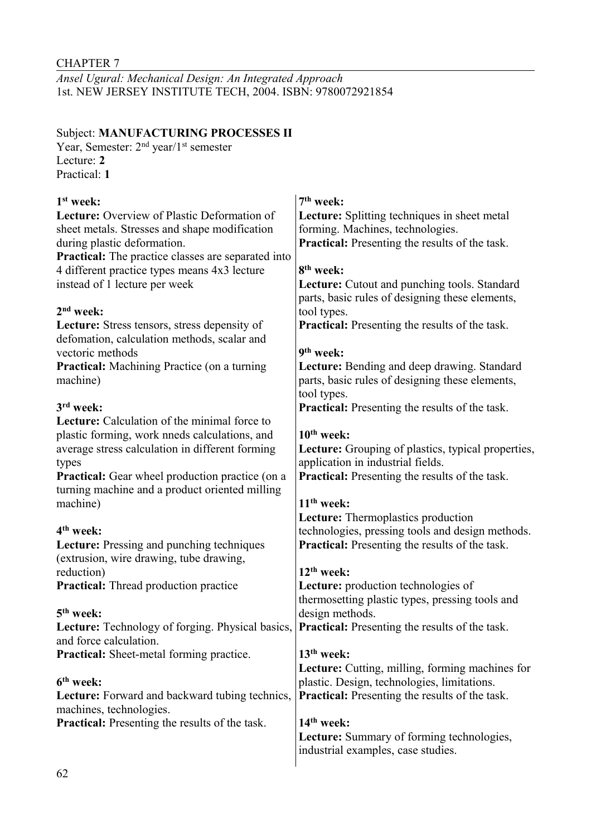*Ansel Ugural: Mechanical Design: An Integrated Approach* 1st. NEW JERSEY INSTITUTE TECH, 2004. ISBN: 9780072921854

#### Subject: **MANUFACTURING PROCESSES II**

Year, Semester: 2<sup>nd</sup> year/1<sup>st</sup> semester Lecture: **2** Practical: **1**

| 1 <sup>st</sup> week:                                     | 7 <sup>th</sup> week:                                     |
|-----------------------------------------------------------|-----------------------------------------------------------|
| <b>Lecture:</b> Overview of Plastic Deformation of        | <b>Lecture:</b> Splitting techniques in sheet metal       |
| sheet metals. Stresses and shape modification             | forming. Machines, technologies.                          |
| during plastic deformation.                               | <b>Practical:</b> Presenting the results of the task.     |
| <b>Practical:</b> The practice classes are separated into |                                                           |
| 4 different practice types means 4x3 lecture              | 8 <sup>th</sup> week:                                     |
| instead of 1 lecture per week                             | <b>Lecture:</b> Cutout and punching tools. Standard       |
|                                                           | parts, basic rules of designing these elements,           |
| $2nd$ week:                                               | tool types.                                               |
| <b>Lecture:</b> Stress tensors, stress depensity of       | <b>Practical:</b> Presenting the results of the task.     |
| defomation, calculation methods, scalar and               |                                                           |
| vectoric methods                                          | 9 <sup>th</sup> week:                                     |
| <b>Practical:</b> Machining Practice (on a turning        | Lecture: Bending and deep drawing. Standard               |
| machine)                                                  | parts, basic rules of designing these elements,           |
|                                                           | tool types.                                               |
| 3 <sup>rd</sup> week:                                     | <b>Practical:</b> Presenting the results of the task.     |
| <b>Lecture:</b> Calculation of the minimal force to       |                                                           |
| plastic forming, work nneds calculations, and             | $10th$ week:                                              |
| average stress calculation in different forming           | <b>Lecture:</b> Grouping of plastics, typical properties, |
| types                                                     | application in industrial fields.                         |
| <b>Practical:</b> Gear wheel production practice (on a    | <b>Practical:</b> Presenting the results of the task.     |
| turning machine and a product oriented milling            |                                                           |
| machine)                                                  | $11th$ week:                                              |
|                                                           | Lecture: Thermoplastics production                        |
| 4 <sup>th</sup> week:                                     | technologies, pressing tools and design methods.          |
| Lecture: Pressing and punching techniques                 | <b>Practical:</b> Presenting the results of the task.     |
| (extrusion, wire drawing, tube drawing,                   |                                                           |
| reduction)                                                | $12th$ week:                                              |
| <b>Practical:</b> Thread production practice              | Lecture: production technologies of                       |
|                                                           | thermosetting plastic types, pressing tools and           |
| 5 <sup>th</sup> week:                                     | design methods.                                           |
| Lecture: Technology of forging. Physical basics,          | <b>Practical:</b> Presenting the results of the task.     |
| and force calculation                                     |                                                           |
| Practical: Sheet-metal forming practice.                  | $13th$ week:                                              |
|                                                           | <b>Lecture:</b> Cutting, milling, forming machines for    |
| 6 <sup>th</sup> week:                                     | plastic. Design, technologies, limitations.               |
| Lecture: Forward and backward tubing technics,            | <b>Practical:</b> Presenting the results of the task.     |
| machines, technologies.                                   |                                                           |
| <b>Practical:</b> Presenting the results of the task.     | 14 <sup>th</sup> week:                                    |
|                                                           | Lecture: Summary of forming technologies,                 |
|                                                           | industrial examples, case studies.                        |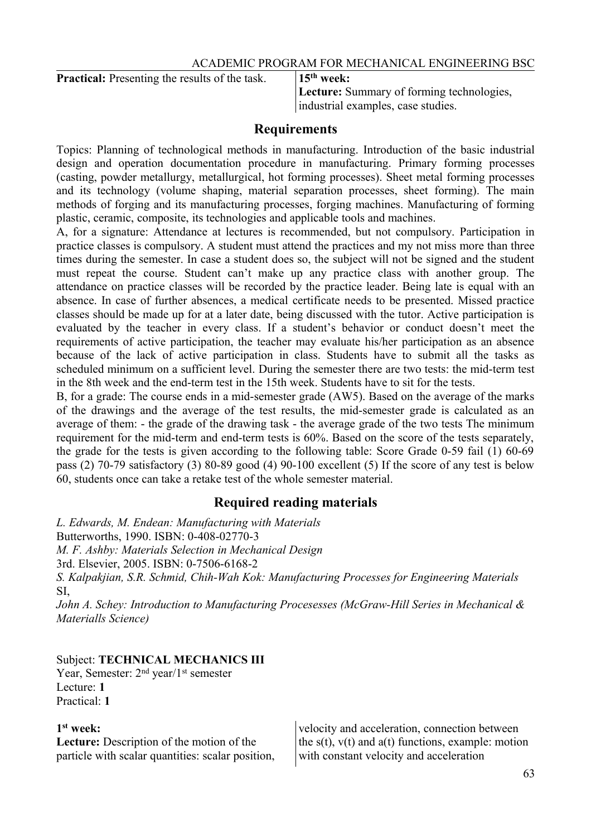**Practical:** Presenting the results of the task. **15<sup>th</sup>** week:

**Lecture:** Summary of forming technologies, industrial examples, case studies.

## **Requirements**

Topics: Planning of technological methods in manufacturing. Introduction of the basic industrial design and operation documentation procedure in manufacturing. Primary forming processes (casting, powder metallurgy, metallurgical, hot forming processes). Sheet metal forming processes and its technology (volume shaping, material separation processes, sheet forming). The main methods of forging and its manufacturing processes, forging machines. Manufacturing of forming plastic, ceramic, composite, its technologies and applicable tools and machines.

A, for a signature: Attendance at lectures is recommended, but not compulsory. Participation in practice classes is compulsory. A student must attend the practices and my not miss more than three times during the semester. In case a student does so, the subject will not be signed and the student must repeat the course. Student can't make up any practice class with another group. The attendance on practice classes will be recorded by the practice leader. Being late is equal with an absence. In case of further absences, a medical certificate needs to be presented. Missed practice classes should be made up for at a later date, being discussed with the tutor. Active participation is evaluated by the teacher in every class. If a student's behavior or conduct doesn't meet the requirements of active participation, the teacher may evaluate his/her participation as an absence because of the lack of active participation in class. Students have to submit all the tasks as scheduled minimum on a sufficient level. During the semester there are two tests: the mid-term test in the 8th week and the end-term test in the 15th week. Students have to sit for the tests.

B, for a grade: The course ends in a mid-semester grade (AW5). Based on the average of the marks of the drawings and the average of the test results, the mid-semester grade is calculated as an average of them: - the grade of the drawing task - the average grade of the two tests The minimum requirement for the mid-term and end-term tests is 60%. Based on the score of the tests separately, the grade for the tests is given according to the following table: Score Grade 0-59 fail (1) 60-69 pass (2) 70-79 satisfactory (3) 80-89 good (4) 90-100 excellent (5) If the score of any test is below 60, students once can take a retake test of the whole semester material.

## **Required reading materials**

*L. Edwards, M. Endean: Manufacturing with Materials* Butterworths, 1990. ISBN: 0-408-02770-3 *M. F. Ashby: Materials Selection in Mechanical Design* 3rd. Elsevier, 2005. ISBN: 0-7506-6168-2 *S. Kalpakjian, S.R. Schmid, Chih-Wah Kok: Manufacturing Processes for Engineering Materials*  SI, *John A. Schey: Introduction to Manufacturing Procesesses (McGraw-Hill Series in Mechanical & Materialls Science)*

#### Subject: **TECHNICAL MECHANICS III**

Year, Semester: 2<sup>nd</sup> year/1<sup>st</sup> semester Lecture: **1** Practical: **1**

#### **1 st week:**

**Lecture:** Description of the motion of the particle with scalar quantities: scalar position, velocity and acceleration, connection between the  $s(t)$ ,  $v(t)$  and  $a(t)$  functions, example: motion with constant velocity and acceleration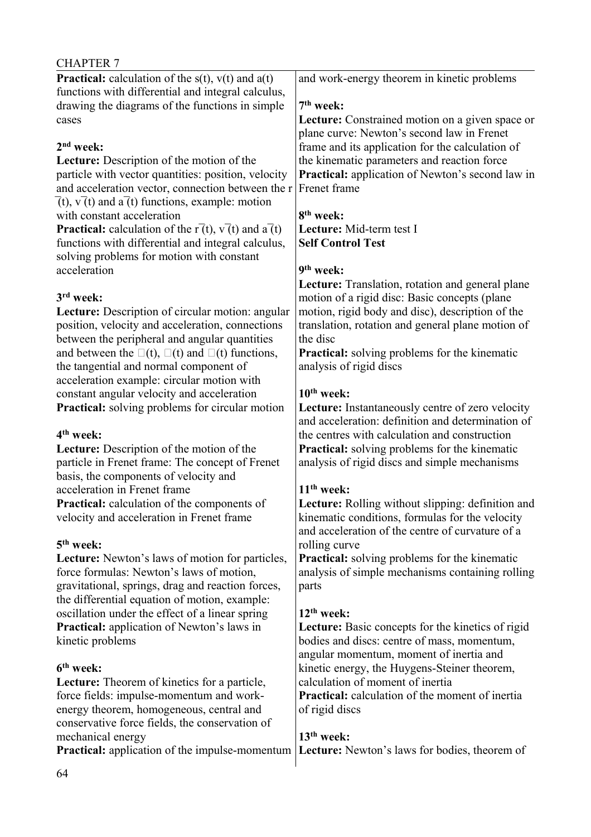| <b>Practical:</b> calculation of the $s(t)$ , $v(t)$ and $a(t)$                                  | and work-energy theorem in kinetic problems                                                              |
|--------------------------------------------------------------------------------------------------|----------------------------------------------------------------------------------------------------------|
| functions with differential and integral calculus,                                               |                                                                                                          |
| drawing the diagrams of the functions in simple                                                  | 7 <sup>th</sup> week:                                                                                    |
| cases                                                                                            | <b>Lecture:</b> Constrained motion on a given space or                                                   |
|                                                                                                  | plane curve: Newton's second law in Frenet                                                               |
| $2nd$ week:                                                                                      | frame and its application for the calculation of                                                         |
| <b>Lecture:</b> Description of the motion of the                                                 | the kinematic parameters and reaction force                                                              |
| particle with vector quantities: position, velocity                                              | Practical: application of Newton's second law in                                                         |
| and acceleration vector, connection between the r                                                | Frenet frame                                                                                             |
| $\overline{(t)}$ , $\overline{v}(t)$ and $\overline{a}(t)$ functions, example: motion            |                                                                                                          |
| with constant acceleration                                                                       | 8 <sup>th</sup> week:                                                                                    |
| <b>Practical:</b> calculation of the $\overline{r}(t)$ , $\overline{v}(t)$ and $\overline{a}(t)$ | Lecture: Mid-term test I                                                                                 |
| functions with differential and integral calculus,                                               | <b>Self Control Test</b>                                                                                 |
| solving problems for motion with constant<br>acceleration                                        | 9 <sup>th</sup> week:                                                                                    |
|                                                                                                  |                                                                                                          |
| 3 <sup>rd</sup> week:                                                                            | <b>Lecture:</b> Translation, rotation and general plane<br>motion of a rigid disc: Basic concepts (plane |
| Lecture: Description of circular motion: angular                                                 | motion, rigid body and disc), description of the                                                         |
| position, velocity and acceleration, connections                                                 | translation, rotation and general plane motion of                                                        |
| between the peripheral and angular quantities                                                    | the disc                                                                                                 |
| and between the $\square(t)$ , $\square(t)$ and $\square(t)$ functions,                          | <b>Practical:</b> solving problems for the kinematic                                                     |
| the tangential and normal component of                                                           | analysis of rigid discs                                                                                  |
| acceleration example: circular motion with                                                       |                                                                                                          |
| constant angular velocity and acceleration                                                       | $10th$ week:                                                                                             |
| <b>Practical:</b> solving problems for circular motion                                           | Lecture: Instantaneously centre of zero velocity                                                         |
|                                                                                                  | and acceleration: definition and determination of                                                        |
| 4 <sup>th</sup> week:                                                                            | the centres with calculation and construction                                                            |
| <b>Lecture:</b> Description of the motion of the                                                 | <b>Practical:</b> solving problems for the kinematic                                                     |
| particle in Frenet frame: The concept of Frenet                                                  | analysis of rigid discs and simple mechanisms                                                            |
| basis, the components of velocity and                                                            |                                                                                                          |
| acceleration in Frenet frame                                                                     | $11th$ week:                                                                                             |
| <b>Practical:</b> calculation of the components of                                               | Lecture: Rolling without slipping: definition and                                                        |
| velocity and acceleration in Frenet frame                                                        | kinematic conditions, formulas for the velocity                                                          |
|                                                                                                  | and acceleration of the centre of curvature of a                                                         |
| 5 <sup>th</sup> week:                                                                            | rolling curve                                                                                            |
| <b>Lecture:</b> Newton's laws of motion for particles,                                           | <b>Practical:</b> solving problems for the kinematic                                                     |
| force formulas: Newton's laws of motion,                                                         | analysis of simple mechanisms containing rolling                                                         |
| gravitational, springs, drag and reaction forces,                                                | parts                                                                                                    |
| the differential equation of motion, example:                                                    |                                                                                                          |
| oscillation under the effect of a linear spring                                                  | $12th$ week:                                                                                             |
| <b>Practical:</b> application of Newton's laws in                                                | Lecture: Basic concepts for the kinetics of rigid                                                        |
| kinetic problems                                                                                 | bodies and discs: centre of mass, momentum,                                                              |
| 6 <sup>th</sup> week:                                                                            | angular momentum, moment of inertia and<br>kinetic energy, the Huygens-Steiner theorem,                  |
| <b>Lecture:</b> Theorem of kinetics for a particle,                                              | calculation of moment of inertia                                                                         |
| force fields: impulse-momentum and work-                                                         | <b>Practical:</b> calculation of the moment of inertia                                                   |
| energy theorem, homogeneous, central and                                                         | of rigid discs                                                                                           |
| conservative force fields, the conservation of                                                   |                                                                                                          |
| mechanical energy                                                                                | $13th$ week:                                                                                             |
| <b>Practical:</b> application of the impulse-momentum                                            | Lecture: Newton's laws for bodies, theorem of                                                            |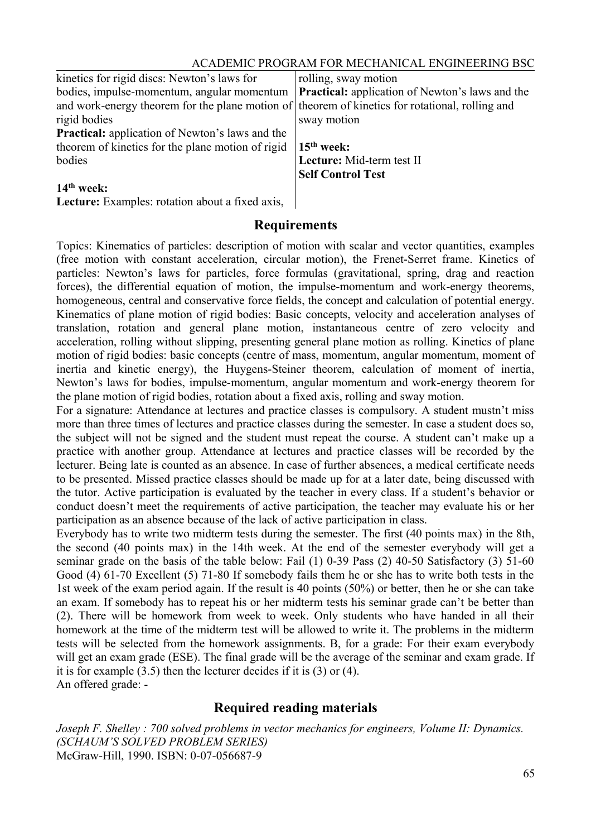| kinetics for rigid discs: Newton's laws for                                                       | rolling, sway motion      |
|---------------------------------------------------------------------------------------------------|---------------------------|
| bodies, impulse-momentum, angular momentum <b>Practical:</b> application of Newton's laws and the |                           |
| and work-energy theorem for the plane motion of theorem of kinetics for rotational, rolling and   |                           |
| rigid bodies                                                                                      | sway motion               |
| <b>Practical:</b> application of Newton's laws and the                                            |                           |
| theorem of kinetics for the plane motion of rigid                                                 | $15th$ week:              |
| bodies                                                                                            | Lecture: Mid-term test II |
|                                                                                                   | <b>Self Control Test</b>  |
| $14th$ week:                                                                                      |                           |

#### **14th week:**

**Lecture:** Examples: rotation about a fixed axis,

## **Requirements**

Topics: Kinematics of particles: description of motion with scalar and vector quantities, examples (free motion with constant acceleration, circular motion), the Frenet-Serret frame. Kinetics of particles: Newton's laws for particles, force formulas (gravitational, spring, drag and reaction forces), the differential equation of motion, the impulse-momentum and work-energy theorems, homogeneous, central and conservative force fields, the concept and calculation of potential energy. Kinematics of plane motion of rigid bodies: Basic concepts, velocity and acceleration analyses of translation, rotation and general plane motion, instantaneous centre of zero velocity and acceleration, rolling without slipping, presenting general plane motion as rolling. Kinetics of plane motion of rigid bodies: basic concepts (centre of mass, momentum, angular momentum, moment of inertia and kinetic energy), the Huygens-Steiner theorem, calculation of moment of inertia, Newton's laws for bodies, impulse-momentum, angular momentum and work-energy theorem for the plane motion of rigid bodies, rotation about a fixed axis, rolling and sway motion.

For a signature: Attendance at lectures and practice classes is compulsory. A student mustn't miss more than three times of lectures and practice classes during the semester. In case a student does so, the subject will not be signed and the student must repeat the course. A student can't make up a practice with another group. Attendance at lectures and practice classes will be recorded by the lecturer. Being late is counted as an absence. In case of further absences, a medical certificate needs to be presented. Missed practice classes should be made up for at a later date, being discussed with the tutor. Active participation is evaluated by the teacher in every class. If a student's behavior or conduct doesn't meet the requirements of active participation, the teacher may evaluate his or her participation as an absence because of the lack of active participation in class.

Everybody has to write two midterm tests during the semester. The first (40 points max) in the 8th, the second (40 points max) in the 14th week. At the end of the semester everybody will get a seminar grade on the basis of the table below: Fail (1) 0-39 Pass (2) 40-50 Satisfactory (3) 51-60 Good (4) 61-70 Excellent (5) 71-80 If somebody fails them he or she has to write both tests in the 1st week of the exam period again. If the result is 40 points (50%) or better, then he or she can take an exam. If somebody has to repeat his or her midterm tests his seminar grade can't be better than (2). There will be homework from week to week. Only students who have handed in all their homework at the time of the midterm test will be allowed to write it. The problems in the midterm tests will be selected from the homework assignments. B, for a grade: For their exam everybody will get an exam grade (ESE). The final grade will be the average of the seminar and exam grade. If it is for example (3.5) then the lecturer decides if it is (3) or (4). An offered grade: -

## **Required reading materials**

*Joseph F. Shelley : 700 solved problems in vector mechanics for engineers, Volume II: Dynamics. (SCHAUM'S SOLVED PROBLEM SERIES)* McGraw-Hill, 1990. ISBN: 0-07-056687-9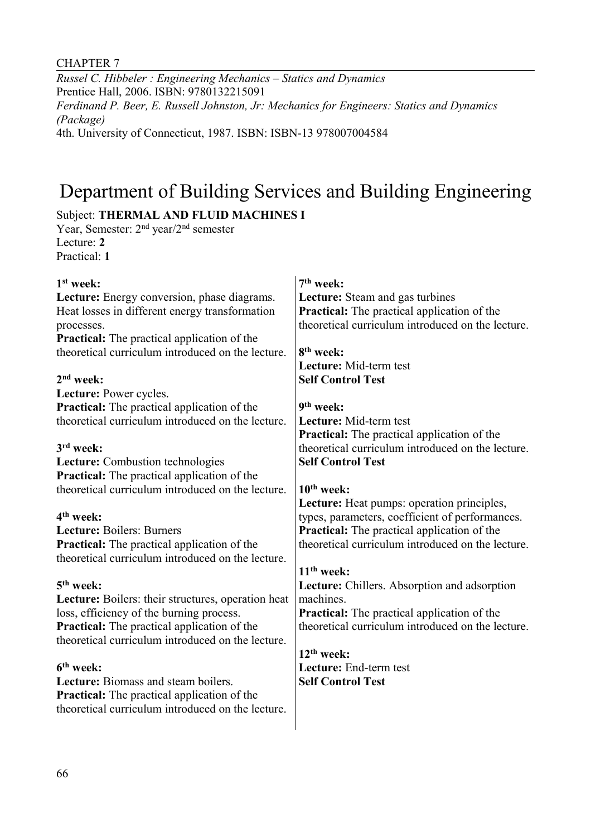*Russel C. Hibbeler : Engineering Mechanics – Statics and Dynamics* Prentice Hall, 2006. ISBN: 9780132215091 *Ferdinand P. Beer, E. Russell Johnston, Jr: Mechanics for Engineers: Statics and Dynamics (Package)* 4th. University of Connecticut, 1987. ISBN: ISBN-13 978007004584

## Department of Building Services and Building Engineering

## Subject: **THERMAL AND FLUID MACHINES I**

Year, Semester: 2nd year/2nd semester Lecture: **2** Practical: **1**

| $1st$ week:                                        | 7 <sup>th</sup> week:                              |
|----------------------------------------------------|----------------------------------------------------|
| Lecture: Energy conversion, phase diagrams.        | Lecture: Steam and gas turbines                    |
| Heat losses in different energy transformation     | <b>Practical:</b> The practical application of the |
| processes.                                         | theoretical curriculum introduced on the lecture.  |
| <b>Practical:</b> The practical application of the |                                                    |
| theoretical curriculum introduced on the lecture.  | 8 <sup>th</sup> week:                              |
|                                                    | Lecture: Mid-term test                             |
| $2nd$ week:                                        | <b>Self Control Test</b>                           |
| Lecture: Power cycles.                             |                                                    |
| <b>Practical:</b> The practical application of the | 9 <sup>th</sup> week:                              |
| theoretical curriculum introduced on the lecture.  | Lecture: Mid-term test                             |
|                                                    | <b>Practical:</b> The practical application of the |
| 3 <sup>rd</sup> week:                              | theoretical curriculum introduced on the lecture.  |
| Lecture: Combustion technologies                   | <b>Self Control Test</b>                           |
| <b>Practical:</b> The practical application of the |                                                    |
| theoretical curriculum introduced on the lecture.  | $10th$ week:                                       |
|                                                    | Lecture: Heat pumps: operation principles,         |
| 4 <sup>th</sup> week:                              | types, parameters, coefficient of performances.    |
| Lecture: Boilers: Burners                          | <b>Practical:</b> The practical application of the |
| <b>Practical:</b> The practical application of the | theoretical curriculum introduced on the lecture.  |
| theoretical curriculum introduced on the lecture.  |                                                    |
|                                                    | $11th$ week:                                       |
| 5 <sup>th</sup> week:                              | Lecture: Chillers. Absorption and adsorption       |
| Lecture: Boilers: their structures, operation heat | machines.                                          |
| loss, efficiency of the burning process.           | <b>Practical:</b> The practical application of the |
| <b>Practical:</b> The practical application of the | theoretical curriculum introduced on the lecture.  |
| theoretical curriculum introduced on the lecture.  | $12th$ week:                                       |
| 6 <sup>th</sup> week:                              | Lecture: End-term test                             |
| Lecture: Biomass and steam boilers.                | <b>Self Control Test</b>                           |
| Practical: The practical application of the        |                                                    |
| theoretical curriculum introduced on the lecture.  |                                                    |
|                                                    |                                                    |
|                                                    |                                                    |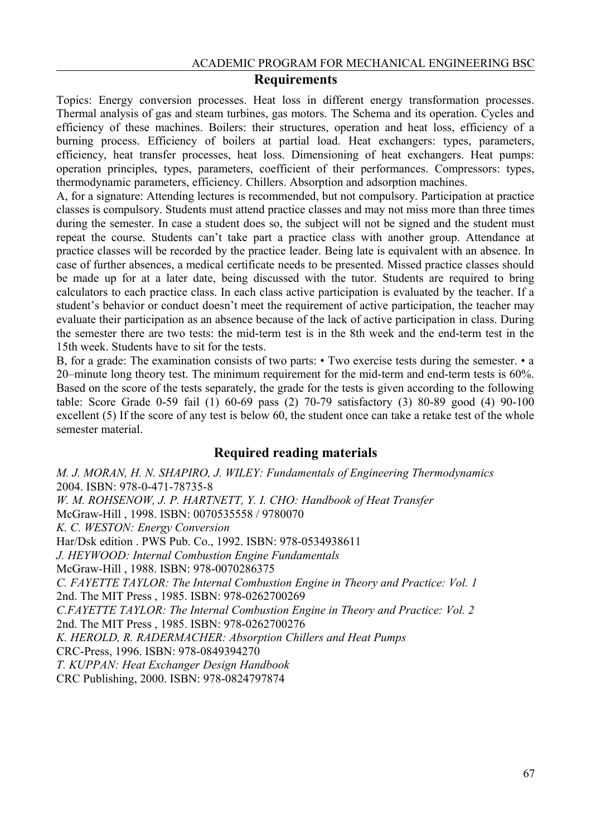Topics: Energy conversion processes. Heat loss in different energy transformation processes. Thermal analysis of gas and steam turbines, gas motors. The Schema and its operation. Cycles and efficiency of these machines. Boilers: their structures, operation and heat loss, efficiency of a burning process. Efficiency of boilers at partial load. Heat exchangers: types, parameters, efficiency, heat transfer processes, heat loss. Dimensioning of heat exchangers. Heat pumps: operation principles, types, parameters, coefficient of their performances. Compressors: types, thermodynamic parameters, efficiency. Chillers. Absorption and adsorption machines.

A, for a signature: Attending lectures is recommended, but not compulsory. Participation at practice classes is compulsory. Students must attend practice classes and may not miss more than three times during the semester. In case a student does so, the subject will not be signed and the student must repeat the course. Students can't take part a practice class with another group. Attendance at practice classes will be recorded by the practice leader. Being late is equivalent with an absence. In case of further absences, a medical certificate needs to be presented. Missed practice classes should be made up for at a later date, being discussed with the tutor. Students are required to bring calculators to each practice class. In each class active participation is evaluated by the teacher. If a student's behavior or conduct doesn't meet the requirement of active participation, the teacher may evaluate their participation as an absence because of the lack of active participation in class. During the semester there are two tests: the mid-term test is in the 8th week and the end-term test in the 15th week. Students have to sit for the tests.

B, for a grade: The examination consists of two parts: • Two exercise tests during the semester. • a 20–minute long theory test. The minimum requirement for the mid-term and end-term tests is 60%. Based on the score of the tests separately, the grade for the tests is given according to the following table: Score Grade 0-59 fail (1) 60-69 pass (2) 70-79 satisfactory (3) 80-89 good (4) 90-100 excellent (5) If the score of any test is below 60, the student once can take a retake test of the whole semester material.

#### **Required reading materials**

*M. J. MORAN, H. N. SHAPIRO, J. WILEY: Fundamentals of Engineering Thermodynamics* 2004. ISBN: 978-0-471-78735-8 *W. M. ROHSENOW, J. P. HARTNETT, Y. I. CHO: Handbook of Heat Transfer* McGraw-Hill , 1998. ISBN: 0070535558 / 9780070 *K. C. WESTON: Energy Conversion* Har/Dsk edition . PWS Pub. Co., 1992. ISBN: 978-0534938611 *J. HEYWOOD: Internal Combustion Engine Fundamentals* McGraw-Hill , 1988. ISBN: 978-0070286375 *C. FAYETTE TAYLOR: The Internal Combustion Engine in Theory and Practice: Vol. 1* 2nd. The MIT Press , 1985. ISBN: 978-0262700269 *C.FAYETTE TAYLOR: The Internal Combustion Engine in Theory and Practice: Vol. 2*  2nd. The MIT Press , 1985. ISBN: 978-0262700276 *K. HEROLD, R. RADERMACHER: Absorption Chillers and Heat Pumps* CRC-Press, 1996. ISBN: 978-0849394270 *T. KUPPAN: Heat Exchanger Design Handbook* CRC Publishing, 2000. ISBN: 978-0824797874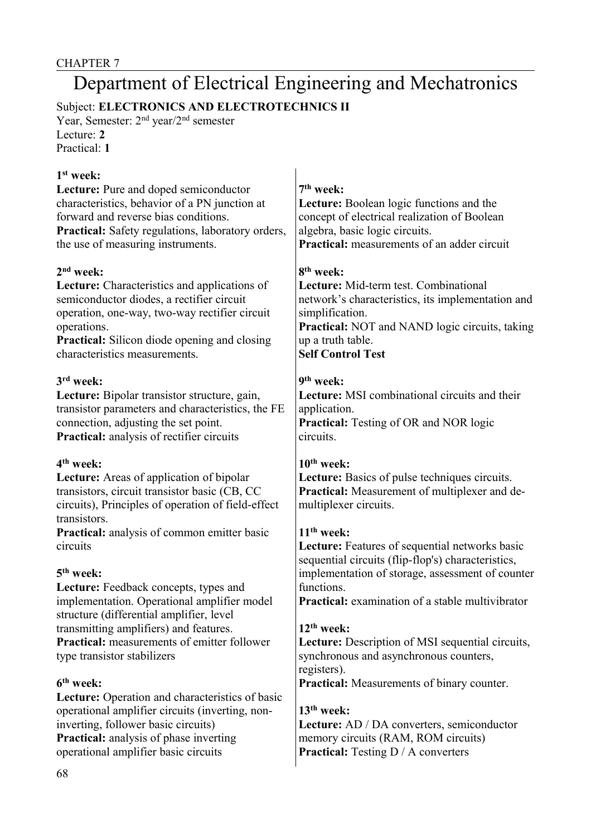# Department of Electrical Engineering and Mechatronics

 $\overline{1}$ 

Subject: **ELECTRONICS AND ELECTROTECHNICS II**

Year, Semester: 2<sup>nd</sup> year/2<sup>nd</sup> semester Lecture: **2** Practical: **1**

## **1 st week:**

| Lecture: Pure and doped semiconductor                                                                                                                                                                                                                                                                                                                                        | 7 <sup>th</sup> week:                                                                                                                                                                                                                                                                                                                                                                                                                         |
|------------------------------------------------------------------------------------------------------------------------------------------------------------------------------------------------------------------------------------------------------------------------------------------------------------------------------------------------------------------------------|-----------------------------------------------------------------------------------------------------------------------------------------------------------------------------------------------------------------------------------------------------------------------------------------------------------------------------------------------------------------------------------------------------------------------------------------------|
| characteristics, behavior of a PN junction at                                                                                                                                                                                                                                                                                                                                | Lecture: Boolean logic functions and the                                                                                                                                                                                                                                                                                                                                                                                                      |
| forward and reverse bias conditions.                                                                                                                                                                                                                                                                                                                                         | concept of electrical realization of Boolean                                                                                                                                                                                                                                                                                                                                                                                                  |
| Practical: Safety regulations, laboratory orders,                                                                                                                                                                                                                                                                                                                            | algebra, basic logic circuits.                                                                                                                                                                                                                                                                                                                                                                                                                |
| the use of measuring instruments.                                                                                                                                                                                                                                                                                                                                            | <b>Practical:</b> measurements of an adder circuit                                                                                                                                                                                                                                                                                                                                                                                            |
| $2nd$ week:                                                                                                                                                                                                                                                                                                                                                                  | 8 <sup>th</sup> week:                                                                                                                                                                                                                                                                                                                                                                                                                         |
| <b>Lecture:</b> Characteristics and applications of                                                                                                                                                                                                                                                                                                                          | Lecture: Mid-term test. Combinational                                                                                                                                                                                                                                                                                                                                                                                                         |
| semiconductor diodes, a rectifier circuit                                                                                                                                                                                                                                                                                                                                    | network's characteristics, its implementation and                                                                                                                                                                                                                                                                                                                                                                                             |
| operation, one-way, two-way rectifier circuit                                                                                                                                                                                                                                                                                                                                | simplification.                                                                                                                                                                                                                                                                                                                                                                                                                               |
| operations.                                                                                                                                                                                                                                                                                                                                                                  | <b>Practical:</b> NOT and NAND logic circuits, taking                                                                                                                                                                                                                                                                                                                                                                                         |
| <b>Practical:</b> Silicon diode opening and closing                                                                                                                                                                                                                                                                                                                          | up a truth table.                                                                                                                                                                                                                                                                                                                                                                                                                             |
| characteristics measurements.                                                                                                                                                                                                                                                                                                                                                | <b>Self Control Test</b>                                                                                                                                                                                                                                                                                                                                                                                                                      |
| 3 <sup>rd</sup> week:                                                                                                                                                                                                                                                                                                                                                        | 9 <sup>th</sup> week:                                                                                                                                                                                                                                                                                                                                                                                                                         |
| Lecture: Bipolar transistor structure, gain,                                                                                                                                                                                                                                                                                                                                 | Lecture: MSI combinational circuits and their                                                                                                                                                                                                                                                                                                                                                                                                 |
| transistor parameters and characteristics, the FE                                                                                                                                                                                                                                                                                                                            | application.                                                                                                                                                                                                                                                                                                                                                                                                                                  |
| connection, adjusting the set point.                                                                                                                                                                                                                                                                                                                                         | <b>Practical:</b> Testing of OR and NOR logic                                                                                                                                                                                                                                                                                                                                                                                                 |
| <b>Practical:</b> analysis of rectifier circuits                                                                                                                                                                                                                                                                                                                             | circuits.                                                                                                                                                                                                                                                                                                                                                                                                                                     |
| 4 <sup>th</sup> week:<br><b>Lecture:</b> Areas of application of bipolar<br>transistors, circuit transistor basic (CB, CC<br>circuits), Principles of operation of field-effect<br>transistors.                                                                                                                                                                              | $10th$ week:<br>Lecture: Basics of pulse techniques circuits.<br>Practical: Measurement of multiplexer and de-<br>multiplexer circuits.                                                                                                                                                                                                                                                                                                       |
| Practical: analysis of common emitter basic<br>circuits<br>5 <sup>th</sup> week:<br>Lecture: Feedback concepts, types and<br>implementation. Operational amplifier model<br>structure (differential amplifier, level<br>transmitting amplifiers) and features.<br><b>Practical:</b> measurements of emitter follower<br>type transistor stabilizers<br>6 <sup>th</sup> week: | $11th$ week:<br>Lecture: Features of sequential networks basic<br>sequential circuits (flip-flop's) characteristics,<br>implementation of storage, assessment of counter<br>functions.<br><b>Practical:</b> examination of a stable multivibrator<br>$12^{th}$ week:<br><b>Lecture:</b> Description of MSI sequential circuits,<br>synchronous and asynchronous counters,<br>registers).<br><b>Practical:</b> Measurements of binary counter. |
| <b>Lecture:</b> Operation and characteristics of basic<br>operational amplifier circuits (inverting, non-<br>inverting, follower basic circuits)<br><b>Practical:</b> analysis of phase inverting<br>operational amplifier basic circuits                                                                                                                                    | 13 <sup>th</sup> week:<br><b>Lecture:</b> AD / DA converters, semiconductor<br>memory circuits (RAM, ROM circuits)<br><b>Practical:</b> Testing D / A converters                                                                                                                                                                                                                                                                              |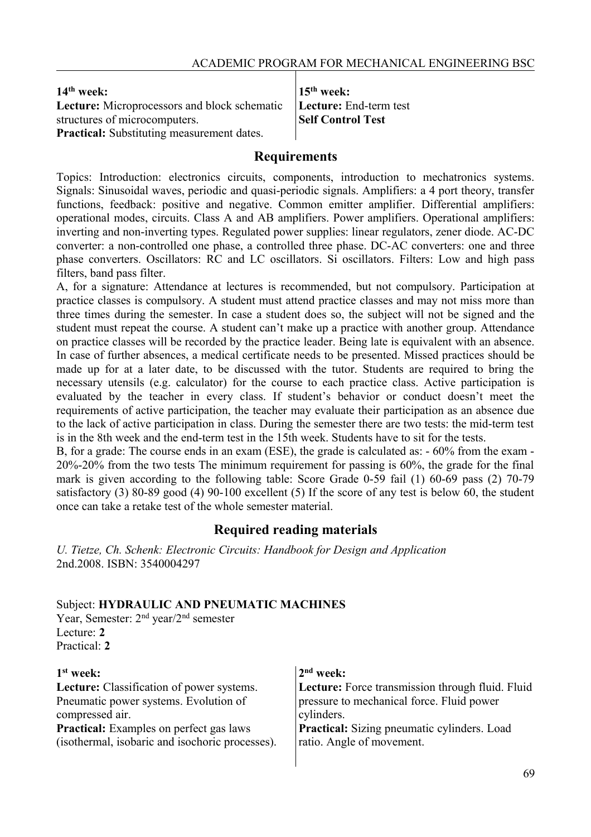**14th week: Lecture:** Microprocessors and block schematic structures of microcomputers. **Practical:** Substituting measurement dates.

**15th week: Lecture:** End-term test **Self Control Test**

## **Requirements**

Topics: Introduction: electronics circuits, components, introduction to mechatronics systems. Signals: Sinusoidal waves, periodic and quasi-periodic signals. Amplifiers: a 4 port theory, transfer functions, feedback: positive and negative. Common emitter amplifier. Differential amplifiers: operational modes, circuits. Class A and AB amplifiers. Power amplifiers. Operational amplifiers: inverting and non-inverting types. Regulated power supplies: linear regulators, zener diode. AC-DC converter: a non-controlled one phase, a controlled three phase. DC-AC converters: one and three phase converters. Oscillators: RC and LC oscillators. Si oscillators. Filters: Low and high pass filters, band pass filter.

A, for a signature: Attendance at lectures is recommended, but not compulsory. Participation at practice classes is compulsory. A student must attend practice classes and may not miss more than three times during the semester. In case a student does so, the subject will not be signed and the student must repeat the course. A student can't make up a practice with another group. Attendance on practice classes will be recorded by the practice leader. Being late is equivalent with an absence. In case of further absences, a medical certificate needs to be presented. Missed practices should be made up for at a later date, to be discussed with the tutor. Students are required to bring the necessary utensils (e.g. calculator) for the course to each practice class. Active participation is evaluated by the teacher in every class. If student's behavior or conduct doesn't meet the requirements of active participation, the teacher may evaluate their participation as an absence due to the lack of active participation in class. During the semester there are two tests: the mid-term test is in the 8th week and the end-term test in the 15th week. Students have to sit for the tests.

B, for a grade: The course ends in an exam (ESE), the grade is calculated as: - 60% from the exam - 20%-20% from the two tests The minimum requirement for passing is 60%, the grade for the final mark is given according to the following table: Score Grade 0-59 fail (1) 60-69 pass (2) 70-79 satisfactory (3) 80-89 good (4) 90-100 excellent (5) If the score of any test is below 60, the student once can take a retake test of the whole semester material.

## **Required reading materials**

*U. Tietze, Ch. Schenk: Electronic Circuits: Handbook for Design and Application* 2nd.2008. ISBN: 3540004297

#### Subject: **HYDRAULIC AND PNEUMATIC MACHINES**

Year, Semester: 2nd year/2nd semester Lecture: **2** Practical: **2**

| $1st$ week:                                      | $2nd$ week:                                        |
|--------------------------------------------------|----------------------------------------------------|
| <b>Lecture:</b> Classification of power systems. | Lecture: Force transmission through fluid. Fluid   |
| Pneumatic power systems. Evolution of            | pressure to mechanical force. Fluid power          |
| compressed air.                                  | cylinders.                                         |
| <b>Practical:</b> Examples on perfect gas laws   | <b>Practical:</b> Sizing pneumatic cylinders. Load |
| (isothermal, isobaric and isochoric processes).  | ratio. Angle of movement.                          |
|                                                  |                                                    |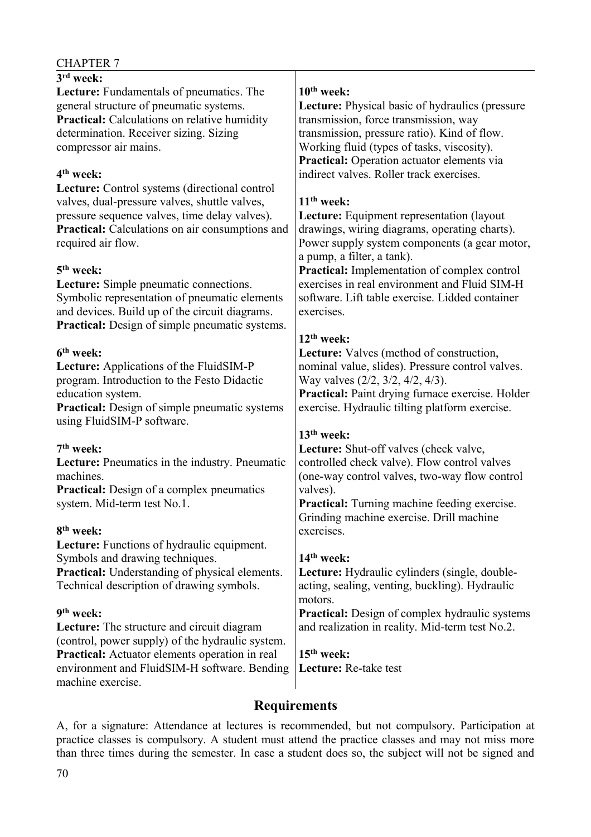| 3 <sup>rd</sup> week:                                                                                 | $10th$ week:                                          |
|-------------------------------------------------------------------------------------------------------|-------------------------------------------------------|
| <b>Lecture:</b> Fundamentals of pneumatics. The<br>general structure of pneumatic systems.            | Lecture: Physical basic of hydraulics (pressure       |
| <b>Practical:</b> Calculations on relative humidity                                                   | transmission, force transmission, way                 |
| determination. Receiver sizing. Sizing                                                                | transmission, pressure ratio). Kind of flow.          |
| compressor air mains.                                                                                 | Working fluid (types of tasks, viscosity).            |
|                                                                                                       | Practical: Operation actuator elements via            |
| 4 <sup>th</sup> week:                                                                                 | indirect valves. Roller track exercises.              |
| <b>Lecture:</b> Control systems (directional control                                                  |                                                       |
| valves, dual-pressure valves, shuttle valves,                                                         | $11th$ week:                                          |
| pressure sequence valves, time delay valves).                                                         | Lecture: Equipment representation (layout             |
| Practical: Calculations on air consumptions and                                                       | drawings, wiring diagrams, operating charts).         |
| required air flow.                                                                                    | Power supply system components (a gear motor,         |
|                                                                                                       | a pump, a filter, a tank).                            |
| $5th$ week:                                                                                           | Practical: Implementation of complex control          |
| Lecture: Simple pneumatic connections.                                                                | exercises in real environment and Fluid SIM-H         |
| Symbolic representation of pneumatic elements                                                         | software. Lift table exercise. Lidded container       |
| and devices. Build up of the circuit diagrams.                                                        | exercises.                                            |
| <b>Practical:</b> Design of simple pneumatic systems.                                                 |                                                       |
|                                                                                                       | $12th$ week:                                          |
| 6 <sup>th</sup> week:                                                                                 | <b>Lecture:</b> Valves (method of construction,       |
| <b>Lecture:</b> Applications of the FluidSIM-P                                                        | nominal value, slides). Pressure control valves.      |
| program. Introduction to the Festo Didactic                                                           | Way valves (2/2, 3/2, 4/2, 4/3).                      |
| education system.                                                                                     | Practical: Paint drying furnace exercise. Holder      |
| <b>Practical:</b> Design of simple pneumatic systems<br>using FluidSIM-P software.                    | exercise. Hydraulic tilting platform exercise.        |
|                                                                                                       | $13th$ week:                                          |
| 7 <sup>th</sup> week:                                                                                 | Lecture: Shut-off valves (check valve,                |
| Lecture: Pneumatics in the industry. Pneumatic                                                        | controlled check valve). Flow control valves          |
| machines.                                                                                             | (one-way control valves, two-way flow control         |
| <b>Practical:</b> Design of a complex pneumatics                                                      | valves).                                              |
| system. Mid-term test No.1.                                                                           | <b>Practical:</b> Turning machine feeding exercise.   |
|                                                                                                       | Grinding machine exercise. Drill machine              |
| 8 <sup>th</sup> week:                                                                                 | exercises.                                            |
| <b>Lecture:</b> Functions of hydraulic equipment.                                                     |                                                       |
| Symbols and drawing techniques.                                                                       | $14th$ week:                                          |
| <b>Practical:</b> Understanding of physical elements.                                                 | Lecture: Hydraulic cylinders (single, double-         |
| Technical description of drawing symbols.                                                             | acting, sealing, venting, buckling). Hydraulic        |
|                                                                                                       | motors.                                               |
| 9 <sup>th</sup> week:                                                                                 | <b>Practical:</b> Design of complex hydraulic systems |
| <b>Lecture:</b> The structure and circuit diagram<br>(control, power supply) of the hydraulic system. | and realization in reality. Mid-term test No.2.       |
| Practical: Actuator elements operation in real                                                        | $15th$ week:                                          |
| environment and FluidSIM-H software. Bending                                                          | Lecture: Re-take test                                 |
| machine exercise.                                                                                     |                                                       |

## **Requirements**

A, for a signature: Attendance at lectures is recommended, but not compulsory. Participation at practice classes is compulsory. A student must attend the practice classes and may not miss more than three times during the semester. In case a student does so, the subject will not be signed and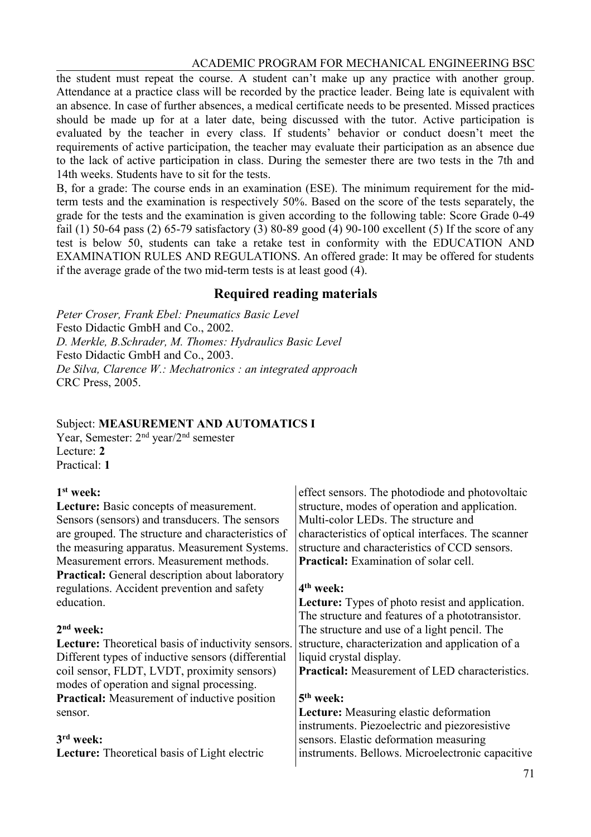the student must repeat the course. A student can't make up any practice with another group. Attendance at a practice class will be recorded by the practice leader. Being late is equivalent with an absence. In case of further absences, a medical certificate needs to be presented. Missed practices should be made up for at a later date, being discussed with the tutor. Active participation is evaluated by the teacher in every class. If students' behavior or conduct doesn't meet the requirements of active participation, the teacher may evaluate their participation as an absence due to the lack of active participation in class. During the semester there are two tests in the 7th and 14th weeks. Students have to sit for the tests.

B, for a grade: The course ends in an examination (ESE). The minimum requirement for the midterm tests and the examination is respectively 50%. Based on the score of the tests separately, the grade for the tests and the examination is given according to the following table: Score Grade 0-49 fail (1) 50-64 pass (2) 65-79 satisfactory (3) 80-89 good (4) 90-100 excellent (5) If the score of any test is below 50, students can take a retake test in conformity with the EDUCATION AND EXAMINATION RULES AND REGULATIONS. An offered grade: It may be offered for students if the average grade of the two mid-term tests is at least good (4).

## **Required reading materials**

*Peter Croser, Frank Ebel: Pneumatics Basic Level* Festo Didactic GmbH and Co., 2002. *D. Merkle, B.Schrader, M. Thomes: Hydraulics Basic Level* Festo Didactic GmbH and Co., 2003. *De Silva, Clarence W.: Mechatronics : an integrated approach* CRC Press, 2005.

#### Subject: **MEASUREMENT AND AUTOMATICS I**

Year, Semester: 2nd year/2nd semester Lecture: **2** Practical: **1**

#### **1 st week:**

**Lecture:** Basic concepts of measurement. Sensors (sensors) and transducers. The sensors are grouped. The structure and characteristics of the measuring apparatus. Measurement Systems. Measurement errors. Measurement methods. **Practical:** General description about laboratory regulations. Accident prevention and safety education.

#### **2 nd week:**

**Lecture:** Theoretical basis of inductivity sensors. Different types of inductive sensors (differential coil sensor, FLDT, LVDT, proximity sensors) modes of operation and signal processing. **Practical:** Measurement of inductive position sensor.

#### **3 rd week:**

**Lecture:** Theoretical basis of Light electric

effect sensors. The photodiode and photovoltaic structure, modes of operation and application. Multi-color LEDs. The structure and characteristics of optical interfaces. The scanner structure and characteristics of CCD sensors. **Practical:** Examination of solar cell.

#### **4 th week:**

**Lecture:** Types of photo resist and application. The structure and features of a phototransistor. The structure and use of a light pencil. The structure, characterization and application of a liquid crystal display. **Practical:** Measurement of LED characteristics.

#### **5 th week:**

**Lecture:** Measuring elastic deformation instruments. Piezoelectric and piezoresistive sensors. Elastic deformation measuring instruments. Bellows. Microelectronic capacitive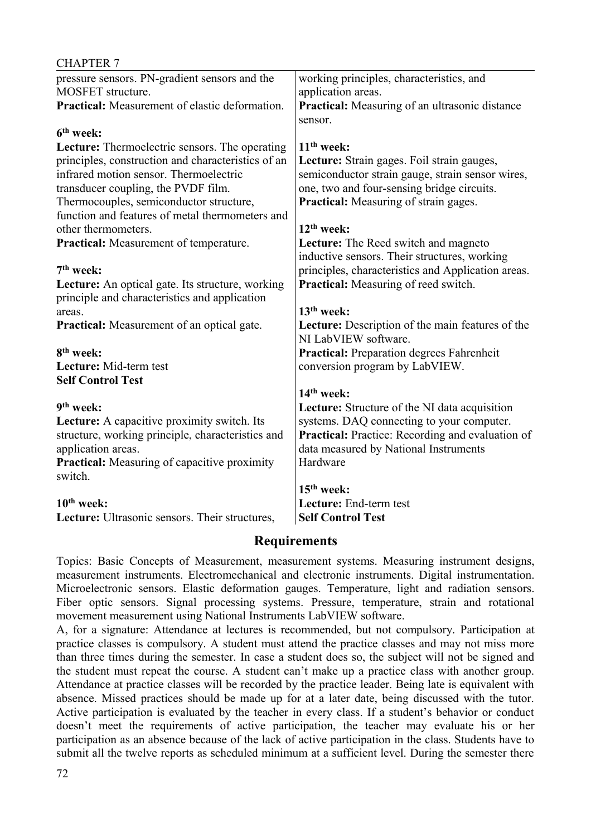| CHAPIER /                                                                 |                                                                          |
|---------------------------------------------------------------------------|--------------------------------------------------------------------------|
| pressure sensors. PN-gradient sensors and the<br><b>MOSFET</b> structure. | working principles, characteristics, and<br>application areas.           |
| <b>Practical:</b> Measurement of elastic deformation.                     | <b>Practical:</b> Measuring of an ultrasonic distance                    |
|                                                                           | sensor.                                                                  |
| 6 <sup>th</sup> week:                                                     |                                                                          |
| <b>Lecture:</b> Thermoelectric sensors. The operating                     | $11th$ week:                                                             |
| principles, construction and characteristics of an                        | Lecture: Strain gages. Foil strain gauges,                               |
| infrared motion sensor. Thermoelectric                                    | semiconductor strain gauge, strain sensor wires,                         |
| transducer coupling, the PVDF film.                                       | one, two and four-sensing bridge circuits.                               |
| Thermocouples, semiconductor structure,                                   | <b>Practical:</b> Measuring of strain gages.                             |
| function and features of metal thermometers and<br>other thermometers.    | $12th$ week:                                                             |
| Practical: Measurement of temperature.                                    | <b>Lecture:</b> The Reed switch and magneto                              |
|                                                                           | inductive sensors. Their structures, working                             |
| 7 <sup>th</sup> week:                                                     | principles, characteristics and Application areas.                       |
| <b>Lecture:</b> An optical gate. Its structure, working                   | Practical: Measuring of reed switch.                                     |
| principle and characteristics and application                             |                                                                          |
| areas.                                                                    | 13 <sup>th</sup> week:                                                   |
| <b>Practical:</b> Measurement of an optical gate.                         | Lecture: Description of the main features of the<br>NI LabVIEW software. |
| 8 <sup>th</sup> week:                                                     | Practical: Preparation degrees Fahrenheit                                |
| Lecture: Mid-term test                                                    | conversion program by LabVIEW.                                           |
| <b>Self Control Test</b>                                                  |                                                                          |
|                                                                           | $14th$ week:                                                             |
| 9 <sup>th</sup> week:                                                     | <b>Lecture:</b> Structure of the NI data acquisition                     |
| Lecture: A capacitive proximity switch. Its                               | systems. DAQ connecting to your computer.                                |
| structure, working principle, characteristics and                         | Practical: Practice: Recording and evaluation of                         |
| application areas.                                                        | data measured by National Instruments                                    |
| <b>Practical:</b> Measuring of capacitive proximity<br>switch.            | Hardware                                                                 |
|                                                                           | $15th$ week:                                                             |
| $10th$ week:                                                              | Lecture: End-term test                                                   |
| Lecture: Ultrasonic sensors. Their structures,                            | <b>Self Control Test</b>                                                 |
|                                                                           |                                                                          |

Topics: Basic Concepts of Measurement, measurement systems. Measuring instrument designs, measurement instruments. Electromechanical and electronic instruments. Digital instrumentation. Microelectronic sensors. Elastic deformation gauges. Temperature, light and radiation sensors. Fiber optic sensors. Signal processing systems. Pressure, temperature, strain and rotational movement measurement using National Instruments LabVIEW software.

A, for a signature: Attendance at lectures is recommended, but not compulsory. Participation at practice classes is compulsory. A student must attend the practice classes and may not miss more than three times during the semester. In case a student does so, the subject will not be signed and the student must repeat the course. A student can't make up a practice class with another group. Attendance at practice classes will be recorded by the practice leader. Being late is equivalent with absence. Missed practices should be made up for at a later date, being discussed with the tutor. Active participation is evaluated by the teacher in every class. If a student's behavior or conduct doesn't meet the requirements of active participation, the teacher may evaluate his or her participation as an absence because of the lack of active participation in the class. Students have to submit all the twelve reports as scheduled minimum at a sufficient level. During the semester there

 $\alpha$ <sub>L</sub>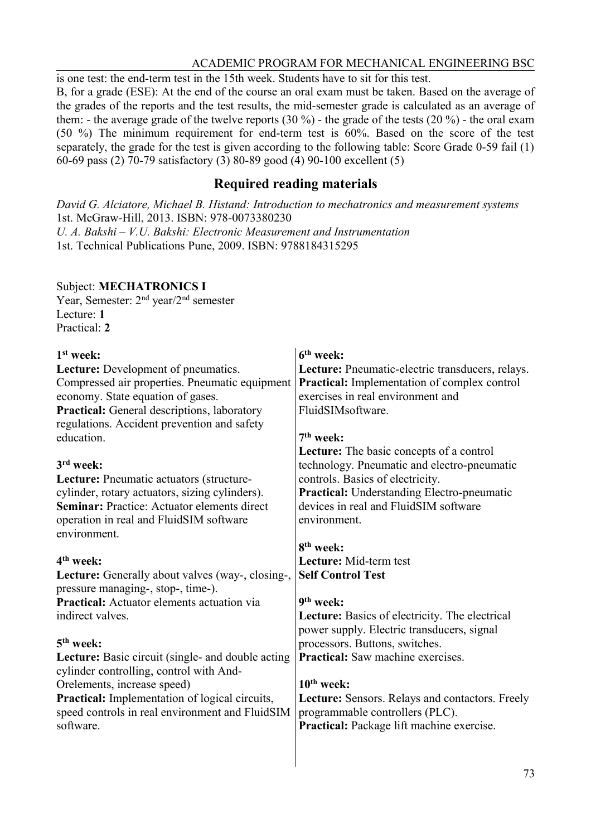#### ACADEMIC PROGRAM FOR MECHANICAL ENGINEERING BSC

is one test: the end-term test in the 15th week. Students have to sit for this test.

B, for a grade (ESE): At the end of the course an oral exam must be taken. Based on the average of the grades of the reports and the test results, the mid-semester grade is calculated as an average of them: - the average grade of the twelve reports  $(30\%)$  - the grade of the tests  $(20\%)$  - the oral exam (50 %) The minimum requirement for end-term test is 60%. Based on the score of the test separately, the grade for the test is given according to the following table: Score Grade 0-59 fail (1) 60-69 pass (2) 70-79 satisfactory (3) 80-89 good (4) 90-100 excellent (5)

# **Required reading materials**

*David G. Alciatore, Michael B. Histand: Introduction to mechatronics and measurement systems* 1st. McGraw-Hill, 2013. ISBN: 978-0073380230 *U. A. Bakshi – V.U. Bakshi: Electronic Measurement and Instrumentation* 1st. Technical Publications Pune, 2009. ISBN: 9788184315295

#### Subject: **MECHATRONICS I**

Year, Semester: 2nd year/2nd semester Lecture: **1** Practical: **2**

| $1st$ week:<br>Lecture: Development of pneumatics.<br>Compressed air properties. Pneumatic equipment<br>economy. State equation of gases.<br>Practical: General descriptions, laboratory<br>regulations. Accident prevention and safety<br>education. | $6th$ week:<br>Lecture: Pneumatic-electric transducers, relays.<br><b>Practical:</b> Implementation of complex control<br>exercises in real environment and<br>FluidSIMsoftware.<br>$7th$ week: |
|-------------------------------------------------------------------------------------------------------------------------------------------------------------------------------------------------------------------------------------------------------|-------------------------------------------------------------------------------------------------------------------------------------------------------------------------------------------------|
| $3rd$ week:<br>Lecture: Pneumatic actuators (structure-                                                                                                                                                                                               | <b>Lecture:</b> The basic concepts of a control<br>technology. Pneumatic and electro-pneumatic<br>controls. Basics of electricity.                                                              |
| cylinder, rotary actuators, sizing cylinders).<br><b>Seminar:</b> Practice: Actuator elements direct<br>operation in real and FluidSIM software<br>environment.                                                                                       | <b>Practical:</b> Understanding Electro-pneumatic<br>devices in real and FluidSIM software<br>environment.<br>8 <sup>th</sup> week:                                                             |
| $4th$ week:                                                                                                                                                                                                                                           | Lecture: Mid-term test                                                                                                                                                                          |
| Lecture: Generally about valves (way-, closing-,<br>pressure managing-, stop-, time-).                                                                                                                                                                | <b>Self Control Test</b>                                                                                                                                                                        |
| Practical: Actuator elements actuation via<br>indirect valves.                                                                                                                                                                                        | 9 <sup>th</sup> week:<br>Lecture: Basics of electricity. The electrical<br>power supply. Electric transducers, signal                                                                           |
| $5th$ week:<br><b>Lecture:</b> Basic circuit (single- and double acting<br>cylinder controlling, control with And-                                                                                                                                    | processors. Buttons, switches.<br><b>Practical:</b> Saw machine exercises.                                                                                                                      |
| Orelements, increase speed)<br><b>Practical:</b> Implementation of logical circuits,<br>speed controls in real environment and FluidSIM<br>software.                                                                                                  | $10th$ week:<br>Lecture: Sensors. Relays and contactors. Freely<br>programmable controllers (PLC).<br><b>Practical:</b> Package lift machine exercise.                                          |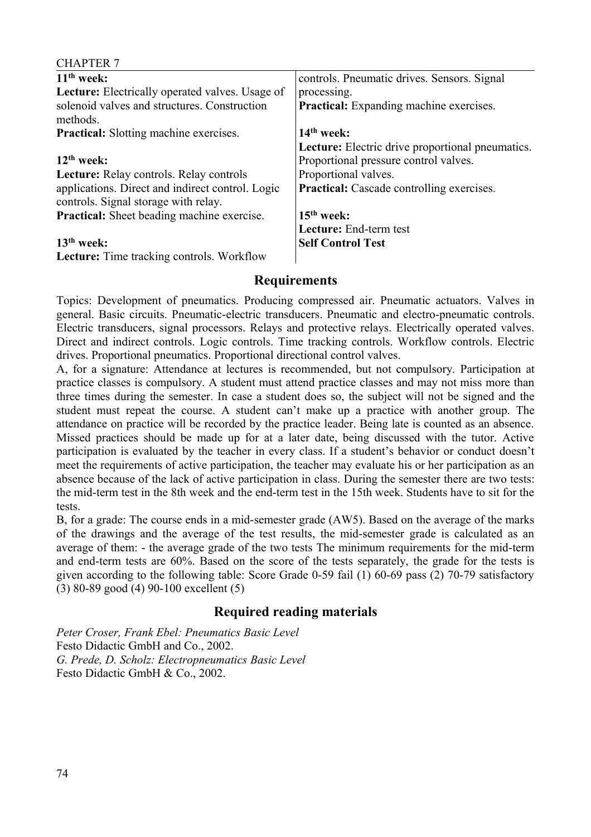| <b>CHAPTER 7</b>                                       |                                                         |
|--------------------------------------------------------|---------------------------------------------------------|
| $11th$ week:                                           | controls. Pneumatic drives. Sensors. Signal             |
| <b>Lecture:</b> Electrically operated valves. Usage of | processing.                                             |
| solenoid valves and structures. Construction           | <b>Practical:</b> Expanding machine exercises.          |
| methods.                                               |                                                         |
| <b>Practical:</b> Slotting machine exercises.          | $14th$ week:                                            |
|                                                        | <b>Lecture:</b> Electric drive proportional pneumatics. |
| $12th$ week:                                           | Proportional pressure control valves.                   |
| <b>Lecture:</b> Relay controls. Relay controls         | Proportional valves.                                    |
| applications. Direct and indirect control. Logic       | <b>Practical:</b> Cascade controlling exercises.        |
| controls. Signal storage with relay.                   |                                                         |
| <b>Practical:</b> Sheet beading machine exercise.      | $15th$ week:                                            |
|                                                        | Lecture: End-term test                                  |
| $13th$ week:                                           | <b>Self Control Test</b>                                |
| <b>Lecture:</b> Time tracking controls. Workflow       |                                                         |

Topics: Development of pneumatics. Producing compressed air. Pneumatic actuators. Valves in general. Basic circuits. Pneumatic-electric transducers. Pneumatic and electro-pneumatic controls. Electric transducers, signal processors. Relays and protective relays. Electrically operated valves. Direct and indirect controls. Logic controls. Time tracking controls. Workflow controls. Electric drives. Proportional pneumatics. Proportional directional control valves.

A, for a signature: Attendance at lectures is recommended, but not compulsory. Participation at practice classes is compulsory. A student must attend practice classes and may not miss more than three times during the semester. In case a student does so, the subject will not be signed and the student must repeat the course. A student can't make up a practice with another group. The attendance on practice will be recorded by the practice leader. Being late is counted as an absence. Missed practices should be made up for at a later date, being discussed with the tutor. Active participation is evaluated by the teacher in every class. If a student's behavior or conduct doesn't meet the requirements of active participation, the teacher may evaluate his or her participation as an absence because of the lack of active participation in class. During the semester there are two tests: the mid-term test in the 8th week and the end-term test in the 15th week. Students have to sit for the tests.

B, for a grade: The course ends in a mid-semester grade (AW5). Based on the average of the marks of the drawings and the average of the test results, the mid-semester grade is calculated as an average of them: - the average grade of the two tests The minimum requirements for the mid-term and end-term tests are 60%. Based on the score of the tests separately, the grade for the tests is given according to the following table: Score Grade 0-59 fail (1) 60-69 pass (2) 70-79 satisfactory (3) 80-89 good (4) 90-100 excellent (5)

# **Required reading materials**

*Peter Croser, Frank Ebel: Pneumatics Basic Level* Festo Didactic GmbH and Co., 2002. *G. Prede, D. Scholz: Electropneumatics Basic Level* Festo Didactic GmbH & Co., 2002.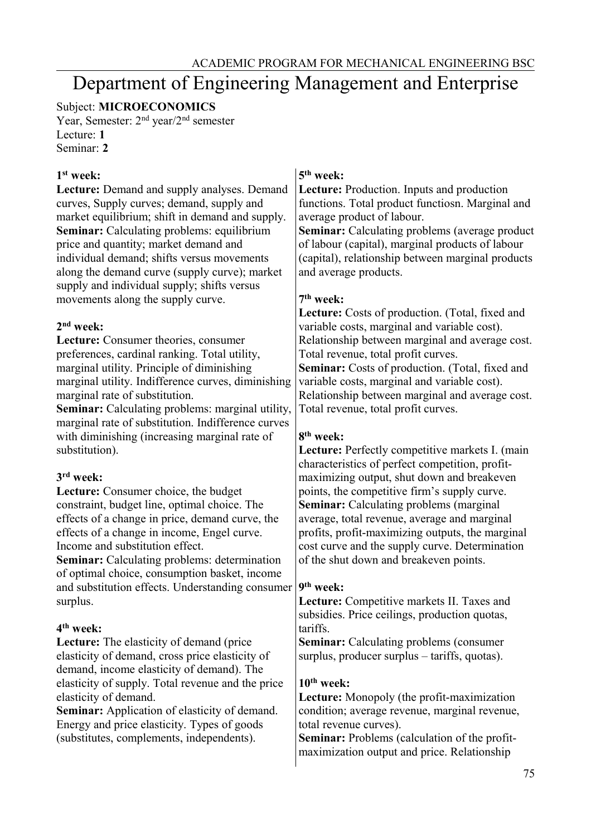# Department of Engineering Management and Enterprise

# Subject: **MICROECONOMICS**

Year, Semester: 2nd year/2nd semester Lecture: **1** Seminar: **2**

# **1 st week:**

**Lecture:** Demand and supply analyses. Demand curves, Supply curves; demand, supply and market equilibrium; shift in demand and supply. **Seminar:** Calculating problems: equilibrium price and quantity; market demand and individual demand; shifts versus movements along the demand curve (supply curve); market supply and individual supply; shifts versus movements along the supply curve.

# **2 nd week:**

**Lecture:** Consumer theories, consumer preferences, cardinal ranking. Total utility, marginal utility. Principle of diminishing marginal utility. Indifference curves, diminishing marginal rate of substitution.

**Seminar:** Calculating problems: marginal utility, marginal rate of substitution. Indifference curves with diminishing (increasing marginal rate of substitution).

# **3 rd week:**

**Lecture:** Consumer choice, the budget constraint, budget line, optimal choice. The effects of a change in price, demand curve, the effects of a change in income, Engel curve. Income and substitution effect. **Seminar:** Calculating problems: determination of optimal choice, consumption basket, income and substitution effects. Understanding consumer surplus.

# **4 th week:**

**Lecture:** The elasticity of demand (price elasticity of demand, cross price elasticity of demand, income elasticity of demand). The elasticity of supply. Total revenue and the price elasticity of demand.

**Seminar:** Application of elasticity of demand. Energy and price elasticity. Types of goods (substitutes, complements, independents).

# **5 th week:**

**Lecture:** Production. Inputs and production functions. Total product functiosn. Marginal and average product of labour.

**Seminar:** Calculating problems (average product of labour (capital), marginal products of labour (capital), relationship between marginal products and average products.

# **7 th week:**

**Lecture:** Costs of production. (Total, fixed and variable costs, marginal and variable cost). Relationship between marginal and average cost. Total revenue, total profit curves. **Seminar:** Costs of production. (Total, fixed and variable costs, marginal and variable cost). Relationship between marginal and average cost. Total revenue, total profit curves.

# **8 th week:**

**Lecture:** Perfectly competitive markets I. (main characteristics of perfect competition, profitmaximizing output, shut down and breakeven points, the competitive firm's supply curve. **Seminar:** Calculating problems (marginal average, total revenue, average and marginal profits, profit-maximizing outputs, the marginal cost curve and the supply curve. Determination of the shut down and breakeven points.

# **9 th week:**

**Lecture:** Competitive markets II. Taxes and subsidies. Price ceilings, production quotas, tariffs.

**Seminar:** Calculating problems (consumer surplus, producer surplus – tariffs, quotas).

# **10th week:**

**Lecture:** Monopoly (the profit-maximization condition; average revenue, marginal revenue, total revenue curves).

**Seminar:** Problems (calculation of the profitmaximization output and price. Relationship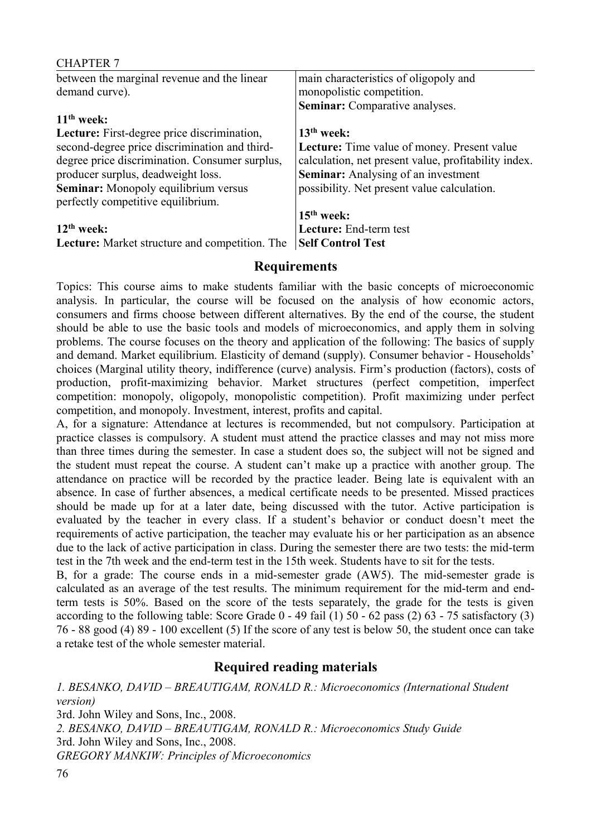| CHAP LEK /                                     |                                                      |
|------------------------------------------------|------------------------------------------------------|
| between the marginal revenue and the linear    | main characteristics of oligopoly and                |
| demand curve).                                 | monopolistic competition.                            |
|                                                | <b>Seminar:</b> Comparative analyses.                |
| $11th$ week:                                   |                                                      |
| Lecture: First-degree price discrimination,    | $13th$ week:                                         |
| second-degree price discrimination and third-  | <b>Lecture:</b> Time value of money. Present value   |
| degree price discrimination. Consumer surplus, | calculation, net present value, profitability index. |
| producer surplus, deadweight loss.             | <b>Seminar:</b> Analysing of an investment           |
| <b>Seminar:</b> Monopoly equilibrium versus    | possibility. Net present value calculation.          |
| perfectly competitive equilibrium.             |                                                      |
|                                                | $15th$ week:                                         |
| $12th$ week:                                   | Lecture: End-term test                               |
| Lecture: Market structure and competition. The | <b>Self Control Test</b>                             |

Topics: This course aims to make students familiar with the basic concepts of microeconomic analysis. In particular, the course will be focused on the analysis of how economic actors, consumers and firms choose between different alternatives. By the end of the course, the student should be able to use the basic tools and models of microeconomics, and apply them in solving problems. The course focuses on the theory and application of the following: The basics of supply and demand. Market equilibrium. Elasticity of demand (supply). Consumer behavior - Households' choices (Marginal utility theory, indifference (curve) analysis. Firm's production (factors), costs of production, profit-maximizing behavior. Market structures (perfect competition, imperfect competition: monopoly, oligopoly, monopolistic competition). Profit maximizing under perfect competition, and monopoly. Investment, interest, profits and capital.

A, for a signature: Attendance at lectures is recommended, but not compulsory. Participation at practice classes is compulsory. A student must attend the practice classes and may not miss more than three times during the semester. In case a student does so, the subject will not be signed and the student must repeat the course. A student can't make up a practice with another group. The attendance on practice will be recorded by the practice leader. Being late is equivalent with an absence. In case of further absences, a medical certificate needs to be presented. Missed practices should be made up for at a later date, being discussed with the tutor. Active participation is evaluated by the teacher in every class. If a student's behavior or conduct doesn't meet the requirements of active participation, the teacher may evaluate his or her participation as an absence due to the lack of active participation in class. During the semester there are two tests: the mid-term test in the 7th week and the end-term test in the 15th week. Students have to sit for the tests.

B, for a grade: The course ends in a mid-semester grade (AW5). The mid-semester grade is calculated as an average of the test results. The minimum requirement for the mid-term and endterm tests is 50%. Based on the score of the tests separately, the grade for the tests is given according to the following table: Score Grade  $0 - 49$  fail (1)  $50 - 62$  pass (2)  $63 - 75$  satisfactory (3) 76 - 88 good (4) 89 - 100 excellent (5) If the score of any test is below 50, the student once can take a retake test of the whole semester material.

# **Required reading materials**

*1. BESANKO, DAVID – BREAUTIGAM, RONALD R.: Microeconomics (International Student version)* 3rd. John Wiley and Sons, Inc., 2008. *2. BESANKO, DAVID – BREAUTIGAM, RONALD R.: Microeconomics Study Guide* 3rd. John Wiley and Sons, Inc., 2008. *GREGORY MANKIW: Principles of Microeconomics*

 $C<sub>II</sub>$  DTED  $<sub>7</sub>$ </sub>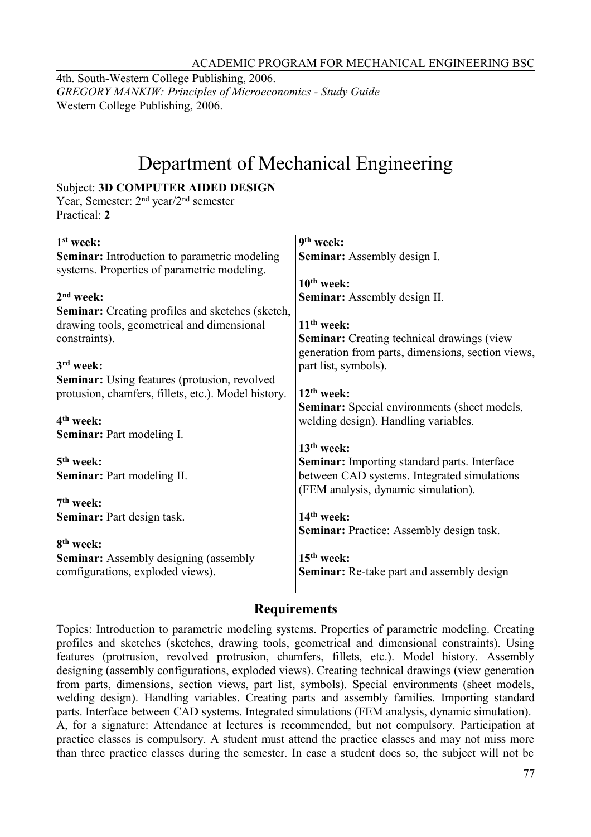#### ACADEMIC PROGRAM FOR MECHANICAL ENGINEERING BSC

4th. South-Western College Publishing, 2006. *GREGORY MANKIW: Principles of Microeconomics - Study Guide* Western College Publishing, 2006.

Subject: **3D COMPUTER AIDED DESIGN**

# Department of Mechanical Engineering

| Year, Semester: 2 <sup>nd</sup> year/2 <sup>nd</sup> semester<br>Practical: 2                      |                                                                                    |
|----------------------------------------------------------------------------------------------------|------------------------------------------------------------------------------------|
| $1st$ week:                                                                                        | 9 <sup>th</sup> week:                                                              |
| <b>Seminar:</b> Introduction to parametric modeling<br>systems. Properties of parametric modeling. | <b>Seminar:</b> Assembly design I.                                                 |
|                                                                                                    | $10th$ week:                                                                       |
| $2nd$ week:                                                                                        | <b>Seminar:</b> Assembly design II.                                                |
| <b>Seminar:</b> Creating profiles and sketches (sketch,                                            |                                                                                    |
| drawing tools, geometrical and dimensional                                                         | $11th$ week:                                                                       |
| constraints).                                                                                      | <b>Seminar:</b> Creating technical drawings (view                                  |
|                                                                                                    | generation from parts, dimensions, section views,                                  |
| $3rd$ week:                                                                                        | part list, symbols).                                                               |
| <b>Seminar:</b> Using features (protusion, revolved                                                |                                                                                    |
| protusion, chamfers, fillets, etc.). Model history.                                                | $12th$ week:                                                                       |
|                                                                                                    | <b>Seminar:</b> Special environments (sheet models,                                |
| 4 <sup>th</sup> week:                                                                              | welding design). Handling variables.                                               |
| <b>Seminar:</b> Part modeling I.                                                                   |                                                                                    |
|                                                                                                    | $13th$ week:                                                                       |
| 5 <sup>th</sup> week:                                                                              | Seminar: Importing standard parts. Interface                                       |
| Seminar: Part modeling II.                                                                         | between CAD systems. Integrated simulations<br>(FEM analysis, dynamic simulation). |
| $7th$ week:                                                                                        |                                                                                    |
| <b>Seminar:</b> Part design task.                                                                  | $14th$ week:                                                                       |
|                                                                                                    | <b>Seminar:</b> Practice: Assembly design task.                                    |
| 8 <sup>th</sup> week:                                                                              | $15th$ week:                                                                       |
| <b>Seminar:</b> Assembly designing (assembly<br>comfigurations, exploded views).                   | <b>Seminar:</b> Re-take part and assembly design                                   |
|                                                                                                    |                                                                                    |

# **Requirements**

Topics: Introduction to parametric modeling systems. Properties of parametric modeling. Creating profiles and sketches (sketches, drawing tools, geometrical and dimensional constraints). Using features (protrusion, revolved protrusion, chamfers, fillets, etc.). Model history. Assembly designing (assembly configurations, exploded views). Creating technical drawings (view generation from parts, dimensions, section views, part list, symbols). Special environments (sheet models, welding design). Handling variables. Creating parts and assembly families. Importing standard parts. Interface between CAD systems. Integrated simulations (FEM analysis, dynamic simulation). A, for a signature: Attendance at lectures is recommended, but not compulsory. Participation at practice classes is compulsory. A student must attend the practice classes and may not miss more than three practice classes during the semester. In case a student does so, the subject will not be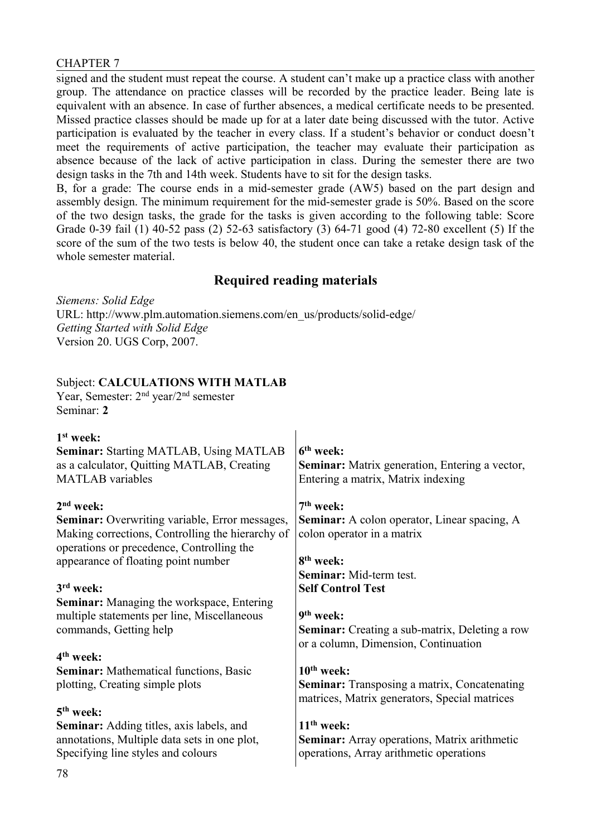signed and the student must repeat the course. A student can't make up a practice class with another group. The attendance on practice classes will be recorded by the practice leader. Being late is equivalent with an absence. In case of further absences, a medical certificate needs to be presented. Missed practice classes should be made up for at a later date being discussed with the tutor. Active participation is evaluated by the teacher in every class. If a student's behavior or conduct doesn't meet the requirements of active participation, the teacher may evaluate their participation as absence because of the lack of active participation in class. During the semester there are two design tasks in the 7th and 14th week. Students have to sit for the design tasks.

B, for a grade: The course ends in a mid-semester grade (AW5) based on the part design and assembly design. The minimum requirement for the mid-semester grade is 50%. Based on the score of the two design tasks, the grade for the tasks is given according to the following table: Score Grade 0-39 fail (1) 40-52 pass (2) 52-63 satisfactory (3) 64-71 good (4) 72-80 excellent (5) If the score of the sum of the two tests is below 40, the student once can take a retake design task of the whole semester material.

# **Required reading materials**

*Siemens: Solid Edge* URL: http://www.plm.automation.siemens.com/en\_us/products/solid-edge/ *Getting Started with Solid Edge*  Version 20. UGS Corp, 2007.

#### Subject: **CALCULATIONS WITH MATLAB**

Year, Semester: 2nd year/2nd semester Seminar: **2**

| $1st$ week:<br><b>Seminar: Starting MATLAB, Using MATLAB</b><br>as a calculator, Quitting MATLAB, Creating<br><b>MATLAB</b> variables                  | 6 <sup>th</sup> week:<br><b>Seminar:</b> Matrix generation, Entering a vector,<br>Entering a matrix, Matrix indexing   |
|--------------------------------------------------------------------------------------------------------------------------------------------------------|------------------------------------------------------------------------------------------------------------------------|
| $2nd$ week:                                                                                                                                            | $7th$ week:                                                                                                            |
| <b>Seminar:</b> Overwriting variable, Error messages,<br>Making corrections, Controlling the hierarchy of<br>operations or precedence, Controlling the | <b>Seminar:</b> A colon operator, Linear spacing, A<br>colon operator in a matrix                                      |
| appearance of floating point number                                                                                                                    | 8 <sup>th</sup> week:                                                                                                  |
|                                                                                                                                                        | Seminar: Mid-term test.                                                                                                |
| 3 <sup>rd</sup> week:                                                                                                                                  | <b>Self Control Test</b>                                                                                               |
| <b>Seminar:</b> Managing the workspace, Entering<br>multiple statements per line, Miscellaneous<br>commands, Getting help                              | 9 <sup>th</sup> week:<br><b>Seminar:</b> Creating a sub-matrix, Deleting a row<br>or a column, Dimension, Continuation |
| 4 <sup>th</sup> week:                                                                                                                                  |                                                                                                                        |
| <b>Seminar:</b> Mathematical functions, Basic<br>plotting, Creating simple plots                                                                       | $10th$ week:<br><b>Seminar:</b> Transposing a matrix, Concatenating<br>matrices, Matrix generators, Special matrices   |
| $5th$ week:                                                                                                                                            |                                                                                                                        |
| <b>Seminar:</b> Adding titles, axis labels, and<br>annotations, Multiple data sets in one plot,<br>Specifying line styles and colours                  | $11th$ week:<br>Seminar: Array operations, Matrix arithmetic<br>operations, Array arithmetic operations                |
| $70^{\circ}$                                                                                                                                           |                                                                                                                        |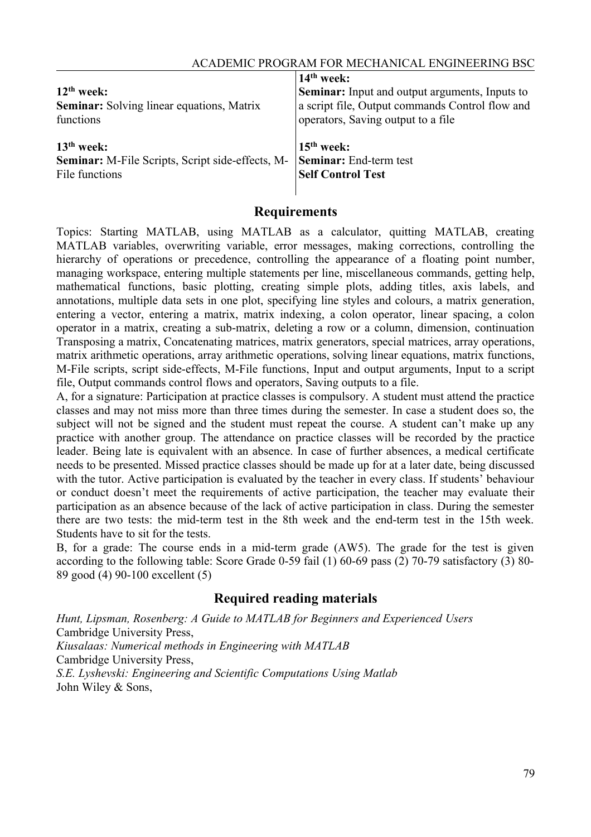| $12th$ week:<br><b>Seminar:</b> Solving linear equations, Matrix<br>functions | $14th$ week:<br><b>Seminar:</b> Input and output arguments, Inputs to<br>a script file, Output commands Control flow and<br>operators, Saving output to a file |
|-------------------------------------------------------------------------------|----------------------------------------------------------------------------------------------------------------------------------------------------------------|
| $13th$ week:                                                                  | $15th$ week:                                                                                                                                                   |
| <b>Seminar:</b> M-File Scripts, Script side-effects, M-                       | <b>Seminar:</b> End-term test                                                                                                                                  |
| File functions                                                                | <b>Self Control Test</b>                                                                                                                                       |

Topics: Starting MATLAB, using MATLAB as a calculator, quitting MATLAB, creating MATLAB variables, overwriting variable, error messages, making corrections, controlling the hierarchy of operations or precedence, controlling the appearance of a floating point number, managing workspace, entering multiple statements per line, miscellaneous commands, getting help, mathematical functions, basic plotting, creating simple plots, adding titles, axis labels, and annotations, multiple data sets in one plot, specifying line styles and colours, a matrix generation, entering a vector, entering a matrix, matrix indexing, a colon operator, linear spacing, a colon operator in a matrix, creating a sub-matrix, deleting a row or a column, dimension, continuation Transposing a matrix, Concatenating matrices, matrix generators, special matrices, array operations, matrix arithmetic operations, array arithmetic operations, solving linear equations, matrix functions, M-File scripts, script side-effects, M-File functions, Input and output arguments, Input to a script file, Output commands control flows and operators, Saving outputs to a file.

A, for a signature: Participation at practice classes is compulsory. A student must attend the practice classes and may not miss more than three times during the semester. In case a student does so, the subject will not be signed and the student must repeat the course. A student can't make up any practice with another group. The attendance on practice classes will be recorded by the practice leader. Being late is equivalent with an absence. In case of further absences, a medical certificate needs to be presented. Missed practice classes should be made up for at a later date, being discussed with the tutor. Active participation is evaluated by the teacher in every class. If students' behaviour or conduct doesn't meet the requirements of active participation, the teacher may evaluate their participation as an absence because of the lack of active participation in class. During the semester there are two tests: the mid-term test in the 8th week and the end-term test in the 15th week. Students have to sit for the tests.

B, for a grade: The course ends in a mid-term grade (AW5). The grade for the test is given according to the following table: Score Grade 0-59 fail (1) 60-69 pass (2) 70-79 satisfactory (3) 80- 89 good (4) 90-100 excellent (5)

# **Required reading materials**

*Hunt, Lipsman, Rosenberg: A Guide to MATLAB for Beginners and Experienced Users* Cambridge University Press, *Kiusalaas: Numerical methods in Engineering with MATLAB* Cambridge University Press, *S.E. Lyshevski: Engineering and Scientific Computations Using Matlab* John Wiley & Sons,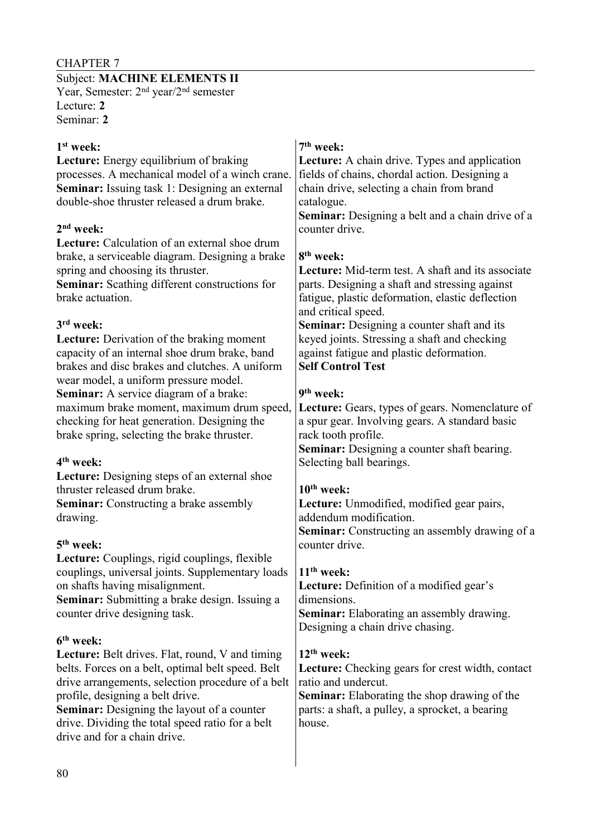Subject: **MACHINE ELEMENTS II** Year, Semester: 2<sup>nd</sup> year/2<sup>nd</sup> semester Lecture: **2** Seminar: **2**

| 1 <sup>st</sup> week:<br>Lecture: Energy equilibrium of braking<br>processes. A mechanical model of a winch crane.<br><b>Seminar:</b> Issuing task 1: Designing an external<br>double-shoe thruster released a drum brake.<br>$2nd$ week:<br>Lecture: Calculation of an external shoe drum<br>brake, a serviceable diagram. Designing a brake<br>spring and choosing its thruster.<br>Seminar: Scathing different constructions for<br>brake actuation.<br>3rd week:<br><b>Lecture:</b> Derivation of the braking moment<br>capacity of an internal shoe drum brake, band<br>brakes and disc brakes and clutches. A uniform<br>wear model, a uniform pressure model.<br><b>Seminar:</b> A service diagram of a brake:<br>maximum brake moment, maximum drum speed,<br>checking for heat generation. Designing the<br>brake spring, selecting the brake thruster.<br>4 <sup>th</sup> week:<br>Lecture: Designing steps of an external shoe<br>thruster released drum brake.<br><b>Seminar:</b> Constructing a brake assembly<br>drawing.<br>5 <sup>th</sup> week:<br>Lecture: Couplings, rigid couplings, flexible<br>couplings, universal joints. Supplementary loads | 7 <sup>th</sup> week:<br><b>Lecture:</b> A chain drive. Types and application<br>fields of chains, chordal action. Designing a<br>chain drive, selecting a chain from brand<br>catalogue.<br><b>Seminar:</b> Designing a belt and a chain drive of a<br>counter drive.<br>8 <sup>th</sup> week:<br>Lecture: Mid-term test. A shaft and its associate<br>parts. Designing a shaft and stressing against<br>fatigue, plastic deformation, elastic deflection<br>and critical speed.<br><b>Seminar:</b> Designing a counter shaft and its<br>keyed joints. Stressing a shaft and checking<br>against fatigue and plastic deformation.<br><b>Self Control Test</b><br>9 <sup>th</sup> week:<br>Lecture: Gears, types of gears. Nomenclature of<br>a spur gear. Involving gears. A standard basic<br>rack tooth profile.<br>Seminar: Designing a counter shaft bearing.<br>Selecting ball bearings.<br>$10th$ week:<br>Lecture: Unmodified, modified gear pairs,<br>addendum modification.<br>Seminar: Constructing an assembly drawing of a<br>counter drive.<br>$11th$ week: |
|-----------------------------------------------------------------------------------------------------------------------------------------------------------------------------------------------------------------------------------------------------------------------------------------------------------------------------------------------------------------------------------------------------------------------------------------------------------------------------------------------------------------------------------------------------------------------------------------------------------------------------------------------------------------------------------------------------------------------------------------------------------------------------------------------------------------------------------------------------------------------------------------------------------------------------------------------------------------------------------------------------------------------------------------------------------------------------------------------------------------------------------------------------------------------|---------------------------------------------------------------------------------------------------------------------------------------------------------------------------------------------------------------------------------------------------------------------------------------------------------------------------------------------------------------------------------------------------------------------------------------------------------------------------------------------------------------------------------------------------------------------------------------------------------------------------------------------------------------------------------------------------------------------------------------------------------------------------------------------------------------------------------------------------------------------------------------------------------------------------------------------------------------------------------------------------------------------------------------------------------------------------|
| on shafts having misalignment.<br><b>Seminar:</b> Submitting a brake design. Issuing a<br>counter drive designing task.                                                                                                                                                                                                                                                                                                                                                                                                                                                                                                                                                                                                                                                                                                                                                                                                                                                                                                                                                                                                                                               | Lecture: Definition of a modified gear's<br>dimensions.<br><b>Seminar:</b> Elaborating an assembly drawing.<br>Designing a chain drive chasing.                                                                                                                                                                                                                                                                                                                                                                                                                                                                                                                                                                                                                                                                                                                                                                                                                                                                                                                           |
| 6 <sup>th</sup> week:<br><b>Lecture:</b> Belt drives. Flat, round, V and timing<br>belts. Forces on a belt, optimal belt speed. Belt<br>drive arrangements, selection procedure of a belt<br>profile, designing a belt drive.<br><b>Seminar:</b> Designing the layout of a counter<br>drive. Dividing the total speed ratio for a belt<br>drive and for a chain drive.                                                                                                                                                                                                                                                                                                                                                                                                                                                                                                                                                                                                                                                                                                                                                                                                | $12th$ week:<br>Lecture: Checking gears for crest width, contact<br>ratio and undercut.<br>Seminar: Elaborating the shop drawing of the<br>parts: a shaft, a pulley, a sprocket, a bearing<br>house.                                                                                                                                                                                                                                                                                                                                                                                                                                                                                                                                                                                                                                                                                                                                                                                                                                                                      |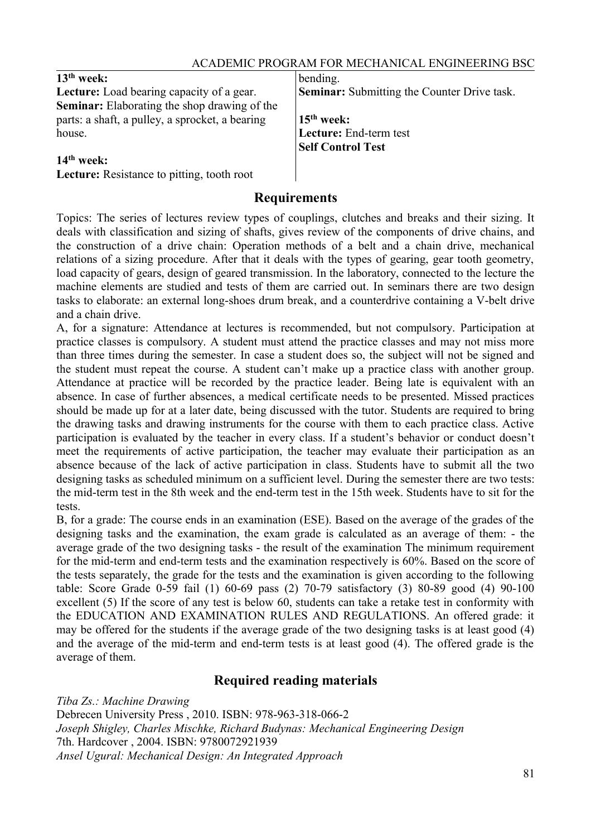| $13th$ week:                                        | bending.                                           |
|-----------------------------------------------------|----------------------------------------------------|
| <b>Lecture:</b> Load bearing capacity of a gear.    | <b>Seminar:</b> Submitting the Counter Drive task. |
| <b>Seminar:</b> Elaborating the shop drawing of the |                                                    |
| parts: a shaft, a pulley, a sprocket, a bearing     | $15th$ week:                                       |
| house.                                              | Lecture: End-term test                             |
|                                                     | <b>Self Control Test</b>                           |
| $14th$ week:                                        |                                                    |
| Lecture: Resistance to pitting, tooth root          |                                                    |

Topics: The series of lectures review types of couplings, clutches and breaks and their sizing. It deals with classification and sizing of shafts, gives review of the components of drive chains, and the construction of a drive chain: Operation methods of a belt and a chain drive, mechanical relations of a sizing procedure. After that it deals with the types of gearing, gear tooth geometry, load capacity of gears, design of geared transmission. In the laboratory, connected to the lecture the machine elements are studied and tests of them are carried out. In seminars there are two design tasks to elaborate: an external long-shoes drum break, and a counterdrive containing a V-belt drive and a chain drive.

A, for a signature: Attendance at lectures is recommended, but not compulsory. Participation at practice classes is compulsory. A student must attend the practice classes and may not miss more than three times during the semester. In case a student does so, the subject will not be signed and the student must repeat the course. A student can't make up a practice class with another group. Attendance at practice will be recorded by the practice leader. Being late is equivalent with an absence. In case of further absences, a medical certificate needs to be presented. Missed practices should be made up for at a later date, being discussed with the tutor. Students are required to bring the drawing tasks and drawing instruments for the course with them to each practice class. Active participation is evaluated by the teacher in every class. If a student's behavior or conduct doesn't meet the requirements of active participation, the teacher may evaluate their participation as an absence because of the lack of active participation in class. Students have to submit all the two designing tasks as scheduled minimum on a sufficient level. During the semester there are two tests: the mid-term test in the 8th week and the end-term test in the 15th week. Students have to sit for the tests.

B, for a grade: The course ends in an examination (ESE). Based on the average of the grades of the designing tasks and the examination, the exam grade is calculated as an average of them: - the average grade of the two designing tasks - the result of the examination The minimum requirement for the mid-term and end-term tests and the examination respectively is 60%. Based on the score of the tests separately, the grade for the tests and the examination is given according to the following table: Score Grade 0-59 fail (1) 60-69 pass (2) 70-79 satisfactory (3) 80-89 good (4) 90-100 excellent (5) If the score of any test is below 60, students can take a retake test in conformity with the EDUCATION AND EXAMINATION RULES AND REGULATIONS. An offered grade: it may be offered for the students if the average grade of the two designing tasks is at least good (4) and the average of the mid-term and end-term tests is at least good (4). The offered grade is the average of them.

# **Required reading materials**

*Tiba Zs.: Machine Drawing* Debrecen University Press , 2010. ISBN: 978-963-318-066-2 *Joseph Shigley, Charles Mischke, Richard Budynas: Mechanical Engineering Design* 7th. Hardcover , 2004. ISBN: 9780072921939 *Ansel Ugural: Mechanical Design: An Integrated Approach*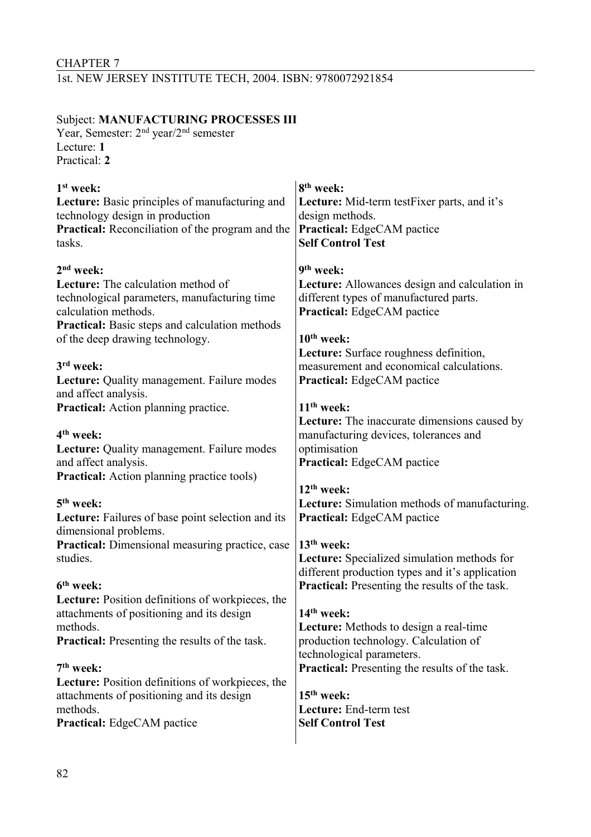# CHAPTER 7 1st. NEW JERSEY INSTITUTE TECH, 2004. ISBN: 9780072921854

#### Subject: **MANUFACTURING PROCESSES III**

Year, Semester: 2<sup>nd</sup> year/2<sup>nd</sup> semester Lecture: **1** Practical: **2**

| $1st$ week:                                                                       | 8 <sup>th</sup> week:                                 |
|-----------------------------------------------------------------------------------|-------------------------------------------------------|
| Lecture: Basic principles of manufacturing and                                    | <b>Lecture:</b> Mid-term test Fixer parts, and it's   |
| technology design in production                                                   | design methods.                                       |
| Practical: Reconciliation of the program and the                                  | <b>Practical:</b> EdgeCAM pactice                     |
| tasks.                                                                            | <b>Self Control Test</b>                              |
| $2nd$ week:                                                                       | 9 <sup>th</sup> week:                                 |
| <b>Lecture:</b> The calculation method of                                         | <b>Lecture:</b> Allowances design and calculation in  |
| technological parameters, manufacturing time                                      | different types of manufactured parts.                |
| calculation methods.                                                              | Practical: EdgeCAM pactice                            |
| Practical: Basic steps and calculation methods                                    |                                                       |
| of the deep drawing technology.                                                   | $10th$ week:                                          |
|                                                                                   | Lecture: Surface roughness definition,                |
| 3 <sup>rd</sup> week:                                                             | measurement and economical calculations.              |
| Lecture: Quality management. Failure modes                                        | Practical: EdgeCAM pactice                            |
| and affect analysis.                                                              |                                                       |
| <b>Practical:</b> Action planning practice.                                       | $11th$ week:                                          |
|                                                                                   | <b>Lecture:</b> The inaccurate dimensions caused by   |
| 4 <sup>th</sup> week:                                                             | manufacturing devices, tolerances and                 |
| Lecture: Quality management. Failure modes                                        | optimisation                                          |
| and affect analysis.                                                              | Practical: EdgeCAM pactice                            |
| <b>Practical:</b> Action planning practice tools)                                 |                                                       |
|                                                                                   | $12th$ week:                                          |
| $5th$ week:                                                                       | Lecture: Simulation methods of manufacturing.         |
| <b>Lecture:</b> Failures of base point selection and its<br>dimensional problems. | <b>Practical:</b> EdgeCAM pactice                     |
| <b>Practical:</b> Dimensional measuring practice, case                            | $13th$ week:                                          |
| studies.                                                                          | Lecture: Specialized simulation methods for           |
|                                                                                   | different production types and it's application       |
| 6 <sup>th</sup> week:                                                             | <b>Practical:</b> Presenting the results of the task. |
| Lecture: Position definitions of workpieces, the                                  |                                                       |
| attachments of positioning and its design                                         | 14 <sup>th</sup> week:                                |
| methods.                                                                          | Lecture: Methods to design a real-time                |
| <b>Practical:</b> Presenting the results of the task.                             | production technology. Calculation of                 |
|                                                                                   | technological parameters.                             |
| 7 <sup>th</sup> week:                                                             | <b>Practical:</b> Presenting the results of the task. |
| <b>Lecture:</b> Position definitions of workpieces, the                           |                                                       |
| attachments of positioning and its design                                         | $15th$ week:                                          |
| methods.                                                                          | Lecture: End-term test                                |
| <b>Practical:</b> EdgeCAM pactice                                                 | <b>Self Control Test</b>                              |
|                                                                                   |                                                       |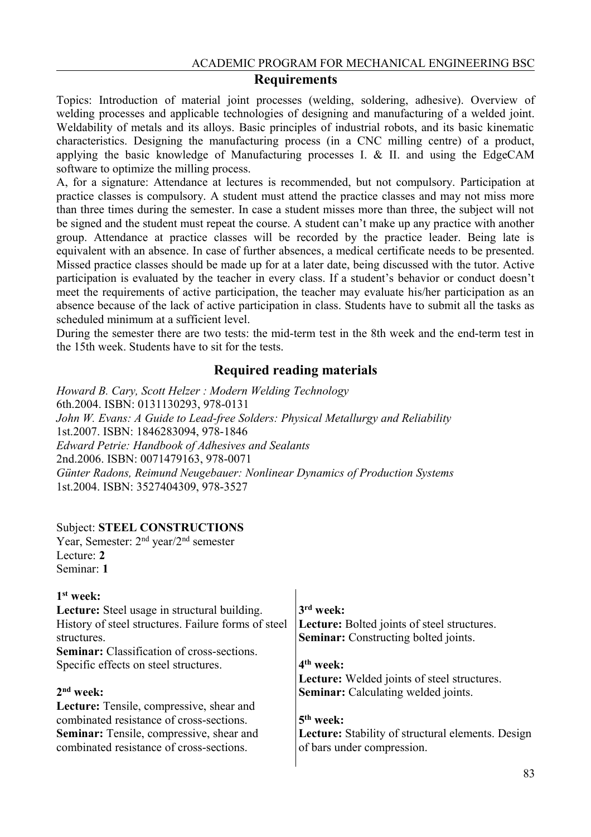Topics: Introduction of material joint processes (welding, soldering, adhesive). Overview of welding processes and applicable technologies of designing and manufacturing of a welded joint. Weldability of metals and its alloys. Basic principles of industrial robots, and its basic kinematic characteristics. Designing the manufacturing process (in a CNC milling centre) of a product, applying the basic knowledge of Manufacturing processes I. & II. and using the EdgeCAM software to optimize the milling process.

A, for a signature: Attendance at lectures is recommended, but not compulsory. Participation at practice classes is compulsory. A student must attend the practice classes and may not miss more than three times during the semester. In case a student misses more than three, the subject will not be signed and the student must repeat the course. A student can't make up any practice with another group. Attendance at practice classes will be recorded by the practice leader. Being late is equivalent with an absence. In case of further absences, a medical certificate needs to be presented. Missed practice classes should be made up for at a later date, being discussed with the tutor. Active participation is evaluated by the teacher in every class. If a student's behavior or conduct doesn't meet the requirements of active participation, the teacher may evaluate his/her participation as an absence because of the lack of active participation in class. Students have to submit all the tasks as scheduled minimum at a sufficient level.

During the semester there are two tests: the mid-term test in the 8th week and the end-term test in the 15th week. Students have to sit for the tests.

# **Required reading materials**

*Howard B. Cary, Scott Helzer : Modern Welding Technology*  6th.2004. ISBN: 0131130293, 978-0131 *John W. Evans: A Guide to Lead-free Solders: Physical Metallurgy and Reliability* 1st.2007. ISBN: 1846283094, 978-1846 *Edward Petrie: Handbook of Adhesives and Sealants* 2nd.2006. ISBN: 0071479163, 978-0071 *Günter Radons, Reimund Neugebauer: Nonlinear Dynamics of Production Systems* 1st.2004. ISBN: 3527404309, 978-3527

#### Subject: **STEEL CONSTRUCTIONS**

Year, Semester: 2<sup>nd</sup> year/2<sup>nd</sup> semester Lecture: **2** Seminar: **1**

| $1st$ week:                                                                          |                                                                                 |
|--------------------------------------------------------------------------------------|---------------------------------------------------------------------------------|
| <b>Lecture:</b> Steel usage in structural building.                                  | $3rd$ week:                                                                     |
| History of steel structures. Failure forms of steel                                  | Lecture: Bolted joints of steel structures.                                     |
| structures.                                                                          | <b>Seminar:</b> Constructing bolted joints.                                     |
| <b>Seminar:</b> Classification of cross-sections.                                    |                                                                                 |
| Specific effects on steel structures.                                                | $4th$ week:                                                                     |
|                                                                                      | Lecture: Welded joints of steel structures.                                     |
| $2nd$ week:                                                                          | <b>Seminar:</b> Calculating welded joints.                                      |
| Lecture: Tensile, compressive, shear and                                             |                                                                                 |
| combinated resistance of cross-sections.                                             | $5th$ week:                                                                     |
| Seminar: Tensile, compressive, shear and<br>combinated resistance of cross-sections. | Lecture: Stability of structural elements. Design<br>of bars under compression. |
|                                                                                      |                                                                                 |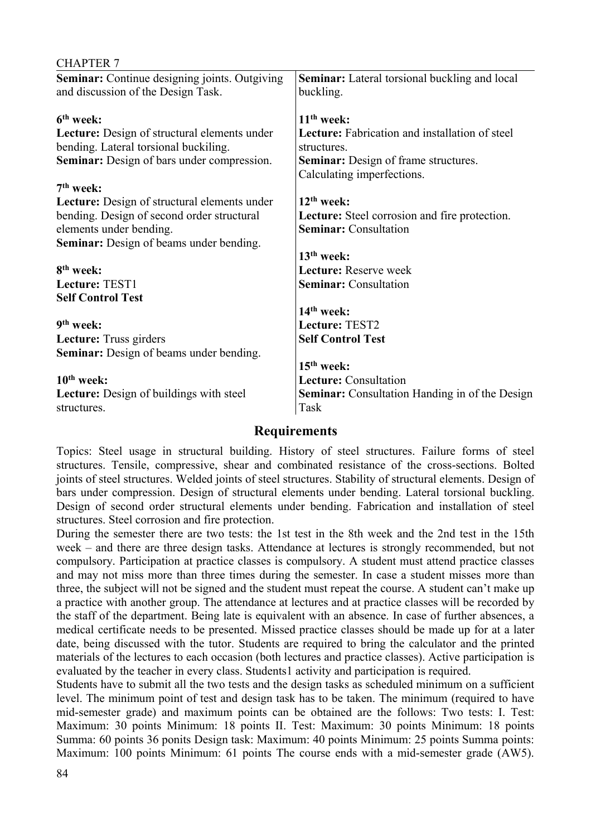| UTAL LEK                                             |                                                       |
|------------------------------------------------------|-------------------------------------------------------|
| <b>Seminar:</b> Continue designing joints. Outgiving | <b>Seminar:</b> Lateral torsional buckling and local  |
| and discussion of the Design Task.                   | buckling.                                             |
|                                                      |                                                       |
| 6 <sup>th</sup> week:                                | $11th$ week:                                          |
| <b>Lecture:</b> Design of structural elements under  | <b>Lecture:</b> Fabrication and installation of steel |
| bending. Lateral torsional buckiling.                | structures.                                           |
| <b>Seminar:</b> Design of bars under compression.    | <b>Seminar:</b> Design of frame structures.           |
|                                                      | Calculating imperfections.                            |
| $7th$ week:                                          |                                                       |
| <b>Lecture:</b> Design of structural elements under  | $12th$ week:                                          |
| bending. Design of second order structural           | <b>Lecture:</b> Steel corrosion and fire protection.  |
| elements under bending.                              | <b>Seminar: Consultation</b>                          |
| <b>Seminar:</b> Design of beams under bending.       |                                                       |
|                                                      | $13th$ week:                                          |
| 8 <sup>th</sup> week:                                | Lecture: Reserve week                                 |
| Lecture: TEST1                                       | <b>Seminar: Consultation</b>                          |
| <b>Self Control Test</b>                             |                                                       |
|                                                      | $14th$ week:                                          |
| 9 <sup>th</sup> week:                                | Lecture: TEST2                                        |
| Lecture: Truss girders                               | <b>Self Control Test</b>                              |
| <b>Seminar:</b> Design of beams under bending.       |                                                       |
|                                                      | $15th$ week:                                          |
| $10th$ week:                                         | <b>Lecture: Consultation</b>                          |
| Lecture: Design of buildings with steel              | <b>Seminar:</b> Consultation Handing in of the Design |
| structures.                                          | Task                                                  |
|                                                      |                                                       |

Topics: Steel usage in structural building. History of steel structures. Failure forms of steel structures. Tensile, compressive, shear and combinated resistance of the cross-sections. Bolted joints of steel structures. Welded joints of steel structures. Stability of structural elements. Design of bars under compression. Design of structural elements under bending. Lateral torsional buckling. Design of second order structural elements under bending. Fabrication and installation of steel structures. Steel corrosion and fire protection.

During the semester there are two tests: the 1st test in the 8th week and the 2nd test in the 15th week – and there are three design tasks. Attendance at lectures is strongly recommended, but not compulsory. Participation at practice classes is compulsory. A student must attend practice classes and may not miss more than three times during the semester. In case a student misses more than three, the subject will not be signed and the student must repeat the course. A student can't make up a practice with another group. The attendance at lectures and at practice classes will be recorded by the staff of the department. Being late is equivalent with an absence. In case of further absences, a medical certificate needs to be presented. Missed practice classes should be made up for at a later date, being discussed with the tutor. Students are required to bring the calculator and the printed materials of the lectures to each occasion (both lectures and practice classes). Active participation is evaluated by the teacher in every class. Students1 activity and participation is required.

Students have to submit all the two tests and the design tasks as scheduled minimum on a sufficient level. The minimum point of test and design task has to be taken. The minimum (required to have mid-semester grade) and maximum points can be obtained are the follows: Two tests: I. Test: Maximum: 30 points Minimum: 18 points II. Test: Maximum: 30 points Minimum: 18 points Summa: 60 points 36 ponits Design task: Maximum: 40 points Minimum: 25 points Summa points: Maximum: 100 points Minimum: 61 points The course ends with a mid-semester grade (AW5).

 $CII$ ADTED 7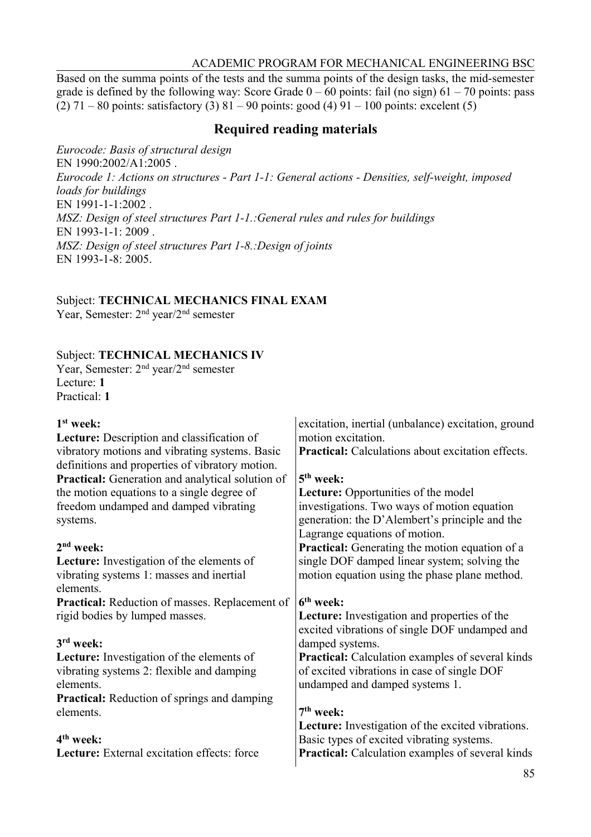#### ACADEMIC PROGRAM FOR MECHANICAL ENGINEERING BSC

Based on the summa points of the tests and the summa points of the design tasks, the mid-semester grade is defined by the following way: Score Grade  $0 - 60$  points: fail (no sign)  $61 - 70$  points: pass (2) 71 – 80 points: satisfactory (3) 81 – 90 points: good (4) 91 – 100 points: excelent (5)

# **Required reading materials**

*Eurocode: Basis of structural design* EN 1990:2002/A1:2005 . *Eurocode 1: Actions on structures - Part 1-1: General actions - Densities, self-weight, imposed loads for buildings* EN 1991-1-1:2002 . *MSZ: Design of steel structures Part 1-1.:General rules and rules for buildings* EN 1993-1-1: 2009 . *MSZ: Design of steel structures Part 1-8.:Design of joints* EN 1993-1-8: 2005.

#### Subject: **TECHNICAL MECHANICS FINAL EXAM**

Year, Semester: 2nd year/2nd semester

#### Subject: **TECHNICAL MECHANICS IV**

Year, Semester: 2nd year/2nd semester Lecture: **1** Practical: **1**

#### **1 st week:**

| $1st$ week:                                             | excitation, inertial (unbalance) excitation, ground     |
|---------------------------------------------------------|---------------------------------------------------------|
| Lecture: Description and classification of              | motion excitation.                                      |
| vibratory motions and vibrating systems. Basic          | Practical: Calculations about excitation effects.       |
| definitions and properties of vibratory motion.         |                                                         |
| <b>Practical:</b> Generation and analytical solution of | $5th$ week:                                             |
| the motion equations to a single degree of              | <b>Lecture:</b> Opportunities of the model              |
| freedom undamped and damped vibrating                   | investigations. Two ways of motion equation             |
| systems.                                                | generation: the D'Alembert's principle and the          |
|                                                         | Lagrange equations of motion.                           |
| $2nd$ week:                                             | <b>Practical:</b> Generating the motion equation of a   |
| <b>Lecture:</b> Investigation of the elements of        | single DOF damped linear system; solving the            |
| vibrating systems 1: masses and inertial                | motion equation using the phase plane method.           |
| elements.                                               |                                                         |
| <b>Practical:</b> Reduction of masses. Replacement of   | 6 <sup>th</sup> week:                                   |
| rigid bodies by lumped masses.                          | <b>Lecture:</b> Investigation and properties of the     |
|                                                         | excited vibrations of single DOF undamped and           |
| $3rd$ week:                                             | damped systems.                                         |
| Lecture: Investigation of the elements of               | <b>Practical:</b> Calculation examples of several kinds |
| vibrating systems 2: flexible and damping               | of excited vibrations in case of single DOF             |
| elements.                                               | undamped and damped systems 1.                          |
| <b>Practical:</b> Reduction of springs and damping      |                                                         |
| elements.                                               | $7th$ week:                                             |
|                                                         | Lecture: Investigation of the excited vibrations.       |
| 4 <sup>th</sup> week:                                   | Basic types of excited vibrating systems.               |
| Lecture: External excitation effects: force             | <b>Practical:</b> Calculation examples of several kinds |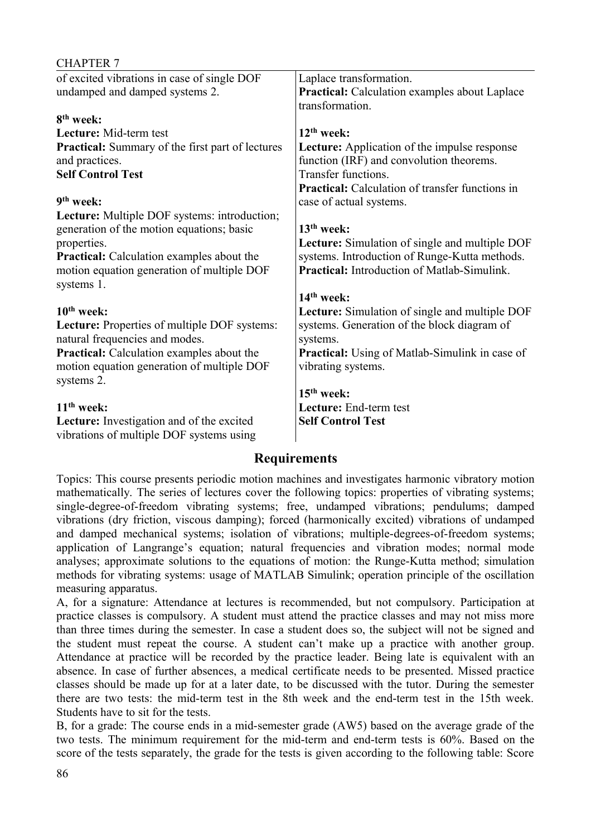| UIII II I LII I                                         |                                                        |
|---------------------------------------------------------|--------------------------------------------------------|
| of excited vibrations in case of single DOF             | Laplace transformation.                                |
| undamped and damped systems 2.                          | <b>Practical:</b> Calculation examples about Laplace   |
|                                                         | transformation.                                        |
| 8 <sup>th</sup> week:                                   |                                                        |
| Lecture: Mid-term test                                  | $12th$ week:                                           |
| <b>Practical:</b> Summary of the first part of lectures | <b>Lecture:</b> Application of the impulse response    |
| and practices.                                          | function (IRF) and convolution theorems.               |
| <b>Self Control Test</b>                                | Transfer functions.                                    |
|                                                         | <b>Practical:</b> Calculation of transfer functions in |
| 9 <sup>th</sup> week:                                   | case of actual systems.                                |
| Lecture: Multiple DOF systems: introduction;            |                                                        |
| generation of the motion equations; basic               | $13th$ week:                                           |
| properties.                                             | <b>Lecture:</b> Simulation of single and multiple DOF  |
| <b>Practical:</b> Calculation examples about the        | systems. Introduction of Runge-Kutta methods.          |
| motion equation generation of multiple DOF              | <b>Practical:</b> Introduction of Matlab-Simulink.     |
| systems 1.                                              |                                                        |
|                                                         | $14th$ week:                                           |
| $10th$ week:                                            | Lecture: Simulation of single and multiple DOF         |
| <b>Lecture:</b> Properties of multiple DOF systems:     | systems. Generation of the block diagram of            |
| natural frequencies and modes.                          | systems.                                               |
| <b>Practical:</b> Calculation examples about the        | <b>Practical:</b> Using of Matlab-Simulink in case of  |
| motion equation generation of multiple DOF              | vibrating systems.                                     |
| systems 2.                                              |                                                        |
|                                                         | $15th$ week:                                           |
| $11th$ week:                                            | Lecture: End-term test                                 |
| Lecture: Investigation and of the excited               | <b>Self Control Test</b>                               |
| vibrations of multiple DOF systems using                |                                                        |
|                                                         |                                                        |

Topics: This course presents periodic motion machines and investigates harmonic vibratory motion mathematically. The series of lectures cover the following topics: properties of vibrating systems; single-degree-of-freedom vibrating systems; free, undamped vibrations; pendulums; damped vibrations (dry friction, viscous damping); forced (harmonically excited) vibrations of undamped and damped mechanical systems; isolation of vibrations; multiple-degrees-of-freedom systems; application of Langrange's equation; natural frequencies and vibration modes; normal mode analyses; approximate solutions to the equations of motion: the Runge-Kutta method; simulation methods for vibrating systems: usage of MATLAB Simulink; operation principle of the oscillation measuring apparatus.

A, for a signature: Attendance at lectures is recommended, but not compulsory. Participation at practice classes is compulsory. A student must attend the practice classes and may not miss more than three times during the semester. In case a student does so, the subject will not be signed and the student must repeat the course. A student can't make up a practice with another group. Attendance at practice will be recorded by the practice leader. Being late is equivalent with an absence. In case of further absences, a medical certificate needs to be presented. Missed practice classes should be made up for at a later date, to be discussed with the tutor. During the semester there are two tests: the mid-term test in the 8th week and the end-term test in the 15th week. Students have to sit for the tests.

B, for a grade: The course ends in a mid-semester grade (AW5) based on the average grade of the two tests. The minimum requirement for the mid-term and end-term tests is 60%. Based on the score of the tests separately, the grade for the tests is given according to the following table: Score

CHAPTER 7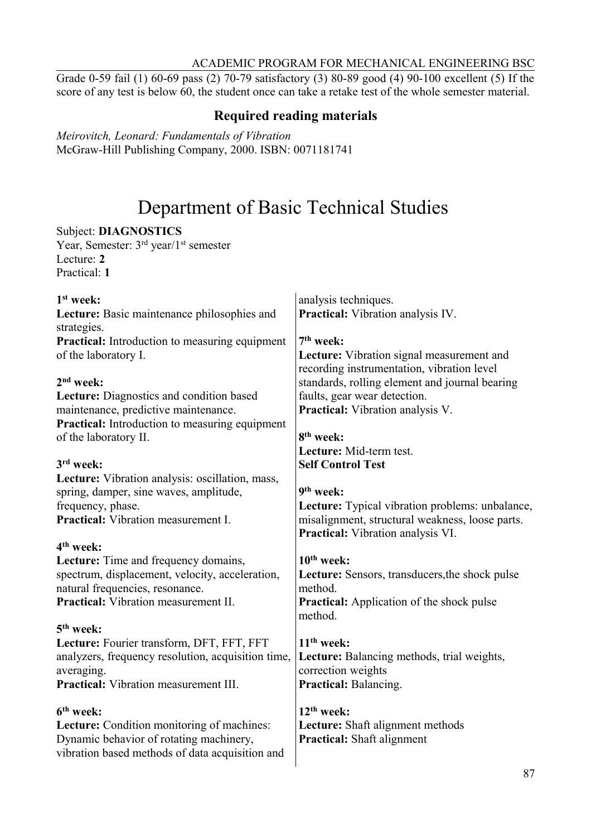# ACADEMIC PROGRAM FOR MECHANICAL ENGINEERING BSC

Grade 0-59 fail (1) 60-69 pass (2) 70-79 satisfactory (3) 80-89 good (4) 90-100 excellent (5) If the score of any test is below 60, the student once can take a retake test of the whole semester material.

# **Required reading materials**

*Meirovitch, Leonard: Fundamentals of Vibration* McGraw-Hill Publishing Company, 2000. ISBN: 0071181741

# Department of Basic Technical Studies

#### Subject: **DIAGNOSTICS**

Year, Semester: 3<sup>rd</sup> year/1<sup>st</sup> semester Lecture: **2** Practical: **1**

| $1st$ week:<br>Lecture: Basic maintenance philosophies and<br>strategies.                                                                                                 | analysis techniques.<br>Practical: Vibration analysis IV.                                                                                |
|---------------------------------------------------------------------------------------------------------------------------------------------------------------------------|------------------------------------------------------------------------------------------------------------------------------------------|
| <b>Practical:</b> Introduction to measuring equipment<br>of the laboratory I.                                                                                             | $7th$ week:<br>Lecture: Vibration signal measurement and<br>recording instrumentation, vibration level                                   |
| $2nd$ week:<br>Lecture: Diagnostics and condition based<br>maintenance, predictive maintenance.                                                                           | standards, rolling element and journal bearing<br>faults, gear wear detection.<br>Practical: Vibration analysis V.                       |
| Practical: Introduction to measuring equipment<br>of the laboratory II.                                                                                                   | 8 <sup>th</sup> week:<br>Lecture: Mid-term test.                                                                                         |
| 3 <sup>rd</sup> week:                                                                                                                                                     | <b>Self Control Test</b>                                                                                                                 |
| Lecture: Vibration analysis: oscillation, mass,<br>spring, damper, sine waves, amplitude,<br>frequency, phase.<br>Practical: Vibration measurement I.                     | 9 <sup>th</sup> week:<br>Lecture: Typical vibration problems: unbalance,<br>misalignment, structural weakness, loose parts.              |
| 4 <sup>th</sup> week:                                                                                                                                                     | Practical: Vibration analysis VI.                                                                                                        |
| Lecture: Time and frequency domains,<br>spectrum, displacement, velocity, acceleration,<br>natural frequencies, resonance.<br><b>Practical:</b> Vibration measurement II. | $10th$ week:<br>Lecture: Sensors, transducers, the shock pulse<br>method.<br><b>Practical:</b> Application of the shock pulse<br>method. |
| 5 <sup>th</sup> week:                                                                                                                                                     |                                                                                                                                          |
| Lecture: Fourier transform, DFT, FFT, FFT<br>analyzers, frequency resolution, acquisition time,<br>averaging.<br>Practical: Vibration measurement III.                    | $11th$ week:<br>Lecture: Balancing methods, trial weights,<br>correction weights<br>Practical: Balancing.                                |
| 6 <sup>th</sup> week:<br>Lecture: Condition monitoring of machines:<br>Dynamic behavior of rotating machinery,<br>vibration based methods of data acquisition and         | $12th$ week:<br>Lecture: Shaft alignment methods<br><b>Practical:</b> Shaft alignment                                                    |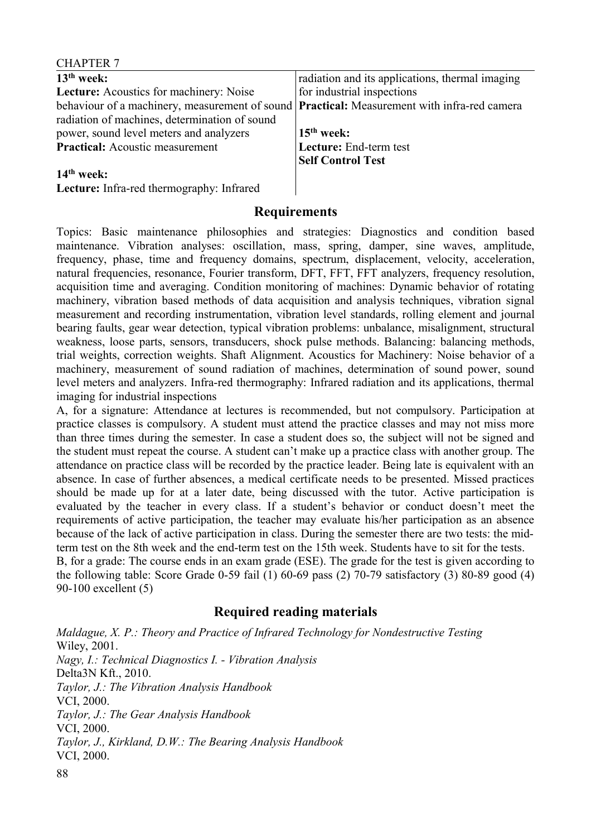| CHALLEN <sub>1</sub>                                                                               |                                                 |
|----------------------------------------------------------------------------------------------------|-------------------------------------------------|
| $13th$ week:                                                                                       | radiation and its applications, thermal imaging |
| Lecture: Acoustics for machinery: Noise                                                            | for industrial inspections                      |
| behaviour of a machinery, measurement of sound <b>Practical:</b> Measurement with infra-red camera |                                                 |
| radiation of machines, determination of sound                                                      |                                                 |
| power, sound level meters and analyzers                                                            | $15th$ week:                                    |
| <b>Practical:</b> Acoustic measurement                                                             | Lecture: End-term test                          |
|                                                                                                    | <b>Self Control Test</b>                        |
| $14th$ week:                                                                                       |                                                 |
| Lecture: Infra-red thermography: Infrared                                                          |                                                 |

Topics: Basic maintenance philosophies and strategies: Diagnostics and condition based maintenance. Vibration analyses: oscillation, mass, spring, damper, sine waves, amplitude, frequency, phase, time and frequency domains, spectrum, displacement, velocity, acceleration, natural frequencies, resonance, Fourier transform, DFT, FFT, FFT analyzers, frequency resolution, acquisition time and averaging. Condition monitoring of machines: Dynamic behavior of rotating machinery, vibration based methods of data acquisition and analysis techniques, vibration signal measurement and recording instrumentation, vibration level standards, rolling element and journal bearing faults, gear wear detection, typical vibration problems: unbalance, misalignment, structural weakness, loose parts, sensors, transducers, shock pulse methods. Balancing: balancing methods, trial weights, correction weights. Shaft Alignment. Acoustics for Machinery: Noise behavior of a machinery, measurement of sound radiation of machines, determination of sound power, sound level meters and analyzers. Infra-red thermography: Infrared radiation and its applications, thermal imaging for industrial inspections

A, for a signature: Attendance at lectures is recommended, but not compulsory. Participation at practice classes is compulsory. A student must attend the practice classes and may not miss more than three times during the semester. In case a student does so, the subject will not be signed and the student must repeat the course. A student can't make up a practice class with another group. The attendance on practice class will be recorded by the practice leader. Being late is equivalent with an absence. In case of further absences, a medical certificate needs to be presented. Missed practices should be made up for at a later date, being discussed with the tutor. Active participation is evaluated by the teacher in every class. If a student's behavior or conduct doesn't meet the requirements of active participation, the teacher may evaluate his/her participation as an absence because of the lack of active participation in class. During the semester there are two tests: the midterm test on the 8th week and the end-term test on the 15th week. Students have to sit for the tests. B, for a grade: The course ends in an exam grade (ESE). The grade for the test is given according to

the following table: Score Grade 0-59 fail  $(1)$  60-69 pass  $(2)$  70-79 satisfactory  $(3)$  80-89 good  $(4)$ 90-100 excellent (5)

# **Required reading materials**

*Maldague, X. P.: Theory and Practice of Infrared Technology for Nondestructive Testing* Wiley, 2001. *Nagy, I.: Technical Diagnostics I. - Vibration Analysis* Delta3N Kft., 2010. *Taylor, J.: The Vibration Analysis Handbook*  VCI, 2000. *Taylor, J.: The Gear Analysis Handbook* VCI, 2000. *Taylor, J., Kirkland, D.W.: The Bearing Analysis Handbook* VCI, 2000.

 $C<sub>II</sub>$  DTED  $<sub>7</sub>$ </sub>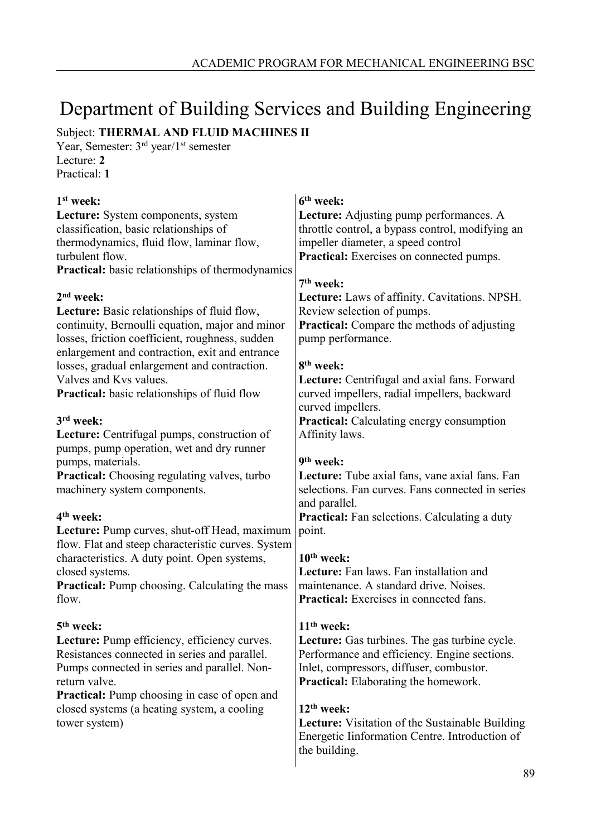# Department of Building Services and Building Engineering Subject: **THERMAL AND FLUID MACHINES II**

Year, Semester: 3<sup>rd</sup> year/1<sup>st</sup> semester Lecture: **2** Practical: **1**

| $1st$ week:                                                                                   | 6 <sup>th</sup> week:                                         |
|-----------------------------------------------------------------------------------------------|---------------------------------------------------------------|
| Lecture: System components, system                                                            | Lecture: Adjusting pump performances. A                       |
| classification, basic relationships of                                                        | throttle control, a bypass control, modifying an              |
| thermodynamics, fluid flow, laminar flow,                                                     | impeller diameter, a speed control                            |
| turbulent flow.                                                                               | <b>Practical:</b> Exercises on connected pumps.               |
| Practical: basic relationships of thermodynamics                                              |                                                               |
|                                                                                               | $7th$ week:                                                   |
| $2nd$ week:                                                                                   | Lecture: Laws of affinity. Cavitations. NPSH.                 |
| Lecture: Basic relationships of fluid flow,                                                   | Review selection of pumps.                                    |
| continuity, Bernoulli equation, major and minor                                               | <b>Practical:</b> Compare the methods of adjusting            |
| losses, friction coefficient, roughness, sudden                                               | pump performance.                                             |
| enlargement and contraction, exit and entrance                                                | 8 <sup>th</sup> week:                                         |
| losses, gradual enlargement and contraction.<br>Valves and Kvs values.                        | Lecture: Centrifugal and axial fans. Forward                  |
| <b>Practical:</b> basic relationships of fluid flow                                           | curved impellers, radial impellers, backward                  |
|                                                                                               | curved impellers.                                             |
| 3 <sup>rd</sup> week:                                                                         | <b>Practical:</b> Calculating energy consumption              |
| Lecture: Centrifugal pumps, construction of                                                   | Affinity laws.                                                |
| pumps, pump operation, wet and dry runner                                                     |                                                               |
| pumps, materials.                                                                             | 9 <sup>th</sup> week:                                         |
| <b>Practical:</b> Choosing regulating valves, turbo                                           | Lecture: Tube axial fans, vane axial fans. Fan                |
| machinery system components.                                                                  | selections. Fan curves. Fans connected in series              |
|                                                                                               | and parallel.                                                 |
| 4 <sup>th</sup> week:                                                                         | <b>Practical:</b> Fan selections. Calculating a duty          |
| Lecture: Pump curves, shut-off Head, maximum                                                  | point.                                                        |
| flow. Flat and steep characteristic curves. System                                            |                                                               |
| characteristics. A duty point. Open systems,                                                  | $10th$ week:                                                  |
| closed systems.                                                                               | Lecture: Fan laws. Fan installation and                       |
| <b>Practical:</b> Pump choosing. Calculating the mass                                         | maintenance. A standard drive. Noises.                        |
| flow.                                                                                         | <b>Practical:</b> Exercises in connected fans.                |
|                                                                                               |                                                               |
| 5 <sup>th</sup> week:                                                                         | $11th$ week:<br>Lecture: Gas turbines. The gas turbine cycle. |
| Lecture: Pump efficiency, efficiency curves.<br>Resistances connected in series and parallel. | Performance and efficiency. Engine sections.                  |
| Pumps connected in series and parallel. Non-                                                  | Inlet, compressors, diffuser, combustor.                      |
| return valve.                                                                                 | Practical: Elaborating the homework.                          |
| <b>Practical:</b> Pump choosing in case of open and                                           |                                                               |
| closed systems (a heating system, a cooling                                                   | $12th$ week:                                                  |
| tower system)                                                                                 | <b>Lecture:</b> Visitation of the Sustainable Building        |
|                                                                                               | Energetic Iinformation Centre. Introduction of                |
|                                                                                               | the building.                                                 |
|                                                                                               |                                                               |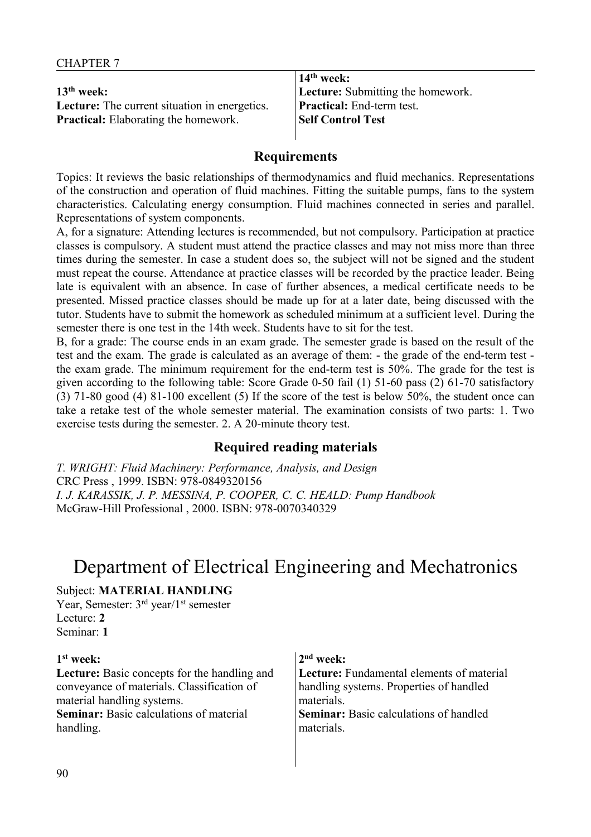|                                                      | $14th$ week:                      |
|------------------------------------------------------|-----------------------------------|
| $13th$ week:                                         | Lecture: Submitting the homework. |
| <b>Lecture:</b> The current situation in energetics. | <b>Practical:</b> End-term test.  |
| <b>Practical:</b> Elaborating the homework.          | Self Control Test                 |
|                                                      |                                   |

Topics: It reviews the basic relationships of thermodynamics and fluid mechanics. Representations of the construction and operation of fluid machines. Fitting the suitable pumps, fans to the system characteristics. Calculating energy consumption. Fluid machines connected in series and parallel. Representations of system components.

A, for a signature: Attending lectures is recommended, but not compulsory. Participation at practice classes is compulsory. A student must attend the practice classes and may not miss more than three times during the semester. In case a student does so, the subject will not be signed and the student must repeat the course. Attendance at practice classes will be recorded by the practice leader. Being late is equivalent with an absence. In case of further absences, a medical certificate needs to be presented. Missed practice classes should be made up for at a later date, being discussed with the tutor. Students have to submit the homework as scheduled minimum at a sufficient level. During the semester there is one test in the 14th week. Students have to sit for the test.

B, for a grade: The course ends in an exam grade. The semester grade is based on the result of the test and the exam. The grade is calculated as an average of them: - the grade of the end-term test the exam grade. The minimum requirement for the end-term test is 50%. The grade for the test is given according to the following table: Score Grade 0-50 fail (1) 51-60 pass (2) 61-70 satisfactory (3) 71-80 good (4) 81-100 excellent (5) If the score of the test is below 50%, the student once can take a retake test of the whole semester material. The examination consists of two parts: 1. Two exercise tests during the semester. 2. A 20-minute theory test.

# **Required reading materials**

*T. WRIGHT: Fluid Machinery: Performance, Analysis, and Design* CRC Press , 1999. ISBN: 978-0849320156 *I. J. KARASSIK, J. P. MESSINA, P. COOPER, C. C. HEALD: Pump Handbook* McGraw-Hill Professional , 2000. ISBN: 978-0070340329

# Department of Electrical Engineering and Mechatronics

# Subject: **MATERIAL HANDLING**

Year, Semester: 3rd year/1st semester Lecture: **2** Seminar: **1**

#### **1 st week:**

**Lecture:** Basic concepts for the handling and conveyance of materials. Classification of material handling systems. **Seminar:** Basic calculations of material handling.

#### **2 nd week:**

**Lecture:** Fundamental elements of material handling systems. Properties of handled materials. **Seminar:** Basic calculations of handled materials.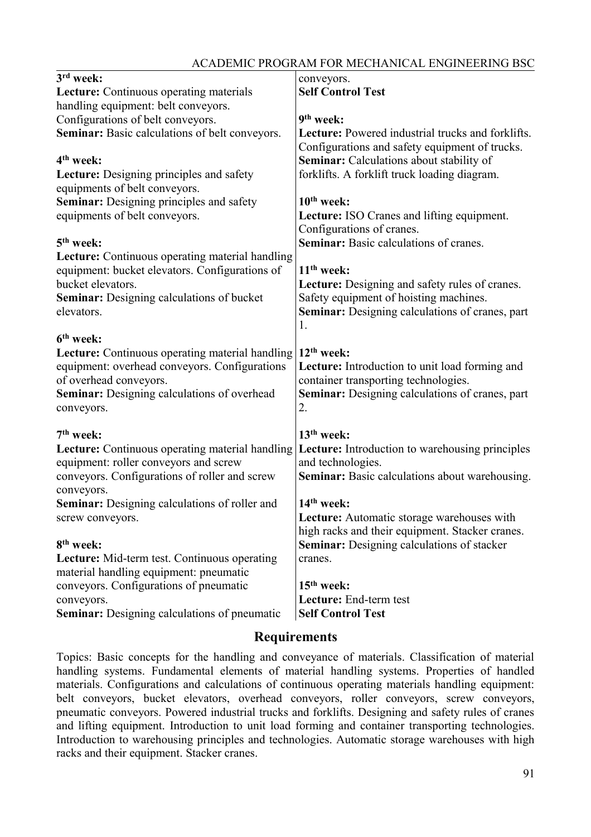|                                                        | <i><u>Extra particle in the contraction of the contraction of Doct</u></i> |
|--------------------------------------------------------|----------------------------------------------------------------------------|
| 3rd week:                                              | conveyors.                                                                 |
| <b>Lecture:</b> Continuous operating materials         | <b>Self Control Test</b>                                                   |
| handling equipment: belt conveyors.                    |                                                                            |
| Configurations of belt conveyors.                      | 9 <sup>th</sup> week:                                                      |
| Seminar: Basic calculations of belt conveyors.         | <b>Lecture:</b> Powered industrial trucks and forklifts.                   |
|                                                        | Configurations and safety equipment of trucks.                             |
| 4 <sup>th</sup> week:                                  | <b>Seminar:</b> Calculations about stability of                            |
| Lecture: Designing principles and safety               | forklifts. A forklift truck loading diagram.                               |
| equipments of belt conveyors.                          |                                                                            |
| <b>Seminar:</b> Designing principles and safety        | $10th$ week:                                                               |
| equipments of belt conveyors.                          | Lecture: ISO Cranes and lifting equipment.                                 |
|                                                        | Configurations of cranes.                                                  |
| 5 <sup>th</sup> week:                                  | <b>Seminar:</b> Basic calculations of cranes.                              |
| <b>Lecture:</b> Continuous operating material handling |                                                                            |
| equipment: bucket elevators. Configurations of         | $11th$ week:                                                               |
| bucket elevators.                                      | Lecture: Designing and safety rules of cranes.                             |
| <b>Seminar:</b> Designing calculations of bucket       | Safety equipment of hoisting machines.                                     |
| elevators.                                             | Seminar: Designing calculations of cranes, part                            |
|                                                        | 1.                                                                         |
| 6 <sup>th</sup> week:                                  |                                                                            |
| Lecture: Continuous operating material handling        | $12th$ week:                                                               |
| equipment: overhead conveyors. Configurations          | Lecture: Introduction to unit load forming and                             |
| of overhead conveyors.                                 | container transporting technologies.                                       |
| Seminar: Designing calculations of overhead            | <b>Seminar:</b> Designing calculations of cranes, part                     |
| conveyors.                                             | 2.                                                                         |
|                                                        |                                                                            |
| 7 <sup>th</sup> week:                                  | $13th$ week:                                                               |
| <b>Lecture:</b> Continuous operating material handling | Lecture: Introduction to warehousing principles                            |
| equipment: roller conveyors and screw                  | and technologies.                                                          |
| conveyors. Configurations of roller and screw          | Seminar: Basic calculations about warehousing.                             |
| conveyors.                                             |                                                                            |
| <b>Seminar:</b> Designing calculations of roller and   | 14 <sup>th</sup> week:                                                     |
| screw conveyors.                                       | Lecture: Automatic storage warehouses with                                 |
|                                                        | high racks and their equipment. Stacker cranes.                            |
| 8 <sup>th</sup> week:                                  | <b>Seminar:</b> Designing calculations of stacker                          |
| Lecture: Mid-term test. Continuous operating           | cranes.                                                                    |
| material handling equipment: pneumatic                 |                                                                            |
| conveyors. Configurations of pneumatic                 | $15th$ week:                                                               |
| conveyors.                                             | Lecture: End-term test                                                     |
| Seminar: Designing calculations of pneumatic           | <b>Self Control Test</b>                                                   |

Topics: Basic concepts for the handling and conveyance of materials. Classification of material handling systems. Fundamental elements of material handling systems. Properties of handled materials. Configurations and calculations of continuous operating materials handling equipment: belt conveyors, bucket elevators, overhead conveyors, roller conveyors, screw conveyors, pneumatic conveyors. Powered industrial trucks and forklifts. Designing and safety rules of cranes and lifting equipment. Introduction to unit load forming and container transporting technologies. Introduction to warehousing principles and technologies. Automatic storage warehouses with high racks and their equipment. Stacker cranes.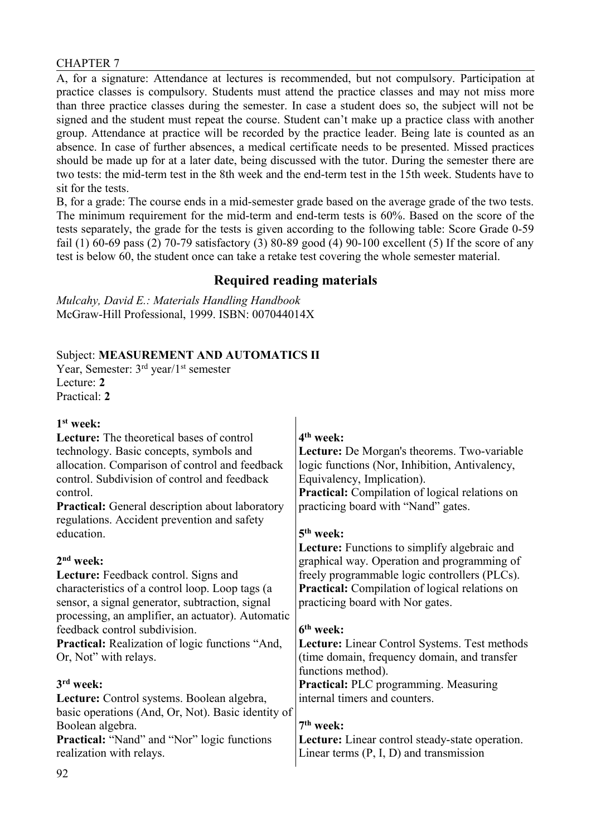A, for a signature: Attendance at lectures is recommended, but not compulsory. Participation at practice classes is compulsory. Students must attend the practice classes and may not miss more than three practice classes during the semester. In case a student does so, the subject will not be signed and the student must repeat the course. Student can't make up a practice class with another group. Attendance at practice will be recorded by the practice leader. Being late is counted as an absence. In case of further absences, a medical certificate needs to be presented. Missed practices should be made up for at a later date, being discussed with the tutor. During the semester there are two tests: the mid-term test in the 8th week and the end-term test in the 15th week. Students have to sit for the tests.

B, for a grade: The course ends in a mid-semester grade based on the average grade of the two tests. The minimum requirement for the mid-term and end-term tests is 60%. Based on the score of the tests separately, the grade for the tests is given according to the following table: Score Grade 0-59 fail (1) 60-69 pass (2) 70-79 satisfactory (3) 80-89 good (4) 90-100 excellent (5) If the score of any test is below 60, the student once can take a retake test covering the whole semester material.

# **Required reading materials**

 $\overline{1}$ 

*Mulcahy, David E.: Materials Handling Handbook* McGraw-Hill Professional, 1999. ISBN: 007044014X

# Subject: **MEASUREMENT AND AUTOMATICS II**

Year, Semester: 3<sup>rd</sup> year/1<sup>st</sup> semester Lecture: **2** Practical: **2**

#### **1 st week:**

| Lecture: The theoretical bases of control              | 4 <sup>th</sup> week:                                 |
|--------------------------------------------------------|-------------------------------------------------------|
| technology. Basic concepts, symbols and                | Lecture: De Morgan's theorems. Two-variable           |
| allocation. Comparison of control and feedback         | logic functions (Nor, Inhibition, Antivalency,        |
| control. Subdivision of control and feedback           | Equivalency, Implication).                            |
| control.                                               | <b>Practical:</b> Compilation of logical relations on |
| <b>Practical:</b> General description about laboratory | practicing board with "Nand" gates.                   |
| regulations. Accident prevention and safety            |                                                       |
| education.                                             | $5th$ week:                                           |
|                                                        | <b>Lecture:</b> Functions to simplify algebraic and   |
| $2nd$ week:                                            | graphical way. Operation and programming of           |
| Lecture: Feedback control. Signs and                   | freely programmable logic controllers (PLCs).         |
| characteristics of a control loop. Loop tags (a        | <b>Practical:</b> Compilation of logical relations on |
| sensor, a signal generator, subtraction, signal        | practicing board with Nor gates.                      |
| processing, an amplifier, an actuator). Automatic      |                                                       |
| feedback control subdivision.                          | 6 <sup>th</sup> week:                                 |
| <b>Practical:</b> Realization of logic functions "And, | Lecture: Linear Control Systems. Test methods         |
| Or, Not" with relays.                                  | (time domain, frequency domain, and transfer          |
|                                                        | functions method).                                    |
| 3 <sup>rd</sup> week:                                  | <b>Practical:</b> PLC programming. Measuring          |
| Lecture: Control systems. Boolean algebra,             | internal timers and counters.                         |
| basic operations (And, Or, Not). Basic identity of     |                                                       |
| Boolean algebra.                                       | $7th$ week:                                           |
| <b>Practical:</b> "Nand" and "Nor" logic functions     | Lecture: Linear control steady-state operation.       |
| realization with relays.                               | Linear terms $(P, I, D)$ and transmission             |
|                                                        |                                                       |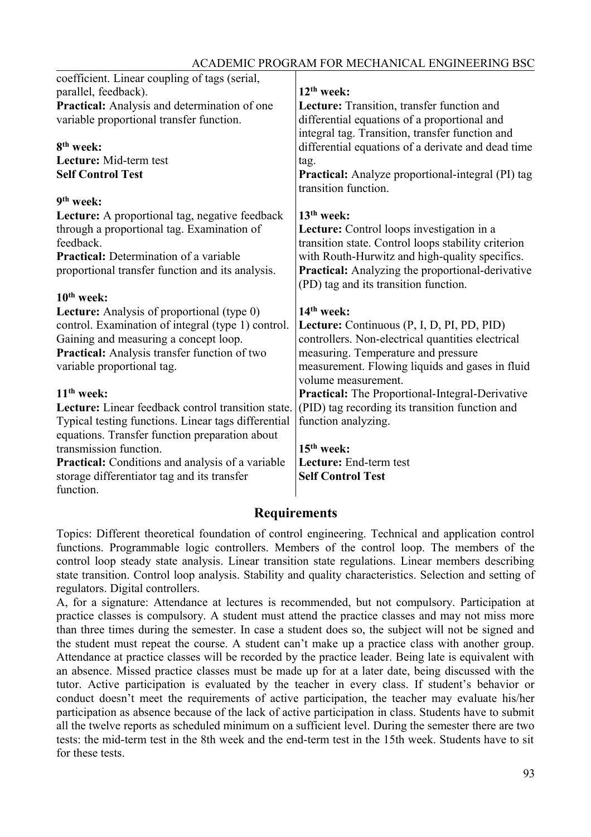| coefficient. Linear coupling of tags (serial,           |                                                          |
|---------------------------------------------------------|----------------------------------------------------------|
| parallel, feedback).                                    | $12th$ week:                                             |
| Practical: Analysis and determination of one            | Lecture: Transition, transfer function and               |
| variable proportional transfer function.                | differential equations of a proportional and             |
|                                                         | integral tag. Transition, transfer function and          |
| 8 <sup>th</sup> week:                                   | differential equations of a derivate and dead time       |
| Lecture: Mid-term test                                  | tag.                                                     |
| <b>Self Control Test</b>                                | <b>Practical:</b> Analyze proportional-integral (PI) tag |
|                                                         | transition function.                                     |
| 9 <sup>th</sup> week:                                   |                                                          |
| <b>Lecture:</b> A proportional tag, negative feedback   | $13th$ week:                                             |
| through a proportional tag. Examination of              | Lecture: Control loops investigation in a                |
| feedback.                                               | transition state. Control loops stability criterion      |
| <b>Practical:</b> Determination of a variable           | with Routh-Hurwitz and high-quality specifics.           |
| proportional transfer function and its analysis.        | <b>Practical:</b> Analyzing the proportional-derivative  |
|                                                         | (PD) tag and its transition function.                    |
| $10th$ week:                                            |                                                          |
| <b>Lecture:</b> Analysis of proportional (type 0)       | 14 <sup>th</sup> week:                                   |
| control. Examination of integral (type 1) control.      | Lecture: Continuous (P, I, D, PI, PD, PID)               |
| Gaining and measuring a concept loop.                   | controllers. Non-electrical quantities electrical        |
| Practical: Analysis transfer function of two            | measuring. Temperature and pressure                      |
| variable proportional tag.                              | measurement. Flowing liquids and gases in fluid          |
|                                                         | volume measurement.                                      |
| $11th$ week:                                            | <b>Practical:</b> The Proportional-Integral-Derivative   |
| Lecture: Linear feedback control transition state.      | (PID) tag recording its transition function and          |
| Typical testing functions. Linear tags differential     | function analyzing.                                      |
| equations. Transfer function preparation about          |                                                          |
| transmission function.                                  | $15th$ week:                                             |
| <b>Practical:</b> Conditions and analysis of a variable | Lecture: End-term test                                   |
| storage differentiator tag and its transfer             | <b>Self Control Test</b>                                 |
| function.                                               |                                                          |

#### ACADEMIC PROGRAM FOR MECHANICAL ENGINEERING BSC

# **Requirements**

Topics: Different theoretical foundation of control engineering. Technical and application control functions. Programmable logic controllers. Members of the control loop. The members of the control loop steady state analysis. Linear transition state regulations. Linear members describing state transition. Control loop analysis. Stability and quality characteristics. Selection and setting of regulators. Digital controllers.

A, for a signature: Attendance at lectures is recommended, but not compulsory. Participation at practice classes is compulsory. A student must attend the practice classes and may not miss more than three times during the semester. In case a student does so, the subject will not be signed and the student must repeat the course. A student can't make up a practice class with another group. Attendance at practice classes will be recorded by the practice leader. Being late is equivalent with an absence. Missed practice classes must be made up for at a later date, being discussed with the tutor. Active participation is evaluated by the teacher in every class. If student's behavior or conduct doesn't meet the requirements of active participation, the teacher may evaluate his/her participation as absence because of the lack of active participation in class. Students have to submit all the twelve reports as scheduled minimum on a sufficient level. During the semester there are two tests: the mid-term test in the 8th week and the end-term test in the 15th week. Students have to sit for these tests.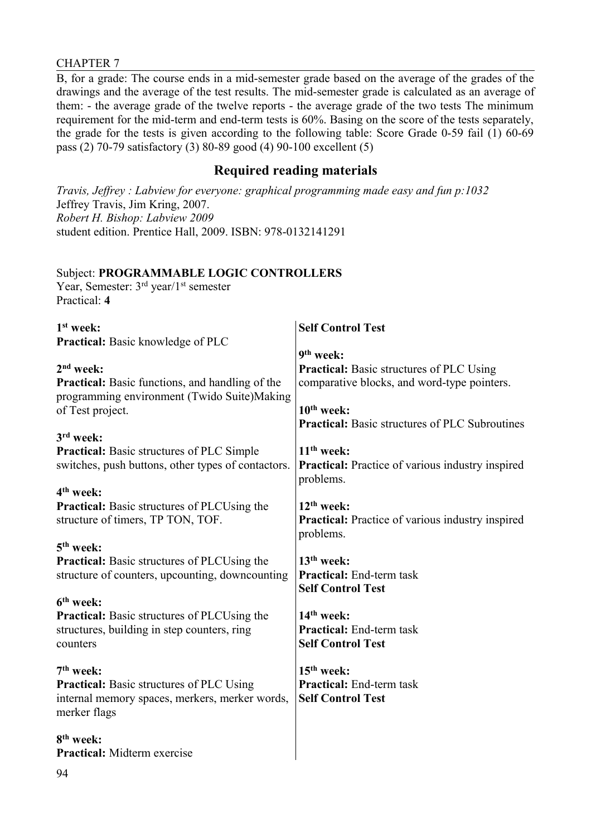B, for a grade: The course ends in a mid-semester grade based on the average of the grades of the drawings and the average of the test results. The mid-semester grade is calculated as an average of them: - the average grade of the twelve reports - the average grade of the two tests The minimum requirement for the mid-term and end-term tests is 60%. Basing on the score of the tests separately, the grade for the tests is given according to the following table: Score Grade 0-59 fail (1) 60-69 pass (2) 70-79 satisfactory (3) 80-89 good (4) 90-100 excellent (5)

# **Required reading materials**

*Travis, Jeffrey : Labview for everyone: graphical programming made easy and fun p:1032* Jeffrey Travis, Jim Kring, 2007. *Robert H. Bishop: Labview 2009*  student edition. Prentice Hall, 2009. ISBN: 978-0132141291

#### Subject: **PROGRAMMABLE LOGIC CONTROLLERS**

Year, Semester: 3<sup>rd</sup> year/1<sup>st</sup> semester Practical: **4**

| 1 <sup>st</sup> week:                                  | <b>Self Control Test</b>                                |
|--------------------------------------------------------|---------------------------------------------------------|
| Practical: Basic knowledge of PLC                      |                                                         |
|                                                        | 9 <sup>th</sup> week:                                   |
| $2nd$ week:                                            | <b>Practical:</b> Basic structures of PLC Using         |
| <b>Practical:</b> Basic functions, and handling of the | comparative blocks, and word-type pointers.             |
| programming environment (Twido Suite)Making            |                                                         |
| of Test project.                                       | $10th$ week:                                            |
|                                                        | <b>Practical:</b> Basic structures of PLC Subroutines   |
| 3 <sup>rd</sup> week:                                  |                                                         |
| <b>Practical:</b> Basic structures of PLC Simple       | $11th$ week:                                            |
| switches, push buttons, other types of contactors.     | <b>Practical:</b> Practice of various industry inspired |
|                                                        | problems.                                               |
| 4 <sup>th</sup> week:                                  |                                                         |
| <b>Practical:</b> Basic structures of PLCUsing the     | $12th$ week:                                            |
| structure of timers, TP TON, TOF.                      | <b>Practical:</b> Practice of various industry inspired |
|                                                        | problems.                                               |
| 5 <sup>th</sup> week:                                  |                                                         |
| <b>Practical:</b> Basic structures of PLCUsing the     | 13 <sup>th</sup> week:                                  |
| structure of counters, upcounting, downcounting        | <b>Practical:</b> End-term task                         |
|                                                        | <b>Self Control Test</b>                                |
| 6 <sup>th</sup> week:                                  |                                                         |
| <b>Practical:</b> Basic structures of PLCUsing the     | 14 <sup>th</sup> week:                                  |
| structures, building in step counters, ring            | <b>Practical:</b> End-term task                         |
| counters                                               | <b>Self Control Test</b>                                |
|                                                        |                                                         |
| $7th$ week:                                            | $15th$ week:                                            |
| <b>Practical:</b> Basic structures of PLC Using        | <b>Practical:</b> End-term task                         |
| internal memory spaces, merkers, merker words,         | <b>Self Control Test</b>                                |
| merker flags                                           |                                                         |
|                                                        |                                                         |
| 8 <sup>th</sup> week:                                  |                                                         |
| <b>Practical:</b> Midterm exercise                     |                                                         |
|                                                        |                                                         |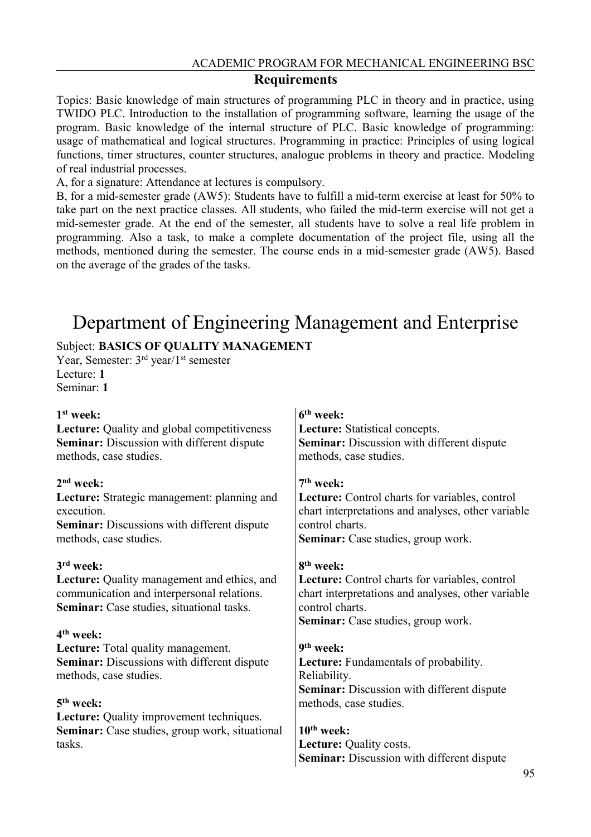Topics: Basic knowledge of main structures of programming PLC in theory and in practice, using TWIDO PLC. Introduction to the installation of programming software, learning the usage of the program. Basic knowledge of the internal structure of PLC. Basic knowledge of programming: usage of mathematical and logical structures. Programming in practice: Principles of using logical functions, timer structures, counter structures, analogue problems in theory and practice. Modeling of real industrial processes.

A, for a signature: Attendance at lectures is compulsory.

B, for a mid-semester grade (AW5): Students have to fulfill a mid-term exercise at least for 50% to take part on the next practice classes. All students, who failed the mid-term exercise will not get a mid-semester grade. At the end of the semester, all students have to solve a real life problem in programming. Also a task, to make a complete documentation of the project file, using all the methods, mentioned during the semester. The course ends in a mid-semester grade (AW5). Based on the average of the grades of the tasks.

# Department of Engineering Management and Enterprise

# Subject: **BASICS OF QUALITY MANAGEMENT**

Year, Semester: 3<sup>rd</sup> year/1<sup>st</sup> semester Lecture: **1** Seminar: **1**

| $1st$ week:                                                                                                                                          | 6 <sup>th</sup> week:                                                                                                                                         |
|------------------------------------------------------------------------------------------------------------------------------------------------------|---------------------------------------------------------------------------------------------------------------------------------------------------------------|
| <b>Lecture:</b> Quality and global competitiveness<br>Seminar: Discussion with different dispute<br>methods, case studies.                           | Lecture: Statistical concepts.<br>Seminar: Discussion with different dispute<br>methods, case studies.                                                        |
| $2nd$ week:                                                                                                                                          | 7 <sup>th</sup> week:                                                                                                                                         |
| Lecture: Strategic management: planning and<br>execution.<br><b>Seminar:</b> Discussions with different dispute<br>methods, case studies.            | Lecture: Control charts for variables, control<br>chart interpretations and analyses, other variable<br>control charts.<br>Seminar: Case studies, group work. |
| 3 <sup>rd</sup> week:                                                                                                                                | 8 <sup>th</sup> week:                                                                                                                                         |
| <b>Lecture:</b> Quality management and ethics, and<br>communication and interpersonal relations.<br><b>Seminar:</b> Case studies, situational tasks. | Lecture: Control charts for variables, control<br>chart interpretations and analyses, other variable<br>control charts.<br>Seminar: Case studies, group work. |
| 4 <sup>th</sup> week:                                                                                                                                |                                                                                                                                                               |
| Lecture: Total quality management.                                                                                                                   | 9 <sup>th</sup> week:                                                                                                                                         |
| <b>Seminar:</b> Discussions with different dispute<br>methods, case studies.                                                                         | Lecture: Fundamentals of probability.<br>Reliability.<br><b>Seminar:</b> Discussion with different dispute                                                    |
| $5th$ week:                                                                                                                                          | methods, case studies.                                                                                                                                        |
| Lecture: Quality improvement techniques.                                                                                                             |                                                                                                                                                               |
| <b>Seminar:</b> Case studies, group work, situational                                                                                                | $10th$ week:                                                                                                                                                  |
| tasks.                                                                                                                                               | Lecture: Quality costs.                                                                                                                                       |
|                                                                                                                                                      | Seminar: Discussion with different dispute                                                                                                                    |
|                                                                                                                                                      | $\Omega$                                                                                                                                                      |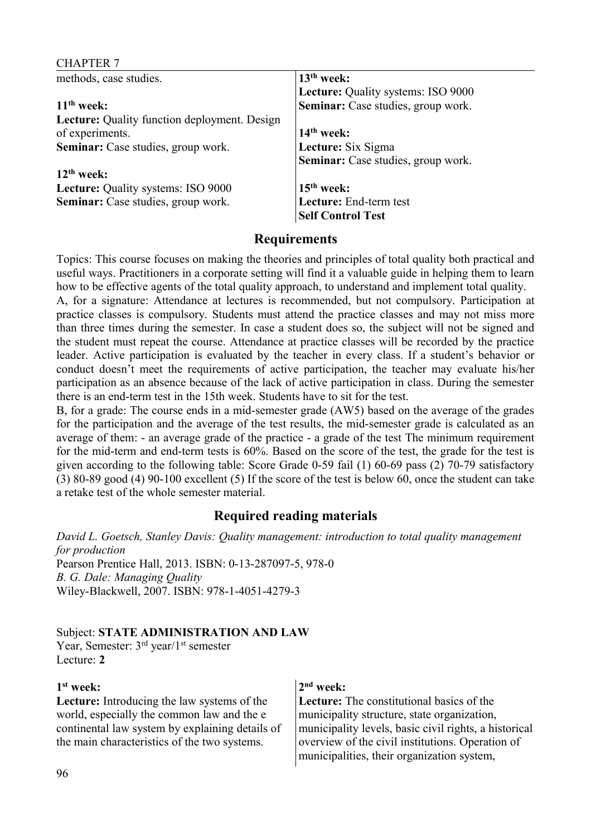#### CHAPTER 7 methods, case studies. **11th week: Lecture:** Quality function deployment. Design of experiments. **Seminar:** Case studies, group work. **12th week: Lecture:** Quality systems: ISO 9000 **Seminar:** Case studies, group work.  $13<sup>th</sup>$  **week: Lecture:** Quality systems: ISO 9000 **Seminar:** Case studies, group work. **14th week: Lecture:** Six Sigma **Seminar:** Case studies, group work. **15th week: Lecture:** End-term test **Self Control Test**

# **Requirements**

Topics: This course focuses on making the theories and principles of total quality both practical and useful ways. Practitioners in a corporate setting will find it a valuable guide in helping them to learn how to be effective agents of the total quality approach, to understand and implement total quality.

A, for a signature: Attendance at lectures is recommended, but not compulsory. Participation at practice classes is compulsory. Students must attend the practice classes and may not miss more than three times during the semester. In case a student does so, the subject will not be signed and the student must repeat the course. Attendance at practice classes will be recorded by the practice leader. Active participation is evaluated by the teacher in every class. If a student's behavior or conduct doesn't meet the requirements of active participation, the teacher may evaluate his/her participation as an absence because of the lack of active participation in class. During the semester there is an end-term test in the 15th week. Students have to sit for the test.

B, for a grade: The course ends in a mid-semester grade (AW5) based on the average of the grades for the participation and the average of the test results, the mid-semester grade is calculated as an average of them: - an average grade of the practice - a grade of the test The minimum requirement for the mid-term and end-term tests is 60%. Based on the score of the test, the grade for the test is given according to the following table: Score Grade 0-59 fail (1) 60-69 pass (2) 70-79 satisfactory (3) 80-89 good (4) 90-100 excellent (5) If the score of the test is below 60, once the student can take a retake test of the whole semester material.

# **Required reading materials**

*David L. Goetsch, Stanley Davis: Quality management: introduction to total quality management for production* Pearson Prentice Hall, 2013. ISBN: 0-13-287097-5, 978-0 *B. G. Dale: Managing Quality* Wiley-Blackwell, 2007. ISBN: 978-1-4051-4279-3

Subject: **STATE ADMINISTRATION AND LAW** Year, Semester: 3<sup>rd</sup> year/1<sup>st</sup> semester Lecture: **2**

#### **1 st week:**

**Lecture:** Introducing the law systems of the world, especially the common law and the e continental law system by explaining details of the main characteristics of the two systems.

#### **2 nd week:**

**Lecture:** The constitutional basics of the municipality structure, state organization, municipality levels, basic civil rights, a historical overview of the civil institutions. Operation of municipalities, their organization system,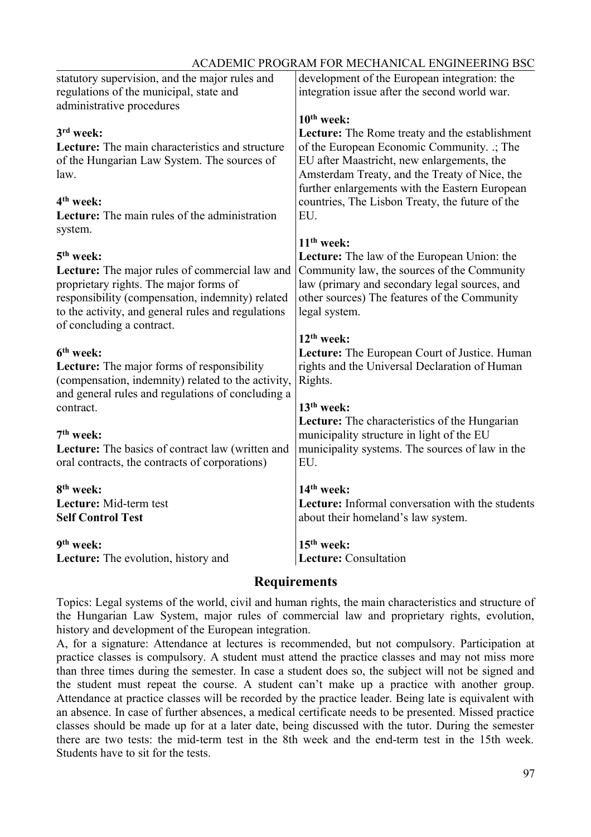| statutory supervision, and the major rules and<br>regulations of the municipal, state and<br>administrative procedures                                                                                                                                   | development of the European integration: the<br>integration issue after the second world war.                                                                                                                                |
|----------------------------------------------------------------------------------------------------------------------------------------------------------------------------------------------------------------------------------------------------------|------------------------------------------------------------------------------------------------------------------------------------------------------------------------------------------------------------------------------|
| 3rd week:                                                                                                                                                                                                                                                | $10th$ week:<br>Lecture: The Rome treaty and the establishment                                                                                                                                                               |
| Lecture: The main characteristics and structure<br>of the Hungarian Law System. The sources of<br>law.                                                                                                                                                   | of the European Economic Community. .; The<br>EU after Maastricht, new enlargements, the<br>Amsterdam Treaty, and the Treaty of Nice, the<br>further enlargements with the Eastern European                                  |
| $4th$ week:<br><b>Lecture:</b> The main rules of the administration<br>system.                                                                                                                                                                           | countries, The Lisbon Treaty, the future of the<br>EU.                                                                                                                                                                       |
| 5 <sup>th</sup> week:<br>Lecture: The major rules of commercial law and<br>proprietary rights. The major forms of<br>responsibility (compensation, indemnity) related<br>to the activity, and general rules and regulations<br>of concluding a contract. | $11th$ week:<br>Lecture: The law of the European Union: the<br>Community law, the sources of the Community<br>law (primary and secondary legal sources, and<br>other sources) The features of the Community<br>legal system. |
| 6 <sup>th</sup> week:<br>Lecture: The major forms of responsibility<br>(compensation, indemnity) related to the activity,<br>and general rules and regulations of concluding a<br>contract.                                                              | $12th$ week:<br>Lecture: The European Court of Justice. Human<br>rights and the Universal Declaration of Human<br>Rights.<br>13 <sup>th</sup> week:                                                                          |
| $7th$ week:<br>Lecture: The basics of contract law (written and<br>oral contracts, the contracts of corporations)                                                                                                                                        | <b>Lecture:</b> The characteristics of the Hungarian<br>municipality structure in light of the EU<br>municipality systems. The sources of law in the<br>EU.                                                                  |
| 8 <sup>th</sup> week:<br>Lecture: Mid-term test<br><b>Self Control Test</b>                                                                                                                                                                              | $14th$ week:<br>Lecture: Informal conversation with the students<br>about their homeland's law system.                                                                                                                       |
| 9 <sup>th</sup> week:<br>Lecture: The evolution, history and                                                                                                                                                                                             | $15th$ week:<br>Lecture: Consultation                                                                                                                                                                                        |

#### ACADEMIC PROGRAM FOR MECHANICAL ENGINEERING BSC

# **Requirements**

Topics: Legal systems of the world, civil and human rights, the main characteristics and structure of the Hungarian Law System, major rules of commercial law and proprietary rights, evolution, history and development of the European integration.

A, for a signature: Attendance at lectures is recommended, but not compulsory. Participation at practice classes is compulsory. A student must attend the practice classes and may not miss more than three times during the semester. In case a student does so, the subject will not be signed and the student must repeat the course. A student can't make up a practice with another group. Attendance at practice classes will be recorded by the practice leader. Being late is equivalent with an absence. In case of further absences, a medical certificate needs to be presented. Missed practice classes should be made up for at a later date, being discussed with the tutor. During the semester there are two tests: the mid-term test in the 8th week and the end-term test in the 15th week. Students have to sit for the tests.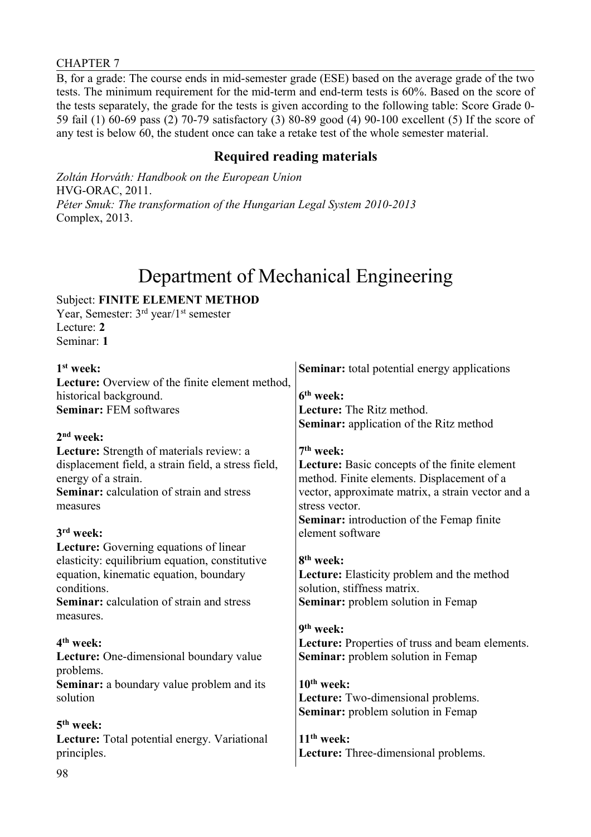B, for a grade: The course ends in mid-semester grade (ESE) based on the average grade of the two tests. The minimum requirement for the mid-term and end-term tests is 60%. Based on the score of the tests separately, the grade for the tests is given according to the following table: Score Grade 0- 59 fail (1) 60-69 pass (2) 70-79 satisfactory (3) 80-89 good (4) 90-100 excellent (5) If the score of any test is below 60, the student once can take a retake test of the whole semester material.

# **Required reading materials**

*Zoltán Horváth: Handbook on the European Union* HVG-ORAC, 2011. *Péter Smuk: The transformation of the Hungarian Legal System 2010-2013* Complex, 2013.

# Department of Mechanical Engineering

# Subject: **FINITE ELEMENT METHOD**

Year, Semester: 3<sup>rd</sup> year/1<sup>st</sup> semester Lecture: **2** Seminar: **1**

| 1 <sup>st</sup> week:                               | <b>Seminar:</b> total potential energy applications  |
|-----------------------------------------------------|------------------------------------------------------|
| Lecture: Overview of the finite element method,     |                                                      |
| historical background.                              | 6 <sup>th</sup> week:                                |
| <b>Seminar: FEM softwares</b>                       | Lecture: The Ritz method.                            |
|                                                     | Seminar: application of the Ritz method              |
| $2nd$ week:                                         |                                                      |
| Lecture: Strength of materials review: a            | $7th$ week:                                          |
| displacement field, a strain field, a stress field, | <b>Lecture:</b> Basic concepts of the finite element |
| energy of a strain.                                 | method. Finite elements. Displacement of a           |
| <b>Seminar:</b> calculation of strain and stress    | vector, approximate matrix, a strain vector and a    |
| measures                                            | stress vector.                                       |
|                                                     | <b>Seminar:</b> introduction of the Femap finite     |
| 3 <sup>rd</sup> week:                               | element software                                     |
| Lecture: Governing equations of linear              |                                                      |
| elasticity: equilibrium equation, constitutive      | 8 <sup>th</sup> week:                                |
| equation, kinematic equation, boundary              | <b>Lecture:</b> Elasticity problem and the method    |
| conditions.                                         | solution, stiffness matrix.                          |
| Seminar: calculation of strain and stress           | <b>Seminar:</b> problem solution in Femap            |
| measures.                                           |                                                      |
|                                                     | 9 <sup>th</sup> week:                                |
| 4 <sup>th</sup> week:                               | Lecture: Properties of truss and beam elements.      |
| Lecture: One-dimensional boundary value             | <b>Seminar:</b> problem solution in Femap            |
| problems.                                           |                                                      |
| Seminar: a boundary value problem and its           | $10th$ week:                                         |
| solution                                            | Lecture: Two-dimensional problems.                   |
|                                                     | <b>Seminar:</b> problem solution in Femap            |
| 5 <sup>th</sup> week:                               |                                                      |
| Lecture: Total potential energy. Variational        | $11th$ week:                                         |
| principles.                                         | Lecture: Three-dimensional problems.                 |
|                                                     |                                                      |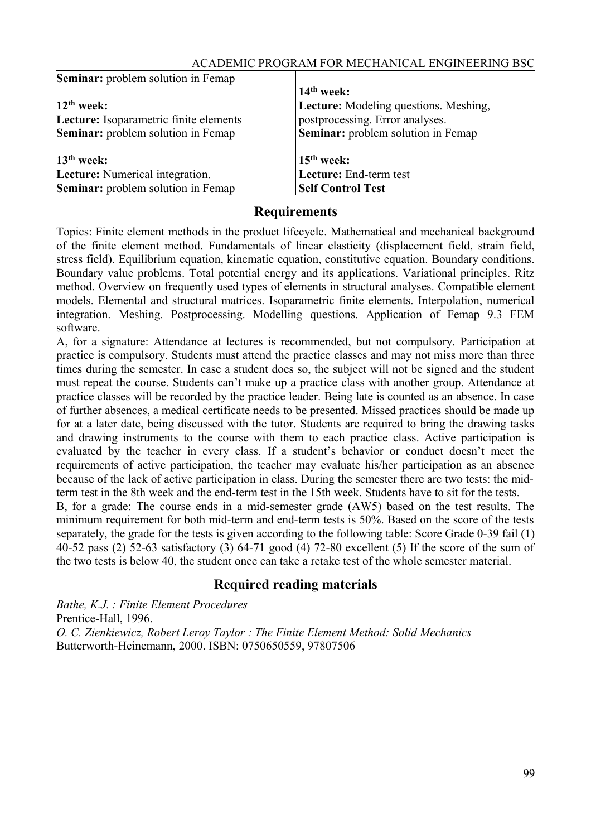| <b>Seminar:</b> problem solution in Femap |                                           |
|-------------------------------------------|-------------------------------------------|
|                                           | $14th$ week:                              |
| $12th$ week:                              | Lecture: Modeling questions. Meshing,     |
| Lecture: Isoparametric finite elements    | postprocessing. Error analyses.           |
| <b>Seminar:</b> problem solution in Femap | <b>Seminar:</b> problem solution in Femap |
| $13th$ week:                              | $15th$ week:                              |
| Lecture: Numerical integration.           | Lecture: End-term test                    |
| <b>Seminar:</b> problem solution in Femap | <b>Self Control Test</b>                  |

Topics: Finite element methods in the product lifecycle. Mathematical and mechanical background of the finite element method. Fundamentals of linear elasticity (displacement field, strain field, stress field). Equilibrium equation, kinematic equation, constitutive equation. Boundary conditions. Boundary value problems. Total potential energy and its applications. Variational principles. Ritz method. Overview on frequently used types of elements in structural analyses. Compatible element models. Elemental and structural matrices. Isoparametric finite elements. Interpolation, numerical integration. Meshing. Postprocessing. Modelling questions. Application of Femap 9.3 FEM software.

A, for a signature: Attendance at lectures is recommended, but not compulsory. Participation at practice is compulsory. Students must attend the practice classes and may not miss more than three times during the semester. In case a student does so, the subject will not be signed and the student must repeat the course. Students can't make up a practice class with another group. Attendance at practice classes will be recorded by the practice leader. Being late is counted as an absence. In case of further absences, a medical certificate needs to be presented. Missed practices should be made up for at a later date, being discussed with the tutor. Students are required to bring the drawing tasks and drawing instruments to the course with them to each practice class. Active participation is evaluated by the teacher in every class. If a student's behavior or conduct doesn't meet the requirements of active participation, the teacher may evaluate his/her participation as an absence because of the lack of active participation in class. During the semester there are two tests: the midterm test in the 8th week and the end-term test in the 15th week. Students have to sit for the tests. B, for a grade: The course ends in a mid-semester grade (AW5) based on the test results. The minimum requirement for both mid-term and end-term tests is 50%. Based on the score of the tests separately, the grade for the tests is given according to the following table: Score Grade 0-39 fail (1) 40-52 pass (2) 52-63 satisfactory (3) 64-71 good (4) 72-80 excellent (5) If the score of the sum of the two tests is below 40, the student once can take a retake test of the whole semester material.

# **Required reading materials**

*Bathe, K.J. : Finite Element Procedures* Prentice-Hall, 1996. *O. C. Zienkiewicz, Robert Leroy Taylor : The Finite Element Method: Solid Mechanics* Butterworth-Heinemann, 2000. ISBN: 0750650559, 97807506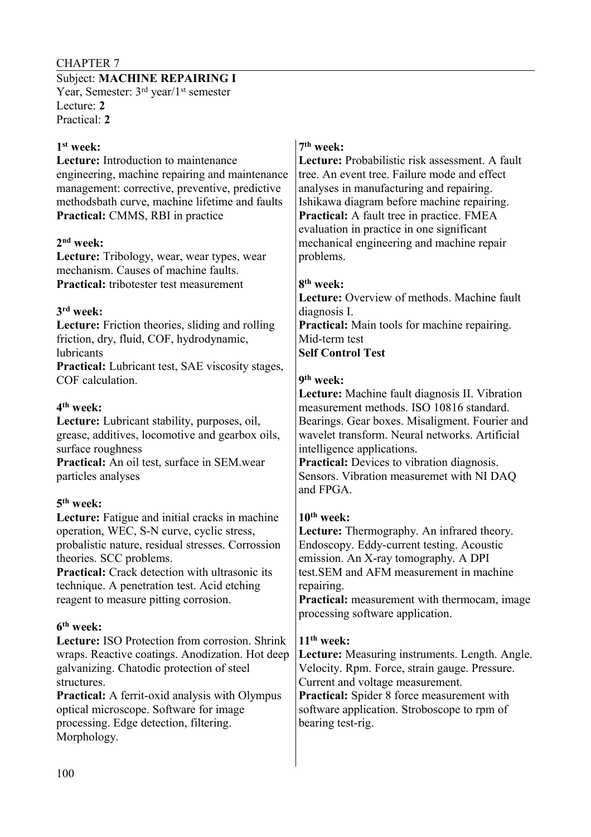Subject: **MACHINE REPAIRING I** Year, Semester: 3<sup>rd</sup> year/1<sup>st</sup> semester Lecture: **2** Practical: **2**

#### **1 st week:**

**Lecture:** Introduction to maintenance engineering, machine repairing and maintenance management: corrective, preventive, predictive methodsbath curve, machine lifetime and faults **Practical:** CMMS, RBI in practice

#### **2 nd week:**

**Lecture:** Tribology, wear, wear types, wear mechanism. Causes of machine faults. **Practical:** tribotester test measurement

#### **3 rd week:**

**Lecture:** Friction theories, sliding and rolling friction, dry, fluid, COF, hydrodynamic, lubricants

**Practical:** Lubricant test, SAE viscosity stages, COF calculation.

#### **4 th week:**

**Lecture:** Lubricant stability, purposes, oil, grease, additives, locomotive and gearbox oils, surface roughness

**Practical:** An oil test, surface in SEM.wear particles analyses

#### **5 th week:**

**Lecture:** Fatigue and initial cracks in machine operation, WEC, S-N curve, cyclic stress, probalistic nature, residual stresses. Corrossion theories. SCC problems.

**Practical:** Crack detection with ultrasonic its technique. A penetration test. Acid etching reagent to measure pitting corrosion.

#### **6 th week:**

**Lecture:** ISO Protection from corrosion. Shrink wraps. Reactive coatings. Anodization. Hot deep galvanizing. Chatodic protection of steel structures.

**Practical:** A ferrit-oxid analysis with Olympus optical microscope. Software for image processing. Edge detection, filtering. Morphology.

#### **7 th week:**

**Lecture:** Probabilistic risk assessment. A fault tree. An event tree. Failure mode and effect analyses in manufacturing and repairing. Ishikawa diagram before machine repairing. **Practical:** A fault tree in practice. FMEA evaluation in practice in one significant mechanical engineering and machine repair problems.

#### **8 th week:**

**Lecture:** Overview of methods. Machine fault diagnosis I. **Practical:** Main tools for machine repairing. Mid-term test **Self Control Test**

#### **9 th week:**

**Lecture:** Machine fault diagnosis II. Vibration measurement methods. ISO 10816 standard. Bearings. Gear boxes. Misaligment. Fourier and wavelet transform. Neural networks. Artificial intelligence applications.

**Practical:** Devices to vibration diagnosis. Sensors. Vibration measuremet with NI DAQ and FPGA.

#### **10th week:**

**Lecture:** Thermography. An infrared theory. Endoscopy. Eddy-current testing. Acoustic emission. An X-ray tomography. A DPI test.SEM and AFM measurement in machine repairing.

**Practical:** measurement with thermocam, image processing software application.

# **11th week:**

**Lecture:** Measuring instruments. Length. Angle. Velocity. Rpm. Force, strain gauge. Pressure. Current and voltage measurement. **Practical:** Spider 8 force measurement with software application. Stroboscope to rpm of bearing test-rig.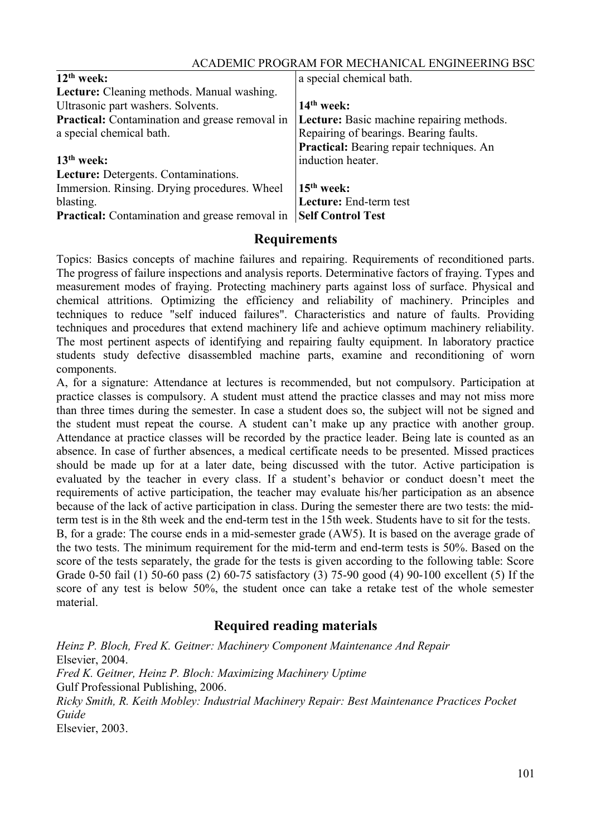| $12th$ week:                                          | a special chemical bath.                         |
|-------------------------------------------------------|--------------------------------------------------|
| Lecture: Cleaning methods. Manual washing.            |                                                  |
| Ultrasonic part washers. Solvents.                    | $14th$ week:                                     |
| Practical: Contamination and grease removal in        | <b>Lecture:</b> Basic machine repairing methods. |
| a special chemical bath.                              | Repairing of bearings. Bearing faults.           |
|                                                       | Practical: Bearing repair techniques. An         |
| $13th$ week:                                          | induction heater.                                |
| Lecture: Detergents. Contaminations.                  |                                                  |
| Immersion. Rinsing. Drying procedures. Wheel          | $15th$ week:                                     |
| blasting.                                             | Lecture: End-term test                           |
| <b>Practical:</b> Contamination and grease removal in | <b>Self Control Test</b>                         |
|                                                       |                                                  |

#### ACADEMIC PROGRAM FOR MECHANICAL ENGINEERING BSC

#### **Requirements**

Topics: Basics concepts of machine failures and repairing. Requirements of reconditioned parts. The progress of failure inspections and analysis reports. Determinative factors of fraying. Types and measurement modes of fraying. Protecting machinery parts against loss of surface. Physical and chemical attritions. Optimizing the efficiency and reliability of machinery. Principles and techniques to reduce "self induced failures". Characteristics and nature of faults. Providing techniques and procedures that extend machinery life and achieve optimum machinery reliability. The most pertinent aspects of identifying and repairing faulty equipment. In laboratory practice students study defective disassembled machine parts, examine and reconditioning of worn components.

A, for a signature: Attendance at lectures is recommended, but not compulsory. Participation at practice classes is compulsory. A student must attend the practice classes and may not miss more than three times during the semester. In case a student does so, the subject will not be signed and the student must repeat the course. A student can't make up any practice with another group. Attendance at practice classes will be recorded by the practice leader. Being late is counted as an absence. In case of further absences, a medical certificate needs to be presented. Missed practices should be made up for at a later date, being discussed with the tutor. Active participation is evaluated by the teacher in every class. If a student's behavior or conduct doesn't meet the requirements of active participation, the teacher may evaluate his/her participation as an absence because of the lack of active participation in class. During the semester there are two tests: the midterm test is in the 8th week and the end-term test in the 15th week. Students have to sit for the tests. B, for a grade: The course ends in a mid-semester grade (AW5). It is based on the average grade of the two tests. The minimum requirement for the mid-term and end-term tests is 50%. Based on the score of the tests separately, the grade for the tests is given according to the following table: Score Grade 0-50 fail (1) 50-60 pass (2) 60-75 satisfactory (3) 75-90 good (4) 90-100 excellent (5) If the score of any test is below 50%, the student once can take a retake test of the whole semester

# **Required reading materials**

material.

*Heinz P. Bloch, Fred K. Geitner: Machinery Component Maintenance And Repair* Elsevier, 2004. *Fred K. Geitner, Heinz P. Bloch: Maximizing Machinery Uptime* Gulf Professional Publishing, 2006. *Ricky Smith, R. Keith Mobley: Industrial Machinery Repair: Best Maintenance Practices Pocket Guide* Elsevier, 2003.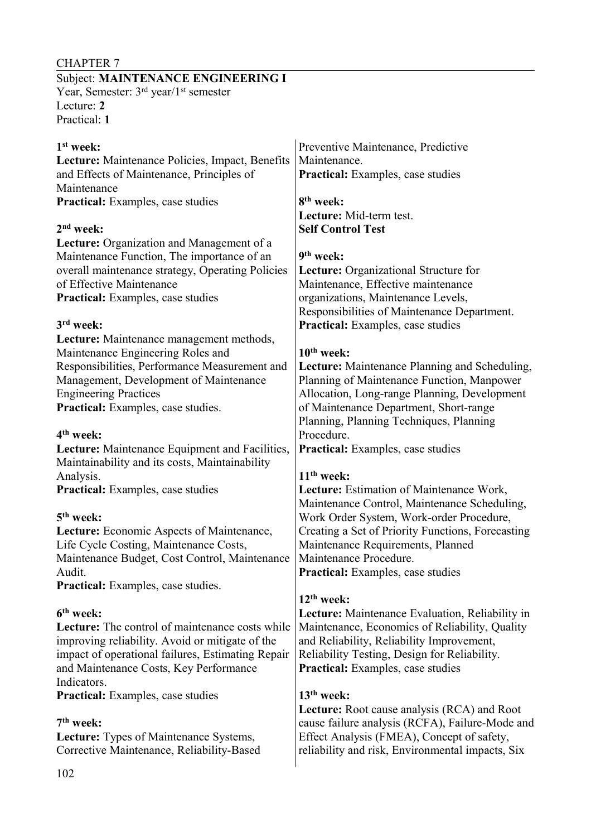#### Subject: **MAINTENANCE ENGINEERING I** Year, Semester: 3<sup>rd</sup> year/1<sup>st</sup> semester Lecture: **2**

Practical: **1**

| $1st$ week:<br>Lecture: Maintenance Policies, Impact, Benefits<br>and Effects of Maintenance, Principles of                                                                                                             | Preventive Maintenance, Predictive<br>Maintenance.<br>Practical: Examples, case studies                                                                                                                                                                    |
|-------------------------------------------------------------------------------------------------------------------------------------------------------------------------------------------------------------------------|------------------------------------------------------------------------------------------------------------------------------------------------------------------------------------------------------------------------------------------------------------|
| Maintenance<br><b>Practical:</b> Examples, case studies                                                                                                                                                                 | 8 <sup>th</sup> week:<br>Lecture: Mid-term test.                                                                                                                                                                                                           |
| $2nd$ week:<br>Lecture: Organization and Management of a<br>Maintenance Function, The importance of an                                                                                                                  | <b>Self Control Test</b><br>9 <sup>th</sup> week:                                                                                                                                                                                                          |
| overall maintenance strategy, Operating Policies<br>of Effective Maintenance<br><b>Practical:</b> Examples, case studies                                                                                                | Lecture: Organizational Structure for<br>Maintenance, Effective maintenance<br>organizations, Maintenance Levels,                                                                                                                                          |
| 3rd week:<br>Lecture: Maintenance management methods,                                                                                                                                                                   | Responsibilities of Maintenance Department.<br><b>Practical:</b> Examples, case studies                                                                                                                                                                    |
| Maintenance Engineering Roles and<br>Responsibilities, Performance Measurement and<br>Management, Development of Maintenance<br><b>Engineering Practices</b><br>Practical: Examples, case studies.                      | $10th$ week:<br>Lecture: Maintenance Planning and Scheduling,<br>Planning of Maintenance Function, Manpower<br>Allocation, Long-range Planning, Development<br>of Maintenance Department, Short-range<br>Planning, Planning Techniques, Planning           |
| 4 <sup>th</sup> week:<br>Lecture: Maintenance Equipment and Facilities,<br>Maintainability and its costs, Maintainability                                                                                               | Procedure.<br>Practical: Examples, case studies                                                                                                                                                                                                            |
| Analysis.<br><b>Practical:</b> Examples, case studies                                                                                                                                                                   | $11th$ week:<br>Lecture: Estimation of Maintenance Work,<br>Maintenance Control, Maintenance Scheduling,                                                                                                                                                   |
| 5 <sup>th</sup> week:<br>Lecture: Economic Aspects of Maintenance,<br>Life Cycle Costing, Maintenance Costs,<br>Maintenance Budget, Cost Control, Maintenance<br>Audit.<br>Practical: Examples, case studies.           | Work Order System, Work-order Procedure,<br>Creating a Set of Priority Functions, Forecasting<br>Maintenance Requirements, Planned<br>Maintenance Procedure.<br><b>Practical:</b> Examples, case studies                                                   |
| $6th$ week:<br><b>Lecture:</b> The control of maintenance costs while<br>improving reliability. Avoid or mitigate of the<br>impact of operational failures, Estimating Repair<br>and Maintenance Costs, Key Performance | $12th$ week:<br>Lecture: Maintenance Evaluation, Reliability in<br>Maintenance, Economics of Reliability, Quality<br>and Reliability, Reliability Improvement,<br>Reliability Testing, Design for Reliability.<br><b>Practical:</b> Examples, case studies |
| Indicators.<br><b>Practical:</b> Examples, case studies<br>7 <sup>th</sup> week:<br><b>Lecture:</b> Types of Maintenance Systems,<br>Corrective Maintenance, Reliability-Based                                          | 13 <sup>th</sup> week:<br><b>Lecture:</b> Root cause analysis (RCA) and Root<br>cause failure analysis (RCFA), Failure-Mode and<br>Effect Analysis (FMEA), Concept of safety,<br>reliability and risk, Environmental impacts, Six                          |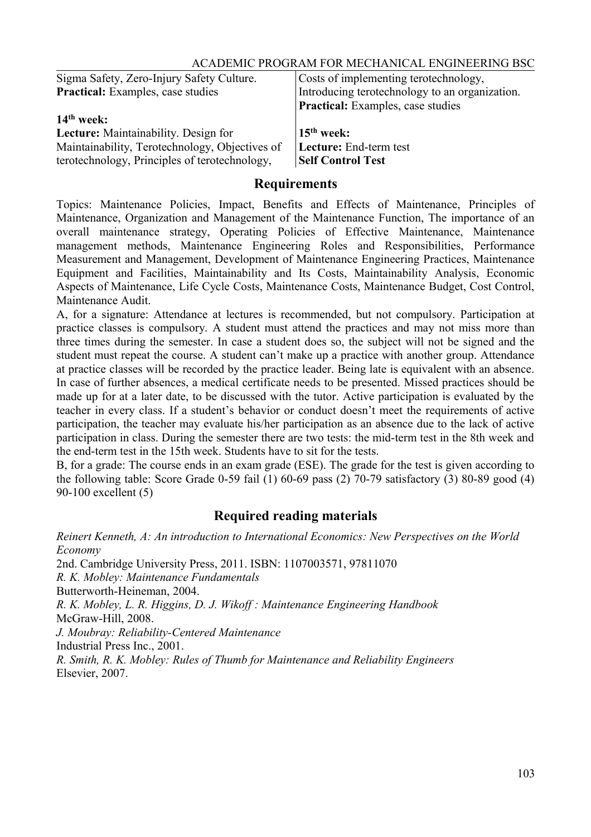| ACADEMIC PROGRAM FOR MECHANICAL ENGINEERING BSC |  |
|-------------------------------------------------|--|
|                                                 |  |

| Sigma Safety, Zero-Injury Safety Culture.      | Costs of implementing terotechnology,          |
|------------------------------------------------|------------------------------------------------|
| <b>Practical:</b> Examples, case studies       | Introducing terotechnology to an organization. |
|                                                | <b>Practical:</b> Examples, case studies       |
| $14th$ week:                                   |                                                |
| <b>Lecture:</b> Maintainability. Design for    | $15th$ week:                                   |
| Maintainability, Terotechnology, Objectives of | <b>Lecture:</b> End-term test                  |
| terotechnology, Principles of terotechnology,  | <b>Self Control Test</b>                       |

Topics: Maintenance Policies, Impact, Benefits and Effects of Maintenance, Principles of Maintenance, Organization and Management of the Maintenance Function, The importance of an overall maintenance strategy, Operating Policies of Effective Maintenance, Maintenance management methods, Maintenance Engineering Roles and Responsibilities, Performance Measurement and Management, Development of Maintenance Engineering Practices, Maintenance Equipment and Facilities, Maintainability and Its Costs, Maintainability Analysis, Economic Aspects of Maintenance, Life Cycle Costs, Maintenance Costs, Maintenance Budget, Cost Control, Maintenance Audit.

A, for a signature: Attendance at lectures is recommended, but not compulsory. Participation at practice classes is compulsory. A student must attend the practices and may not miss more than three times during the semester. In case a student does so, the subject will not be signed and the student must repeat the course. A student can't make up a practice with another group. Attendance at practice classes will be recorded by the practice leader. Being late is equivalent with an absence. In case of further absences, a medical certificate needs to be presented. Missed practices should be made up for at a later date, to be discussed with the tutor. Active participation is evaluated by the teacher in every class. If a student's behavior or conduct doesn't meet the requirements of active participation, the teacher may evaluate his/her participation as an absence due to the lack of active participation in class. During the semester there are two tests: the mid-term test in the 8th week and the end-term test in the 15th week. Students have to sit for the tests.

B, for a grade: The course ends in an exam grade (ESE). The grade for the test is given according to the following table: Score Grade 0-59 fail  $(1)$  60-69 pass  $(2)$  70-79 satisfactory  $(3)$  80-89 good  $(4)$ 90-100 excellent (5)

# **Required reading materials**

*Reinert Kenneth, A: An introduction to International Economics: New Perspectives on the World Economy* 2nd. Cambridge University Press, 2011. ISBN: 1107003571, 97811070 *R. K. Mobley: Maintenance Fundamentals* Butterworth-Heineman, 2004. *R. K. Mobley, L. R. Higgins, D. J. Wikoff : Maintenance Engineering Handbook* McGraw-Hill, 2008. *J. Moubray: Reliability-Centered Maintenance* Industrial Press Inc., 2001. *R. Smith, R. K. Mobley: Rules of Thumb for Maintenance and Reliability Engineers* Elsevier, 2007.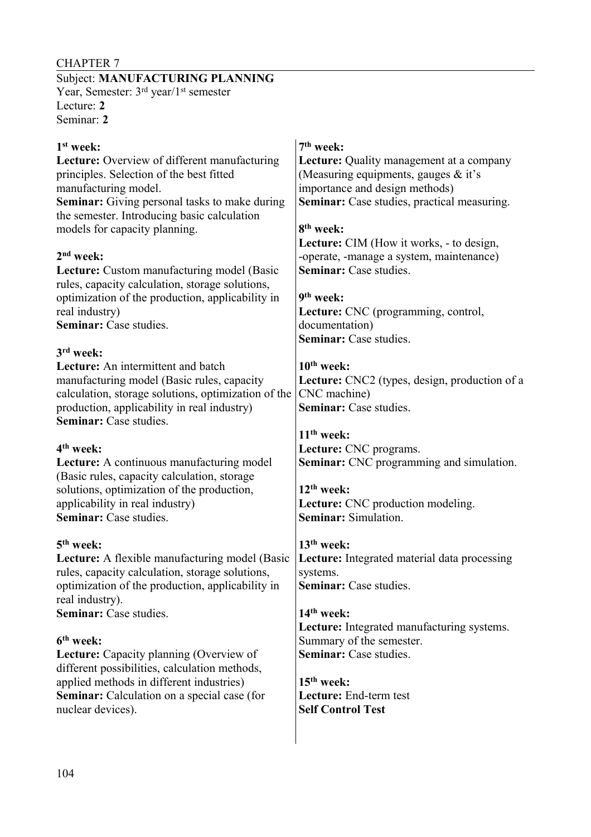Subject: **MANUFACTURING PLANNING** Year, Semester: 3<sup>rd</sup> year/1<sup>st</sup> semester Lecture: **2** Seminar: **2**

| $1st$ week:<br>Lecture: Overview of different manufacturing<br>principles. Selection of the best fitted<br>manufacturing model.<br><b>Seminar:</b> Giving personal tasks to make during<br>the semester. Introducing basic calculation<br>models for capacity planning.<br>$2nd$ week:<br><b>Lecture:</b> Custom manufacturing model (Basic<br>rules, capacity calculation, storage solutions,<br>optimization of the production, applicability in<br>real industry)<br>Seminar: Case studies.<br>3 <sup>rd</sup> week:<br>Lecture: An intermittent and batch<br>manufacturing model (Basic rules, capacity<br>calculation, storage solutions, optimization of the<br>production, applicability in real industry)<br>Seminar: Case studies.<br>4 <sup>th</sup> week:<br>Lecture: A continuous manufacturing model<br>(Basic rules, capacity calculation, storage<br>solutions, optimization of the production,<br>applicability in real industry)<br><b>Seminar:</b> Case studies. | 7 <sup>th</sup> week:<br><b>Lecture:</b> Quality management at a company<br>(Measuring equipments, gauges $&$ it's<br>importance and design methods)<br><b>Seminar:</b> Case studies, practical measuring.<br>8 <sup>th</sup> week:<br><b>Lecture:</b> CIM (How it works, - to design,<br>-operate, -manage a system, maintenance)<br><b>Seminar:</b> Case studies.<br>9 <sup>th</sup> week:<br>Lecture: CNC (programming, control,<br>documentation)<br><b>Seminar:</b> Case studies.<br>$10th$ week:<br>Lecture: CNC2 (types, design, production of a<br>CNC machine)<br><b>Seminar:</b> Case studies.<br>$11th$ week:<br>Lecture: CNC programs.<br><b>Seminar:</b> CNC programming and simulation.<br>$12th$ week:<br>Lecture: CNC production modeling.<br><b>Seminar: Simulation.</b> |
|------------------------------------------------------------------------------------------------------------------------------------------------------------------------------------------------------------------------------------------------------------------------------------------------------------------------------------------------------------------------------------------------------------------------------------------------------------------------------------------------------------------------------------------------------------------------------------------------------------------------------------------------------------------------------------------------------------------------------------------------------------------------------------------------------------------------------------------------------------------------------------------------------------------------------------------------------------------------------------|-------------------------------------------------------------------------------------------------------------------------------------------------------------------------------------------------------------------------------------------------------------------------------------------------------------------------------------------------------------------------------------------------------------------------------------------------------------------------------------------------------------------------------------------------------------------------------------------------------------------------------------------------------------------------------------------------------------------------------------------------------------------------------------------|
| 5 <sup>th</sup> week:<br>Lecture: A flexible manufacturing model (Basic<br>rules, capacity calculation, storage solutions,<br>optimization of the production, applicability in<br>real industry).<br><b>Seminar:</b> Case studies.<br>6 <sup>th</sup> week:<br><b>Lecture:</b> Capacity planning (Overview of<br>different possibilities, calculation methods,<br>applied methods in different industries)<br><b>Seminar:</b> Calculation on a special case (for<br>nuclear devices).                                                                                                                                                                                                                                                                                                                                                                                                                                                                                              | $13th$ week:<br>Lecture: Integrated material data processing<br>systems.<br><b>Seminar:</b> Case studies.<br>14 <sup>th</sup> week:<br>Lecture: Integrated manufacturing systems.<br>Summary of the semester.<br><b>Seminar:</b> Case studies.<br>$15th$ week:<br>Lecture: End-term test<br><b>Self Control Test</b>                                                                                                                                                                                                                                                                                                                                                                                                                                                                      |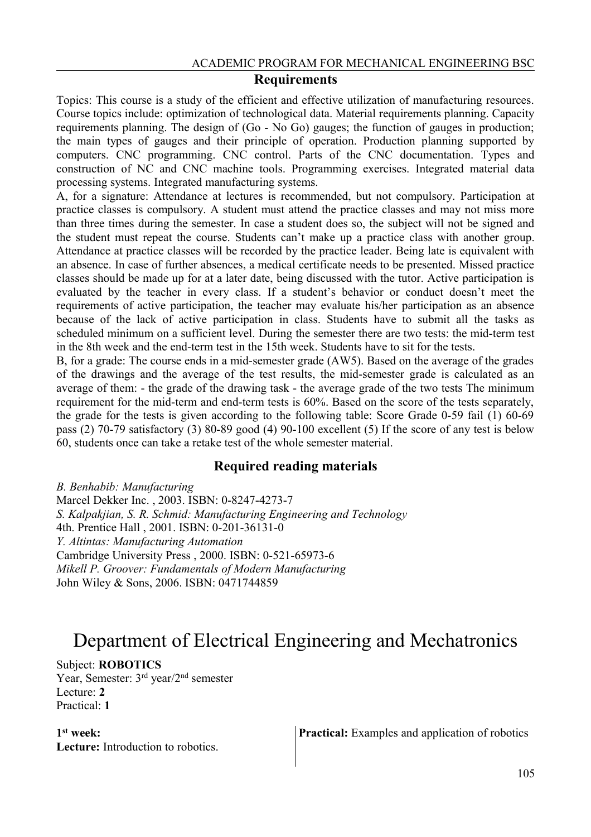Topics: This course is a study of the efficient and effective utilization of manufacturing resources. Course topics include: optimization of technological data. Material requirements planning. Capacity requirements planning. The design of (Go - No Go) gauges; the function of gauges in production; the main types of gauges and their principle of operation. Production planning supported by computers. CNC programming. CNC control. Parts of the CNC documentation. Types and construction of NC and CNC machine tools. Programming exercises. Integrated material data processing systems. Integrated manufacturing systems.

A, for a signature: Attendance at lectures is recommended, but not compulsory. Participation at practice classes is compulsory. A student must attend the practice classes and may not miss more than three times during the semester. In case a student does so, the subject will not be signed and the student must repeat the course. Students can't make up a practice class with another group. Attendance at practice classes will be recorded by the practice leader. Being late is equivalent with an absence. In case of further absences, a medical certificate needs to be presented. Missed practice classes should be made up for at a later date, being discussed with the tutor. Active participation is evaluated by the teacher in every class. If a student's behavior or conduct doesn't meet the requirements of active participation, the teacher may evaluate his/her participation as an absence because of the lack of active participation in class. Students have to submit all the tasks as scheduled minimum on a sufficient level. During the semester there are two tests: the mid-term test in the 8th week and the end-term test in the 15th week. Students have to sit for the tests.

B, for a grade: The course ends in a mid-semester grade (AW5). Based on the average of the grades of the drawings and the average of the test results, the mid-semester grade is calculated as an average of them: - the grade of the drawing task - the average grade of the two tests The minimum requirement for the mid-term and end-term tests is 60%. Based on the score of the tests separately, the grade for the tests is given according to the following table: Score Grade 0-59 fail (1) 60-69 pass (2) 70-79 satisfactory (3) 80-89 good (4) 90-100 excellent (5) If the score of any test is below 60, students once can take a retake test of the whole semester material.

# **Required reading materials**

*B. Benhabib: Manufacturing* Marcel Dekker Inc. , 2003. ISBN: 0-8247-4273-7 *S. Kalpakjian, S. R. Schmid: Manufacturing Engineering and Technology* 4th. Prentice Hall , 2001. ISBN: 0-201-36131-0 *Y. Altintas: Manufacturing Automation* Cambridge University Press , 2000. ISBN: 0-521-65973-6 *Mikell P. Groover: Fundamentals of Modern Manufacturing* John Wiley & Sons, 2006. ISBN: 0471744859

# Department of Electrical Engineering and Mechatronics

Subject: **ROBOTICS** Year, Semester: 3rd year/2nd semester Lecture: **2**

Practical: **1**

**1 st week: Lecture:** Introduction to robotics. **Practical:** Examples and application of robotics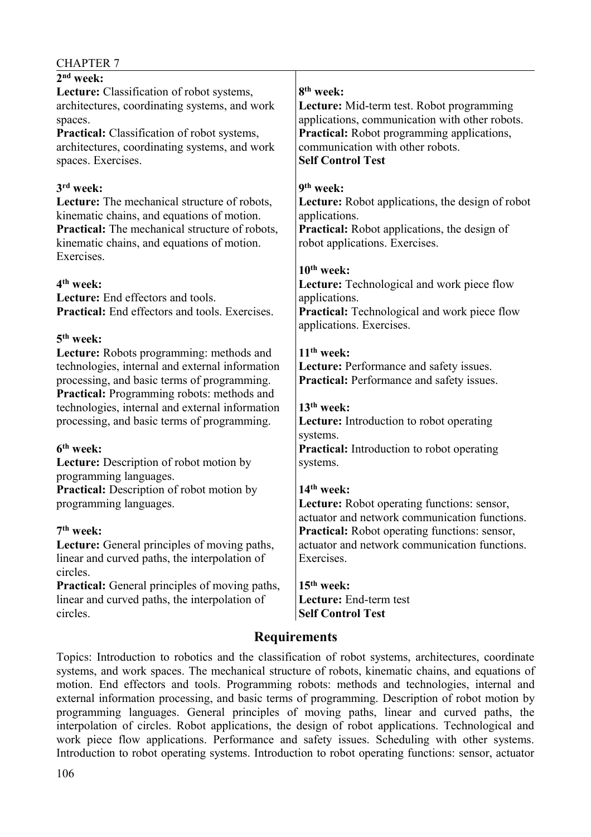| $2nd$ week:<br><b>Lecture:</b> Classification of robot systems,<br>architectures, coordinating systems, and work<br>spaces.<br><b>Practical:</b> Classification of robot systems,<br>architectures, coordinating systems, and work<br>spaces. Exercises.                                   | 8 <sup>th</sup> week:<br><b>Lecture:</b> Mid-term test. Robot programming<br>applications, communication with other robots.<br><b>Practical:</b> Robot programming applications,<br>communication with other robots.<br><b>Self Control Test</b> |
|--------------------------------------------------------------------------------------------------------------------------------------------------------------------------------------------------------------------------------------------------------------------------------------------|--------------------------------------------------------------------------------------------------------------------------------------------------------------------------------------------------------------------------------------------------|
| 3rd week:<br><b>Lecture:</b> The mechanical structure of robots,<br>kinematic chains, and equations of motion.<br><b>Practical:</b> The mechanical structure of robots,<br>kinematic chains, and equations of motion.<br>Exercises.                                                        | 9 <sup>th</sup> week:<br><b>Lecture:</b> Robot applications, the design of robot<br>applications.<br><b>Practical:</b> Robot applications, the design of<br>robot applications. Exercises.                                                       |
| $4th$ week:<br><b>Lecture:</b> End effectors and tools.<br><b>Practical:</b> End effectors and tools. Exercises.<br>5 <sup>th</sup> week:                                                                                                                                                  | $10th$ week:<br><b>Lecture:</b> Technological and work piece flow<br>applications.<br>Practical: Technological and work piece flow<br>applications. Exercises.                                                                                   |
| Lecture: Robots programming: methods and<br>technologies, internal and external information<br>processing, and basic terms of programming.<br>Practical: Programming robots: methods and<br>technologies, internal and external information<br>processing, and basic terms of programming. | $11th$ week:<br><b>Lecture:</b> Performance and safety issues.<br><b>Practical:</b> Performance and safety issues.<br>$13th$ week:<br><b>Lecture:</b> Introduction to robot operating                                                            |
| 6 <sup>th</sup> week:<br><b>Lecture:</b> Description of robot motion by<br>programming languages.<br><b>Practical:</b> Description of robot motion by<br>programming languages.                                                                                                            | systems.<br><b>Practical:</b> Introduction to robot operating<br>systems.<br>$14th$ week:<br><b>Lecture:</b> Robot operating functions: sensor,                                                                                                  |
| 7 <sup>th</sup> week:<br><b>Lecture:</b> General principles of moving paths,<br>linear and curved paths, the interpolation of<br>circles.<br><b>Practical:</b> General principles of moving paths,                                                                                         | actuator and network communication functions.<br><b>Practical:</b> Robot operating functions: sensor,<br>actuator and network communication functions.<br>Exercises.<br>$15th$ week:                                                             |
| linear and curved paths, the interpolation of<br>circles.                                                                                                                                                                                                                                  | Lecture: End-term test<br><b>Self Control Test</b>                                                                                                                                                                                               |

# **Requirements**

Topics: Introduction to robotics and the classification of robot systems, architectures, coordinate systems, and work spaces. The mechanical structure of robots, kinematic chains, and equations of motion. End effectors and tools. Programming robots: methods and technologies, internal and external information processing, and basic terms of programming. Description of robot motion by programming languages. General principles of moving paths, linear and curved paths, the interpolation of circles. Robot applications, the design of robot applications. Technological and work piece flow applications. Performance and safety issues. Scheduling with other systems. Introduction to robot operating systems. Introduction to robot operating functions: sensor, actuator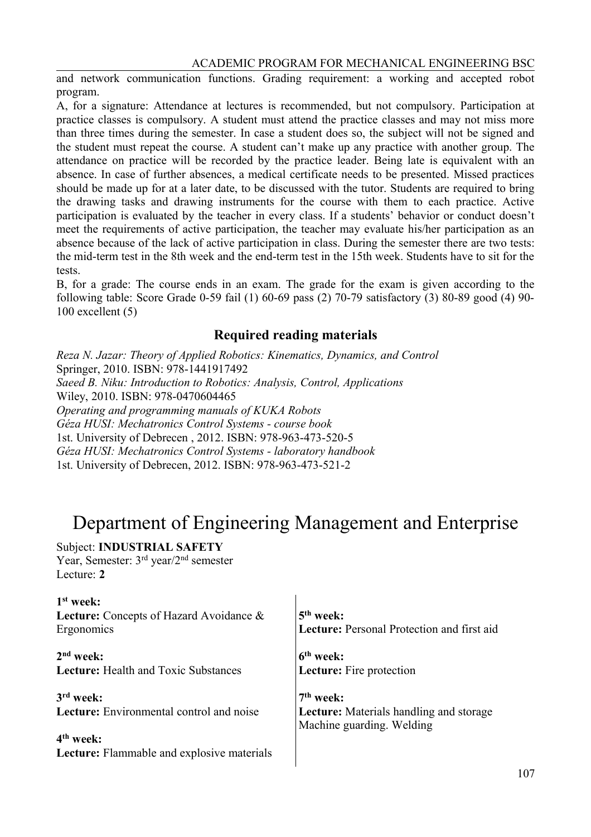and network communication functions. Grading requirement: a working and accepted robot program.

A, for a signature: Attendance at lectures is recommended, but not compulsory. Participation at practice classes is compulsory. A student must attend the practice classes and may not miss more than three times during the semester. In case a student does so, the subject will not be signed and the student must repeat the course. A student can't make up any practice with another group. The attendance on practice will be recorded by the practice leader. Being late is equivalent with an absence. In case of further absences, a medical certificate needs to be presented. Missed practices should be made up for at a later date, to be discussed with the tutor. Students are required to bring the drawing tasks and drawing instruments for the course with them to each practice. Active participation is evaluated by the teacher in every class. If a students' behavior or conduct doesn't meet the requirements of active participation, the teacher may evaluate his/her participation as an absence because of the lack of active participation in class. During the semester there are two tests: the mid-term test in the 8th week and the end-term test in the 15th week. Students have to sit for the tests.

B, for a grade: The course ends in an exam. The grade for the exam is given according to the following table: Score Grade 0-59 fail (1) 60-69 pass (2) 70-79 satisfactory (3) 80-89 good (4) 90- 100 excellent (5)

# **Required reading materials**

*Reza N. Jazar: Theory of Applied Robotics: Kinematics, Dynamics, and Control* Springer, 2010. ISBN: 978-1441917492 *Saeed B. Niku: Introduction to Robotics: Analysis, Control, Applications* Wiley, 2010. ISBN: 978-0470604465 *Operating and programming manuals of KUKA Robots Géza HUSI: Mechatronics Control Systems - course book* 1st. University of Debrecen , 2012. ISBN: 978-963-473-520-5 *Géza HUSI: Mechatronics Control Systems - laboratory handbook* 1st. University of Debrecen, 2012. ISBN: 978-963-473-521-2

# Department of Engineering Management and Enterprise

Subject: **INDUSTRIAL SAFETY** 

Year, Semester: 3rd year/2nd semester Lecture: **2**

| $1st$ week:<br>Lecture: Concepts of Hazard Avoidance &<br>Ergonomics | $5th$ week:<br>Lecture: Personal Protection and first aid                                            |
|----------------------------------------------------------------------|------------------------------------------------------------------------------------------------------|
| $2nd$ week:<br><b>Lecture:</b> Health and Toxic Substances           | 6 <sup>th</sup> week:<br><b>Lecture:</b> Fire protection                                             |
| $3rd$ week:<br>Lecture: Environmental control and noise              | 7 <sup>th</sup> week:<br><b>Lecture:</b> Materials handling and storage<br>Machine guarding. Welding |
| $4th$ week:<br>Lecture: Flammable and explosive materials            |                                                                                                      |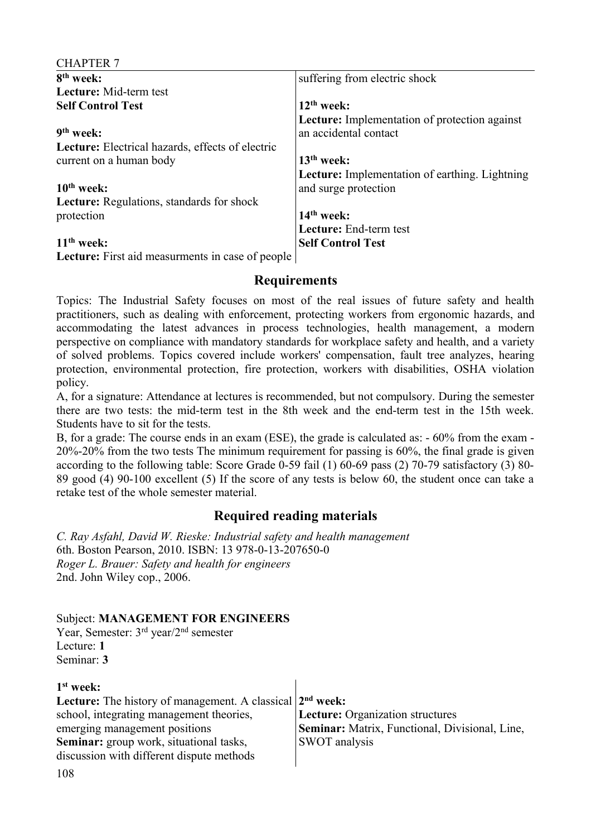| <b>CHAPTER 7</b>                                        |                                                       |
|---------------------------------------------------------|-------------------------------------------------------|
| 8 <sup>th</sup> week:                                   | suffering from electric shock                         |
| Lecture: Mid-term test                                  |                                                       |
| <b>Self Control Test</b>                                | $12th$ week:                                          |
|                                                         | <b>Lecture:</b> Implementation of protection against  |
| 9 <sup>th</sup> week:                                   | an accidental contact                                 |
| <b>Lecture:</b> Electrical hazards, effects of electric |                                                       |
| current on a human body                                 | $13th$ week:                                          |
|                                                         | <b>Lecture:</b> Implementation of earthing. Lightning |
| $10th$ week:                                            | and surge protection                                  |
| <b>Lecture:</b> Regulations, standards for shock        |                                                       |
| protection                                              | $14th$ week:                                          |
|                                                         | Lecture: End-term test                                |
| $11th$ week:                                            | <b>Self Control Test</b>                              |
| <b>Lecture:</b> First aid measurments in case of people |                                                       |

Topics: The Industrial Safety focuses on most of the real issues of future safety and health practitioners, such as dealing with enforcement, protecting workers from ergonomic hazards, and accommodating the latest advances in process technologies, health management, a modern perspective on compliance with mandatory standards for workplace safety and health, and a variety of solved problems. Topics covered include workers' compensation, fault tree analyzes, hearing protection, environmental protection, fire protection, workers with disabilities, OSHA violation policy.

A, for a signature: Attendance at lectures is recommended, but not compulsory. During the semester there are two tests: the mid-term test in the 8th week and the end-term test in the 15th week. Students have to sit for the tests.

B, for a grade: The course ends in an exam (ESE), the grade is calculated as: - 60% from the exam - 20%-20% from the two tests The minimum requirement for passing is 60%, the final grade is given according to the following table: Score Grade 0-59 fail (1) 60-69 pass (2) 70-79 satisfactory (3) 80- 89 good (4) 90-100 excellent (5) If the score of any tests is below 60, the student once can take a retake test of the whole semester material.

# **Required reading materials**

*C. Ray Asfahl, David W. Rieske: Industrial safety and health management*  6th. Boston Pearson, 2010. ISBN: 13 978-0-13-207650-0 *Roger L. Brauer: Safety and health for engineers*  2nd. John Wiley cop., 2006.

# Subject: **MANAGEMENT FOR ENGINEERS**

Year, Semester: 3rd year/2nd semester Lecture: **1** Seminar: **3**

| $1st$ week:                                                           |                                                       |
|-----------------------------------------------------------------------|-------------------------------------------------------|
| <b>Lecture:</b> The history of management. A classical $2^{nd}$ week: |                                                       |
| school, integrating management theories,                              | <b>Lecture:</b> Organization structures               |
| emerging management positions                                         | <b>Seminar:</b> Matrix, Functional, Divisional, Line, |
| <b>Seminar:</b> group work, situational tasks,                        | <b>SWOT</b> analysis                                  |
| discussion with different dispute methods                             |                                                       |
|                                                                       |                                                       |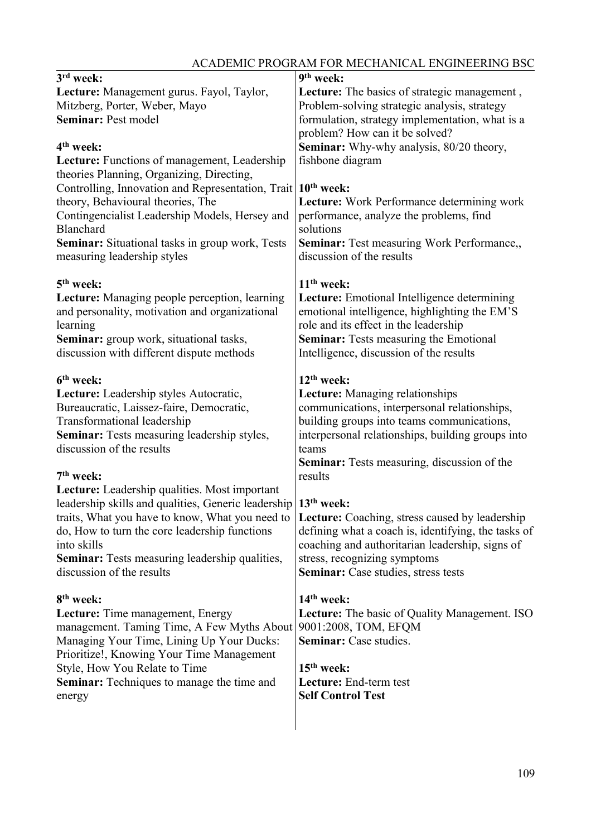|                                                                                             | ACADEMIC I ROUMAM I OR MECHANICAE ENGINEERING DOC     |
|---------------------------------------------------------------------------------------------|-------------------------------------------------------|
| 3 <sup>rd</sup> week:                                                                       | 9 <sup>th</sup> week:                                 |
| Lecture: Management gurus. Fayol, Taylor,                                                   | Lecture: The basics of strategic management,          |
| Mitzberg, Porter, Weber, Mayo                                                               | Problem-solving strategic analysis, strategy          |
| Seminar: Pest model                                                                         | formulation, strategy implementation, what is a       |
|                                                                                             | problem? How can it be solved?                        |
| 4 <sup>th</sup> week:                                                                       | Seminar: Why-why analysis, 80/20 theory,              |
| Lecture: Functions of management, Leadership                                                | fishbone diagram                                      |
| theories Planning, Organizing, Directing,                                                   |                                                       |
| Controlling, Innovation and Representation, Trait 10 <sup>th</sup> week:                    |                                                       |
| theory, Behavioural theories, The                                                           | Lecture: Work Performance determining work            |
| Contingencialist Leadership Models, Hersey and                                              | performance, analyze the problems, find               |
| Blanchard                                                                                   | solutions                                             |
| <b>Seminar:</b> Situational tasks in group work, Tests                                      | <b>Seminar:</b> Test measuring Work Performance,,     |
| measuring leadership styles                                                                 | discussion of the results                             |
|                                                                                             |                                                       |
| $5th$ week:                                                                                 | $11th$ week:                                          |
| Lecture: Managing people perception, learning                                               | Lecture: Emotional Intelligence determining           |
| and personality, motivation and organizational                                              | emotional intelligence, highlighting the EM'S         |
| learning                                                                                    | role and its effect in the leadership                 |
|                                                                                             | <b>Seminar:</b> Tests measuring the Emotional         |
| <b>Seminar:</b> group work, situational tasks,<br>discussion with different dispute methods |                                                       |
|                                                                                             | Intelligence, discussion of the results               |
| 6 <sup>th</sup> week:                                                                       | 12 <sup>th</sup> week:                                |
| Lecture: Leadership styles Autocratic,                                                      | Lecture: Managing relationships                       |
| Bureaucratic, Laissez-faire, Democratic,                                                    | communications, interpersonal relationships,          |
| <b>Transformational leadership</b>                                                          | building groups into teams communications,            |
| <b>Seminar:</b> Tests measuring leadership styles,                                          | interpersonal relationships, building groups into     |
| discussion of the results                                                                   | teams                                                 |
|                                                                                             | <b>Seminar:</b> Tests measuring, discussion of the    |
| $7th$ week:                                                                                 | results                                               |
| Lecture: Leadership qualities. Most important                                               |                                                       |
| leadership skills and qualities, Generic leadership                                         | $13th$ week:                                          |
| traits, What you have to know, What you need to                                             |                                                       |
|                                                                                             | <b>Lecture:</b> Coaching, stress caused by leadership |
| do, How to turn the core leadership functions<br>into skills                                | defining what a coach is, identifying, the tasks of   |
|                                                                                             | coaching and authoritarian leadership, signs of       |
| <b>Seminar:</b> Tests measuring leadership qualities,                                       | stress, recognizing symptoms                          |
| discussion of the results                                                                   | Seminar: Case studies, stress tests                   |
| 8 <sup>th</sup> week:                                                                       | 14 <sup>th</sup> week:                                |
| <b>Lecture:</b> Time management, Energy                                                     | <b>Lecture:</b> The basic of Quality Management. ISO  |
| management. Taming Time, A Few Myths About                                                  | 9001:2008, TOM, EFQM                                  |
| Managing Your Time, Lining Up Your Ducks:                                                   | <b>Seminar:</b> Case studies.                         |
|                                                                                             |                                                       |
| Prioritize!, Knowing Your Time Management                                                   |                                                       |
| Style, How You Relate to Time                                                               | $15th$ week:                                          |
| <b>Seminar:</b> Techniques to manage the time and                                           | Lecture: End-term test                                |
| energy                                                                                      | <b>Self Control Test</b>                              |
|                                                                                             |                                                       |
|                                                                                             |                                                       |

### ACADEMIC PROGRAM FOR MECHANICAL ENGINEERING BSC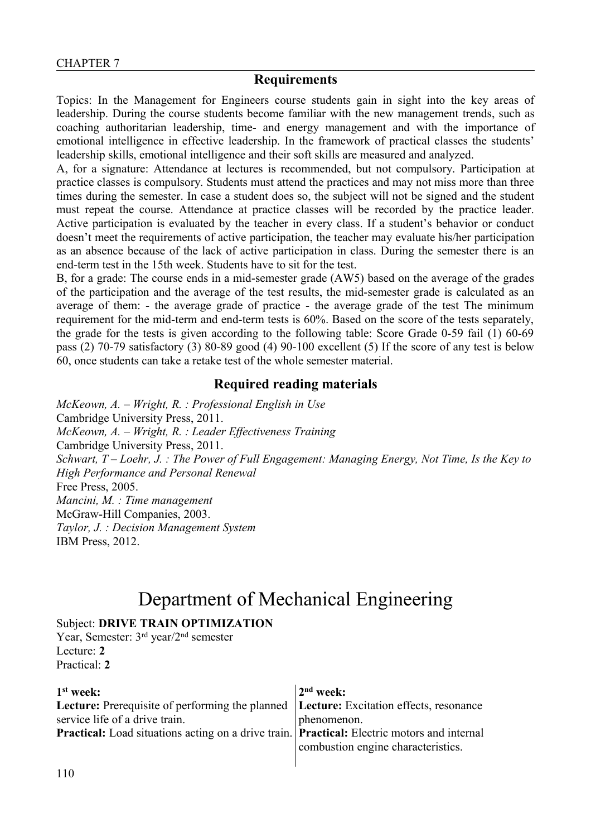#### **Requirements**

Topics: In the Management for Engineers course students gain in sight into the key areas of leadership. During the course students become familiar with the new management trends, such as coaching authoritarian leadership, time- and energy management and with the importance of emotional intelligence in effective leadership. In the framework of practical classes the students' leadership skills, emotional intelligence and their soft skills are measured and analyzed.

A, for a signature: Attendance at lectures is recommended, but not compulsory. Participation at practice classes is compulsory. Students must attend the practices and may not miss more than three times during the semester. In case a student does so, the subject will not be signed and the student must repeat the course. Attendance at practice classes will be recorded by the practice leader. Active participation is evaluated by the teacher in every class. If a student's behavior or conduct doesn't meet the requirements of active participation, the teacher may evaluate his/her participation as an absence because of the lack of active participation in class. During the semester there is an end-term test in the 15th week. Students have to sit for the test.

B, for a grade: The course ends in a mid-semester grade (AW5) based on the average of the grades of the participation and the average of the test results, the mid-semester grade is calculated as an average of them: - the average grade of practice - the average grade of the test The minimum requirement for the mid-term and end-term tests is 60%. Based on the score of the tests separately, the grade for the tests is given according to the following table: Score Grade 0-59 fail (1) 60-69 pass (2) 70-79 satisfactory (3) 80-89 good (4) 90-100 excellent (5) If the score of any test is below 60, once students can take a retake test of the whole semester material.

### **Required reading materials**

*McKeown, A. – Wright, R. : Professional English in Use* Cambridge University Press, 2011. *McKeown, A. – Wright, R. : Leader Effectiveness Training* Cambridge University Press, 2011. *Schwart, T – Loehr, J. : The Power of Full Engagement: Managing Energy, Not Time, Is the Key to High Performance and Personal Renewal* Free Press, 2005. *Mancini, M. : Time management* McGraw-Hill Companies, 2003. *Taylor, J. : Decision Management System* IBM Press, 2012.

# Department of Mechanical Engineering

### Subject: **DRIVE TRAIN OPTIMIZATION**

Year, Semester: 3rd year/2nd semester Lecture: **2** Practical: **2**

| $1st$ week:                                                                                   | $2nd$ week:                        |
|-----------------------------------------------------------------------------------------------|------------------------------------|
| <b>Lecture:</b> Prerequisite of performing the planned Lecture: Excitation effects, resonance |                                    |
| service life of a drive train.                                                                | phenomenon.                        |
| Practical: Load situations acting on a drive train. Practical: Electric motors and internal   |                                    |
|                                                                                               | combustion engine characteristics. |
|                                                                                               |                                    |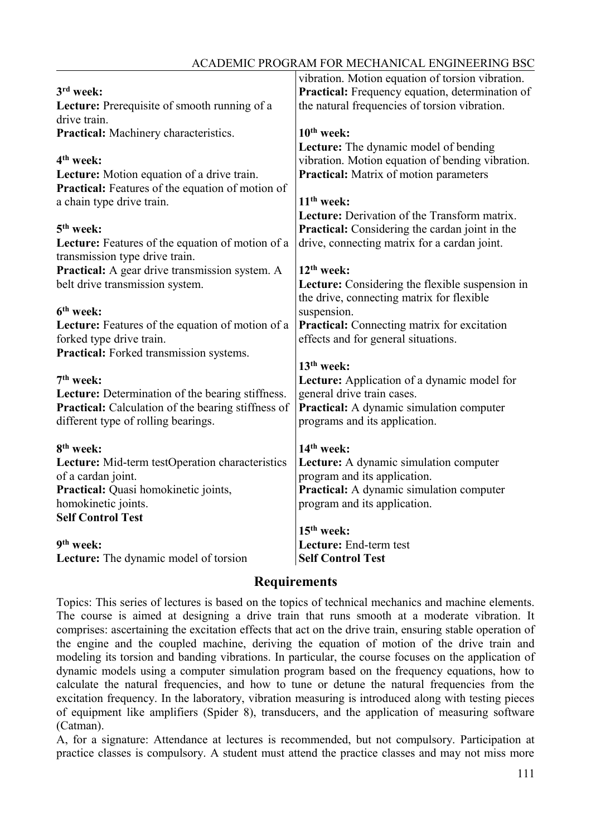|                                                           | vibration. Motion equation of torsion vibration.      |
|-----------------------------------------------------------|-------------------------------------------------------|
| 3 <sup>rd</sup> week:                                     | Practical: Frequency equation, determination of       |
| Lecture: Prerequisite of smooth running of a              | the natural frequencies of torsion vibration.         |
| drive train.                                              |                                                       |
| Practical: Machinery characteristics.                     | $10th$ week:                                          |
|                                                           | Lecture: The dynamic model of bending                 |
| 4 <sup>th</sup> week:                                     | vibration. Motion equation of bending vibration.      |
| Lecture: Motion equation of a drive train.                | <b>Practical:</b> Matrix of motion parameters         |
| <b>Practical:</b> Features of the equation of motion of   |                                                       |
| a chain type drive train.                                 | $11th$ week:                                          |
|                                                           | <b>Lecture:</b> Derivation of the Transform matrix.   |
| 5 <sup>th</sup> week:                                     | <b>Practical:</b> Considering the cardan joint in the |
| Lecture: Features of the equation of motion of a          | drive, connecting matrix for a cardan joint.          |
| transmission type drive train.                            |                                                       |
| Practical: A gear drive transmission system. A            | $12th$ week:                                          |
| belt drive transmission system.                           | Lecture: Considering the flexible suspension in       |
|                                                           | the drive, connecting matrix for flexible             |
| 6 <sup>th</sup> week:                                     | suspension.                                           |
| Lecture: Features of the equation of motion of a          | <b>Practical:</b> Connecting matrix for excitation    |
| forked type drive train.                                  | effects and for general situations.                   |
| <b>Practical:</b> Forked transmission systems.            |                                                       |
| 7 <sup>th</sup> week:                                     | $13th$ week:                                          |
|                                                           | Lecture: Application of a dynamic model for           |
| Lecture: Determination of the bearing stiffness.          | general drive train cases.                            |
| <b>Practical:</b> Calculation of the bearing stiffness of | Practical: A dynamic simulation computer              |
| different type of rolling bearings.                       | programs and its application.                         |
| 8 <sup>th</sup> week:                                     | $14th$ week:                                          |
| Lecture: Mid-term testOperation characteristics           | Lecture: A dynamic simulation computer                |
| of a cardan joint.                                        | program and its application.                          |
| Practical: Quasi homokinetic joints,                      | Practical: A dynamic simulation computer              |
| homokinetic joints.                                       | program and its application.                          |
| <b>Self Control Test</b>                                  |                                                       |
|                                                           | $15th$ week:                                          |
| 9 <sup>th</sup> week:                                     | Lecture: End-term test                                |
| Lecture: The dynamic model of torsion                     | <b>Self Control Test</b>                              |

### **Requirements**

Topics: This series of lectures is based on the topics of technical mechanics and machine elements. The course is aimed at designing a drive train that runs smooth at a moderate vibration. It comprises: ascertaining the excitation effects that act on the drive train, ensuring stable operation of the engine and the coupled machine, deriving the equation of motion of the drive train and modeling its torsion and banding vibrations. In particular, the course focuses on the application of dynamic models using a computer simulation program based on the frequency equations, how to calculate the natural frequencies, and how to tune or detune the natural frequencies from the excitation frequency. In the laboratory, vibration measuring is introduced along with testing pieces of equipment like amplifiers (Spider 8), transducers, and the application of measuring software (Catman).

A, for a signature: Attendance at lectures is recommended, but not compulsory. Participation at practice classes is compulsory. A student must attend the practice classes and may not miss more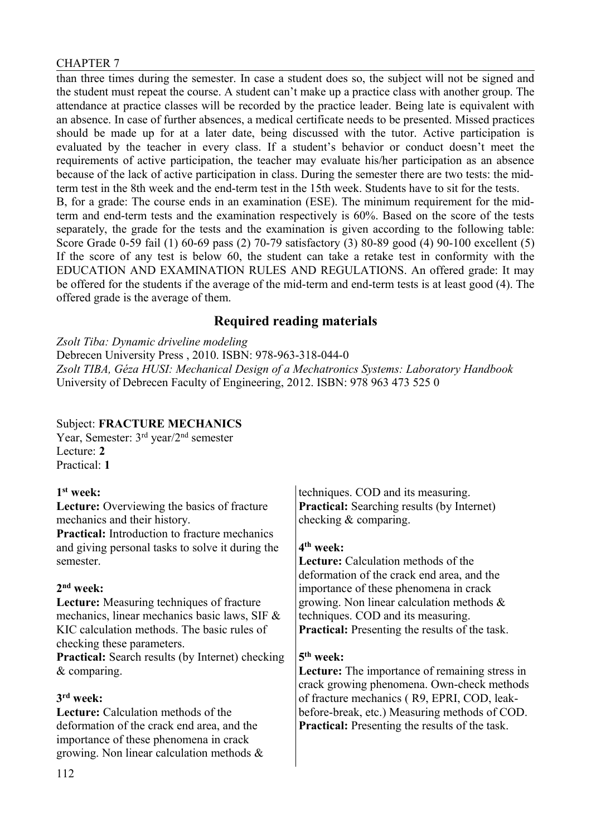than three times during the semester. In case a student does so, the subject will not be signed and the student must repeat the course. A student can't make up a practice class with another group. The attendance at practice classes will be recorded by the practice leader. Being late is equivalent with an absence. In case of further absences, a medical certificate needs to be presented. Missed practices should be made up for at a later date, being discussed with the tutor. Active participation is evaluated by the teacher in every class. If a student's behavior or conduct doesn't meet the requirements of active participation, the teacher may evaluate his/her participation as an absence because of the lack of active participation in class. During the semester there are two tests: the midterm test in the 8th week and the end-term test in the 15th week. Students have to sit for the tests. B, for a grade: The course ends in an examination (ESE). The minimum requirement for the midterm and end-term tests and the examination respectively is 60%. Based on the score of the tests separately, the grade for the tests and the examination is given according to the following table: Score Grade 0-59 fail (1) 60-69 pass (2) 70-79 satisfactory (3) 80-89 good (4) 90-100 excellent (5) If the score of any test is below 60, the student can take a retake test in conformity with the EDUCATION AND EXAMINATION RULES AND REGULATIONS. An offered grade: It may

### **Required reading materials**

be offered for the students if the average of the mid-term and end-term tests is at least good (4). The

*Zsolt Tiba: Dynamic driveline modeling* Debrecen University Press , 2010. ISBN: 978-963-318-044-0 *Zsolt TIBA, Géza HUSI: Mechanical Design of a Mechatronics Systems: Laboratory Handbook* University of Debrecen Faculty of Engineering, 2012. ISBN: 978 963 473 525 0

#### Subject: **FRACTURE MECHANICS**

offered grade is the average of them.

Year, Semester: 3rd year/2nd semester Lecture: **2** Practical: **1**

#### **1** of **st week:**

| $1st$ week:                                             | techniques. COD and its measuring.                    |
|---------------------------------------------------------|-------------------------------------------------------|
| <b>Lecture:</b> Overviewing the basics of fracture      | <b>Practical:</b> Searching results (by Internet)     |
| mechanics and their history.                            | checking & comparing.                                 |
| <b>Practical:</b> Introduction to fracture mechanics    |                                                       |
| and giving personal tasks to solve it during the        | 4 <sup>th</sup> week:                                 |
| semester.                                               | Lecture: Calculation methods of the                   |
|                                                         | deformation of the crack end area, and the            |
| $2nd$ week:                                             | importance of these phenomena in crack                |
| <b>Lecture:</b> Measuring techniques of fracture        | growing. Non linear calculation methods $\&$          |
| mechanics, linear mechanics basic laws, SIF &           | techniques. COD and its measuring.                    |
| KIC calculation methods. The basic rules of             | <b>Practical:</b> Presenting the results of the task. |
| checking these parameters.                              |                                                       |
| <b>Practical:</b> Search results (by Internet) checking | $5th$ week:                                           |
| $&$ comparing.                                          | <b>Lecture:</b> The importance of remaining stress in |
|                                                         | crack growing phenomena. Own-check methods            |
| 3 <sup>rd</sup> week:                                   | of fracture mechanics (R9, EPRI, COD, leak-           |
| <b>Lecture:</b> Calculation methods of the              | before-break, etc.) Measuring methods of COD.         |
| deformation of the crack end area, and the              | <b>Practical:</b> Presenting the results of the task. |
| importance of these phenomena in crack                  |                                                       |
| growing. Non linear calculation methods $\&$            |                                                       |
|                                                         |                                                       |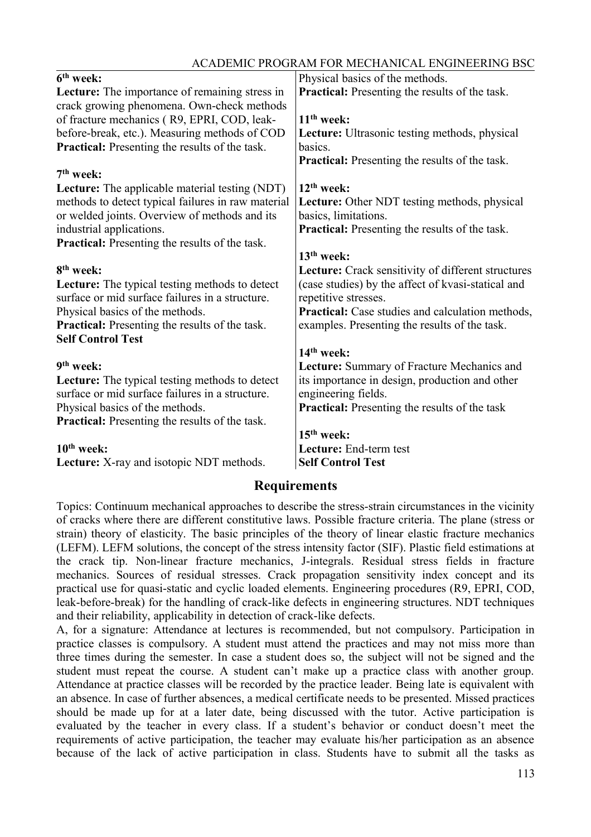#### ACADEMIC PROGRAM FOR MECHANICAL ENGINEERING BSC

| 6 <sup>th</sup> week:                                                             | Physical basics of the methods.                         |
|-----------------------------------------------------------------------------------|---------------------------------------------------------|
| Lecture: The importance of remaining stress in                                    | <b>Practical:</b> Presenting the results of the task.   |
| crack growing phenomena. Own-check methods                                        |                                                         |
| of fracture mechanics (R9, EPRI, COD, leak-                                       | $11th$ week:                                            |
| before-break, etc.). Measuring methods of COD                                     | Lecture: Ultrasonic testing methods, physical           |
| <b>Practical:</b> Presenting the results of the task.                             | basics.                                                 |
|                                                                                   | <b>Practical:</b> Presenting the results of the task.   |
| 7 <sup>th</sup> week:                                                             |                                                         |
| Lecture: The applicable material testing (NDT)                                    | $12th$ week:                                            |
| methods to detect typical failures in raw material                                | <b>Lecture:</b> Other NDT testing methods, physical     |
| or welded joints. Overview of methods and its                                     | basics, limitations.                                    |
| industrial applications.                                                          | <b>Practical:</b> Presenting the results of the task.   |
| <b>Practical:</b> Presenting the results of the task.                             |                                                         |
|                                                                                   | 13 <sup>th</sup> week:                                  |
| 8 <sup>th</sup> week:                                                             | Lecture: Crack sensitivity of different structures      |
| <b>Lecture:</b> The typical testing methods to detect                             | (case studies) by the affect of kvasi-statical and      |
| surface or mid surface failures in a structure.                                   | repetitive stresses.                                    |
| Physical basics of the methods.                                                   | <b>Practical:</b> Case studies and calculation methods, |
| <b>Practical:</b> Presenting the results of the task.<br><b>Self Control Test</b> | examples. Presenting the results of the task.           |
|                                                                                   | $14th$ week:                                            |
| 9 <sup>th</sup> week:                                                             | Lecture: Summary of Fracture Mechanics and              |
| <b>Lecture:</b> The typical testing methods to detect                             | its importance in design, production and other          |
| surface or mid surface failures in a structure.                                   | engineering fields.                                     |
| Physical basics of the methods.                                                   | <b>Practical:</b> Presenting the results of the task    |
| <b>Practical:</b> Presenting the results of the task.                             |                                                         |
|                                                                                   | $15th$ week:                                            |
| $10th$ week:                                                                      | Lecture: End-term test                                  |
| <b>Lecture:</b> X-ray and isotopic NDT methods.                                   | <b>Self Control Test</b>                                |
|                                                                                   |                                                         |

#### **Requirements**

Topics: Continuum mechanical approaches to describe the stress-strain circumstances in the vicinity of cracks where there are different constitutive laws. Possible fracture criteria. The plane (stress or strain) theory of elasticity. The basic principles of the theory of linear elastic fracture mechanics (LEFM). LEFM solutions, the concept of the stress intensity factor (SIF). Plastic field estimations at the crack tip. Non-linear fracture mechanics, J-integrals. Residual stress fields in fracture mechanics. Sources of residual stresses. Crack propagation sensitivity index concept and its practical use for quasi-static and cyclic loaded elements. Engineering procedures (R9, EPRI, COD, leak-before-break) for the handling of crack-like defects in engineering structures. NDT techniques and their reliability, applicability in detection of crack-like defects.

A, for a signature: Attendance at lectures is recommended, but not compulsory. Participation in practice classes is compulsory. A student must attend the practices and may not miss more than three times during the semester. In case a student does so, the subject will not be signed and the student must repeat the course. A student can't make up a practice class with another group. Attendance at practice classes will be recorded by the practice leader. Being late is equivalent with an absence. In case of further absences, a medical certificate needs to be presented. Missed practices should be made up for at a later date, being discussed with the tutor. Active participation is evaluated by the teacher in every class. If a student's behavior or conduct doesn't meet the requirements of active participation, the teacher may evaluate his/her participation as an absence because of the lack of active participation in class. Students have to submit all the tasks as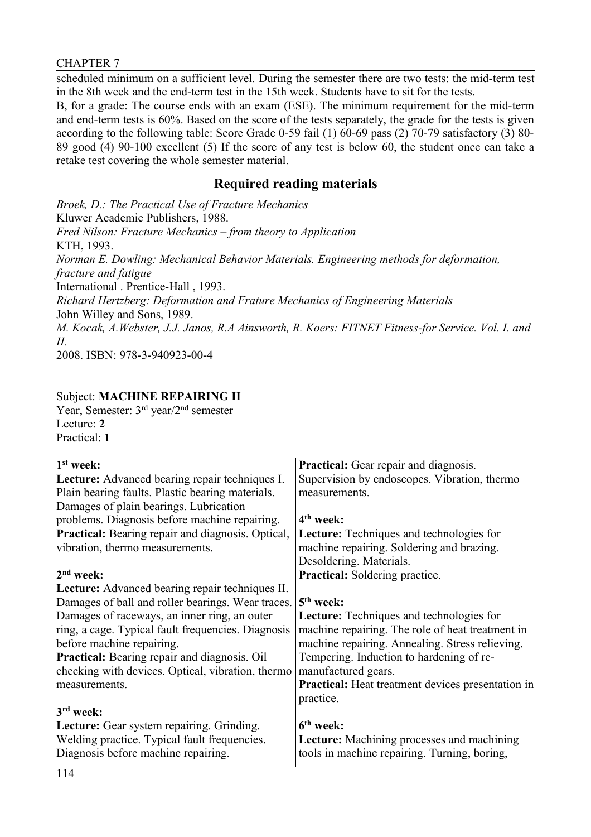scheduled minimum on a sufficient level. During the semester there are two tests: the mid-term test in the 8th week and the end-term test in the 15th week. Students have to sit for the tests.

B, for a grade: The course ends with an exam (ESE). The minimum requirement for the mid-term and end-term tests is 60%. Based on the score of the tests separately, the grade for the tests is given according to the following table: Score Grade 0-59 fail (1) 60-69 pass (2) 70-79 satisfactory (3) 80- 89 good (4) 90-100 excellent (5) If the score of any test is below 60, the student once can take a retake test covering the whole semester material.

### **Required reading materials**

*Broek, D.: The Practical Use of Fracture Mechanics* Kluwer Academic Publishers, 1988. *Fred Nilson: Fracture Mechanics – from theory to Application* KTH, 1993. *Norman E. Dowling: Mechanical Behavior Materials. Engineering methods for deformation, fracture and fatigue* International . Prentice-Hall , 1993. *Richard Hertzberg: Deformation and Frature Mechanics of Engineering Materials* John Willey and Sons, 1989. *M. Kocak, A.Webster, J.J. Janos, R.A Ainsworth, R. Koers: FITNET Fitness-for Service. Vol. I. and II.*  2008. ISBN: 978-3-940923-00-4

### Subject: **MACHINE REPAIRING II**

Year, Semester: 3rd year/2nd semester Lecture: **2** Practical: **1**

#### **1 st week:**

| $1st$ week:                                              | <b>Practical:</b> Gear repair and diagnosis.             |
|----------------------------------------------------------|----------------------------------------------------------|
| <b>Lecture:</b> Advanced bearing repair techniques I.    | Supervision by endoscopes. Vibration, thermo             |
| Plain bearing faults. Plastic bearing materials.         | measurements.                                            |
| Damages of plain bearings. Lubrication                   |                                                          |
| problems. Diagnosis before machine repairing.            | 4 <sup>th</sup> week:                                    |
| <b>Practical:</b> Bearing repair and diagnosis. Optical, | Lecture: Techniques and technologies for                 |
| vibration, thermo measurements.                          | machine repairing. Soldering and brazing.                |
|                                                          | Desoldering. Materials.                                  |
| $2nd$ week:                                              | <b>Practical:</b> Soldering practice.                    |
| Lecture: Advanced bearing repair techniques II.          |                                                          |
| Damages of ball and roller bearings. Wear traces.        | $5th$ week:                                              |
| Damages of raceways, an inner ring, an outer             | Lecture: Techniques and technologies for                 |
| ring, a cage. Typical fault frequencies. Diagnosis       | machine repairing. The role of heat treatment in         |
| before machine repairing.                                | machine repairing. Annealing. Stress relieving.          |
| <b>Practical:</b> Bearing repair and diagnosis. Oil      | Tempering. Induction to hardening of re-                 |
| checking with devices. Optical, vibration, thermo        | manufactured gears.                                      |
| measurements.                                            | <b>Practical:</b> Heat treatment devices presentation in |
|                                                          | practice.                                                |
| $3rd$ week:                                              |                                                          |
| <b>Lecture:</b> Gear system repairing. Grinding.         | $6th$ week:                                              |
| Welding practice. Typical fault frequencies.             | <b>Lecture:</b> Machining processes and machining        |
| Diagnosis before machine repairing.                      | tools in machine repairing. Turning, boring,             |
|                                                          |                                                          |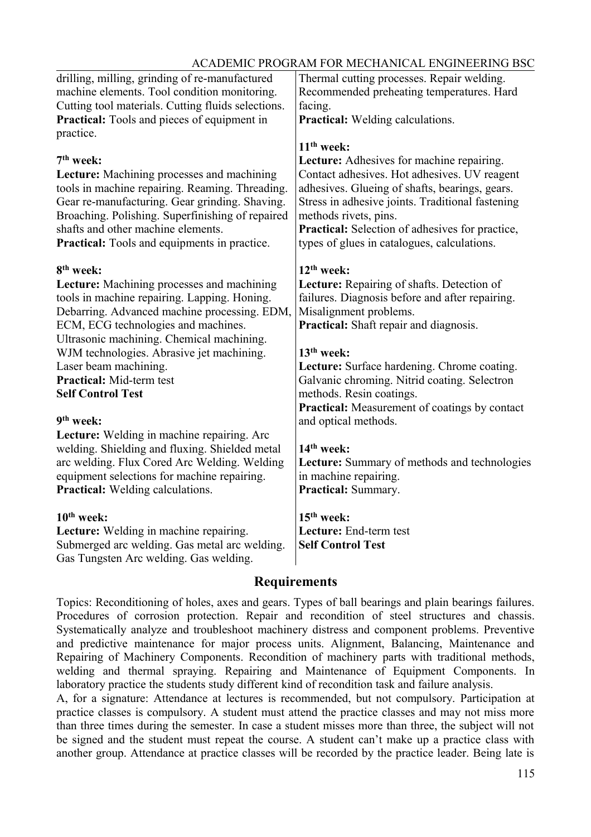#### ACADEMIC PROGRAM FOR MECHANICAL ENGINEERING BSC

| drilling, milling, grinding of re-manufactured<br>machine elements. Tool condition monitoring. | Thermal cutting processes. Repair welding.<br>Recommended preheating temperatures. Hard |  |
|------------------------------------------------------------------------------------------------|-----------------------------------------------------------------------------------------|--|
| Cutting tool materials. Cutting fluids selections.                                             | facing.                                                                                 |  |
| <b>Practical:</b> Tools and pieces of equipment in                                             | Practical: Welding calculations.                                                        |  |
| practice.                                                                                      |                                                                                         |  |
|                                                                                                | $11th$ week:                                                                            |  |
| 7 <sup>th</sup> week:                                                                          | <b>Lecture:</b> Adhesives for machine repairing.                                        |  |
| Lecture: Machining processes and machining                                                     | Contact adhesives. Hot adhesives. UV reagent                                            |  |
| tools in machine repairing. Reaming. Threading.                                                | adhesives. Glueing of shafts, bearings, gears.                                          |  |
| Gear re-manufacturing. Gear grinding. Shaving.                                                 | Stress in adhesive joints. Traditional fastening                                        |  |
| Broaching. Polishing. Superfinishing of repaired                                               | methods rivets, pins.                                                                   |  |
| shafts and other machine elements.                                                             | Practical: Selection of adhesives for practice,                                         |  |
| <b>Practical:</b> Tools and equipments in practice.                                            | types of glues in catalogues, calculations.                                             |  |
| 8 <sup>th</sup> week:                                                                          | $12th$ week:                                                                            |  |
| Lecture: Machining processes and machining                                                     | Lecture: Repairing of shafts. Detection of                                              |  |
| tools in machine repairing. Lapping. Honing.                                                   | failures. Diagnosis before and after repairing.                                         |  |
| Debarring. Advanced machine processing. EDM,                                                   | Misalignment problems.                                                                  |  |
| ECM, ECG technologies and machines.                                                            | Practical: Shaft repair and diagnosis.                                                  |  |
| Ultrasonic machining. Chemical machining.                                                      |                                                                                         |  |
| WJM technologies. Abrasive jet machining.                                                      | $13th$ week:                                                                            |  |
| Laser beam machining.                                                                          | Lecture: Surface hardening. Chrome coating.                                             |  |
| <b>Practical:</b> Mid-term test                                                                | Galvanic chroming. Nitrid coating. Selectron                                            |  |
| <b>Self Control Test</b>                                                                       | methods. Resin coatings.                                                                |  |
|                                                                                                | <b>Practical:</b> Measurement of coatings by contact                                    |  |
| 9 <sup>th</sup> week:                                                                          | and optical methods.                                                                    |  |
| Lecture: Welding in machine repairing. Arc                                                     | $14th$ week:                                                                            |  |
| welding. Shielding and fluxing. Shielded metal<br>arc welding. Flux Cored Arc Welding. Welding | Lecture: Summary of methods and technologies                                            |  |
| equipment selections for machine repairing.                                                    | in machine repairing.                                                                   |  |
| Practical: Welding calculations.                                                               | Practical: Summary.                                                                     |  |
|                                                                                                |                                                                                         |  |
| $10th$ week:                                                                                   | $15th$ week:                                                                            |  |
| Lecture: Welding in machine repairing.                                                         | Lecture: End-term test                                                                  |  |
| Submerged arc welding. Gas metal arc welding.<br>Gas Tungsten Arc welding. Gas welding.        | <b>Self Control Test</b>                                                                |  |

#### **Requirements**

Topics: Reconditioning of holes, axes and gears. Types of ball bearings and plain bearings failures. Procedures of corrosion protection. Repair and recondition of steel structures and chassis. Systematically analyze and troubleshoot machinery distress and component problems. Preventive and predictive maintenance for major process units. Alignment, Balancing, Maintenance and Repairing of Machinery Components. Recondition of machinery parts with traditional methods, welding and thermal spraying. Repairing and Maintenance of Equipment Components. In laboratory practice the students study different kind of recondition task and failure analysis.

A, for a signature: Attendance at lectures is recommended, but not compulsory. Participation at practice classes is compulsory. A student must attend the practice classes and may not miss more than three times during the semester. In case a student misses more than three, the subject will not be signed and the student must repeat the course. A student can't make up a practice class with another group. Attendance at practice classes will be recorded by the practice leader. Being late is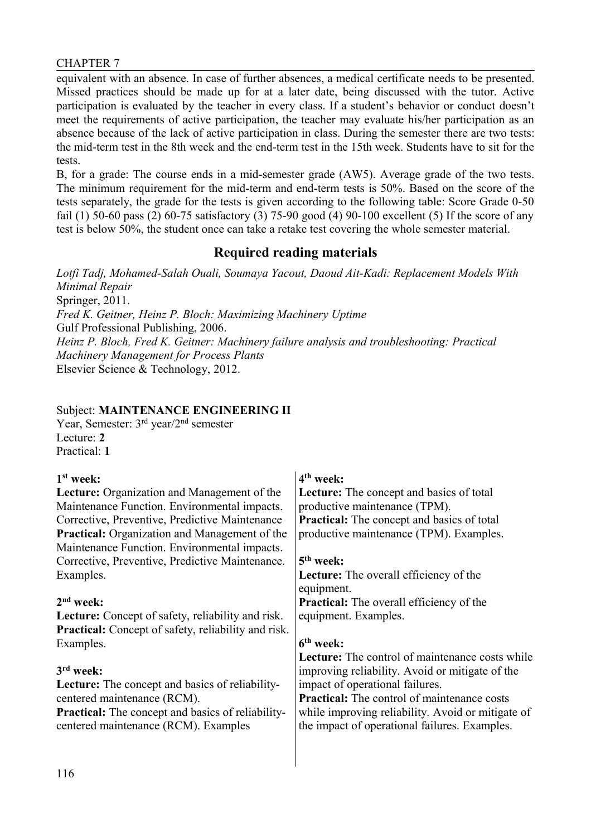equivalent with an absence. In case of further absences, a medical certificate needs to be presented. Missed practices should be made up for at a later date, being discussed with the tutor. Active participation is evaluated by the teacher in every class. If a student's behavior or conduct doesn't meet the requirements of active participation, the teacher may evaluate his/her participation as an absence because of the lack of active participation in class. During the semester there are two tests: the mid-term test in the 8th week and the end-term test in the 15th week. Students have to sit for the tests.

B, for a grade: The course ends in a mid-semester grade (AW5). Average grade of the two tests. The minimum requirement for the mid-term and end-term tests is 50%. Based on the score of the tests separately, the grade for the tests is given according to the following table: Score Grade 0-50 fail (1) 50-60 pass (2) 60-75 satisfactory (3) 75-90 good (4) 90-100 excellent (5) If the score of any test is below 50%, the student once can take a retake test covering the whole semester material.

### **Required reading materials**

*Lotfi Tadj, Mohamed-Salah Ouali, Soumaya Yacout, Daoud Ait-Kadi: Replacement Models With Minimal Repair* Springer, 2011. *Fred K. Geitner, Heinz P. Bloch: Maximizing Machinery Uptime* Gulf Professional Publishing, 2006. *Heinz P. Bloch, Fred K. Geitner: Machinery failure analysis and troubleshooting: Practical Machinery Management for Process Plants* Elsevier Science & Technology, 2012.

#### Subject: **MAINTENANCE ENGINEERING II**

Year, Semester: 3rd year/2nd semester Lecture: **2** Practical: **1**

#### **1 st week:**

| $1st$ week:                                                | 4 <sup>th</sup> week:                                  |
|------------------------------------------------------------|--------------------------------------------------------|
| Lecture: Organization and Management of the                | <b>Lecture:</b> The concept and basics of total        |
| Maintenance Function. Environmental impacts.               | productive maintenance (TPM).                          |
| Corrective, Preventive, Predictive Maintenance             | <b>Practical:</b> The concept and basics of total      |
| <b>Practical:</b> Organization and Management of the       | productive maintenance (TPM). Examples.                |
| Maintenance Function. Environmental impacts.               |                                                        |
| Corrective, Preventive, Predictive Maintenance.            | 5 <sup>th</sup> week:                                  |
| Examples.                                                  | <b>Lecture:</b> The overall efficiency of the          |
|                                                            | equipment.                                             |
| $2nd$ week:                                                | <b>Practical:</b> The overall efficiency of the        |
| Lecture: Concept of safety, reliability and risk.          | equipment. Examples.                                   |
| <b>Practical:</b> Concept of safety, reliability and risk. |                                                        |
| Examples.                                                  | $6th$ week:                                            |
|                                                            | <b>Lecture:</b> The control of maintenance costs while |
| 3 <sup>rd</sup> week:                                      | improving reliability. Avoid or mitigate of the        |
| Lecture: The concept and basics of reliability-            | impact of operational failures.                        |
| centered maintenance (RCM).                                | <b>Practical:</b> The control of maintenance costs     |
| <b>Practical:</b> The concept and basics of reliability-   | while improving reliability. Avoid or mitigate of      |
| centered maintenance (RCM). Examples                       | the impact of operational failures. Examples.          |
|                                                            |                                                        |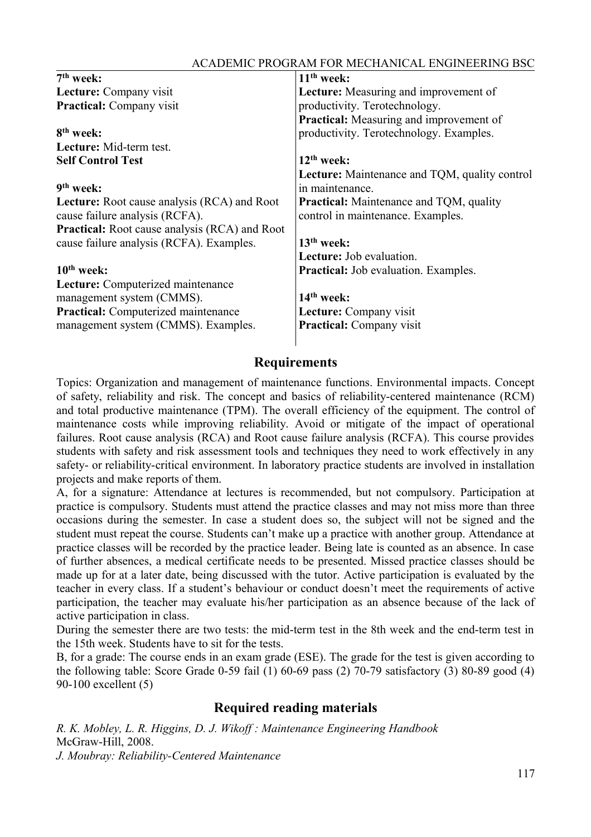| $7th$ week:                                          | $11th$ week:                                         |
|------------------------------------------------------|------------------------------------------------------|
| Lecture: Company visit                               | Lecture: Measuring and improvement of                |
| <b>Practical:</b> Company visit                      | productivity. Terotechnology.                        |
|                                                      | <b>Practical:</b> Measuring and improvement of       |
| 8 <sup>th</sup> week:                                | productivity. Terotechnology. Examples.              |
| Lecture: Mid-term test.                              |                                                      |
| <b>Self Control Test</b>                             | $12th$ week:                                         |
|                                                      | <b>Lecture:</b> Maintenance and TQM, quality control |
| 9 <sup>th</sup> week:                                | in maintenance.                                      |
| <b>Lecture:</b> Root cause analysis (RCA) and Root   | <b>Practical:</b> Maintenance and TQM, quality       |
| cause failure analysis (RCFA).                       | control in maintenance. Examples.                    |
| <b>Practical:</b> Root cause analysis (RCA) and Root |                                                      |
| cause failure analysis (RCFA). Examples.             | $13th$ week:                                         |
|                                                      | <b>Lecture:</b> Job evaluation.                      |
| $10th$ week:                                         | <b>Practical:</b> Job evaluation. Examples.          |
| Lecture: Computerized maintenance                    |                                                      |
| management system (CMMS).                            | $14th$ week:                                         |
| <b>Practical:</b> Computerized maintenance           | Lecture: Company visit                               |
| management system (CMMS). Examples.                  | <b>Practical:</b> Company visit                      |
|                                                      |                                                      |

### **Requirements**

Topics: Organization and management of maintenance functions. Environmental impacts. Concept of safety, reliability and risk. The concept and basics of reliability-centered maintenance (RCM) and total productive maintenance (TPM). The overall efficiency of the equipment. The control of maintenance costs while improving reliability. Avoid or mitigate of the impact of operational failures. Root cause analysis (RCA) and Root cause failure analysis (RCFA). This course provides students with safety and risk assessment tools and techniques they need to work effectively in any safety- or reliability-critical environment. In laboratory practice students are involved in installation projects and make reports of them.

A, for a signature: Attendance at lectures is recommended, but not compulsory. Participation at practice is compulsory. Students must attend the practice classes and may not miss more than three occasions during the semester. In case a student does so, the subject will not be signed and the student must repeat the course. Students can't make up a practice with another group. Attendance at practice classes will be recorded by the practice leader. Being late is counted as an absence. In case of further absences, a medical certificate needs to be presented. Missed practice classes should be made up for at a later date, being discussed with the tutor. Active participation is evaluated by the teacher in every class. If a student's behaviour or conduct doesn't meet the requirements of active participation, the teacher may evaluate his/her participation as an absence because of the lack of active participation in class.

During the semester there are two tests: the mid-term test in the 8th week and the end-term test in the 15th week. Students have to sit for the tests.

B, for a grade: The course ends in an exam grade (ESE). The grade for the test is given according to the following table: Score Grade 0-59 fail (1)  $60-69$  pass (2)  $70-79$  satisfactory (3)  $80-89$  good (4) 90-100 excellent (5)

### **Required reading materials**

*R. K. Mobley, L. R. Higgins, D. J. Wikoff : Maintenance Engineering Handbook* McGraw-Hill, 2008. *J. Moubray: Reliability-Centered Maintenance*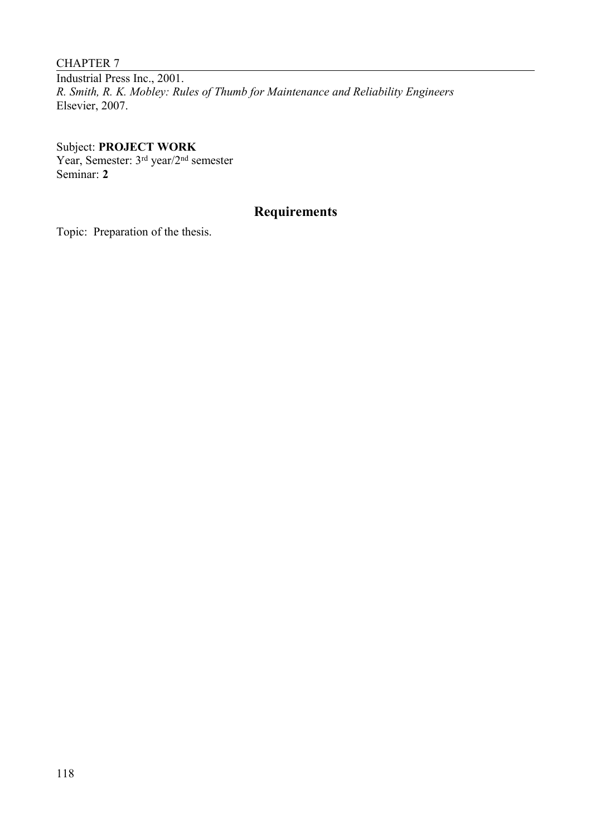Industrial Press Inc., 2001. *R. Smith, R. K. Mobley: Rules of Thumb for Maintenance and Reliability Engineers* Elsevier, 2007.

Subject: **PROJECT WORK** Year, Semester: 3rd year/2nd semester Seminar: **2**

### **Requirements**

Topic: Preparation of the thesis.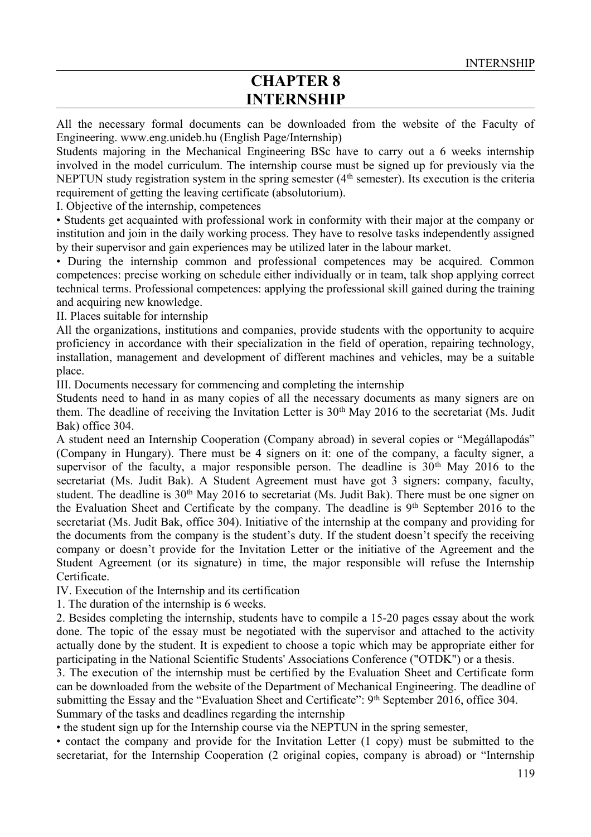## **CHAPTER 8 INTERNSHIP**

All the necessary formal documents can be downloaded from the website of the Faculty of Engineering. www.eng.unideb.hu (English Page/Internship)

Students majoring in the Mechanical Engineering BSc have to carry out a 6 weeks internship involved in the model curriculum. The internship course must be signed up for previously via the NEPTUN study registration system in the spring semester  $(4<sup>th</sup>$  semester). Its execution is the criteria requirement of getting the leaving certificate (absolutorium).

I. Objective of the internship, competences

• Students get acquainted with professional work in conformity with their major at the company or institution and join in the daily working process. They have to resolve tasks independently assigned by their supervisor and gain experiences may be utilized later in the labour market.

• During the internship common and professional competences may be acquired. Common competences: precise working on schedule either individually or in team, talk shop applying correct technical terms. Professional competences: applying the professional skill gained during the training and acquiring new knowledge.

II. Places suitable for internship

All the organizations, institutions and companies, provide students with the opportunity to acquire proficiency in accordance with their specialization in the field of operation, repairing technology, installation, management and development of different machines and vehicles, may be a suitable place.

III. Documents necessary for commencing and completing the internship

Students need to hand in as many copies of all the necessary documents as many signers are on them. The deadline of receiving the Invitation Letter is 30<sup>th</sup> May 2016 to the secretariat (Ms. Judit Bak) office 304.

A student need an Internship Cooperation (Company abroad) in several copies or "Megállapodás" (Company in Hungary). There must be 4 signers on it: one of the company, a faculty signer, a supervisor of the faculty, a major responsible person. The deadline is  $30<sup>th</sup>$  May 2016 to the secretariat (Ms. Judit Bak). A Student Agreement must have got 3 signers: company, faculty, student. The deadline is 30<sup>th</sup> May 2016 to secretariat (Ms. Judit Bak). There must be one signer on the Evaluation Sheet and Certificate by the company. The deadline is 9<sup>th</sup> September 2016 to the secretariat (Ms. Judit Bak, office 304). Initiative of the internship at the company and providing for the documents from the company is the student's duty. If the student doesn't specify the receiving company or doesn't provide for the Invitation Letter or the initiative of the Agreement and the Student Agreement (or its signature) in time, the major responsible will refuse the Internship Certificate.

IV. Execution of the Internship and its certification

1. The duration of the internship is 6 weeks.

2. Besides completing the internship, students have to compile a 15-20 pages essay about the work done. The topic of the essay must be negotiated with the supervisor and attached to the activity actually done by the student. It is expedient to choose a topic which may be appropriate either for participating in the National Scientific Students' Associations Conference ("OTDK") or a thesis.

3. The execution of the internship must be certified by the Evaluation Sheet and Certificate form can be downloaded from the website of the Department of Mechanical Engineering. The deadline of submitting the Essay and the "Evaluation Sheet and Certificate": 9<sup>th</sup> September 2016, office 304. Summary of the tasks and deadlines regarding the internship

• the student sign up for the Internship course via the NEPTUN in the spring semester,

• contact the company and provide for the Invitation Letter (1 copy) must be submitted to the secretariat, for the Internship Cooperation (2 original copies, company is abroad) or "Internship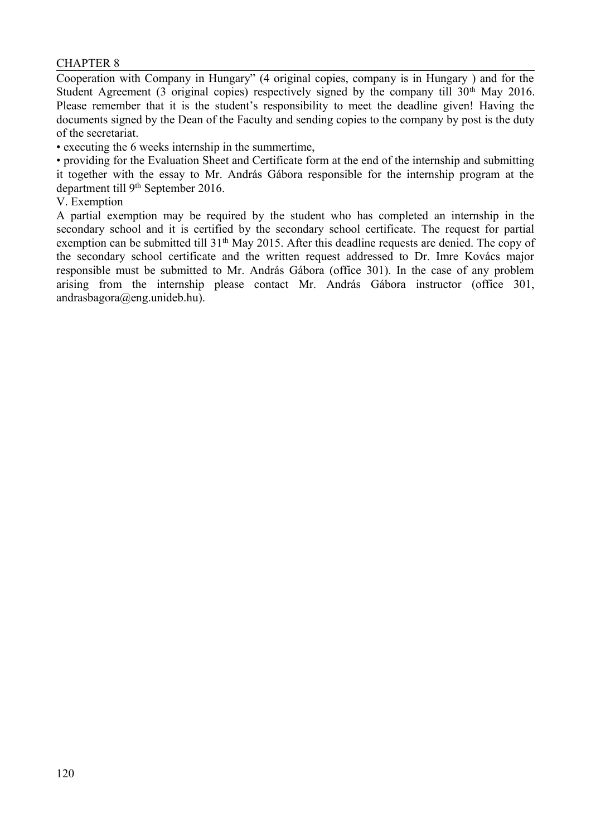Cooperation with Company in Hungary" (4 original copies, company is in Hungary ) and for the Student Agreement (3 original copies) respectively signed by the company till  $30<sup>th</sup>$  May 2016. Please remember that it is the student's responsibility to meet the deadline given! Having the documents signed by the Dean of the Faculty and sending copies to the company by post is the duty of the secretariat.

• executing the 6 weeks internship in the summertime,

• providing for the Evaluation Sheet and Certificate form at the end of the internship and submitting it together with the essay to Mr. András Gábora responsible for the internship program at the department till 9<sup>th</sup> September 2016.

#### V. Exemption

A partial exemption may be required by the student who has completed an internship in the secondary school and it is certified by the secondary school certificate. The request for partial exemption can be submitted till 31<sup>th</sup> May 2015. After this deadline requests are denied. The copy of the secondary school certificate and the written request addressed to Dr. Imre Kovács major responsible must be submitted to Mr. András Gábora (office 301). In the case of any problem arising from the internship please contact Mr. András Gábora instructor (office 301, andrasbagora@eng.unideb.hu).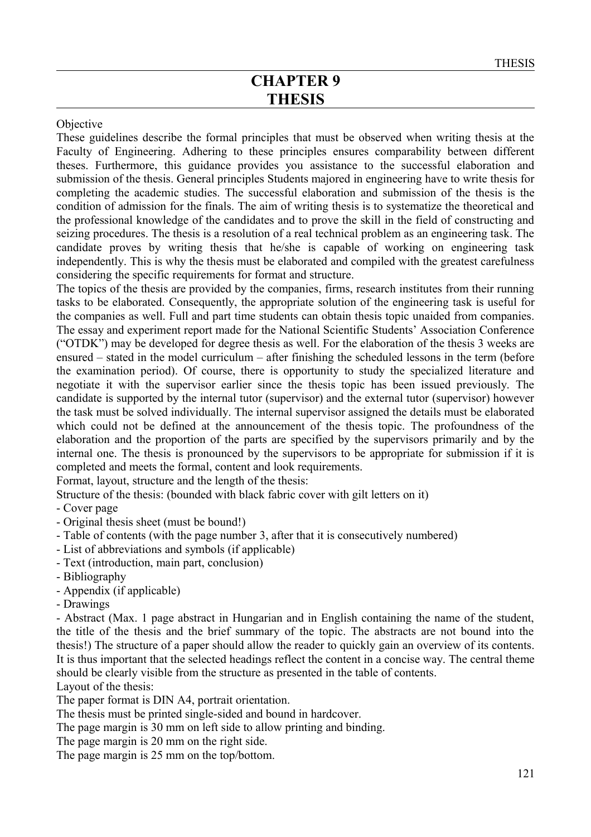### **CHAPTER 9 THESIS**

#### Objective

These guidelines describe the formal principles that must be observed when writing thesis at the Faculty of Engineering. Adhering to these principles ensures comparability between different theses. Furthermore, this guidance provides you assistance to the successful elaboration and submission of the thesis. General principles Students majored in engineering have to write thesis for completing the academic studies. The successful elaboration and submission of the thesis is the condition of admission for the finals. The aim of writing thesis is to systematize the theoretical and the professional knowledge of the candidates and to prove the skill in the field of constructing and seizing procedures. The thesis is a resolution of a real technical problem as an engineering task. The candidate proves by writing thesis that he/she is capable of working on engineering task independently. This is why the thesis must be elaborated and compiled with the greatest carefulness considering the specific requirements for format and structure.

The topics of the thesis are provided by the companies, firms, research institutes from their running tasks to be elaborated. Consequently, the appropriate solution of the engineering task is useful for the companies as well. Full and part time students can obtain thesis topic unaided from companies. The essay and experiment report made for the National Scientific Students' Association Conference ("OTDK") may be developed for degree thesis as well. For the elaboration of the thesis 3 weeks are ensured – stated in the model curriculum – after finishing the scheduled lessons in the term (before the examination period). Of course, there is opportunity to study the specialized literature and negotiate it with the supervisor earlier since the thesis topic has been issued previously. The candidate is supported by the internal tutor (supervisor) and the external tutor (supervisor) however the task must be solved individually. The internal supervisor assigned the details must be elaborated which could not be defined at the announcement of the thesis topic. The profoundness of the elaboration and the proportion of the parts are specified by the supervisors primarily and by the internal one. The thesis is pronounced by the supervisors to be appropriate for submission if it is completed and meets the formal, content and look requirements.

Format, layout, structure and the length of the thesis:

Structure of the thesis: (bounded with black fabric cover with gilt letters on it)

- Cover page

- Original thesis sheet (must be bound!)
- Table of contents (with the page number 3, after that it is consecutively numbered)
- List of abbreviations and symbols (if applicable)
- Text (introduction, main part, conclusion)
- Bibliography
- Appendix (if applicable)
- Drawings

- Abstract (Max. 1 page abstract in Hungarian and in English containing the name of the student, the title of the thesis and the brief summary of the topic. The abstracts are not bound into the thesis!) The structure of a paper should allow the reader to quickly gain an overview of its contents. It is thus important that the selected headings reflect the content in a concise way. The central theme should be clearly visible from the structure as presented in the table of contents. Layout of the thesis:

The paper format is DIN A4, portrait orientation.

The thesis must be printed single-sided and bound in hardcover.

The page margin is 30 mm on left side to allow printing and binding.

The page margin is 20 mm on the right side.

The page margin is 25 mm on the top/bottom.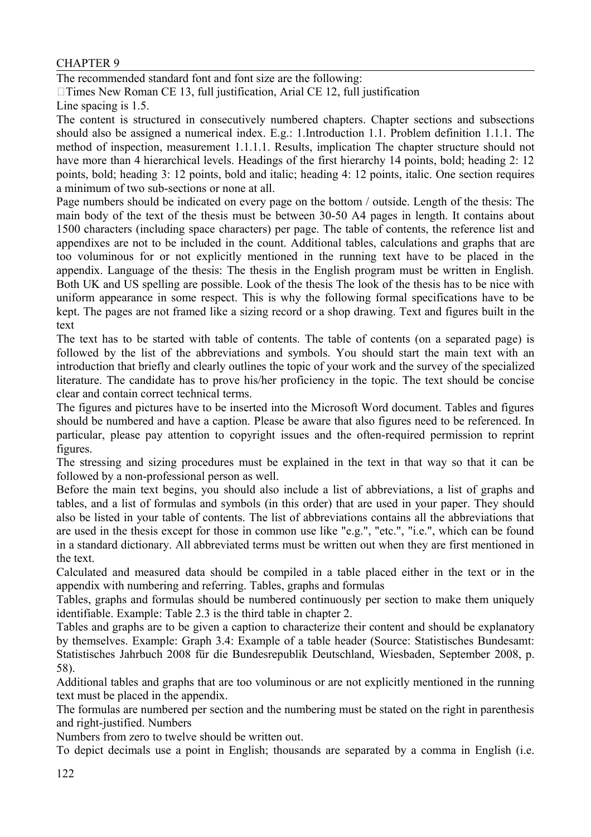The recommended standard font and font size are the following: Times New Roman CE 13, full justification, Arial CE 12, full justification

Line spacing is 1.5.

The content is structured in consecutively numbered chapters. Chapter sections and subsections should also be assigned a numerical index. E.g.: 1.Introduction 1.1. Problem definition 1.1.1. The method of inspection, measurement 1.1.1.1. Results, implication The chapter structure should not have more than 4 hierarchical levels. Headings of the first hierarchy 14 points, bold; heading 2: 12 points, bold; heading 3: 12 points, bold and italic; heading 4: 12 points, italic. One section requires a minimum of two sub-sections or none at all.

Page numbers should be indicated on every page on the bottom / outside. Length of the thesis: The main body of the text of the thesis must be between 30-50 A4 pages in length. It contains about 1500 characters (including space characters) per page. The table of contents, the reference list and appendixes are not to be included in the count. Additional tables, calculations and graphs that are too voluminous for or not explicitly mentioned in the running text have to be placed in the appendix. Language of the thesis: The thesis in the English program must be written in English. Both UK and US spelling are possible. Look of the thesis The look of the thesis has to be nice with uniform appearance in some respect. This is why the following formal specifications have to be kept. The pages are not framed like a sizing record or a shop drawing. Text and figures built in the text

The text has to be started with table of contents. The table of contents (on a separated page) is followed by the list of the abbreviations and symbols. You should start the main text with an introduction that briefly and clearly outlines the topic of your work and the survey of the specialized literature. The candidate has to prove his/her proficiency in the topic. The text should be concise clear and contain correct technical terms.

The figures and pictures have to be inserted into the Microsoft Word document. Tables and figures should be numbered and have a caption. Please be aware that also figures need to be referenced. In particular, please pay attention to copyright issues and the often-required permission to reprint figures.

The stressing and sizing procedures must be explained in the text in that way so that it can be followed by a non-professional person as well.

Before the main text begins, you should also include a list of abbreviations, a list of graphs and tables, and a list of formulas and symbols (in this order) that are used in your paper. They should also be listed in your table of contents. The list of abbreviations contains all the abbreviations that are used in the thesis except for those in common use like "e.g.", "etc.", "i.e.", which can be found in a standard dictionary. All abbreviated terms must be written out when they are first mentioned in the text.

Calculated and measured data should be compiled in a table placed either in the text or in the appendix with numbering and referring. Tables, graphs and formulas

Tables, graphs and formulas should be numbered continuously per section to make them uniquely identifiable. Example: Table 2.3 is the third table in chapter 2.

Tables and graphs are to be given a caption to characterize their content and should be explanatory by themselves. Example: Graph 3.4: Example of a table header (Source: Statistisches Bundesamt: Statistisches Jahrbuch 2008 für die Bundesrepublik Deutschland, Wiesbaden, September 2008, p. 58).

Additional tables and graphs that are too voluminous or are not explicitly mentioned in the running text must be placed in the appendix.

The formulas are numbered per section and the numbering must be stated on the right in parenthesis and right-justified. Numbers

Numbers from zero to twelve should be written out.

To depict decimals use a point in English; thousands are separated by a comma in English (i.e.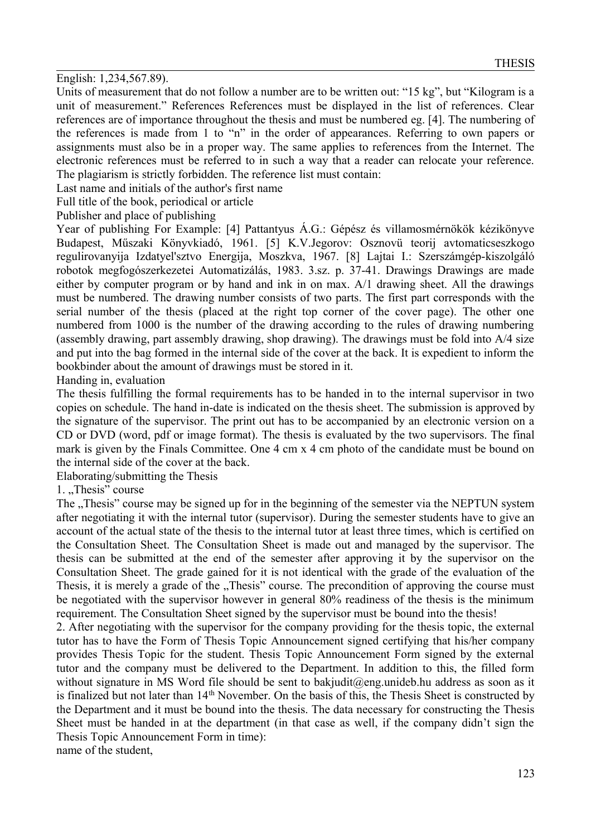English: 1,234,567.89).

Units of measurement that do not follow a number are to be written out: "15 kg", but "Kilogram is a unit of measurement." References References must be displayed in the list of references. Clear references are of importance throughout the thesis and must be numbered eg. [4]. The numbering of the references is made from 1 to "n" in the order of appearances. Referring to own papers or assignments must also be in a proper way. The same applies to references from the Internet. The electronic references must be referred to in such a way that a reader can relocate your reference. The plagiarism is strictly forbidden. The reference list must contain:

Last name and initials of the author's first name

Full title of the book, periodical or article

Publisher and place of publishing

Year of publishing For Example: [4] Pattantyus Á.G.: Gépész és villamosmérnökök kézikönyve Budapest, Műszaki Könyvkiadó, 1961. [5] K.V.Jegorov: Osznovü teorij avtomaticseszkogo regulirovanyija Izdatyel'sztvo Energija, Moszkva, 1967. [8] Lajtai I.: Szerszámgép-kiszolgáló robotok megfogószerkezetei Automatizálás, 1983. 3.sz. p. 37-41. Drawings Drawings are made either by computer program or by hand and ink in on max. A/1 drawing sheet. All the drawings must be numbered. The drawing number consists of two parts. The first part corresponds with the serial number of the thesis (placed at the right top corner of the cover page). The other one numbered from 1000 is the number of the drawing according to the rules of drawing numbering (assembly drawing, part assembly drawing, shop drawing). The drawings must be fold into A/4 size and put into the bag formed in the internal side of the cover at the back. It is expedient to inform the bookbinder about the amount of drawings must be stored in it.

Handing in, evaluation

The thesis fulfilling the formal requirements has to be handed in to the internal supervisor in two copies on schedule. The hand in-date is indicated on the thesis sheet. The submission is approved by the signature of the supervisor. The print out has to be accompanied by an electronic version on a CD or DVD (word, pdf or image format). The thesis is evaluated by the two supervisors. The final mark is given by the Finals Committee. One 4 cm x 4 cm photo of the candidate must be bound on the internal side of the cover at the back.

Elaborating/submitting the Thesis

1. "Thesis" course

The "Thesis" course may be signed up for in the beginning of the semester via the NEPTUN system after negotiating it with the internal tutor (supervisor). During the semester students have to give an account of the actual state of the thesis to the internal tutor at least three times, which is certified on the Consultation Sheet. The Consultation Sheet is made out and managed by the supervisor. The thesis can be submitted at the end of the semester after approving it by the supervisor on the Consultation Sheet. The grade gained for it is not identical with the grade of the evaluation of the Thesis, it is merely a grade of the "Thesis" course. The precondition of approving the course must be negotiated with the supervisor however in general 80% readiness of the thesis is the minimum requirement. The Consultation Sheet signed by the supervisor must be bound into the thesis!

2. After negotiating with the supervisor for the company providing for the thesis topic, the external tutor has to have the Form of Thesis Topic Announcement signed certifying that his/her company provides Thesis Topic for the student. Thesis Topic Announcement Form signed by the external tutor and the company must be delivered to the Department. In addition to this, the filled form without signature in MS Word file should be sent to bakjudit@eng.unideb.hu address as soon as it is finalized but not later than 14th November. On the basis of this, the Thesis Sheet is constructed by the Department and it must be bound into the thesis. The data necessary for constructing the Thesis Sheet must be handed in at the department (in that case as well, if the company didn't sign the Thesis Topic Announcement Form in time):

name of the student,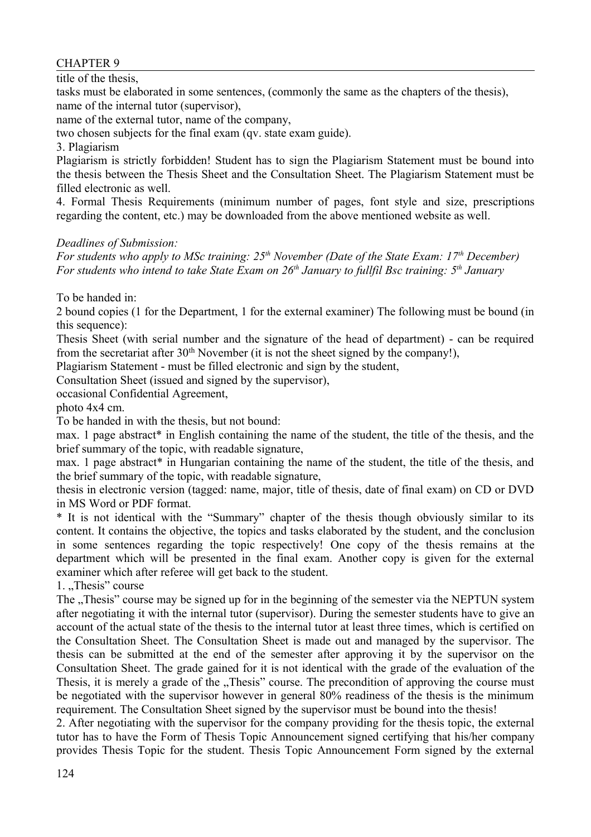title of the thesis.

tasks must be elaborated in some sentences, (commonly the same as the chapters of the thesis), name of the internal tutor (supervisor),

name of the external tutor, name of the company,

two chosen subjects for the final exam (qv. state exam guide).

3. Plagiarism

Plagiarism is strictly forbidden! Student has to sign the Plagiarism Statement must be bound into the thesis between the Thesis Sheet and the Consultation Sheet. The Plagiarism Statement must be filled electronic as well.

4. Formal Thesis Requirements (minimum number of pages, font style and size, prescriptions regarding the content, etc.) may be downloaded from the above mentioned website as well.

#### *Deadlines of Submission:*

*For students who apply to MSc training: 25th November (Date of the State Exam: 17th December) For students who intend to take State Exam on 26th January to fullfil Bsc training: 5th January*

To be handed in:

2 bound copies (1 for the Department, 1 for the external examiner) The following must be bound (in this sequence):

Thesis Sheet (with serial number and the signature of the head of department) - can be required from the secretariat after  $30<sup>th</sup>$  November (it is not the sheet signed by the company!),

Plagiarism Statement - must be filled electronic and sign by the student,

Consultation Sheet (issued and signed by the supervisor),

occasional Confidential Agreement,

photo 4x4 cm.

To be handed in with the thesis, but not bound:

max. 1 page abstract<sup>\*</sup> in English containing the name of the student, the title of the thesis, and the brief summary of the topic, with readable signature,

max. 1 page abstract\* in Hungarian containing the name of the student, the title of the thesis, and the brief summary of the topic, with readable signature,

thesis in electronic version (tagged: name, major, title of thesis, date of final exam) on CD or DVD in MS Word or PDF format.

\* It is not identical with the "Summary" chapter of the thesis though obviously similar to its content. It contains the objective, the topics and tasks elaborated by the student, and the conclusion in some sentences regarding the topic respectively! One copy of the thesis remains at the department which will be presented in the final exam. Another copy is given for the external examiner which after referee will get back to the student.

1. "Thesis" course.

The "Thesis" course may be signed up for in the beginning of the semester via the NEPTUN system after negotiating it with the internal tutor (supervisor). During the semester students have to give an account of the actual state of the thesis to the internal tutor at least three times, which is certified on the Consultation Sheet. The Consultation Sheet is made out and managed by the supervisor. The thesis can be submitted at the end of the semester after approving it by the supervisor on the Consultation Sheet. The grade gained for it is not identical with the grade of the evaluation of the Thesis, it is merely a grade of the "Thesis" course. The precondition of approving the course must be negotiated with the supervisor however in general 80% readiness of the thesis is the minimum requirement. The Consultation Sheet signed by the supervisor must be bound into the thesis!

2. After negotiating with the supervisor for the company providing for the thesis topic, the external tutor has to have the Form of Thesis Topic Announcement signed certifying that his/her company provides Thesis Topic for the student. Thesis Topic Announcement Form signed by the external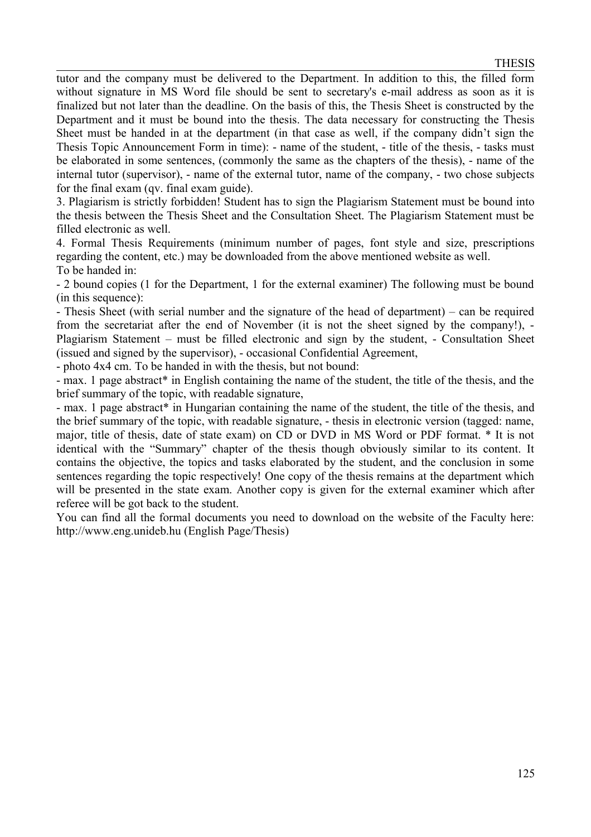tutor and the company must be delivered to the Department. In addition to this, the filled form without signature in MS Word file should be sent to secretary's e-mail address as soon as it is finalized but not later than the deadline. On the basis of this, the Thesis Sheet is constructed by the Department and it must be bound into the thesis. The data necessary for constructing the Thesis Sheet must be handed in at the department (in that case as well, if the company didn't sign the Thesis Topic Announcement Form in time): - name of the student, - title of the thesis, - tasks must be elaborated in some sentences, (commonly the same as the chapters of the thesis), - name of the internal tutor (supervisor), - name of the external tutor, name of the company, - two chose subjects for the final exam (qv. final exam guide).

3. Plagiarism is strictly forbidden! Student has to sign the Plagiarism Statement must be bound into the thesis between the Thesis Sheet and the Consultation Sheet. The Plagiarism Statement must be filled electronic as well.

4. Formal Thesis Requirements (minimum number of pages, font style and size, prescriptions regarding the content, etc.) may be downloaded from the above mentioned website as well. To be handed in:

- 2 bound copies (1 for the Department, 1 for the external examiner) The following must be bound (in this sequence):

- Thesis Sheet (with serial number and the signature of the head of department) – can be required from the secretariat after the end of November (it is not the sheet signed by the company!), - Plagiarism Statement – must be filled electronic and sign by the student, - Consultation Sheet (issued and signed by the supervisor), - occasional Confidential Agreement,

- photo 4x4 cm. To be handed in with the thesis, but not bound:

- max. 1 page abstract\* in English containing the name of the student, the title of the thesis, and the brief summary of the topic, with readable signature,

- max. 1 page abstract\* in Hungarian containing the name of the student, the title of the thesis, and the brief summary of the topic, with readable signature, - thesis in electronic version (tagged: name, major, title of thesis, date of state exam) on CD or DVD in MS Word or PDF format. \* It is not identical with the "Summary" chapter of the thesis though obviously similar to its content. It contains the objective, the topics and tasks elaborated by the student, and the conclusion in some sentences regarding the topic respectively! One copy of the thesis remains at the department which will be presented in the state exam. Another copy is given for the external examiner which after referee will be got back to the student.

You can find all the formal documents you need to download on the website of the Faculty here: http://www.eng.unideb.hu (English Page/Thesis)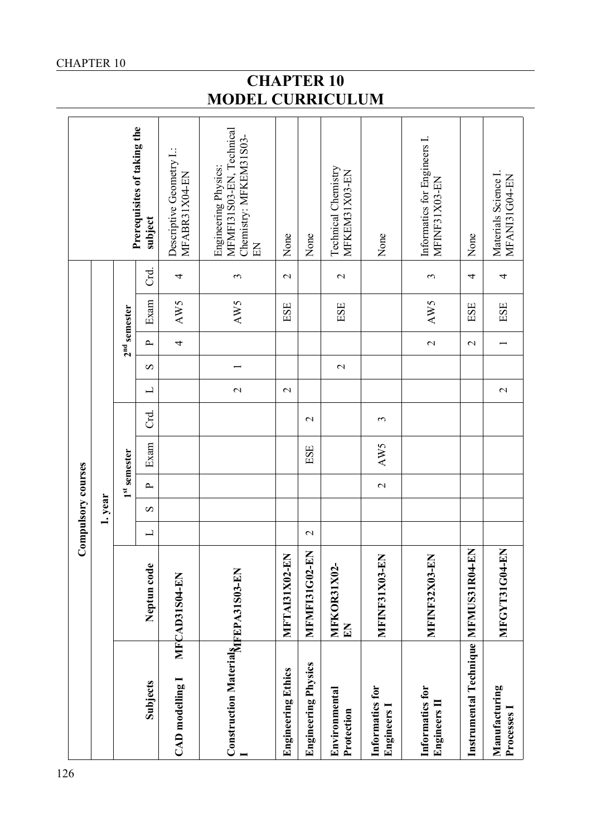# **CHAPTER 10 MODEL CURRICULUM**

|                                             |                              | Compulsory courses       |         |               |                          |              |                          |               |                          |      |                   |                                                                                     |
|---------------------------------------------|------------------------------|--------------------------|---------|---------------|--------------------------|--------------|--------------------------|---------------|--------------------------|------|-------------------|-------------------------------------------------------------------------------------|
|                                             |                              |                          | 1. year |               |                          |              |                          |               |                          |      |                   |                                                                                     |
|                                             |                              |                          |         |               | 1 <sup>st</sup> semester |              |                          |               | 2 <sup>nd</sup> semester |      |                   |                                                                                     |
| Subjects                                    | Neptun code                  | $\overline{\phantom{0}}$ | S       | $\sim$        | Exam                     | Crd.         | $\overline{\phantom{0}}$ | S             | $\sim$                   | Exam | ರ<br>ರ            | Prerequisites of taking the<br>subject                                              |
| <b>CAD</b> modelling I                      | MFCAD31S04-EN                |                          |         |               |                          |              |                          |               | 4                        | AW5  | 4                 | Descriptive Geometry I.:<br>MFABR31X04-EN                                           |
| <b>Construction Materials FEP A31S03-EN</b> |                              |                          |         |               |                          |              | $\mathbf{C}$             |               |                          | AW5  | $\epsilon$        | MFMFI31S03-EN, Technical<br>Chemistry: MFKEM31S03-<br>Engineering Physics:<br>$\Xi$ |
| <b>Engineering Ethics</b>                   | <b>MFTAI31X02-EN</b>         |                          |         |               |                          |              | $\mathbf{\Omega}$        |               |                          | ESE  | $\mathbf{\Omega}$ | None                                                                                |
| <b>Engineering Physics</b>                  | MFMF131G02-EN                | $\mathbf{C}$             |         |               | ESE                      | $\mathbf{C}$ |                          |               |                          |      |                   | None                                                                                |
| Environmental<br>Protection                 | MFKOR31X02-<br>$\mathbf{E}$  |                          |         |               |                          |              |                          | $\mathcal{L}$ |                          | ESE  | $\mathbf{\Omega}$ | Technical Chemistry<br>MFKEM31X03-EN                                                |
| Informatics for<br>Engineers                | MFINF31X03-EN                |                          |         | $\mathcal{L}$ | AW5                      | 3            |                          |               |                          |      |                   | None                                                                                |
| Informatics for<br><b>Engineers</b> 11      | MFINF32X03-EN                |                          |         |               |                          |              |                          |               | $\mathbf{C}$             | AW5  | 3                 | Informatics for Engineers I.<br>MFINF31X03-EN                                       |
| Instrumental Technique                      | $\mathbf{E}$<br>MFMUS31R04-I |                          |         |               |                          |              |                          |               | $\mathcal{L}$            | ESE  | 4                 | None                                                                                |
| Manufacturing<br>Processes 1                | MFGYT31G04-EN                |                          |         |               |                          |              | $\mathcal{L}$            |               | $\overline{\phantom{0}}$ | ESE  | 4                 | Materials Science I.<br>MFANI31G04-EN                                               |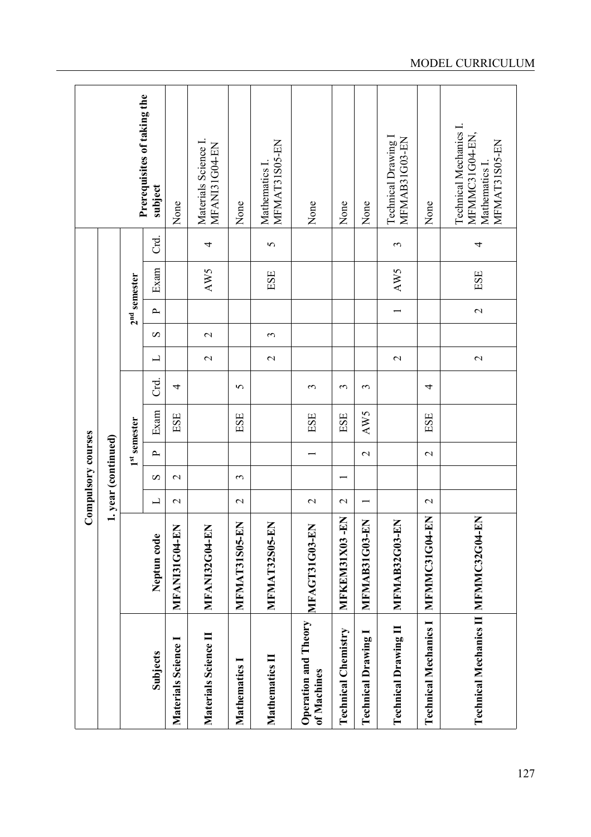|                                            |                                     |                          |               | Compulsory courses  |                       |          |                          |                 |                |             |                |                                                                                    |
|--------------------------------------------|-------------------------------------|--------------------------|---------------|---------------------|-----------------------|----------|--------------------------|-----------------|----------------|-------------|----------------|------------------------------------------------------------------------------------|
|                                            |                                     |                          |               | 1. year (continued) |                       |          |                          |                 |                |             |                |                                                                                    |
|                                            |                                     |                          |               |                     | $1^{\rm st}$ semester |          |                          |                 | $2nd$ semester |             |                |                                                                                    |
| Subjects                                   | Neptun code                         | $\overline{\phantom{0}}$ | S             | $\sim$              | Exam                  | ل<br>ال  | $\overline{\phantom{0}}$ | S               | $\mathbf{r}$   | Exam        | ರದ             | Prerequisites of taking the<br>subject                                             |
| <b>Materials Science</b>                   | MFANI31G04-EN                       | $\mathcal{L}$            | $\mathcal{L}$ |                     | ESE                   | 4        |                          |                 |                |             |                | None                                                                               |
| Materials Science II                       | MFANI32G04-EN                       |                          |               |                     |                       |          | $\mathbf{\Omega}$        | $\mathbf{\sim}$ |                | AW5         | 4              | Materials Science I.<br>MFANI31G04-EN                                              |
| Mathematics I                              | MFMAT31S05-EN                       | $\mathcal{L}$            | 3             |                     | ESE                   | $\sigma$ |                          |                 |                |             |                | None                                                                               |
| Mathematics II                             | MFMAT32S05-EN                       |                          |               |                     |                       |          | $\mathbf{C}$             | 3               |                | ESE         | $\overline{5}$ | MFMAT31S05-EN<br>Mathematics I                                                     |
| <b>Operation and Theory</b><br>of Machines | MFAGT31G03-EN                       | $\mathbf 2$              |               |                     | ESE                   | 3        |                          |                 |                |             |                | None                                                                               |
| <b>Technical Chemistry</b>                 | MFKEM31X03-EN                       | $\mathcal{L}$            |               |                     | ESE                   | 3        |                          |                 |                |             |                | None                                                                               |
| <b>Technical Drawing</b>                   | MFMAB31G03-EN                       | $\overline{\phantom{0}}$ |               | $\mathcal{L}$       | AW5                   | 3        |                          |                 |                |             |                | None                                                                               |
| Technical Drawing II                       | MFMAB32G03-EN                       |                          |               |                     |                       |          | $\mathbf{\Omega}$        |                 |                | AW5         | 3              | Technical Drawing I<br>MFMAB31G03-EN                                               |
| <b>Technical Mechanics I</b>               | $\mathbf{E}$<br><b>MFMMC31G04-1</b> | $\mathbf 2$              |               | $\mathbf 2$         | ESE                   | 4        |                          |                 |                |             |                | None                                                                               |
| Technical Mechanics II MFMMC32G04-EN       |                                     |                          |               |                     |                       |          | $\mathcal{L}$            |                 | $\mathbf{C}$   | ${\rm ESE}$ | 4              | <b>Technical Mechanics I.</b><br>MFMMC31G04-EN,<br>MFMAT31S05-EN<br>Mathematics I. |

### MODEL CURRICULUM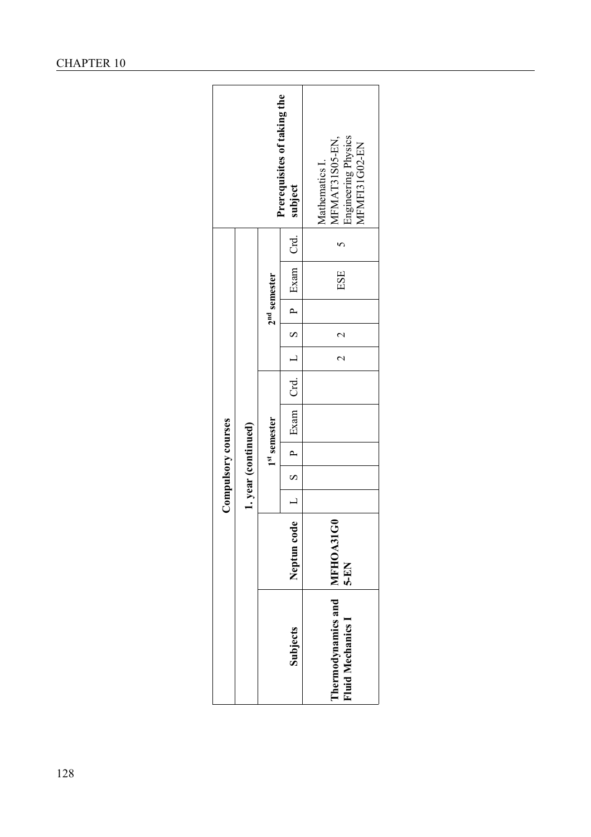|                    |                     |              | Prerequisites of taking the<br>subject               | MFMAT31S05-EN,<br>Engineering Physics<br><b>MFMF131G02-EN</b><br>Mathematics I. |  |  |  |  |  |  |
|--------------------|---------------------|--------------|------------------------------------------------------|---------------------------------------------------------------------------------|--|--|--|--|--|--|
|                    |                     |              |                                                      |                                                                                 |  |  |  |  |  |  |
|                    | $2nd$ semester      |              | ESE                                                  |                                                                                 |  |  |  |  |  |  |
|                    |                     |              |                                                      |                                                                                 |  |  |  |  |  |  |
|                    |                     |              |                                                      | $\mathrel{\sim}$                                                                |  |  |  |  |  |  |
|                    |                     |              |                                                      | $\mathcal{C}$                                                                   |  |  |  |  |  |  |
|                    |                     |              |                                                      |                                                                                 |  |  |  |  |  |  |
| Compulsory courses |                     | 1st semester | $S \mid P$ Exam Crd.   $L \mid S \mid P$ Exam   Crd. |                                                                                 |  |  |  |  |  |  |
|                    | 1. year (continued) |              |                                                      |                                                                                 |  |  |  |  |  |  |
|                    |                     |              |                                                      |                                                                                 |  |  |  |  |  |  |
|                    |                     |              |                                                      |                                                                                 |  |  |  |  |  |  |
|                    |                     |              | Neptun code                                          | ි<br>5-EN                                                                       |  |  |  |  |  |  |
|                    |                     |              | Subjects                                             | Thermodynamics and MFHOA310<br>Fluid Mechanics I                                |  |  |  |  |  |  |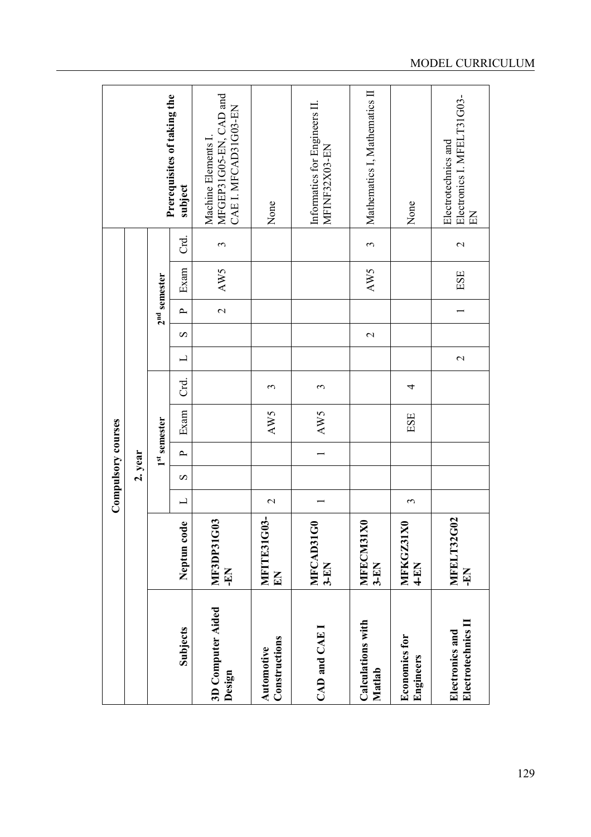|                                       |                                 |                   | Compulsory courses    |                          |                       |      |                          |                       |                |      |                       |                                                                       |
|---------------------------------------|---------------------------------|-------------------|-----------------------|--------------------------|-----------------------|------|--------------------------|-----------------------|----------------|------|-----------------------|-----------------------------------------------------------------------|
|                                       |                                 |                   | 2. year               |                          |                       |      |                          |                       |                |      |                       |                                                                       |
|                                       |                                 |                   |                       |                          | $1^{\rm st}$ semester |      |                          |                       | $2nd$ semester |      |                       |                                                                       |
| Subjects                              | Neptun code                     | L                 | $\boldsymbol{\Omega}$ | $\sim$                   | Exam                  | Crd. | $\overline{\phantom{0}}$ | $\boldsymbol{\Omega}$ | $\sim$         | Exam | Crd.                  | Prerequisites of taking the<br>subject                                |
| 3D Computer Aided<br>Design           | $\mathbf{C}$<br>MF3DP31G<br>-EN |                   |                       |                          |                       |      |                          |                       | $\mathbf{C}$   | AW5  | 3                     | MFGEP31G05-EN, CAD and<br>CAE I. MFCAD31G03-EN<br>Machine Elements I. |
| Constructions<br>Automotive           | $\overline{2}$<br>MFITE31G<br>E | $\mathbf{\Omega}$ |                       |                          | AW5                   | 3    |                          |                       |                |      |                       | None                                                                  |
| CAD and CAE I                         | MFCAD31G0<br>$3 - E N$          |                   |                       | $\overline{\phantom{0}}$ | AW5                   | 3    |                          |                       |                |      |                       | Informatics for Engineers II.<br>MFINF32X03-EN                        |
| Calculations with<br>Matlab           | MFECM31X0<br>$3 - E$ N          |                   |                       |                          |                       |      |                          | $\mathbf{\Omega}$     |                | AW5  | $\tilde{\phantom{a}}$ | Mathematics I, Mathematics II                                         |
| <b>Economics</b> for<br>Engineers     | MFKGZ31X0<br>4-EN               | $\epsilon$        |                       |                          | ESE                   | 4    |                          |                       |                |      |                       | None                                                                  |
| Electrotechnics II<br>Electronics and | MFELT32G02<br>EN-               |                   |                       |                          |                       |      | $\mathbf{C}$             |                       |                | ESE  | $\mathbf{\Omega}$     | Electronics I. MFELT31G03-<br>Electrotechnics and<br>EN               |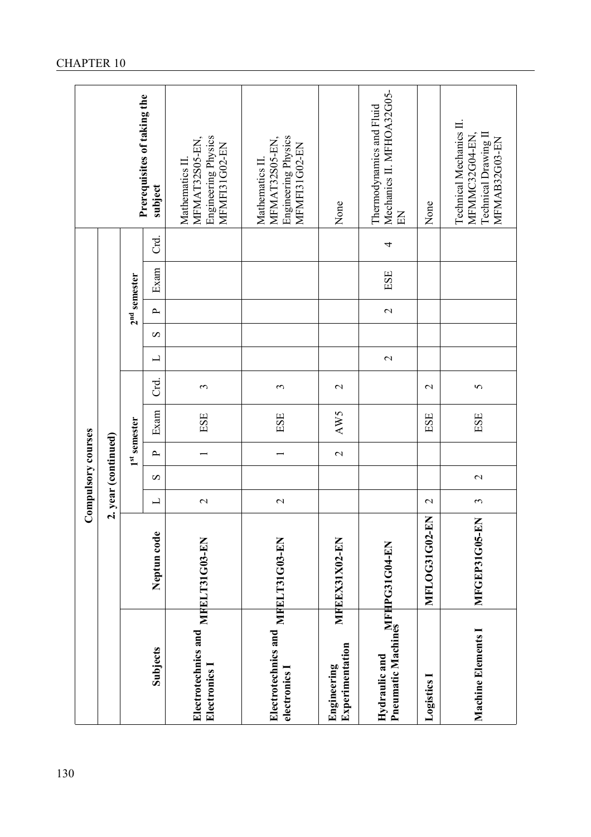| Compulsory courses<br>2. year (continued) |
|-------------------------------------------|
| 1 <sup>st</sup> semester                  |
| ਟ<br>ਹ<br>Exam<br>$\sim$                  |
| $\tilde{\phantom{a}}$<br>ESE              |
| 3<br>ESE                                  |
| $\mathbf{C}$<br>AW5<br>$\mathbf{C}$       |
|                                           |
| $\mathcal{L}$<br>ESE                      |
| $\overline{5}$<br>ESE                     |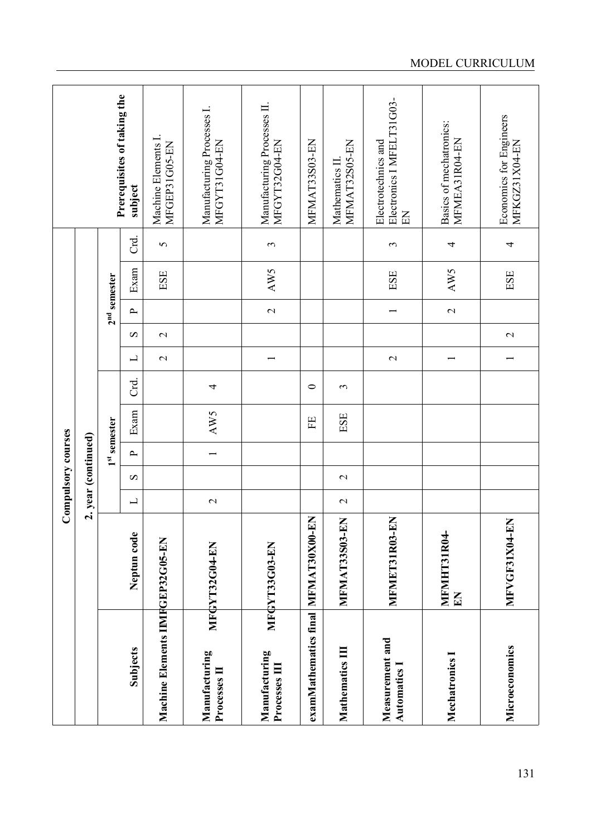|                                        |                   |                          |              | Compulsory courses       |                          |         |                          |               |                          |      |                |                                                                |
|----------------------------------------|-------------------|--------------------------|--------------|--------------------------|--------------------------|---------|--------------------------|---------------|--------------------------|------|----------------|----------------------------------------------------------------|
|                                        |                   |                          |              | 2. year (continued)      |                          |         |                          |               |                          |      |                |                                                                |
|                                        |                   |                          |              |                          | 1 <sup>st</sup> semester |         |                          |               | $2nd$ semester           |      |                |                                                                |
| Subjects                               | Neptun code       | $\overline{\phantom{0}}$ | S            | $\mathbf{r}$             | Exam                     | Crd.    | $\overline{\phantom{0}}$ | S             | $\mathbf{r}$             | Exam | ل<br>ال        | Prerequisites of taking the<br>subject                         |
| Machine Elements IIMFGEP32G05-EN       |                   |                          |              |                          |                          |         | $\mathcal{L}$            | $\mathcal{L}$ |                          | ESE  | $\overline{5}$ | Machine Elements I.<br>MFGEP31G05-EN                           |
| Manufacturing<br>Processes II          | MFGYT32G04-EN     | $\mathbf{\Omega}$        |              | $\overline{\phantom{0}}$ | AW5                      | 4       |                          |               |                          |      |                | Manufacturing Processes I.<br>MFGYT31G04-EN                    |
| Manufacturing<br>Processes III         | MFGYT33G03-EN     |                          |              |                          |                          |         |                          |               | $\mathbf{\Omega}$        | AW5  | $\epsilon$     | Manufacturing Processes II.<br>MFGYT32G04-EN                   |
| examMathematics final                  | MFMAT30X00-EN     |                          |              |                          | EE                       | $\circ$ |                          |               |                          |      |                | MFMAT33S03-EN                                                  |
| Mathematics III                        | MFMAT33S03-EN     | $\mathbf{\Omega}$        | $\mathbf{C}$ |                          | ESE                      | 3       |                          |               |                          |      |                | MFMAT32S05-EN<br>Mathematics II                                |
| Measurement and<br><b>Automatics</b> 1 | MFMET31R03-EN     |                          |              |                          |                          |         | $\mathbf{C}$             |               | $\overline{\phantom{0}}$ | ESE  | $\epsilon$     | Electronics I MFELT31G03-<br>Electrotechnics and<br>$_{\rm E}$ |
| <b>Mechatronics</b> I                  | MFMHT31R04-<br>KN |                          |              |                          |                          |         |                          |               | $\mathbf{C}$             | AW5  | 4              | Basics of mechatronics:<br>MFMEA31R04-EN                       |
| Microeconomics                         | MFVGF31X04-EN     |                          |              |                          |                          |         |                          | $\mathcal{L}$ |                          | ESE  | 4              | Economics for Engineers<br>MFKGZ31X04-EN                       |

### MODEL CURRICULUM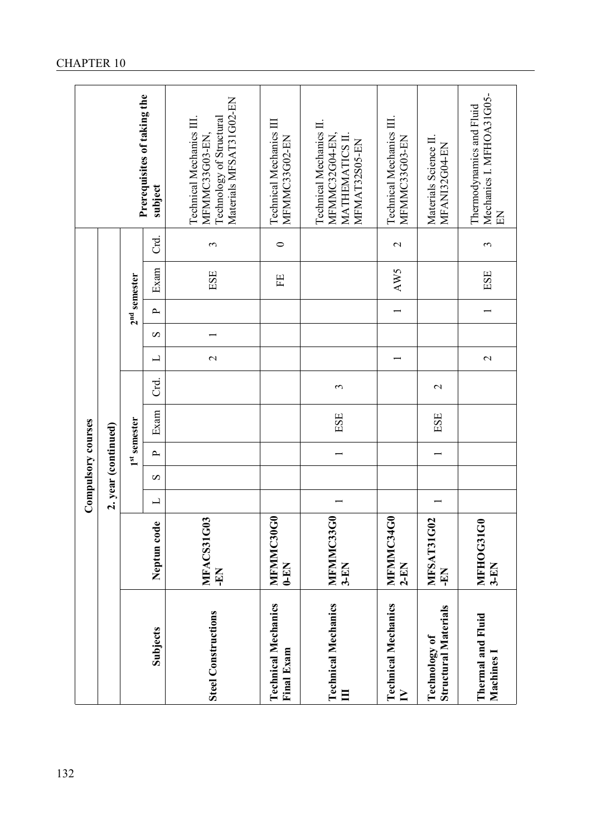|                                              |                                                 |                          |                       | Compulsory courses       |                       |              |                          |                       |                          |      |                       |                                                                                                         |
|----------------------------------------------|-------------------------------------------------|--------------------------|-----------------------|--------------------------|-----------------------|--------------|--------------------------|-----------------------|--------------------------|------|-----------------------|---------------------------------------------------------------------------------------------------------|
|                                              |                                                 |                          |                       | 2. year (continued)      |                       |              |                          |                       |                          |      |                       |                                                                                                         |
|                                              |                                                 |                          |                       |                          | $1^{\rm st}$ semester |              |                          |                       | $2nd$ semester           |      |                       |                                                                                                         |
| Subjects                                     | Neptun code                                     | $\overline{\phantom{0}}$ | $\boldsymbol{\Omega}$ | $\sim$                   | Exam                  | ਟ<br>ਹ       | $\overline{\phantom{0}}$ | $\boldsymbol{\Omega}$ | $\sim$                   | Exam | ಕ                     | Prerequisites of taking the<br>subject                                                                  |
| <b>Steel Constructions</b>                   | MFACS31G03<br><b>NA-</b>                        |                          |                       |                          |                       |              | $\mathbf{C}$             |                       |                          | ESE  | $\tilde{\phantom{0}}$ | Materials MFSAT31G02-EN<br>Technology of Structural<br><b>Technical Mechanics III</b><br>MFMMC33G03-EN, |
| <b>Technical Mechanics</b><br>Final Exam     | $\tilde{c}$<br>MFMMC30<br>$0 - E$ N             |                          |                       |                          |                       |              |                          |                       |                          | EE   | $\circ$               | <b>Technical Mechanics III</b><br>MFMMC33G02-EN                                                         |
| <b>Technical Mechanics</b><br>目              | $\tilde{c}$<br>MFMMC33<br>$3 - EN$              |                          |                       | $\overline{\phantom{0}}$ | ESE                   | 3            |                          |                       |                          |      |                       | <b>Technical Mechanics II.</b><br>MFMMC32G04-EN,<br><b>MATHEMATICS II</b><br>MFMAT32S05-EN              |
| <b>Technical Mechanics</b><br>≧              | $\tilde{G}$<br>MFMMC34<br>$2-EN$                |                          |                       |                          |                       |              |                          |                       | $\overline{\phantom{0}}$ | AW5  | $\mathbf{C}$          | <b>Technical Mechanics III</b><br>MFMMC33G03-EN                                                         |
| <b>Structural Materials</b><br>Technology of | $\mathbf{S}$<br><b>MFSAT31G</b><br><b>KN</b> -  |                          |                       |                          | ESE                   | $\mathbf{C}$ |                          |                       |                          |      |                       | Materials Science II<br>MFANI32G04-EN                                                                   |
| Thermal and Fluid<br>Machines 1              | $\sum_{i=1}^{n}$<br><b>MFHOG310</b><br>$3 - EN$ |                          |                       |                          |                       |              | $\mathbf{C}$             |                       |                          | ESE  | 3                     | Mechanics I. MFHOA31G05-<br>Thermodynamics and Fluid<br>叾                                               |
|                                              |                                                 |                          |                       |                          |                       |              |                          |                       |                          |      |                       |                                                                                                         |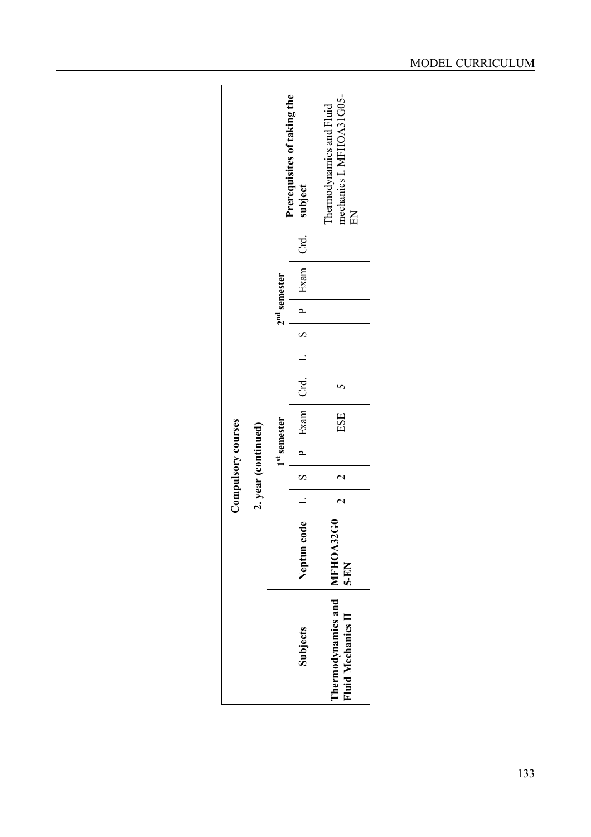|                                                    |             | Compulsory courses |                     |                          |                                                         |  |  |                |                                                            |
|----------------------------------------------------|-------------|--------------------|---------------------|--------------------------|---------------------------------------------------------|--|--|----------------|------------------------------------------------------------|
|                                                    |             |                    | 2. year (continued) |                          |                                                         |  |  |                |                                                            |
|                                                    |             |                    |                     | 1 <sup>st</sup> semester |                                                         |  |  | $2nd$ semester |                                                            |
| Subjects                                           | Neptun code |                    |                     |                          | $L \mid S \mid P$ Exam Crd. $L \mid S \mid P$ Exam Crd. |  |  |                | Prerequisites of taking the<br>subject                     |
| Thermodynamics and MFHOA32G0<br>Fluid Mechanics II | $5-EN$      |                    |                     |                          | ESE                                                     |  |  |                | mechanics I. MFHOA31G05-<br>Thermodynamics and Fluid<br>EN |

### MODEL CURRICULUM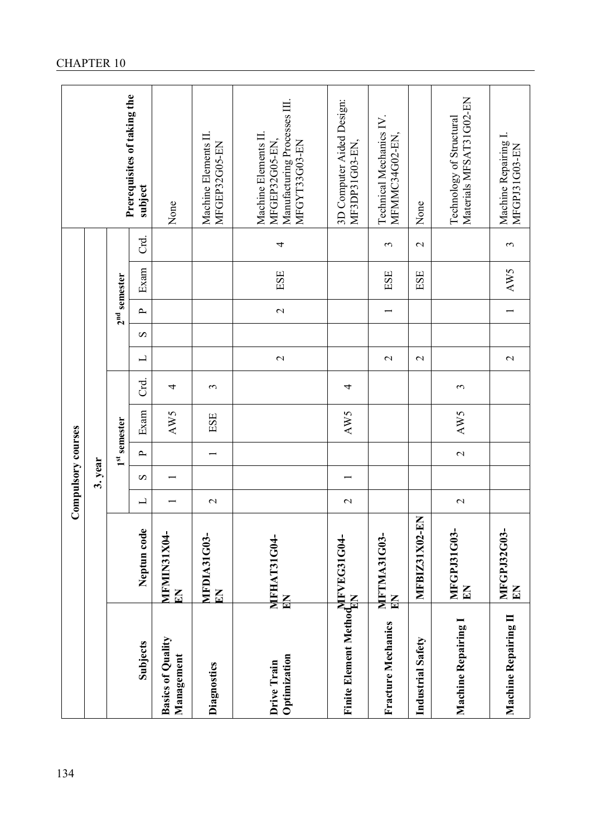|                                                                              |                                    |                          | Compulsory courses |                          |      |      |                                                   |              |                |                          |                                                                                         |
|------------------------------------------------------------------------------|------------------------------------|--------------------------|--------------------|--------------------------|------|------|---------------------------------------------------|--------------|----------------|--------------------------|-----------------------------------------------------------------------------------------|
|                                                                              |                                    |                          | 3. year            |                          |      |      |                                                   |              |                |                          |                                                                                         |
|                                                                              |                                    |                          |                    | Ist semester             |      |      |                                                   |              | $2nd$ semester |                          |                                                                                         |
| Subjects                                                                     | Neptun code                        | $\overline{\phantom{0}}$ | S                  | $\sim$                   | Exam | Crd. | $\boldsymbol{\Omega}$<br>$\overline{\phantom{0}}$ | $\sim$       | Exam           | Gd.                      | Prerequisites of taking the<br>subject                                                  |
| <b>Basics of Quality</b><br>Management                                       | MFMIN31X04-<br>$\mathbf{E}$        |                          |                    |                          | AW5  | 4    |                                                   |              |                |                          | None                                                                                    |
| Diagnostics                                                                  | <b>MFDIA31G03-</b><br>$\mathbf{E}$ | $\mathbf{C}$             |                    | $\overline{\phantom{0}}$ | ESE  | 3    |                                                   |              |                |                          | Machine Elements II<br>MFGEP32G05-EN                                                    |
| Optimization<br>Drive Train                                                  | MFHAT31G04-<br>且                   |                          |                    |                          |      |      | $\mathbf{C}$                                      | $\mathbf{C}$ | ESE            | $\overline{\mathcal{A}}$ | Manufacturing Processes III.<br>Machine Elements II.<br>MFGEP32G05-EN,<br>MFGYT33G03-EN |
| Finite Element Method <sub>HIN</sub><br>Finite Element Method <sub>HIN</sub> |                                    | $\mathbf{\Omega}$        |                    |                          | AW5  | 4    |                                                   |              |                |                          | 3D Computer Aided Design:<br>MF3DP31G03-EN,                                             |
| <b>Fracture Mechanics</b>                                                    | <b>MFTMA31G03-</b><br>且            |                          |                    |                          |      |      | $\mathbf{\Omega}$                                 |              | ESE            | 3                        | Technical Mechanics IV.<br>MFMMC34G02-EN,                                               |
| Industrial Safety                                                            | <b>MFBIZ31X02-EN</b>               |                          |                    |                          |      |      | $\mathcal{L}$                                     |              | ESE            | $\mathbf{C}$             | None                                                                                    |
| Machine Repairing I                                                          | MFGPJ31G03-<br>$\mathbf{K}$        | $\mathbf{C}$             |                    | $\overline{\mathcal{C}}$ | AW5  | 3    |                                                   |              |                |                          | Materials MFSAT31G02-EN<br>Technology of Structural                                     |
| Machine Repairing II                                                         | MFGPJ32G03-<br>$\mathbf{K}$        |                          |                    |                          |      |      | $\mathbf{\Omega}$                                 |              | AW5            | 3                        | Machine Repairing I.<br>MFGPJ31G03-EN                                                   |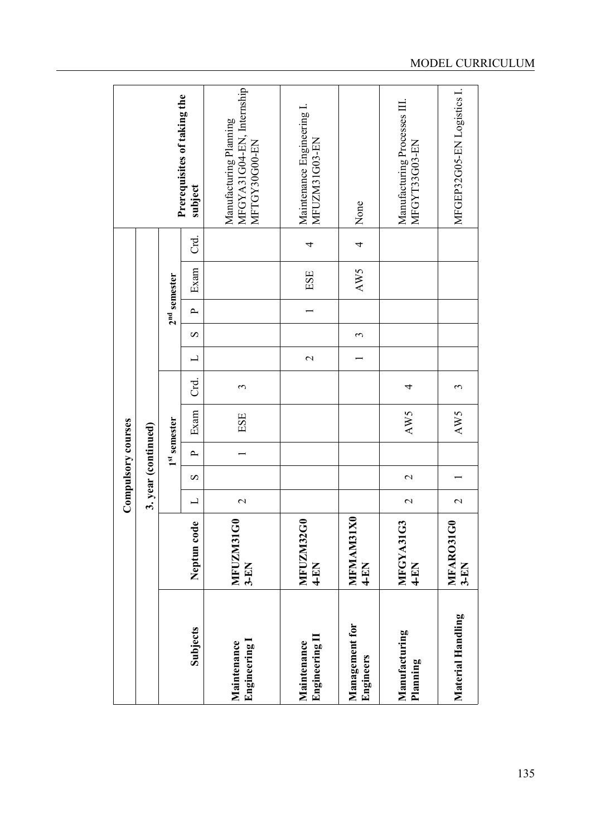|                                     |                         | Compulsory courses |                       |                       |      |        |                          |                       |        |                |        |                                                                      |
|-------------------------------------|-------------------------|--------------------|-----------------------|-----------------------|------|--------|--------------------------|-----------------------|--------|----------------|--------|----------------------------------------------------------------------|
|                                     |                         |                    | 3. year (continued)   |                       |      |        |                          |                       |        |                |        |                                                                      |
|                                     |                         |                    |                       | $1^{\rm st}$ semester |      |        |                          |                       |        | $2nd$ semester |        |                                                                      |
| Subjects                            | $\bullet$<br>Neptun cod | $\sqcup$           | $\boldsymbol{\Omega}$ | $\sim$                | Exam | ਟ<br>ਹ | $\overline{\phantom{0}}$ | $\boldsymbol{\Omega}$ | $\sim$ | Exam           | ਟ<br>ਹ | Prerequisites of taking the<br>subject                               |
| <b>Engineering</b><br>Maintenance   | MFUZM31G0<br>$3 - EN$   | $\mathbf{C}$       |                       |                       | ESE  | 3      |                          |                       |        |                |        | MFGYA31G04-EN, Internship<br>Manufacturing Planning<br>MFTGY30G00-EN |
| <b>Engineering</b> I<br>Maintenance | MFUZM32G0<br>4-EN       |                    |                       |                       |      |        | $\overline{\mathcal{C}}$ |                       |        | ESE            | 4      | Maintenance Engineering I.<br>MFUZM31G03-EN                          |
| Management for<br>Engineers         | MFMAM31X0<br>4-EN       |                    |                       |                       |      |        |                          | 3                     |        | AW5            | 4      | None                                                                 |
| Manufacturing<br>Planning           | MFGYA31G3<br>4-EN       | $\mathbf{\Omega}$  | $\mathbf{C}$          |                       | AW5  | 4      |                          |                       |        |                |        | Manufacturing Processes III.<br>MFGYT33G03-EN                        |
| Material Handling                   | MFARO31G0<br>$3 - E N$  | $\mathbf{\Omega}$  |                       |                       | AW5  | 3      |                          |                       |        |                |        | MFGEP32G05-EN Logistics I.                                           |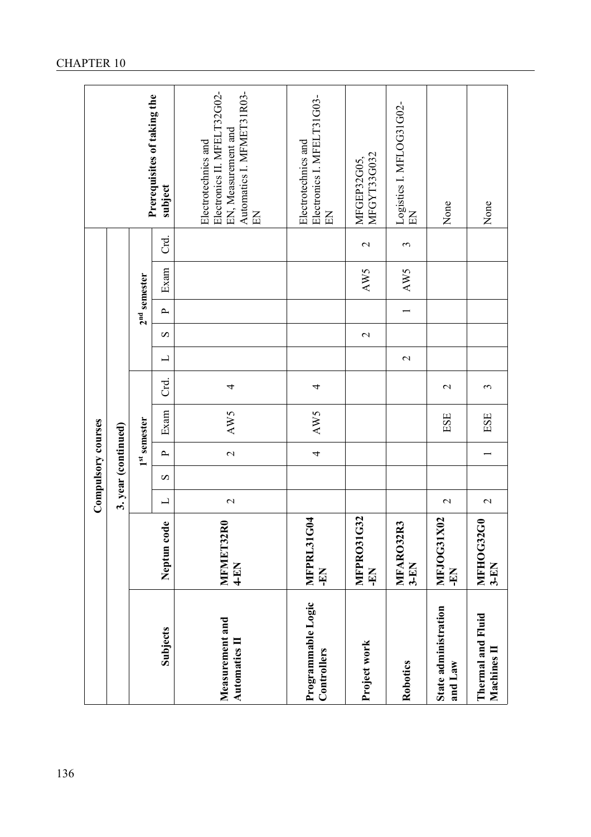|                                   |                                 | Compulsory courses  |   |                       |      |                |                          |                       |        |                |               |                                                                                                              |
|-----------------------------------|---------------------------------|---------------------|---|-----------------------|------|----------------|--------------------------|-----------------------|--------|----------------|---------------|--------------------------------------------------------------------------------------------------------------|
|                                   |                                 | 3. year (continued) |   |                       |      |                |                          |                       |        |                |               |                                                                                                              |
|                                   |                                 |                     |   | $1^{\rm st}$ semester |      |                |                          |                       |        | $2nd$ semester |               |                                                                                                              |
| Subjects                          | Neptun code                     | 凵                   | S | $\sim$                | Exam | Crd.           | $\overline{\phantom{0}}$ | $\boldsymbol{\Omega}$ | $\sim$ | Exam           | Crd.          | Prerequisites of taking the<br>subject                                                                       |
| Measurement and<br>Automatics II  | MFMET32R0<br>$4 - E$ N          | $\mathbf{C}$        |   | $\mathbf{\Omega}$     | AW5  | 4              |                          |                       |        |                |               | Electronics II. MFELT32G02-<br>Automatics I. MFMET31R03-<br>EN, Measurement and<br>Electrotechnics and<br>EN |
| Programmable Logic<br>Controllers | MFPRL31G04<br><b>KN</b> -       |                     |   | 4                     | AW5  | 4              |                          |                       |        |                |               | Electronics I. MFELT31G03-<br>Electrotechnics and<br>$\mathop{\hbox{\rm E}}$                                 |
| Project work                      | <b>MFPRO31G32</b><br><b>NA-</b> |                     |   |                       |      |                |                          | $\mathcal{L}$         |        | AW5            | $\mathcal{L}$ | MFGYT33G032<br>MFGEP32G05,                                                                                   |
| Robotics                          | MFARO32R3<br>$3 - E N$          |                     |   |                       |      |                | $\mathbf{\Omega}$        |                       |        | AW5            | $\epsilon$    | Logistics I. MFLOG31G02-<br>$\operatorname{EN}$                                                              |
| State administration<br>and Law   | MFJOG31X02<br>Ę                 | $\mathbf{\Omega}$   |   |                       | ESE  | $\mathbf{C}$   |                          |                       |        |                |               | None                                                                                                         |
| Thermal and Fluid<br>Machines II  | MFHOG32G0<br>$3 - EN$           | $\mathbf{\Omega}$   |   |                       | ESE  | $\mathfrak{c}$ |                          |                       |        |                |               | None                                                                                                         |
|                                   |                                 |                     |   |                       |      |                |                          |                       |        |                |               |                                                                                                              |